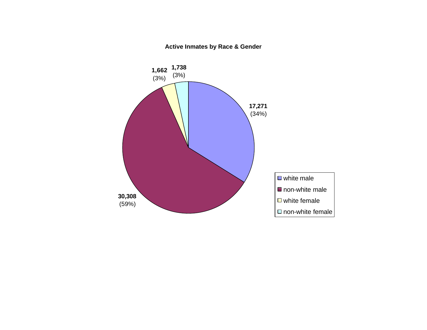

# **Active Inmates by Race & Gender**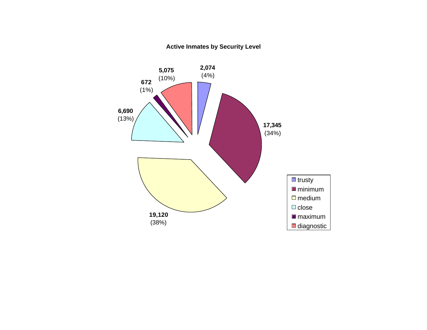

## **Active Inmates by Security Level**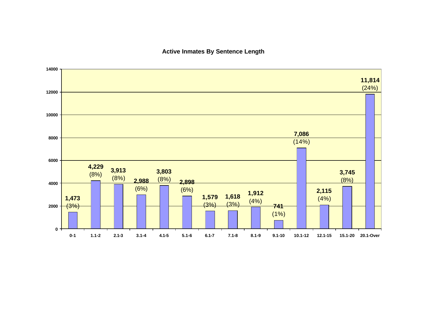### **Active Inmates By Sentence Length**

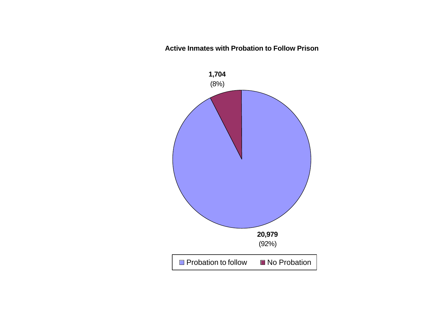**Active Inmates with Probation to Follow Prison**

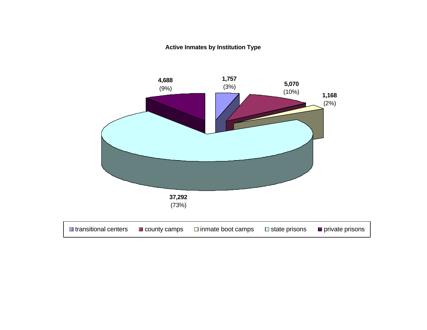## **Active Inmates by Institution Type**

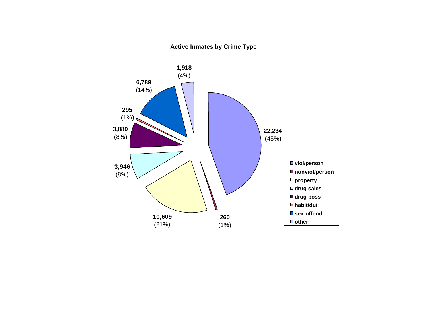## **Active Inmates by Crime Type**

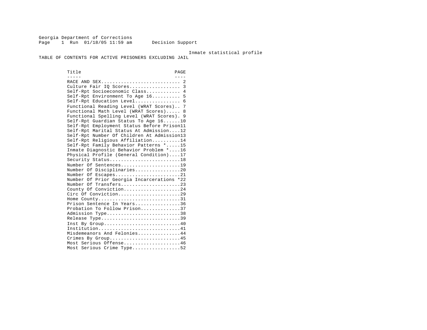Georgia Department of Corrections Page 1 Run 01/18/05 11:59 am Decision Support

Inmate statistical profile

TABLE OF CONTENTS FOR ACTIVE PRISONERS EXCLUDING JAIL

Title PAGE ----- ---- RACE AND SEX............................ 2 Culture Fair IQ Scores.................. 3 Self-Rpt Socioeconomic Class............ 4 Self-Rpt Environment To Age 16.......... 5 Self-Rpt Education Level.................. 6 Functional Reading Level (WRAT Scores).. 7 Functional Math Level (WRAT Scores)..... 8 Functional Spelling Level (WRAT Scores). 9 Self-Rpt Guardian Status To Age 16......10 Self-Rpt Employment Status Before Prison11 Self-Rpt Marital Status At Admission....12 Self-Rpt Number Of Children At Admission13 Self-Rpt Religious Affiliation..........14 Self-Rpt Family Behavior Patterns \*.....15 Inmate Diagnostic Behavior Problem \*....16 Physical Profile (General Condition)....17 Security Status............................18 Number Of Sentences......................19 Number Of Disciplinaries................20 Number Of Escapes.........................21 Number Of Prior Georgia Incarcerations \*22 Number Of Transfers.....................23 County Of Conviction....................24 Circ Of Conviction.........................29 Home County.............................31 Prison Sentence In Years................36 Probation To Follow Prison..............37 Admission Type.............................38 Release Type...............................39 Inst By Group.............................40 Institution.............................41 Misdemeanors And Felonies...............44 Crimes By Group...........................45 Most Serious Offense....................46 Most Serious Crime Type..................52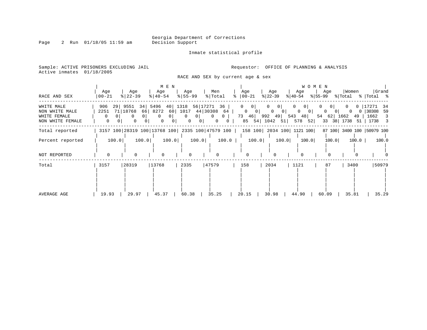Page 2 Run 01/18/05 11:59 am

Inmate statistical profile

Sample: ACTIVE PRISONERS EXCLUDING JAIL **Requestor:** OFFICE OF PLANNING & ANALYSIS Active inmates 01/18/2005

RACE AND SEX by current age & sex

| RACE AND SEX                                                     | Age<br>$00 - 21$             |         | Age<br>$ 22-39 $                                   |                                             | Age<br>$\frac{1}{6}$   40-54                | M E N                                       | Age<br>$8 55-99$                                        |                                        | Men<br>% Total                                           |       | Age<br>$ 00-21$<br>$\approx$                           |                                             | Age<br>$ 22-39 $ |                                        | Age<br>$ 40-54 $ | <b>WOMEN</b>                        | Age   |                                  | Women<br>$ \$ 55-99$ $ \$ Total$ $ \$ Total$ $ \$$ |             |       | Grand                               |
|------------------------------------------------------------------|------------------------------|---------|----------------------------------------------------|---------------------------------------------|---------------------------------------------|---------------------------------------------|---------------------------------------------------------|----------------------------------------|----------------------------------------------------------|-------|--------------------------------------------------------|---------------------------------------------|------------------|----------------------------------------|------------------|-------------------------------------|-------|----------------------------------|----------------------------------------------------|-------------|-------|-------------------------------------|
| WHITE MALE<br>NON WHITE MALE<br>WHITE FEMALE<br>NON WHITE FEMALE | 906<br>2251<br>$\Omega$<br>0 | 29<br>0 | 9551<br>71 18768<br>$\overline{0}$<br>$\mathbf{0}$ | 34 5496<br>0 <sup>1</sup><br>0 <sup>1</sup> | 66 8272<br>$\overline{0}$<br>$\overline{0}$ | 40 1318<br>0 <sup>1</sup><br>0 <sup>1</sup> | 60 1017 44 30308 64<br>$\overline{0}$<br>$\overline{0}$ | 56 17271 36<br>$0$  <br>0 <sup>1</sup> | $\begin{array}{ccc} 0 & 0 \end{array}$<br>$\overline{0}$ | 0     | $0 \qquad 0$<br>$\begin{array}{ccc} 0 & 0 \end{array}$ | 73 46 992 49 543 48<br>85 54 1042 51 578 52 |                  | $0 \qquad 0 \mid$<br>$0 \qquad 0 \mid$ | $\overline{0}$   | 0 <sup>1</sup><br>$0 \qquad 0 \mid$ |       | $\overline{0}$<br>0 <sup>1</sup> | 54 62 1662 49<br>33 38 1738 51                     | $0\qquad 0$ | 17271 | -34<br>30308 59<br>1662 3<br>1738 3 |
| Total reported                                                   |                              |         | 3157 100 28319 100 13768 100 2335 100 47579 100    |                                             |                                             |                                             |                                                         |                                        |                                                          |       |                                                        | 158 100 2034 100 1121 100                   |                  |                                        |                  |                                     |       |                                  | 87 100 3400 100 50979 100                          |             |       |                                     |
| Percent reported                                                 |                              | 100.0   |                                                    | 100.0                                       |                                             | 100.0                                       |                                                         | 100.0                                  |                                                          | 100.0 |                                                        | 100.0                                       |                  | 100.0                                  |                  | 100.0                               |       | 100.0                            |                                                    | 100.0       |       | 100.0                               |
| NOT REPORTED                                                     | $\Omega$                     |         |                                                    |                                             | $\Omega$                                    |                                             | $\Omega$                                                |                                        |                                                          |       | $\Omega$                                               |                                             |                  | $\Omega$                               |                  |                                     |       |                                  |                                                    |             |       |                                     |
| Total                                                            | 3157                         |         | 28319                                              |                                             | 13768                                       |                                             | 2335                                                    |                                        | 47579                                                    |       | 158                                                    |                                             | 2034             |                                        | 1121             |                                     |       | 87                               | 3400                                               |             |       | 50979                               |
| AVERAGE AGE                                                      | 19.93                        |         | 29.97                                              |                                             | 45.37                                       |                                             | 60.38                                                   |                                        | 35.25                                                    |       | $20.15$                                                |                                             | 30.98            |                                        | 44.90            |                                     | 60.09 |                                  | 35.81                                              |             |       | 35.29                               |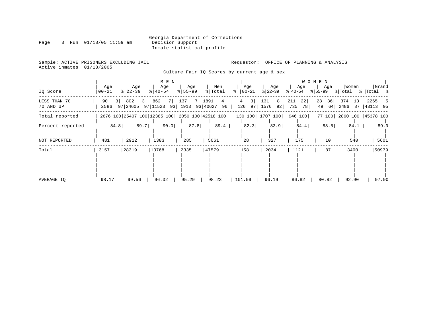|      |  |                       |  | Georgia Department of Corrections |
|------|--|-----------------------|--|-----------------------------------|
| Page |  | Run 01/18/05 11:59 am |  | Decision Support                  |
|      |  |                       |  | Inmate statistical profile        |

Sample: ACTIVE PRISONERS EXCLUDING JAIL<br>Active inmates 01/18/2005

Requestor: OFFICE OF PLANNING & ANALYSIS

Culture Fair IQ Scores by current age & sex

|                           |                              |                                   | M E N              |                    |                                                                              |                              |                 |                        | W O M E N              |                           |                        |
|---------------------------|------------------------------|-----------------------------------|--------------------|--------------------|------------------------------------------------------------------------------|------------------------------|-----------------|------------------------|------------------------|---------------------------|------------------------|
| IQ Score                  | Age<br>$00 - 21$             | Age<br>$ 22-39 $                  | Age<br>$8140 - 54$ | Age<br>$8 55-99$   | Men<br>% Total                                                               | Age<br>$\frac{1}{6}$   00-21 | Age<br>% 22−39  | Age<br>$ 40-54$        | Age<br>% 55-99 % Total | Women                     | Grand<br>%  Total %    |
| LESS THAN 70<br>70 AND UP | 90<br>3 <sup>1</sup><br>2586 | 802<br>3 <sup>1</sup><br>97 24605 | 862<br>97 11523    | 7 137<br>93   1913 | 7 1891<br>4<br>93 40627<br>96                                                | 3 <br>4<br>126 97 1576       | 131<br>8 <br>92 | 22<br>211<br>735<br>78 | 28<br>36<br>64<br>49   | 374<br>13<br>2486<br>87   | 2265<br>5<br> 43113 95 |
| Total reported            |                              |                                   |                    |                    | 2676 100   25407 100   12385 100   2050 100   42518 100   130 100   1707 100 |                              |                 | 946 100                |                        | 77 100 2860 100 45378 100 |                        |
| Percent reported          | 84.8                         | 89.7                              | 90.0               | 87.8               | 89.4                                                                         | 82.3                         | 83.9            | 84.4                   | 88.5                   | 84.1                      | 89.0                   |
| NOT REPORTED              | 481                          | 2912                              | 1383               | 285                | 5061                                                                         | 28                           | 327             | 175                    | 10                     | 540                       | 5601                   |
| Total                     | 3157                         | 28319                             | 13768              | 2335               | 47579                                                                        | 158                          | 2034            | 1121                   | 87                     | 3400                      | 50979                  |
| AVERAGE IO                | 98.17                        | 99.56                             | 96.02              | 95.29              | 98.23                                                                        | 101.09                       | 96.19           | 86.82                  | 80.82                  | 92.90                     | 97.90                  |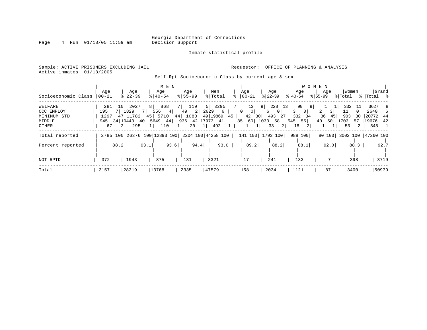Page 4 Run 01/18/05 11:59 am

### Inmate statistical profile

| Sample: ACTIVE PRISONERS EXCLUDING JAIL |  |  |                                                   | Requestor: OFFICE OF PLANNING & ANALYSIS |  |  |  |
|-----------------------------------------|--|--|---------------------------------------------------|------------------------------------------|--|--|--|
| Active inmates 01/18/2005               |  |  |                                                   |                                          |  |  |  |
|                                         |  |  | Self-Rpt Socioeconomic Class by current age & sex |                                          |  |  |  |

| Socioeconomic Class                                        | Aqe<br>$00 - 21$   |      | Age<br>$8 22-39$                                                        |          | Age<br>$8   40 - 54$                             | M E N    | Age<br>$8155 - 99$                                       |                              | Men<br>% Total       |    | Age<br>$8   00 - 21$ |                           |                                | Age<br>$ 22 - 39 $                                          | $8 40-54$ | Age                                                            | W O M E N<br>% 55-99 | Age             | % Total                        | Women                           | %   Total %                                   | Grand    |
|------------------------------------------------------------|--------------------|------|-------------------------------------------------------------------------|----------|--------------------------------------------------|----------|----------------------------------------------------------|------------------------------|----------------------|----|----------------------|---------------------------|--------------------------------|-------------------------------------------------------------|-----------|----------------------------------------------------------------|----------------------|-----------------|--------------------------------|---------------------------------|-----------------------------------------------|----------|
| WELFARE<br>OCC EMPLOY<br>MINIMUM<br>STD<br>MIDDLE<br>OTHER | 281<br>195<br>1297 | 67   | 10 2027<br>1829<br>47 11782<br>945 34 10443 40<br>295<br>2 <sup>1</sup> | $1 \mid$ | 8 868<br>$556 \t 4$<br>45 5710<br>5649 44<br>110 | $1\vert$ | 7 119<br>49<br>44 1080 49 19869<br>936 42 17973 41<br>20 | 2629<br>$2 \mid$<br>$1\vert$ | 5   3295<br>6<br>492 | 45 | $\Omega$             | 13<br> 0 <br>$\mathbf{1}$ | $9 \mid$<br>6<br>85 60 1033 58 | $228$ 13<br>$\circ$<br>42 30 493 27<br>33<br>2 <sup>1</sup> | 3<br>18   | 90<br>9  <br>0 <sup>1</sup><br>$332 \quad 34$<br>$545$ 55<br>2 | 36<br>40             | 3 I<br>45<br>50 | 332<br>11<br>903<br>1703<br>53 | 11<br>$\Omega$<br>30<br>57<br>2 | 3627<br>2640<br>20772 44<br>19676 42<br>545 1 | -8<br>-6 |
| Total reported<br>Percent reported                         |                    | 88.2 |                                                                         | 93.1     |                                                  | 93.6     | 2785 100 26376 100 12893 100 2204 100 44258 100          | 94.4                         | 93.0                 |    |                      | 89.2                      |                                | 141 100  1793 100<br>88.2                                   |           | 988 100<br>88.1                                                |                      | 92.0            |                                | 88.3                            | 80 100 3002 100 47260 100                     | 92.7     |
| NOT RPTD                                                   | 372                |      | 1943                                                                    |          | 875                                              |          | 131                                                      |                              | 3321                 |    | 17                   |                           |                                | 241                                                         |           | 133                                                            |                      |                 |                                | 398                             |                                               | 3719     |
| Total                                                      | 3157               |      | 28319                                                                   |          | 13768                                            |          | 2335                                                     |                              | 47579                |    | 158                  |                           |                                | 2034                                                        | 1121      |                                                                |                      | 87              |                                | 3400                            |                                               | 50979    |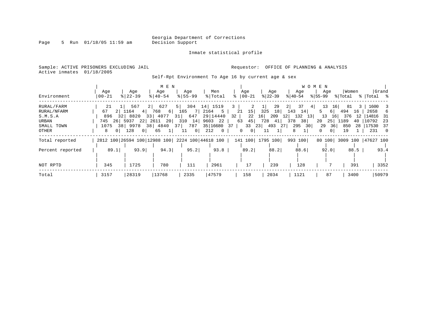Page 5 Run 01/18/05 11:59 am

#### Inmate statistical profile

Sample: ACTIVE PRISONERS EXCLUDING JAIL **Requestor:** OFFICE OF PLANNING & ANALYSIS Active inmates 01/18/2005

Self-Rpt Environment To Age 16 by current age & sex

|                  |                     |                                                 | M E N                   |                 |                       |                                |                  | W O M E N              |                           |            |                                 |
|------------------|---------------------|-------------------------------------------------|-------------------------|-----------------|-----------------------|--------------------------------|------------------|------------------------|---------------------------|------------|---------------------------------|
|                  | Age                 | Age                                             | Age                     | Age             | Men                   | Age                            | Age              | Age                    | Age                       | Women      | Grand                           |
| Environment      | $00 - 21$           | $ 22-39 $                                       | $8140 - 54$             | $8155 - 99$     | % Total               | $ 00-21$                       | $ 22-39 $        | $8 40-54$              | $ 55-99 $                 | % Total    | %   Total %                     |
| RURAL/FARM       | 21                  | 567                                             | 2  627                  | $5 \mid$<br>304 | 14 1519               |                                | 29<br>1          | 2  <br>37<br>4         | 13<br>16                  | 81<br>3    | 1600<br>-3                      |
| RURAL/NFARM      | 67                  | 2 1164<br>$4 \mid$                              | 768<br>6                | - 71<br>165     | 2164 5                | 15 <br>21                      | 325<br>18        | 143<br>14              | 6  <br>5.                 | 494<br>16  | 2658<br>-6                      |
| S.M.S.A          | 896<br>321          | 8820                                            | 33 4077<br>31           | 647             | 29   14440            | 22<br>$32 \mid$                | 209<br>16        | 12<br>132<br>13        | 13<br>16                  | 376<br>12  | 14816 31                        |
| URBAN            | 26  <br>745         | 5937<br>22                                      | 2611<br>20 <sup>1</sup> | 310<br>14       | 9603 22               | 45 <br>63                      | 728<br>41        | 38<br>378              | 20<br>25                  | 1189<br>40 | 10792<br>- 23                   |
| SMALL TOWN       | 1075<br>38          | 9978<br>38                                      | 4840<br>37 L            | 787             | 35 16680              | 33<br>37                       | 23<br>493<br>271 | 295<br>30 <sup>1</sup> | 36<br>29                  | 850<br>28  | 17530<br>- 37                   |
| OTHER            | 0 <sup>1</sup><br>8 | 128<br>0 <sup>1</sup>                           | 65<br>$1\vert$          | $\circ$<br>11   | $\overline{0}$<br>212 | 0 <sup>1</sup><br>$\mathbf{0}$ | 11               | 8                      | 0<br>0 <sup>1</sup>       | 19         | 231<br>$\overline{\phantom{0}}$ |
| Total reported   |                     | 2812 100 26594 100 12988 100 2224 100 44618 100 |                         |                 |                       |                                | 141 100 1795 100 | 993 100                | 80 100 3009 100 47627 100 |            |                                 |
|                  |                     |                                                 |                         |                 |                       |                                |                  |                        |                           |            |                                 |
| Percent reported | 89.1                | 93.9                                            | 94.3                    | 95.2            | 93.8                  | 89.2                           | 88.2             | 88.6                   | 92.0                      | 88.5       | 93.4                            |
|                  |                     |                                                 |                         |                 |                       |                                |                  |                        |                           |            |                                 |
| NOT RPTD         | 345                 | 1725                                            | 780                     | 111             | 2961                  | 17                             | 239              | 128                    |                           | 391        | 3352                            |
| Total            | 3157                | 28319                                           | 13768                   | 2335            | 47579                 | 158                            | 2034             | 1121                   | 87                        | 3400       | 50979                           |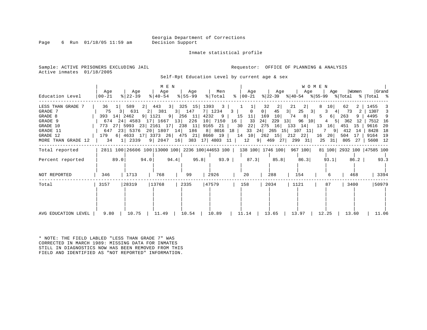Page 6 Run  $01/18/05$  11:59 am

Inmate statistical profile

Sample: ACTIVE PRISONERS EXCLUDING JAIL **Requestor:** OFFICE OF PLANNING & ANALYSIS Active inmates 01/18/2005

Self-Rpt Education Level by current age & sex

| Education Level                                                                                              | Age<br>00-21      | Age<br>$ 22-39 $ | M E N<br>Aqe<br>$\frac{1}{6}$   40-54 | Men<br>  Age<br>% 55-99<br>% Total                                        |                                                                             | Age   Age   Age   Age                                                                                                                                                                                                                                                                                                                                                                                                                       | WOMEN                                      | Women                                      | Grand                                                                                     |
|--------------------------------------------------------------------------------------------------------------|-------------------|------------------|---------------------------------------|---------------------------------------------------------------------------|-----------------------------------------------------------------------------|---------------------------------------------------------------------------------------------------------------------------------------------------------------------------------------------------------------------------------------------------------------------------------------------------------------------------------------------------------------------------------------------------------------------------------------------|--------------------------------------------|--------------------------------------------|-------------------------------------------------------------------------------------------|
| LESS THAN GRADE 7<br>GRADE 7<br>GRADE 8<br>GRADE 9<br>GRADE 10<br>GRADE 11<br>GRADE 12<br>MORE THAN GRADE 12 | 36<br>393 14 2462 | 589              |                                       | 2 443 3 325 15 1393 3 1 1                                                 | 75 3 631 2 381 3 147 7 1234 3 0<br>674 24 4583 17 1667 13 226 10 7150 16 33 | 32<br>2 <br>21<br>$0$  <br>45<br>$3 $ 25 3<br>$9 \mid 1121$ 9 $256$ 11 $4232$ 9 $15$ 11 169 10 74 8<br>24 229 13 96 10<br>773 27   5993 23   2161 17   238 11   9165 21   30 22   275 16   133 14   13 16   451 15  <br>647 23 5376 20 1807 14 186 8 8016 18 33 24 265 15 107 11 7 9 412 14<br>179 6 4633 17 3373 26 475 21 8660 19 14 10 262 15 212 22 16 20 504 17<br>34 1   2339 9   2047 16   383 17   4803 11   12 9   469 27   299 31 | 2 <br>10 <sup>1</sup><br>3 4 73<br>5 6 263 | 62<br>2 I<br>4 5 362 12<br>25 31 805 27    | 1455<br>2   1307 3<br>9   4495 9<br>  7512 16<br>9616 20<br>8428 18<br>9164 19<br>5608 12 |
| Total reported<br>Percent reported<br>NOT REPORTED                                                           | 89.0<br>346       | 94.0<br>1713     | 94.4<br>768                           | 95.8<br>$\begin{array}{c} \begin{array}{c} \end{array} \end{array}$<br>99 | 93.9<br>87.3<br>20                                                          | 2811 100 26606 100 13000 100 2236 100 44653 100   138 100   1746 100   967 100  <br>85.8<br>86.3<br>288<br>154                                                                                                                                                                                                                                                                                                                              | 93.1<br>6                                  | 81 100 2932 100 47585 100<br>86.2  <br>468 | 93.3<br>3394                                                                              |
| Total<br>AVG EDUCATION LEVEL                                                                                 | 3157<br>9.80      | 28319<br>10.75   | 13768<br>11.49                        | 47579<br>2335<br>10.89<br>10.54                                           | 158<br>11.14                                                                | 2034<br>1121<br>13.65<br>$13.97$                                                                                                                                                                                                                                                                                                                                                                                                            | 87<br>12.25                                | 3400<br>13.60                              | 50979<br>11.06                                                                            |

\* NOTE: THE FIELD LABLED "LESS THAN GRADE 7" WAS CORRECTED IN MARCH 1989: MISSING DATA FOR INMATES STILL IN DIAGNOSTICS NOW HAS BEEN REMOVED FROM THIS FIELD AND IDENTIFIED AS "NOT REPORTED" INFORMATION.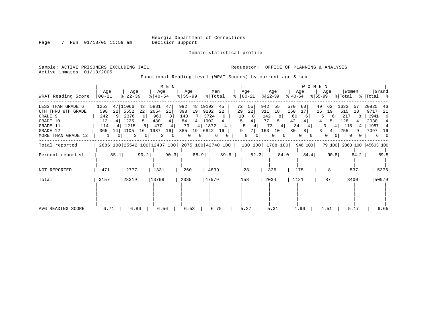Inmate statistical profile

Page 7 Run 01/18/05 11:59 am

Active inmates 01/18/2005

Sample: ACTIVE PRISONERS EXCLUDING JAIL **Requestor:** OFFICE OF PLANNING & ANALYSIS

Functional Reading Level (WRAT Scores) by current age & sex

| WRAT Reading Score                                                                                           | Age<br>$00 - 21$                             |                  | Age<br>$ 22-39 $                                   |                            | Age<br>$ 40-54 $                                | M E N                                      | Age<br>$ 55 - 99 $                        |                                         | Men<br>% Total                                     |                               | ႜ                             | Age<br>$ 00-21$                 |                                      | Age<br>$ 22-39 $                 |                                                | Age<br>$ 40-54 $                      | WOMEN<br>% 55−99 | Age                                                        | Women                                   |                          | % Total % Total %                                  | Grand                                        |
|--------------------------------------------------------------------------------------------------------------|----------------------------------------------|------------------|----------------------------------------------------|----------------------------|-------------------------------------------------|--------------------------------------------|-------------------------------------------|-----------------------------------------|----------------------------------------------------|-------------------------------|-------------------------------|---------------------------------|--------------------------------------|----------------------------------|------------------------------------------------|---------------------------------------|------------------|------------------------------------------------------------|-----------------------------------------|--------------------------|----------------------------------------------------|----------------------------------------------|
| LESS THAN GRADE 6<br>6TH THRU 8TH GRADE<br>GRADE 9<br>GRADE 10<br>GRADE 11<br>GRADE 12<br>MORE THAN GRADE 12 | 1253<br>598<br>242<br>113<br>114<br>365<br>1 | 47<br>22<br>14 I | 11066<br>5552<br>2376<br>1225<br>1215<br>4105<br>3 | 43<br>22<br>9<br>5 I<br>16 | 5881<br>2654<br>963<br>480<br>470<br>1987<br>2  | 47<br>21<br>8 <sup>1</sup><br>16<br>$\cup$ | 992<br>398<br>143<br>84<br>73<br>385<br>0 | 48<br>19<br>4  <br>4 <sup>1</sup><br>19 | 19192<br>9202<br>3724<br>1902<br>1872<br>6842<br>6 | 45<br>22<br>9<br>4<br>16<br>0 | 72<br>29<br>10<br>5<br>5<br>9 | 55<br>22<br>8<br>71<br>$\Omega$ | 942<br>311<br>142<br>77<br>73<br>163 | 55<br>18<br>10 <sup>1</sup><br>0 | 570<br>160<br>60<br>42<br>80<br>$\overline{0}$ | 60<br>17<br>34<br>8 <sup>1</sup><br>0 | 49<br>15<br>01   | 62<br>19<br>6<br>5 <sup>1</sup><br>3<br>4<br>4 <br>0<br>01 | 1633<br>515<br>217<br>128<br>115<br>255 | .57<br>18<br>8<br>4<br>9 | 20825<br>9717<br>3941<br>2030<br>1987<br>7097<br>6 | 46<br>-21<br>9<br>4<br>-16<br>$\overline{0}$ |
| Total reported                                                                                               |                                              |                  |                                                    |                            | 2686 100 25542 100 12437 100 2075 100 42740 100 |                                            |                                           |                                         |                                                    |                               |                               | 130 100 1708 100                |                                      |                                  |                                                | 946 100                               |                  |                                                            |                                         |                          | 79 100 2863 100 45603 100                          |                                              |
| Percent reported                                                                                             |                                              | 85.1             |                                                    | 90.2                       |                                                 | 90.3                                       |                                           | 88.9                                    |                                                    | 89.8                          |                               | 82.3                            |                                      |                                  | 84.0                                           |                                       | 84.4             | 90.8                                                       |                                         | 84.2                     |                                                    | 89.5                                         |
| NOT REPORTED                                                                                                 | 471                                          |                  | 2777                                               |                            | 1331                                            |                                            | 260                                       |                                         | 4839                                               |                               |                               | 28                              |                                      | 326                              |                                                | 175                                   |                  | 8                                                          |                                         | 537                      |                                                    | 5376                                         |
| Total                                                                                                        | 3157                                         |                  | 28319                                              |                            | 13768                                           |                                            | 2335                                      |                                         | 47579                                              |                               | 158                           |                                 |                                      | 2034                             |                                                | 1121                                  |                  | 87                                                         |                                         | 3400                     |                                                    | 50979                                        |
| AVG READING SCORE                                                                                            | 6.71                                         |                  | 6.86                                               |                            | 6.56                                            |                                            | 6.53                                      |                                         | 6.75                                               |                               |                               | 5.27                            |                                      | 5.31                             |                                                | 4.96                                  |                  | 4.51                                                       |                                         | 5.17                     |                                                    | 6.65                                         |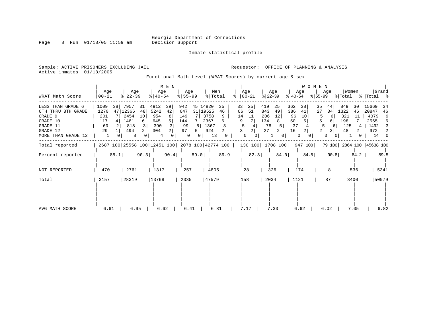Page 8 Run 01/18/05 11:59 am

Inmate statistical profile

Sample: ACTIVE PRISONERS EXCLUDING JAIL **Requestor:** OFFICE OF PLANNING & ANALYSIS Active inmates 01/18/2005

Functional Math Level (WRAT Scores) by current age & sex

| WRAT Math Score                                                                                              | Age<br>  00-21                         |      | Age<br>$ 22-39 $                                    |                                       | Age<br>$8   40 - 54$                            | M E N    | Age<br>$8 55-99$                          |                                        | Men<br>% Total                    |                         | ႜ                   | Age<br>$ 00-21$          |                                      | Age<br>$ 22-39 $ | $ 40-54 $                               | Age                      | WOMEN<br>$ 55-99 $ | Age                                                   | Women<br>% Total                       |                     | %   Total %                                         | Grand                                    |
|--------------------------------------------------------------------------------------------------------------|----------------------------------------|------|-----------------------------------------------------|---------------------------------------|-------------------------------------------------|----------|-------------------------------------------|----------------------------------------|-----------------------------------|-------------------------|---------------------|--------------------------|--------------------------------------|------------------|-----------------------------------------|--------------------------|--------------------|-------------------------------------------------------|----------------------------------------|---------------------|-----------------------------------------------------|------------------------------------------|
| LESS THAN GRADE 6<br>6TH THRU 8TH GRADE<br>GRADE 9<br>GRADE 10<br>GRADE 11<br>GRADE 12<br>MORE THAN GRADE 12 | 1009<br>1270<br>201<br>117<br>60<br>29 | 38   | 7957<br>47 12366<br>2454<br>1461<br>818<br>494<br>8 | 31<br>48<br>10<br>6<br>$\overline{2}$ | 4912<br>5242<br>954<br>645<br>390<br>304<br>4   | 39<br>42 | 942<br>647<br>149<br>144<br>99<br>97<br>0 | 45 14820<br>31   19525<br>5<br>5.<br>0 | 3758<br>2367<br>1367<br>924<br>13 | 35<br>46<br>9<br>6<br>2 | 33<br>66<br>14<br>9 | 25<br>51<br>11<br>0<br>0 | 419<br>843<br>206<br>134<br>78<br>27 | 25<br>49<br>12   | 362<br>386<br>96<br>50<br>37<br>16<br>0 | 38<br>41<br>10<br>2<br>0 | 35<br>27<br>5<br>0 | 44<br>34<br>6 <sup>1</sup><br>6<br>3<br>0<br>$\sigma$ | 849<br>1322<br>321<br>198<br>125<br>48 | 30<br>46<br>11<br>4 | 15669<br>20847<br>4079<br>2565<br>1492<br>972<br>14 | 34<br>46<br>9<br>6<br>3<br>2<br>$\Omega$ |
| Total reported                                                                                               |                                        |      |                                                     |                                       | 2687 100 25558 100 12451 100 2078 100 42774 100 |          |                                           |                                        |                                   |                         |                     | 130 100 1708 100         |                                      |                  |                                         | 947 100                  |                    |                                                       |                                        |                     | 79 100 2864 100 45638 100                           |                                          |
| Percent reported                                                                                             |                                        | 85.1 |                                                     | 90.3                                  |                                                 | 90.4     |                                           | 89.0                                   |                                   | 89.9                    |                     | 82.3                     |                                      |                  | 84.0                                    | 84.5                     |                    | 90.8                                                  |                                        | 84.2                |                                                     | 89.5                                     |
| NOT REPORTED                                                                                                 | 470                                    |      | 2761                                                |                                       | 1317                                            |          | 257                                       |                                        | 4805                              |                         |                     | 28                       |                                      | 326              |                                         | 174                      |                    | 8                                                     |                                        | 536                 |                                                     | 5341                                     |
| Total                                                                                                        | 3157                                   |      | 28319                                               |                                       | 13768                                           |          | 2335                                      |                                        | 47579                             |                         |                     | 158                      |                                      | 2034             |                                         | 1121                     |                    | 87                                                    | 3400                                   |                     |                                                     | 50979                                    |
| AVG MATH SCORE                                                                                               | 6.61                                   |      | 6.95                                                |                                       | 6.62                                            |          | 6.41                                      |                                        | 6.81                              |                         |                     | 7.17                     |                                      | 7.33             |                                         | 6.62                     |                    | 6.02                                                  |                                        | 7.05                |                                                     | 6.82                                     |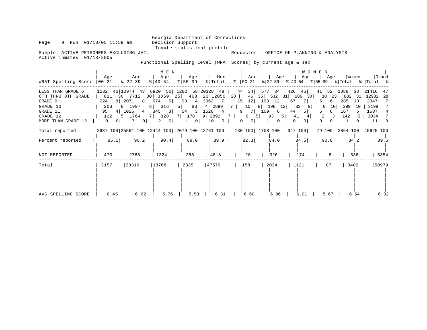Page 9 Run 01/18/05 11:59 am

Inmate statistical profile<br>Requestor: OFFICE OF PLANNING & ANALYSIS

Sample: ACTIVE PRISONERS EXCLUDING JAIL Active inmates 01/18/2005

Functional Spelling Level (WRAT Scores) by current age & sex

|                                                                                                              |                                                                                   |                                                                                                                                                            | M E N                                                              |                                                                                       |                                                         |                                                                                                       |                                                                                                        | WOMEN                                                                                                |                                                                                   |                                                                   |                                                                          |
|--------------------------------------------------------------------------------------------------------------|-----------------------------------------------------------------------------------|------------------------------------------------------------------------------------------------------------------------------------------------------------|--------------------------------------------------------------------|---------------------------------------------------------------------------------------|---------------------------------------------------------|-------------------------------------------------------------------------------------------------------|--------------------------------------------------------------------------------------------------------|------------------------------------------------------------------------------------------------------|-----------------------------------------------------------------------------------|-------------------------------------------------------------------|--------------------------------------------------------------------------|
| WRAT Spelling Score   00-21                                                                                  | Aqe                                                                               | Age<br>$ 22-39 $                                                                                                                                           | Age<br>$8   40 - 54$                                               | Age<br>$ 55-99 $                                                                      | Men<br>% Total                                          | Age<br>$8   00 - 21$                                                                                  | Age                                                                                                    | Age<br>$ 22-39 $ $ 40-54 $ $ 55-99 $ $ Total$ $ 70-1 $ $ 8 $                                         | Age                                                                               | Women                                                             | Grand                                                                    |
| LESS THAN GRADE 6<br>6TH THRU 8TH GRADE<br>GRADE 9<br>GRADE 10<br>GRADE 11<br>GRADE 12<br>MORE THAN GRADE 12 | 1232<br>811<br>224<br>203<br>4 <br>95<br>122<br>5  <br>0 <sup>1</sup><br>$\Omega$ | 46   10974 43   6920 56   1202 58   20328 48  <br>30   7712 30   3059 25   468 23   12050<br>8 2071 8<br>8 1997<br>$1026$ 4<br>1764<br>$\overline{0}$<br>7 | 674 5<br>8 616<br>$345 \quad 3$<br>$7 \mid$<br>0 <sup>1</sup><br>2 | 93<br>83<br>$5 \mid$<br>$\left  \frac{3}{2} \right $<br>54<br>828 7 178 9 2892<br>0 I | 4 3062<br>7 I<br>4 2899<br>$1520 \t 4$<br>10<br>$\circ$ | 44 34<br>28  <br>46<br>12<br>15<br>10<br>7 I<br>$9 \quad 7$<br><b>7</b>  <br>6<br>0 <sup>1</sup><br>0 | 577<br>34<br>35<br>198 12<br>8 198<br>12<br>109<br>6 <br>93<br>-5  <br>-51<br>$\Omega$<br>$\mathbf{1}$ | $426$ $45$<br>532 31 286 30<br>67<br>7 I<br>83<br>-91<br>5 <br>44<br>41<br>4<br>$\Omega$<br>$\Omega$ | 41<br>52 <sub>1</sub><br>23<br>18<br>6  <br>5.<br>10 <sub>1</sub><br>8<br>6 <br>2 | 1088<br>38<br>882<br>- 31<br>285<br>10<br>299<br>10<br>167<br>142 | 21416<br>47<br> 12932<br>- 28<br>3347<br>3198<br>1687<br>4<br>3034<br>11 |
| Total reported                                                                                               |                                                                                   | 2687 100 25551 100 12444 100 2079 100 42761 100   130 100   1708 100   947 100                                                                             |                                                                    |                                                                                       |                                                         |                                                                                                       |                                                                                                        |                                                                                                      |                                                                                   | 79 100 2864 100 45625 100                                         |                                                                          |
| Percent reported                                                                                             | 85.1                                                                              | 90.2                                                                                                                                                       | 90.4                                                               | 89.0                                                                                  | $89.9$                                                  | 82.3                                                                                                  | 84.0                                                                                                   | 84.5                                                                                                 | 90.8                                                                              | 84.2                                                              | 89.5                                                                     |
| NOT REPORTED                                                                                                 | 470                                                                               | 2768                                                                                                                                                       | 1324                                                               | 256                                                                                   | 4818                                                    | 28                                                                                                    | 326                                                                                                    | 174                                                                                                  |                                                                                   | 536                                                               | 5354                                                                     |
| Total                                                                                                        | 3157                                                                              | 28319                                                                                                                                                      | 13768                                                              | 2335                                                                                  | 47579                                                   | 158                                                                                                   | 2034                                                                                                   | 1121                                                                                                 | 87                                                                                | 3400                                                              | 50979                                                                    |
| AVG SPELLING SCORE                                                                                           | 6.45                                                                              | 6.62                                                                                                                                                       | 5.76                                                               | 5.53                                                                                  | 6.31                                                    | 6.60                                                                                                  | 6.86                                                                                                   | 6.01                                                                                                 | 5.67                                                                              | 6.54                                                              | 6.32                                                                     |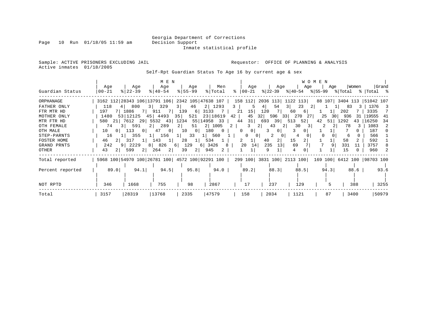### Georgia Department of Corrections<br>Decision Support Inmate statistical profile

Page 10 Run 01/18/05 11:59 am

Sample: ACTIVE PRISONERS EXCLUDING JAIL **Requestor:** OFFICE OF PLANNING & ANALYSIS Active inmates 01/18/2005

Self-Rpt Guardian Status To Age 16 by current age & sex

|                  |                |                        | M E N                   |                      |                                                 |               |                           |                                        | W O M E N |                            |                                 |
|------------------|----------------|------------------------|-------------------------|----------------------|-------------------------------------------------|---------------|---------------------------|----------------------------------------|-----------|----------------------------|---------------------------------|
|                  | Age            | Age                    | Age                     | Age                  | Men                                             | Age           | Age                       | Age                                    | Age       | Women                      | Grand                           |
| Guardian Status  | $ 00 - 21 $    | $ 22 - 39 $            | $8140 - 54$             | $ 55 - 99 $          | % Total                                         | $8   00 - 21$ |                           | $ 22-39 $ $ 40-54 $ $ 55-99 $ $ Total$ |           |                            | %  Total %                      |
| ORPHANAGE        |                |                        |                         |                      | 3162 112 28343 106 13791 106 2342 105 47638 107 | 158 112       | 2036 113                  | 1122 113                               |           | 88 107 3404 113            | 51042 107                       |
| FATHER ONLY      | 118            | 800                    | 329<br>$\overline{3}$   | 46<br>3              | 2 1293                                          | 3             | 54<br>4                   | 3 <br>23<br>-21                        |           | 83                         | 1376<br>$\overline{\mathbf{3}}$ |
| FTR MTR HD       | 197            | 1886<br>$7 \mid$       | - 7 I<br>911            | 139<br>61            | 3133                                            | 15<br>21      | 120                       | <sup>6</sup><br>60                     |           | 202                        | 3335                            |
| MOTHER ONLY      | 1480           | 53 12125               | 45 4493                 | $35$ 521             | 23   18619                                      | 45<br>42      | 32<br>596                 | 270<br>27<br>33                        | 25<br>30  | 936                        | 19555<br>-41                    |
| MTR FTR HD       | 580 211        | 7612 29 5532 43        |                         | 1234                 | 55   14958 33                                   | 31<br>44      | 39<br>693                 | 513<br>52                              | 42<br>51' | 1292                       | 16250<br>-34                    |
| OTH FEMALE       | 74             | 3   591                | 2 289                   | 51<br>$2 \mid$       | 2 1005                                          | 3<br>2        | 43<br>2                   | 30<br>-21<br>31                        |           | 78                         | 1083                            |
| OTH MALE         | 10<br>$\Omega$ | 113<br>$\overline{0}$  | 47<br>0 <sup>1</sup>    | 10<br>0 <sup>1</sup> | 180<br>$\mathbf{0}$                             | 0<br>$\Omega$ | $\mathbf{0}$              |                                        |           |                            | 187                             |
| STEP-PARNTS      | 16             | 355<br>11              | 156<br>1 <sup>1</sup>   | 33<br>$1 \mid$       | 1  560                                          | 0             | 0 <sub>1</sub><br>0       |                                        |           |                            | 566                             |
| FOSTER HOME      | 46<br>$2 \mid$ | 317<br>$1\vert$        | 143<br>$\perp$          | 28<br>$1\vert$       | 534                                             | 2             | $\overline{2}$<br>40      | 15                                     |           | 58                         | 592                             |
| GRAND PRNTS      | 242            | 2229<br>9 <sup>1</sup> | 826<br>8                | 129<br>61            | 3426<br>6                                       | 20<br>8<br>14 | 235<br>13                 | 69                                     |           | 331<br>-11                 | 3757                            |
| OTHER            | 2 <br>43       | 599<br>2               | 264<br>$\left 2\right $ | 39<br>2              | 945<br>2                                        |               | 9                         | 4                                      |           | 15                         | 960                             |
| Total reported   |                |                        |                         |                      | 5968 100 54970 100 26781 100 4572 100 92291 100 |               | 299 100 3831 100 2113 100 |                                        |           | 169 100 6412 100 98703 100 |                                 |
|                  |                |                        |                         |                      |                                                 |               |                           |                                        |           |                            |                                 |
| Percent reported | 89.0           | 94.1                   | 94.5                    | 95.8                 | 94.0                                            | 89.2          | 88.3                      | 88.5                                   | 94.3      | 88.6                       | 93.6                            |
|                  |                |                        |                         |                      |                                                 |               |                           |                                        |           |                            |                                 |
| NOT RPTD         | 346            | 1668                   | 755                     | 98                   | 2867                                            | 17            | 237                       | 129                                    | 5         | 388                        | 3255                            |
| Total            | 3157           | 28319                  | 13768                   | 2335                 | 47579                                           | 158           | 2034                      | 1121                                   | 87        | 3400                       | 50979                           |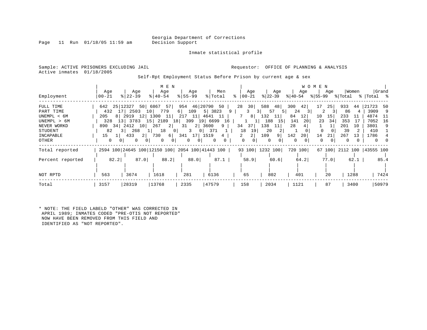Inmate statistical profile

Page 11 Run  $01/18/05$  11:59 am

Sample: ACTIVE PRISONERS EXCLUDING JAIL **Requestor:** OFFICE OF PLANNING & ANALYSIS Active inmates 01/18/2005

Self-Rpt Employment Status Before Prison by current age & sex

| Employment                                                                                           | Age<br>$00 - 21$                                                                | Age<br>$8122 - 39$                                                                                                             | M E N<br>Age<br>$8140 - 54$                                                                                                                           | Age<br>$8155 - 99$                                                                                          | Men<br>% Total                                                                            | Age<br>$8   00 - 21$                                                           | Age<br>$ 22-39 $                                                                               | Age<br>୫∣40-54                                                                                       | W O M E N<br>Age<br>୫∣55–99                                                                 | Women<br>% Total                                                                                | Grand<br>%   Total %                                                                                    |
|------------------------------------------------------------------------------------------------------|---------------------------------------------------------------------------------|--------------------------------------------------------------------------------------------------------------------------------|-------------------------------------------------------------------------------------------------------------------------------------------------------|-------------------------------------------------------------------------------------------------------------|-------------------------------------------------------------------------------------------|--------------------------------------------------------------------------------|------------------------------------------------------------------------------------------------|------------------------------------------------------------------------------------------------------|---------------------------------------------------------------------------------------------|-------------------------------------------------------------------------------------------------|---------------------------------------------------------------------------------------------------------|
| FULL TIME<br>PART TIME<br>UNEMPL < 6M<br>UNEMPL > 6M<br>NEVER WORKD<br>STUDENT<br>INCAPABLE<br>OTHER | 642<br>205<br>328<br>890<br>34  <br>82<br>15<br>1 <sub>1</sub><br>$\Omega$<br>0 | 25 12327<br>432 17 2503<br>8 2919<br>12 <br>13 3783<br>2412<br>10<br>268<br>3 I<br>433<br>2 <br>$\mathbf{0}$<br>0 <sup>1</sup> | 50 6867<br>57<br>779<br>10 <sup>1</sup><br>1300<br>11<br>2189<br>15 <sub>1</sub><br>267<br>2 <br>18<br>$\mathbf{0}$<br>730<br>6 <br>$\mathbf 0$<br>01 | 954 46 20790<br>109<br>6  <br>11<br>217<br>19<br>18 399<br>31<br>2 <br>3<br>0<br>17 1519<br>341<br>$\Omega$ | 50<br>5 <br>3823<br>9<br>4641<br>-11<br>6699 16<br>3600<br>9<br>371<br>4<br>$\Omega$<br>0 | 28<br>30 <br>3<br>8<br>37<br>34<br>19<br>18<br>$\overline{2}$<br>2<br>$\Omega$ | 588<br>48<br>57<br>5<br>132<br>11<br>188<br><b>15</b><br>138<br>11<br>20<br>2<br>109<br>9<br>0 | 300<br>42<br>24<br>31<br>84<br>$12^{\circ}$<br>141<br>20 <br>28<br>20<br>142<br>$\Omega$<br>$\Omega$ | 25<br>17<br>10<br>15<br>23<br>34<br>$\Omega$<br>$\Omega$<br>14<br>21<br>0<br>0 <sup>1</sup> | 933<br>44<br>86<br>4<br>233<br>11<br>353<br>17<br>201<br>10<br>39<br>267<br>13<br>$\Omega$<br>0 | 21723<br>-50<br>3909<br>-9<br>4874<br>-11<br>7052<br>16<br>3801<br>-9<br>410<br>1786<br>$\Omega$<br>- 0 |
| Total reported<br>Percent reported<br>NOT RPTD                                                       | 82.2<br>563                                                                     | 87.0<br>3674                                                                                                                   | 2594 100 24645 100 12150 100 2054 100 41443 100<br>88.2<br>1618                                                                                       | 88.0<br>281                                                                                                 | 87.1<br>6136                                                                              | 58.9<br>65                                                                     | 93 100 1232 100<br>60.6<br>802                                                                 | 720 100<br>64.2<br>401                                                                               | 67 100<br>77.0<br>20                                                                        | 62.1<br>1288                                                                                    | 2112 100   43555 100<br>85.4<br>7424                                                                    |
| Total                                                                                                | 3157                                                                            | 28319                                                                                                                          | 13768                                                                                                                                                 | 2335                                                                                                        | 47579                                                                                     | 158                                                                            | 2034                                                                                           | 1121                                                                                                 | 87                                                                                          | 3400                                                                                            | 50979                                                                                                   |

\* NOTE: THE FIELD LABELD "OTHER" WAS CORRECTED IN APRIL 1989; INMATES CODED "PRE-OTIS NOT REPORTED" NOW HAVE BEEN REMOVED FROM THIS FIELD AND IDENTIFIED AS "NOT REPORTED".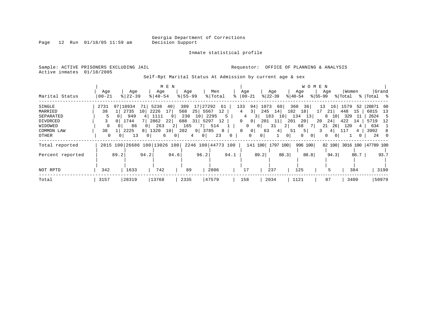Inmate statistical profile

Page 12 Run 01/18/05 11:59 am

Active inmates 01/18/2005

#### Sample: ACTIVE PRISONERS EXCLUDING JAIL **Requestor:** OFFICE OF PLANNING & ANALYSIS

Self-Rpt Marital Status At Admission by current age & sex

|                  |           | M E N    |                              |                |             |                 |           |                  |         |                    |           |                |      |           |                 |         | W O M E N      |         |                 |         |             |                     |      |
|------------------|-----------|----------|------------------------------|----------------|-------------|-----------------|-----------|------------------|---------|--------------------|-----------|----------------|------|-----------|-----------------|---------|----------------|---------|-----------------|---------|-------------|---------------------|------|
|                  | Age       |          | Age                          |                | Age         |                 | Age       |                  | Men     |                    | Age       |                |      | Age       |                 | Age     |                | Age     |                 | Women   |             | Grand               |      |
| Marital Status   | $00 - 21$ |          | $8$   22 – 39                |                | $8140 - 54$ |                 | $8 55-99$ |                  | % Total | °                  | $ 00-21 $ |                |      | $ 22-39 $ |                 | ୫∣40-54 |                | % 55−99 |                 | % Total |             | %  Total %          |      |
| SINGLE           | 2731      |          | 97   18934                   | 71 I           | 5238        | 40              | 389       | 17               | 27292   | 61                 | 133       | 94             | 1073 | 60        | 360             | 36      |                | 13      | 16 <sup>1</sup> | 1579    | 52          | 28871 60            |      |
| MARRIED          | 38        |          | 2735                         | 10             | 2226        | 17 <sub>1</sub> | 568       | 25 5567          | 12      |                    | 4         | 3              | 245  | 14        | 182             | 18      |                | 17      | 21              | 448     | 15          | 6015                | 13   |
| SEPARATED        |           |          | 949                          |                | 1111        | 9               | 230       | 10               | 2295    | .5                 | 4         |                |      | 183       | 10 <sub>1</sub> | 134     | 13             | 8       | 10              | 329     | -11         | 2624                | .5   |
| DIVORCED         |           |          | 1744                         |                | 2862        | 22              | 688       | 31 5297          | 12      |                    | 0         | 0 <sup>1</sup> | 201  | 11        | 201             | 20      |                | 20      | 24              | 422     | 14          | 5719                | - 12 |
| WIDOWED          |           |          | 86                           |                | 263         | 2 <sup>1</sup>  | 165       |                  | 514     |                    | 0         |                |      | 31        |                 | 68      |                | 21      | <b>26</b>       | 120     |             | 634                 |      |
| COMMON LAW       | 38        |          | 2225                         | 8 1320         |             | 10 <sup>1</sup> | 202       | 3785<br>$9 \mid$ |         | 8                  | $\Omega$  | 0 <sup>1</sup> | 63   | 4         | 51              | 5       |                |         | 4               |         | $4^{\circ}$ | 3902                | -8   |
| OTHER            | $\Omega$  | $\Omega$ | 13                           | 0 <sup>1</sup> | 6           | 01              | 4         | 0                | 23      |                    |           | 0              | 0    |           | $\Omega$        | 0       | 0 <sup>1</sup> | 0       |                 |         |             | 24                  |      |
| Total reported   |           |          | 2815 100 26686 100 13026 100 |                |             |                 |           |                  |         | 2246 100 44773 100 |           | 141 100        |      | 1797 100  |                 | 996 100 |                |         | 82 100          |         |             | 3016 100  47789 100 |      |
| Percent reported |           | 89.2     |                              | 94.2           |             | 94.6            |           | 96.2             |         | 94.1               |           | 89.2           |      |           | 88.3            |         | 88.8           |         | 94.3            |         | 88.7        |                     | 93.7 |
| NOT RPTD         | 342       |          | 1633                         |                | 742         |                 | 89        |                  | 2806    |                    | 17        |                |      | 237       |                 | 125     |                |         |                 |         | 384         |                     | 3190 |
| Total            | 3157      |          | 28319                        |                | 13768       |                 | 2335      |                  | 47579   |                    | 158       |                |      | 2034      |                 | 1121    |                | 87      |                 |         | 3400        | 50979               |      |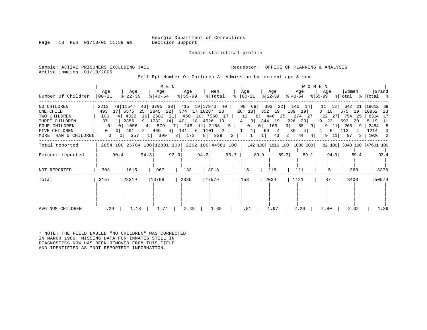Page 13 Run  $01/18/05$  11:59 am

Inmate statistical profile

Sample: ACTIVE PRISONERS EXCLUDING JAIL **Requestor:** OFFICE OF PLANNING & ANALYSIS Active inmates 01/18/2005

Self-Rpt Number Of Children At Admission by current age & sex

|                                                                                                     | Age                      |                                       | Age                                                |                           | M E N<br>Age                   |      | Age                                                                                                   |      | Men     |           | Age                                                                                               |                       | Age     |                | Age                                                      | <b>WOMEN</b> | Age                                                                              | Women   |      |                                                              | Grand |
|-----------------------------------------------------------------------------------------------------|--------------------------|---------------------------------------|----------------------------------------------------|---------------------------|--------------------------------|------|-------------------------------------------------------------------------------------------------------|------|---------|-----------|---------------------------------------------------------------------------------------------------|-----------------------|---------|----------------|----------------------------------------------------------|--------------|----------------------------------------------------------------------------------|---------|------|--------------------------------------------------------------|-------|
| Number Of Children                                                                                  | 00-21                    |                                       | $ 22-39 $                                          |                           | $ 40-54 $                      |      | $8 55-99$                                                                                             |      | % Total |           | $8   00 - 21$                                                                                     |                       | % 22−39 |                | % 40-54                                                  |              | $ \$ 55-99$ $ \$ Total$ $ \$ Total$ $ \$$                                        |         |      |                                                              |       |
| NO CHILDREN<br>ONE CHILD<br>TWO CHILDREN<br>THREE CHILDREN<br><b>FOUR CHILDREN</b><br>FIVE CHILDREN | 2213<br>493<br>106<br>37 | 17 6575<br>$\Omega$<br>$\overline{0}$ | 78   11547<br>4 4 4 3 2 2<br>1 2356<br>1056<br>491 | 25 2845<br>16<br>$2 \mid$ | 43 3795 30<br>2682 21<br>4 879 | 22   | 415 19 17970 40<br>374 17 10287 23<br>9 1732 14 401 18 4526 10<br>7 248 11 2188<br>469 4 141 6 1101 2 |      |         | $5 \vert$ | 26 18<br>450 20 7560 17   12 8   446 25   274 27  <br>4 3 344 19 226 23 19<br> 1 <br>$\mathbf{1}$ | $0 \t 0 \t 169$<br>69 | 4       | $9 \mid$<br>39 | 98 69 393 22 140 14<br>352 19 189 19<br>88 9<br>$4 \mid$ |              | 11 13 642 21 18612 39<br>8 10 575 19 10862 23<br>22 27<br>23 593<br>9<br>4 5 113 | 11 266  |      | 754 25   8314 17<br>20   5119 11<br>9   2454 5<br>4   1214 3 |       |
| MORE THAN 5 CHILDREN                                                                                | $\overline{0}$           | $0$                                   | 357                                                | $1 \mid$                  | 399                            |      | 3 173                                                                                                 |      | 8   929 | 2         | $\mathbf{1}$                                                                                      | $1\vert$              | 43      | 2              | 44                                                       | 4            |                                                                                  | 9 11 97 |      | 3   1026 2                                                   |       |
| Total reported                                                                                      |                          |                                       | 2854 100 26704 100 12801 100 2202 100 44561 100    |                           |                                |      |                                                                                                       |      |         |           |                                                                                                   |                       |         |                | 142 100  1816 100  1000 100                              |              | 82 100 3040 100 47601 100                                                        |         |      |                                                              |       |
| Percent reported                                                                                    |                          | 90.4                                  |                                                    | 94.3                      |                                | 93.0 |                                                                                                       | 94.3 |         | 93.7      |                                                                                                   | 89.9                  |         | 89.3           | 89.2                                                     |              | 94.3                                                                             |         | 89.4 |                                                              | 93.4  |
| NOT REPORTED                                                                                        | 303                      |                                       | 1615                                               |                           | 967                            |      | 133                                                                                                   |      | 3018    |           | 16                                                                                                |                       | 218     |                | 121                                                      |              |                                                                                  | 360     |      |                                                              | 3378  |
| Total                                                                                               | 3157                     |                                       | 28319                                              |                           | 13768                          |      | 2335                                                                                                  |      | 47579   |           | 158                                                                                               |                       | 2034    |                | 1121                                                     |              | 87                                                                               | 3400    |      |                                                              | 50979 |
| AVG NUM CHILDREN                                                                                    | .29                      |                                       | 1.18                                               |                           | 1.74                           |      | 2.49                                                                                                  |      | 1.35    |           | .51                                                                                               |                       | 1.97    |                | 2.26                                                     |              | 2.80                                                                             | 2.02    |      |                                                              | 1.39  |

\* NOTE: THE FIELD LABLED "NO CHILDREN" WAS CORRECTED IN MARCH 1989: MISSING DATA FOR INMATES STILL IN DIAGNOSTICS NOW HAS BEEN REMOVED FROM THIS FIELD AND IDENTIFIED AS "NOT REPORTED" INFORMATION.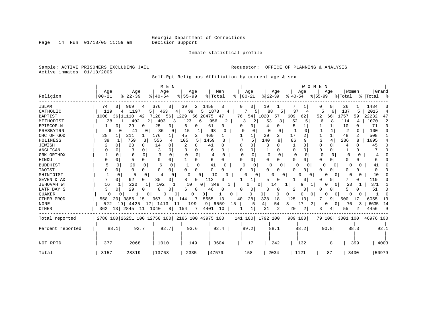Page 14 Run 01/18/05 11:59 am

#### Inmate statistical profile

Sample: ACTIVE PRISONERS EXCLUDING JAIL **Requestor:** OFFICE OF PLANNING & ANALYSIS Active inmates 01/18/2005

Self-Rpt Religious Affiliation by current age & sex

|                   |            |                                                 | M E N         |                       |                        |                      |                  |                      | WOMEN                    |                      |                 |
|-------------------|------------|-------------------------------------------------|---------------|-----------------------|------------------------|----------------------|------------------|----------------------|--------------------------|----------------------|-----------------|
|                   | Age        | Age                                             | Age           | Age                   | Men                    | Age                  | Age              | Age                  | Age                      | Women                | Grand           |
| Religion          | $ 00 - 21$ | $8   22 - 39$                                   | $8140 - 54$   | $8155 - 99$           | % Total                | $00 - 21$<br>ႜ       | $ 22-39$         | $ 40-54 $            | $8155 - 99$              | % Total              | %   Total<br>ွာ |
| <b>ISLAM</b>      | 3 <br>74   | 969                                             | 376<br>3      | 39<br>2               | 1458                   |                      | 19               |                      | 0                        | 26                   | 1484<br>3       |
| CATHOLIC          | 119        | 1197<br>4                                       | 5<br>463<br>4 | 51<br>99              | 1878                   |                      | 88<br>5<br>5.    | 37<br>4              | 6<br>5                   | 137<br>5             | 2015<br>4       |
| <b>BAPTIST</b>    | 1008       | 36 11110<br>42                                  | 7128<br>56    | 56 20475<br>1229      | 47                     | 76<br>54             | 1020<br>57       | 609<br>62            | 52<br>66                 | 1757<br>59           | 22232<br>47     |
| METHODIST         | 28         | 402<br>$\overline{2}$<br>11                     | 403<br>3 I    | 123<br>6              | 956<br>2               | 3<br>2               | 53<br>3          | 52<br>5              | 8<br>6                   | 114<br>4             | 1070<br>2       |
| EPISCOPLN         | 0          | 29<br>0                                         | 25            | 6<br>0                | 61<br>0                | 0                    | 4                |                      |                          | 10<br>0              | 71<br>$\Omega$  |
| PRESBYTRN         | 6          | 41<br>0                                         | 36<br>0       | 15<br>1               | 98<br>O                |                      | O                |                      |                          | 2                    | 100<br>0        |
| CHC OF GOD        | 28         | 211<br>$\mathbf{1}$                             | 176           | 45<br>2               | 460                    |                      | 29<br>2          | 17                   | $\mathbf{1}$             | 48                   | 508             |
| HOLINESS          | 39         | 759<br>3                                        | 556           | 105<br>5              | 1459<br>२              | 5                    | 140<br>8         | 86<br>q              | 4<br>ζ                   | 236<br>8             | 1695            |
| <b>JEWISH</b>     | 0          | 23<br>0                                         | 14            | U                     | 41<br>∩                | U                    | -3<br>U          | -1<br>O              | $\Omega$<br>0            | U<br>4               | 45              |
| ANGLICAN          |            | 3<br>0                                          |               |                       |                        |                      |                  | $\Omega$<br>O        | $\Omega$<br>O            |                      |                 |
| GRK ORTHDX        | $\Omega$   | <sup>0</sup><br>0                               | 0             |                       | 0                      | 0                    | 0<br>$\Omega$    | $\Omega$<br>$\Omega$ | 0                        | $\Omega$             |                 |
| HINDU             | 0          | 5<br>0                                          | $\Omega$      | 0                     | 6<br>$\Omega$          | U<br>0               | $\Omega$<br>0    | $\Omega$<br>0        | $\Omega$                 | O<br>U               |                 |
| <b>BUDDHIST</b>   | 5          | 29<br>0                                         | 6<br>$\Omega$ | 0                     | 41<br><sup>0</sup>     | $\Omega$<br>$\Omega$ | 0                | 0<br>0               | $\Omega$<br>0            |                      | 41              |
| TAOIST            | 0          | 0<br>0                                          | n             | 0<br>O                | 0<br><sup>0</sup>      | 0                    | 0<br>0           | 0<br>0               | 0<br>U                   | 0                    |                 |
| SHINTOIST         | ∩          | 5                                               | 0<br>4        | $\Omega$<br>n         | 10                     | U                    | <sup>n</sup>     | $\Omega$<br>U        | n<br>$\Omega$            | <sup>n</sup>         | 10              |
| SEVEN D AD        | 0          | 62<br>0                                         | 35            | 8<br>0                | 112                    |                      |                  | 0                    | 0                        |                      | 119             |
| <b>JEHOVAH WT</b> | 16         | 220                                             | 102           | 10<br>0               | 348                    | 0                    | 14               | 9                    | 1<br>$\Omega$            | 23                   | 371             |
| LATR DAY S        | 0          | 29<br>O                                         |               | 0                     | 46                     | O<br>0               | 3<br>0           | 0                    | 0                        |                      | 51<br>O         |
| <b>OUAKER</b>     | U          |                                                 |               | $\Omega$              | 0                      | O<br>0               | 0<br>$\Omega$    | 0                    | 0<br>n                   | O                    | ∩               |
| OTHER PROD        | 558<br>20  | 3886<br>15                                      | 8<br>967      | 7<br>144              | 13<br>5555             | 28<br>40             | 328<br>18        | 125<br>13            | 9                        | 500<br>17            | 6055<br>13      |
| <b>NONE</b>       | 522<br>19  | 4425<br>17 I                                    | 1413<br>11    | 199                   | 6559<br>9 <sup>1</sup> | 15                   | 54<br>4          | 17<br>$\frac{3}{2}$  | 2<br>0<br>$\overline{0}$ | 76                   | 6635<br>14      |
| <b>OTHER</b>      | 13<br>362  | 2845<br>11                                      | 1040<br>8     | 154<br>7 <sup>1</sup> | 4401<br>10             | 1                    | 2<br>31          | 2<br>20              | 4                        | 55                   | 4456<br>9       |
| Total reported    |            | 2780 100 26251 100 12758 100 2186 100 43975 100 |               |                       |                        |                      | 141 100 1792 100 | 989 100              | 79 100                   | 3001 100   46976 100 |                 |
|                   |            |                                                 |               |                       |                        |                      |                  |                      |                          |                      |                 |
| Percent reported  | 88.1       | 92.7                                            | 92.7          | 93.6                  | 92.4                   | 89.2                 | 88.1             | 88.2                 | 90.8                     | 88.3                 | 92.1            |
|                   |            |                                                 |               |                       |                        |                      |                  |                      |                          |                      |                 |
| NOT RPTD          | 377        | 2068                                            | 1010          | 149                   | 3604                   | 17                   | 242              | 132                  | 8                        | 399                  | 4003            |
| Total             | 3157       | 28319                                           | 13768         | 2335                  | 47579                  | 158                  | 2034             | 1121                 | 87                       | 3400                 | 50979           |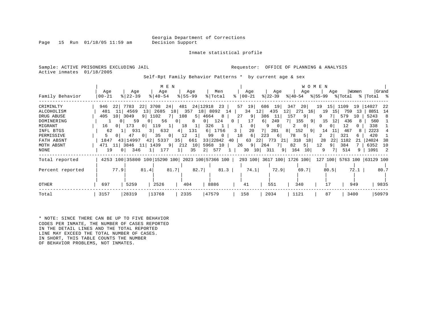Page 15 Run  $01/18/05$  11:59 am

Inmate statistical profile

Sample: ACTIVE PRISONERS EXCLUDING JAIL **Requestor:** OFFICE OF PLANNING & ANALYSIS Active inmates 01/18/2005

Self-Rpt Family Behavior Patterns \* by current age & sex

|                                                                                                                       |                                       |                                                                                                                                                            | M E N                                                                                                                                                                                        |                                                                                                                                                         |                                                                                                                                                       |                                                                                                                         |                                                                                                                                   | W O M E N                                                                                                                                          |                                                                                                        |                                                                                                     |                                                                                                     |
|-----------------------------------------------------------------------------------------------------------------------|---------------------------------------|------------------------------------------------------------------------------------------------------------------------------------------------------------|----------------------------------------------------------------------------------------------------------------------------------------------------------------------------------------------|---------------------------------------------------------------------------------------------------------------------------------------------------------|-------------------------------------------------------------------------------------------------------------------------------------------------------|-------------------------------------------------------------------------------------------------------------------------|-----------------------------------------------------------------------------------------------------------------------------------|----------------------------------------------------------------------------------------------------------------------------------------------------|--------------------------------------------------------------------------------------------------------|-----------------------------------------------------------------------------------------------------|-----------------------------------------------------------------------------------------------------|
| Family Behavior                                                                                                       | Age<br>$00 - 21$                      | Age<br>$8$   22 – 39                                                                                                                                       | Age<br>$8140 - 54$                                                                                                                                                                           | Age<br>$8155 - 99$                                                                                                                                      | Men<br>% Total                                                                                                                                        | Age<br>$ 00-21 $                                                                                                        | Age<br>$ 22-39 $                                                                                                                  | Age<br>% 40-54                                                                                                                                     | Age                                                                                                    | Women                                                                                               | Grand<br>응 55-99 응 Total 응 Total 응                                                                  |
| CRIMINLTY<br>ALCOHOLISM<br>DRUG ABUSE<br>DOMINERING<br>MIGRANT<br>INFL BTGS<br>PERMISSIVE<br>FATH ABSNT<br>MOTH ABSNT | 946<br>481<br>405<br>16<br>62<br>1847 | 7783<br>22 <sub>1</sub><br>4569<br>3049<br>10<br>59<br>$\Omega$<br>173<br>0 <sup>1</sup><br>931<br>47<br>0 <sup>1</sup><br>43   14997<br>471 11 3846<br>11 | 24<br>22 <br>3708<br>2685<br>13 <sup>1</sup><br>9 1102<br>7<br>56<br>01<br>119<br>11<br>0 <sup>1</sup><br>632<br>3 <sup>1</sup><br>35<br>- 0 1<br>$\overline{0}$<br>421<br>5337<br>1439<br>9 | 481 24 12918<br>18 <sup>1</sup><br>357<br>108<br>$\overline{0}$<br>8<br>18<br> 1 <br>131<br>4<br>12<br>$\vert$ 1<br>661<br>35<br>212<br>10 <sup>1</sup> | 23  <br>18 8092 14  <br>5   4664<br>$8-1$<br>124<br>0 <sup>1</sup><br>326<br>$\mathbf{1}$<br>1756<br>6  <br>99<br>$\mathbf{0}$<br>33 22842<br>5968 10 | 57 19<br>34<br>27<br>9 <br>17<br>$\overline{0}$<br>$\mathbf{0}$<br>20<br>$\mathbf{3}$<br>18<br>6<br>63<br>40<br>26<br>9 | 686<br>19<br>435<br>12 <br>11<br>386<br>249<br>6 <br>$\overline{0}$<br>9<br>281<br>223<br>6 <br>22 <br>773<br>-21  <br>264<br>7 I | 347<br>20 <br>12 <br>271<br>16 I<br>-9  <br>157<br>7 I<br>155<br>91<br>2<br>0 <sub>1</sub><br>152<br>8<br>-91<br>5 <br>78<br>318<br>18<br>82<br>51 | 19<br>15<br>19<br>15<br>9<br>15<br>12<br>$\Omega$<br>14<br>11<br>$\overline{2}$<br>28<br>22<br>12<br>9 | 1109<br>19<br>759<br>13<br>579<br>10<br>436<br>8<br>12<br>467<br>8<br>321<br>6<br>1182<br>21<br>384 | 14027<br>-22<br>8851<br>14<br>5243<br>-8<br>560<br>338<br>2223<br>420<br>24024<br>-38<br>6352<br>10 |
| NONE                                                                                                                  | 19                                    | 346<br>0 <sup>1</sup>                                                                                                                                      | 177                                                                                                                                                                                          | 35                                                                                                                                                      | 577<br>2                                                                                                                                              | 30<br>10 <sup>1</sup>                                                                                                   | 311<br>9                                                                                                                          | 164<br>10 <sup>1</sup>                                                                                                                             | 9                                                                                                      | 514<br>9                                                                                            | 1091 2                                                                                              |
| Total reported<br>Percent reported                                                                                    |                                       | 77.9                                                                                                                                                       | 81.4                                                                                                                                                                                         | 81.7                                                                                                                                                    | 4253 100 35800 100 15290 100 2023 100 57366 100  <br>82.7<br>81.3                                                                                     | 74.1                                                                                                                    | 72.9                                                                                                                              | 293 100 3617 100 1726 100 127 100 5763 100 63129 100<br>69.7                                                                                       | 80.5                                                                                                   | 72.1                                                                                                | 80.7                                                                                                |
| OTHER                                                                                                                 | 697                                   | 5259                                                                                                                                                       | 2526                                                                                                                                                                                         | 404                                                                                                                                                     | 8886                                                                                                                                                  | 41                                                                                                                      | 551                                                                                                                               | 340                                                                                                                                                | 17                                                                                                     | 949                                                                                                 | 9835                                                                                                |
| Total                                                                                                                 | 3157                                  | 28319                                                                                                                                                      | 13768                                                                                                                                                                                        | 2335                                                                                                                                                    | 47579                                                                                                                                                 | 158                                                                                                                     | 2034                                                                                                                              | 1121                                                                                                                                               | 87                                                                                                     | 3400                                                                                                | 50979                                                                                               |

\* NOTE: SINCE THERE CAN BE UP TO FIVE BEHAVIOR CODES PER INMATE, THE NUMBER OF CASES REPORTED IN THE DETAIL LINES AND THE TOTAL REPORTED LINE MAY EXCEED THE TOTAL NUMBER OF CASES. IN SHORT, THIS TABLE COUNTS THE NUMBER OF BEHAVIOR PROBLEMS, NOT INMATES.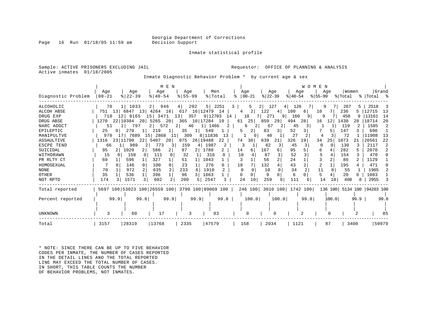Page  $16$  Run  $01/18/05$  11:59 am

Inmate statistical profile

Sample: ACTIVE PRISONERS EXCLUDING JAIL **Requestor:** OFFICE OF PLANNING & ANALYSIS Active inmates 01/18/2005

Inmate Diagnostic Behavior Problem \* by current age & sex

|                    | Age            | Age                     | M E N<br>Aqe                                    | Aqe                    | Men              |          | Aqe               | Age                       | WOMEN<br>Age | Aqe            | Women      | Grand                      |
|--------------------|----------------|-------------------------|-------------------------------------------------|------------------------|------------------|----------|-------------------|---------------------------|--------------|----------------|------------|----------------------------|
| Diagnostic Problem | $ 00 - 21$     | $ 22-39 $               | $8   40 - 54$                                   | $8155 - 99$            | % Total          |          | $\approx$   00-21 | $ 22-39 $                 | $8 40-54$    | $8155 - 99$    | % Total    | %   Total %                |
| ALCOHOLIC          | 70             | 1   1033                | 946<br>$2 \mid$                                 | 202<br>4               | 2251<br>5        | 3        | 5<br>21           | 127<br>4                  | 126          | 71             | 267<br>5.  | 2518                       |
| ALCOH ABSE         | 751 131        | 6847<br>131             | 4264 16                                         | 617                    | 16   12479<br>14 | 4        | 2                 | 122<br>4                  | 100<br>6     | 10             | 236        | 12715<br>13                |
| DRUG EXP           | 12<br>710      | 8165                    | 15 <sup>1</sup><br>3471                         | 357<br>13 <sup>1</sup> | 9 12703          | 14       | 18                | 271<br>9                  | 160<br>9     | 9              | 458        | 13161<br>-14               |
| DRUG ABSE          | 1270 22 10384  | 20 <sub>1</sub>         | 5265<br>20                                      | 365                    | 10   17284<br>19 | 61       | 25                | 859<br>29                 | 494<br>281   | 16<br>12       | 1430<br>28 | 18714<br>20                |
| NARC ADDCT         | 51             | 797                     | 572<br>2 <sub>1</sub>                           | 46<br>2                | 1466<br>11       | 2        | 6                 | 67<br>2                   | 45           |                | 119        | 1585                       |
| EPILEPTIC          | 25<br>$\Omega$ | 270                     | 219<br>1                                        | 35                     | 549              | 5        | 2                 | 83<br>3                   | 52           |                | 147        | 696                        |
| MANIPULTVE         | 970<br>17      | 7689<br>15 <sup>1</sup> | 2868<br>11                                      | 309                    | 8 11836          | 13       |                   | 40                        | 27           |                | 72         | 11908<br>13                |
| ASSAULTIVE         | 1316           | 23 11790<br>22          | 5407<br>20                                      | 975                    | 26 19488<br>22   | 74       | 30                | 639<br>21                 | 326<br>19    | 34<br>25       | 1073<br>21 | 20561<br>22                |
| <b>ESCPE TEND</b>  | 66             | 989<br>2                | 773<br>3                                        | 159<br>4               | 1987             |          | 3                 | 82                        | 45           |                | 130        | 2117<br>2                  |
| SUICIDAL           | 95<br>2        | 1020                    | 586<br>2                                        | 87<br>21               | 1788             | 14       | 6.                | 167<br>6                  | 95           | 6              | 282        | 2070                       |
| WITHDRAWN          | 15             | 158                     | 111<br><sup>o</sup>                             | 32                     | 316              | 10       |                   | 87                        | 52           | 5              | 154        | 470                        |
| PR RLTY CT         | 69             | 596                     | 327                                             | 51                     | 1043             | 3        |                   | 56<br>2                   | 24           |                | 86         | 1129                       |
| HOMOSEXUAL         |                | 146<br>$\Omega$         | 100<br>0                                        | 23                     | 276              | 18       |                   | 132<br>4                  | 43           | $\overline{2}$ | 195        | 471                        |
| <b>NONE</b>        | 70             | 972<br>2                | $\mathbf{2}$<br>635                             | 233<br>-6              | 1910             |          |                   | 10                        | 34<br>2      | 11<br>8        | 55         | 1965                       |
| OTHER              | 35             | 536                     | 1 <br>396                                       | 96<br>3                | 1063             | $\Omega$ | $\Omega$          | 9<br>0                    | 6            | 5              | 20         | 1083                       |
| NOT RPTD           | 174            | 1571<br>3               | 602<br>$\overline{2}$                           | 200<br>5               | 2547             | 24<br>3  | 10                | 259<br>9                  | 111<br>6     | 14<br>10       | 408<br>8   | 2955                       |
| Total reported     |                |                         | 5697 100 53023 100 26559 100 3790 100 89069 100 |                        |                  |          |                   | 246 100 3010 100 1742 100 |              |                |            | 136 100 5134 100 94203 100 |
| Percent reported   | 99.9           | 99.8                    | 99.9                                            | 99.9                   |                  | 99.8     | 100.0             | 100.0                     | 99.8         | 100.0          | 99.9       | 99.8                       |
|                    |                |                         |                                                 |                        |                  |          |                   |                           |              |                |            |                            |
| <b>UNKNOWN</b>     |                | 60                      | 17                                              |                        | 83               |          | O                 | O                         |              |                |            | 85                         |
| Total              | 3157           | 28319                   | 13768                                           | 2335                   | 47579            |          | 158               | 2034                      | 1121         | 87             | 3400       | 50979                      |

\* NOTE: SINCE THERE CAN BE UP TO FIVE BEHAVIOR CODES PER INMATE, THE NUMBER OF CASES REPORTED IN THE DETAIL LINES AND THE TOTAL REPORTED LINE MAY EXCEED THE TOTAL NUMBER OF CASES. IN SHORT, THIS TABLE COUNTS THE NUMBER OF BEHAVIOR PROBLEMS, NOT INMATES.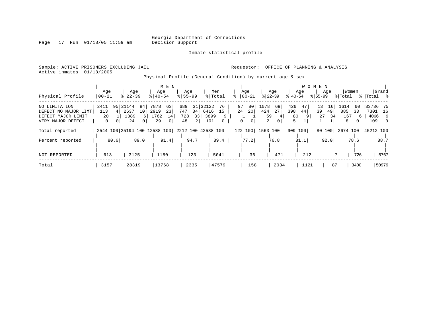Inmate statistical profile

Page 17 Run 01/18/05 11:59 am

Active inmates 01/18/2005

Sample: ACTIVE PRISONERS EXCLUDING JAIL **Requestor:** OFFICE OF PLANNING & ANALYSIS

Physical Profile (General Condition) by current age & sex

|                      |                              |                      |                |             | M E N          |             |      |                    |              |              |          |                |                |           |      | W O M E N   |      |         |      |                    |            |
|----------------------|------------------------------|----------------------|----------------|-------------|----------------|-------------|------|--------------------|--------------|--------------|----------|----------------|----------------|-----------|------|-------------|------|---------|------|--------------------|------------|
|                      | Age                          |                      | Age            | Age         |                | Age         |      | Men                |              | Age          |          |                | Age            |           | Age  |             | Age  | Women   |      |                    | Grand      |
| Physical Profile     | $ 00 - 21$                   | $8   22 - 39$        |                | $8140 - 54$ |                | $8155 - 99$ |      | % Total            |              |              | $ 00-21$ | $ 22-39 $      |                | $ 40-54 $ |      | $8155 - 99$ |      | % Total |      | %   Total %        |            |
| NO LIMITATION        | 2411                         | 21144<br>951         | 84             | 7878        | 63             | 689         | 31   | 32122              | 76           | 97           | 80       | 1078           | 69             | 426       | 47   | 13          | 16   | 1614    | 60   | 33736 75           |            |
| DEFECT NO MAJOR LIMT | 113                          | 2637                 | 10             | 2919        | 23             | 747         | 34   | 6416               | 15           | 24           | 20       | 424            | 27             | 398       | 44   | 39          | 49   | 885     | 33   | 7301               | 16         |
| DEFECT MAJOR LIMIT   | 20                           | 1389                 | 6 I            | 1762        | 14             | 728         | 33   | 3899               |              |              |          | 59             |                | 80        | 9    | 27          | 34   | 167     | 6    | 4066               | - 9        |
| VERY MAJOR DEFECT    | 0                            | 24<br>0 <sup>1</sup> | $\overline{0}$ | 29          | 0 <sup>1</sup> | 48          | 2    | 101                | $\mathbf{0}$ | $\mathbf{0}$ | 0        | $\overline{a}$ | 0 <sup>1</sup> | 5         |      |             |      | 8       | 0    | 109                | $\bigcirc$ |
| Total reported       | 2544 100 25194 100 12588 100 |                      |                |             |                |             |      | 2212 100 42538 100 |              | 122 100      |          | 1563 100       |                | 909 100   |      | 80 100      |      |         |      | 2674 100 45212 100 |            |
| Percent reported     | 80.6                         |                      | 89.0           |             | 91.4           |             | 94.7 |                    | 89.4         |              | 77.2     |                | 76.8           |           | 81.1 |             | 92.0 |         | 78.6 |                    | 88.7       |
|                      |                              |                      |                |             |                |             |      |                    |              |              |          |                |                |           |      |             |      |         |      |                    |            |
| NOT REPORTED         | 613                          |                      | 3125           | 1180        |                |             | 123  |                    | 5041         |              | 36       |                | 471            |           | 212  |             |      |         | 726  |                    | 5767       |
| Total                | 3157                         | 28319                |                | 13768       |                |             | 2335 |                    | 47579        |              | 158      |                | 2034           |           | 1121 |             | 87   |         | 3400 |                    | 50979      |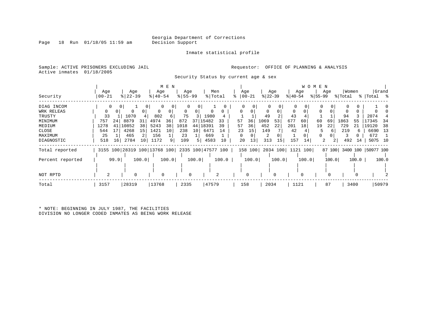Inmate statistical profile

Sample: ACTIVE PRISONERS EXCLUDING JAIL **Requestor:** OFFICE OF PLANNING & ANALYSIS

Active inmates 01/18/2005

Security Status by current age & sex

| Security         | Age<br>  00-21 |      | Age<br>$ 22-39$ |       | Age<br>$ 40-54 $             | M E N | Age<br>$8 55-99$ |       | Men<br>% Total     |       | Age | $ 00-21$ | $ 22 - 39 $ | Age   | $ 40-54 $   | Age               | W O M E N<br>$ 55-99 $ | Age            | % Total | Women | %   Total %        | Grand |
|------------------|----------------|------|-----------------|-------|------------------------------|-------|------------------|-------|--------------------|-------|-----|----------|-------------|-------|-------------|-------------------|------------------------|----------------|---------|-------|--------------------|-------|
| DIAG INCOM       |                | 0    | 0               |       | 0<br>0                       | 0     |                  | 0     |                    |       | 0   |          |             |       | $\mathbf 0$ |                   | 0                      | 0              |         | 0     |                    |       |
| WRK RELEAS       | 0              | 0    | 0               | 0     |                              |       | 0                | 0     |                    | 0     |     |          | $\Omega$    |       | 0           |                   |                        |                |         |       |                    |       |
| TRUSTY           | 33             |      | 1070            |       | 802                          |       | 75               |       | 1980               |       |     |          | 49          |       | 43          |                   |                        |                | 94      |       | 2074               |       |
| MINIMUM          | 757            | 24   | 8879            | 31    | 4974                         | 36    | 872              | 37    | 15482              | 33    | 57  | 36       | 1069        | 53    | 677         | 60                | 60                     | 69             | 1863    | 55    | 17345              | -34   |
| MEDIUM           | 1278           | 41   | 10852           | 38    | 5243                         | 38    | 1018             | 44    | 18391              | 39    | 57  | 36       | 452         | 22    | 201         | 18                | 19                     | 22             | 729     | 21    | 19120              | 38    |
| CLOSE            | 544            | 17   | 4268            | 15    | 1421                         | 10    | 238              | 10    | 6471               | 14    | 23  | 15       | 149         |       | 42          |                   | ל                      | 6              | 219     | 6     | 6690               | -13   |
| MAXIMUM          | 25             |      | 465             | 2     | 156                          |       | 23               |       | 669                |       |     |          | 2           |       |             |                   |                        |                |         |       | 672                |       |
| DIAGNOSTIC       | 518            | 16   | 2784            | 10    | 1172                         | 9     | 109              | 5     | 4583               | 10    | 20  | 13       | 313         | 15    | 157         | 14                | 2                      | $\overline{2}$ | 492     | 14    | 5075 10            |       |
| Total reported   |                |      |                 |       | 3155 100 28319 100 13768 100 |       |                  |       | 2335 100 47577 100 |       |     | 158 100  |             |       |             | 2034 100 1121 100 |                        | 87 100         |         |       | 3400 100 50977 100 |       |
| Percent reported |                | 99.9 |                 | 100.0 |                              | 100.0 |                  | 100.0 |                    | 100.0 |     | 100.0    |             | 100.0 |             | 100.0             |                        | 100.0          |         | 100.0 |                    | 100.0 |
|                  |                |      |                 |       |                              |       |                  |       |                    |       |     |          |             |       |             |                   |                        |                |         |       |                    |       |
| NOT RPTD         | 2              |      | $\Omega$        |       | 0                            |       | $\Omega$         |       |                    |       |     | 0        |             | 0     |             |                   |                        |                |         |       |                    |       |
| Total            | 3157           |      | 28319           |       | 13768                        |       | 2335             |       | 47579              |       | 158 |          | 2034        |       | 1121        |                   |                        | 87             |         | 3400  |                    | 50979 |

\* NOTE: BEGINNING IN JULY 1987, THE FACILITIES DIVISION NO LONGER CODED INMATES AS BEING WORK RELEASE

Page  $18$  Run  $01/18/05$  11:59 am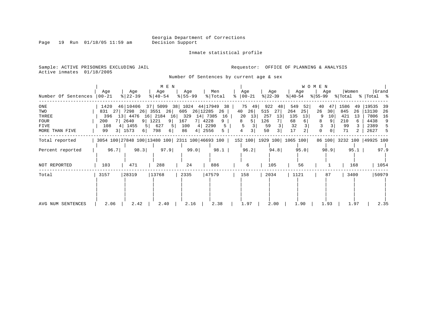Page 19 Run 01/18/05 11:59 am

Inmate statistical profile

Sample: ACTIVE PRISONERS EXCLUDING JAIL **Requestor:** OFFICE OF PLANNING & ANALYSIS Active inmates 01/18/2005

Number Of Sentences by current age & sex

|                     |               |                                                 | M E N                    |            |                                   |                             |           |           | WOMEN               |             |                           |
|---------------------|---------------|-------------------------------------------------|--------------------------|------------|-----------------------------------|-----------------------------|-----------|-----------|---------------------|-------------|---------------------------|
|                     | Age           | Age                                             | Age                      | Age        | Men                               | Age                         | Age       | Age       | Age                 | Women       | Grand                     |
| Number Of Sentences | 00-21         | $8 22-39$                                       | $\frac{1}{6}$   40-54    | $8 55-99$  | % Total                           | $ 00-21 $<br>°              | $ 22-39 $ | $ 40-54 $ | $ 55-99$            | % Total     | %   Total %               |
| $_{\rm ONE}$        | 1420 46 10406 |                                                 |                          |            | 37   5099 38   1024 44   17949 38 | 75<br>49                    | 922<br>48 | 549<br>52 | 40<br>47            | 1586<br>-49 | 19535<br>-39              |
| TWO                 | 831 27 7298   |                                                 | 26 3551 26               | 605        | 26 12285<br>26                    | 40<br>26                    | 515<br>27 | 264<br>25 | 26<br>30            | 845<br>26   | 13130<br>26               |
| THREE               |               | 396 13 4476 16 2184 16 329                      |                          |            | 14 7385<br>16                     | 20<br>13                    | 257<br>13 | 135<br>13 | 9<br>10             | 421<br>-13  | 7806<br>16                |
| FOUR                | 200           | 7 2640                                          | 9 1221<br>9 <sup>1</sup> | 167<br>7 I | 4228<br>9                         | 5 <br>8                     | 126       | 68<br>6   | $\overline{9}$<br>8 | 210         | 4438<br>9                 |
| FIVE                | 108           | 4 1455<br>5                                     | 627<br>5                 | 100<br>4   | 2290<br>5                         |                             | 59        | 32        |                     | 99          | 2389                      |
| MORE THAN FIVE      | 99            | 3   1573<br>61                                  | 798<br>6                 | 86<br>4    | 2556<br>5                         | 4                           | 50        | 17<br>2   | $\Omega$<br>0       | 71          | 2627<br>.5                |
| Total reported      |               | 3054 100 27848 100 13480 100 2311 100 46693 100 |                          |            |                                   | 152 100  1929 100  1065 100 |           |           |                     |             | 86 100 3232 100 49925 100 |
| Percent reported    | 96.7          | 98.3                                            | 97.9                     | 99.0       | 98.1                              | 96.2                        | 94.8      | 95.0      | 98.9                | 95.1        | 97.9                      |
| NOT REPORTED        | 103           | 471                                             | 288                      | 24         | 886                               | 6                           | 105       | 56        |                     | 168         | 1054                      |
| Total               | 3157          | 28319                                           | 13768                    | 2335       | 47579                             | 158                         | 2034      | 1121      | 87                  | 3400        | 50979                     |
|                     |               |                                                 |                          |            |                                   |                             |           |           |                     |             |                           |
|                     |               |                                                 |                          |            |                                   |                             |           |           |                     |             |                           |
|                     |               |                                                 |                          |            |                                   |                             |           |           |                     |             |                           |
| AVG NUM SENTENCES   | 2.06          | 2.42                                            | 2.40                     | 2.16       | 2.38                              | 1.97                        | 2.00      | 1.90      | 1.93                | 1.97        | 2.35                      |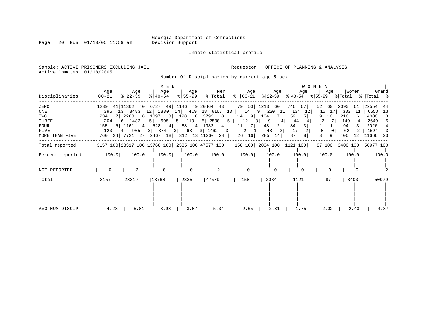Page 20 Run 01/18/05 11:59 am

Inmate statistical profile

Sample: ACTIVE PRISONERS EXCLUDING JAIL **Requestor:** OFFICE OF PLANNING & ANALYSIS Active inmates 01/18/2005

Number Of Disciplinaries by current age & sex

| Disciplinaries                                                       | Age<br>$ 00-21 $                                                      | Aqe<br>$ 22-39 $                                                                      | M E N<br>Age<br>$\frac{1}{6}$   40-54 | Age<br>$ 55 - 99 $ | Men<br>% Total                                                                                                                                    | Age<br>$8   00-21$                                             | Age<br>% 22−39                                                                                              | Age<br>$ 40-54 $                                                                        | W O M E N<br>Age                                                              | Women                                                           | Grand<br>$ \$ 55-99 \$ \total \times \text{\bmat{\bmat{\bmat{\bmat{\bmat{\bmat{\bmat{\bmat{\bmat{\bmat{\bmat{\bmat{\bmat{\bmat{\bmat{\bmat{\bmat{\bmat{\bmat{\bmat{\bmat{\bmat{\bmat{\bmat{\bmat{\bmat{\bmat{\bmat{\bmat{\bmat{\bmat{\bm |
|----------------------------------------------------------------------|-----------------------------------------------------------------------|---------------------------------------------------------------------------------------|---------------------------------------|--------------------|---------------------------------------------------------------------------------------------------------------------------------------------------|----------------------------------------------------------------|-------------------------------------------------------------------------------------------------------------|-----------------------------------------------------------------------------------------|-------------------------------------------------------------------------------|-----------------------------------------------------------------|------------------------------------------------------------------------------------------------------------------------------------------------------------------------------------------------------------------------------------------|
| ZERO<br>ONE<br>TWO<br>THREE<br><b>FOUR</b><br>FIVE<br>MORE THAN FIVE | 1289 41 11302 40 6727 49 1146 49 20464 43<br>234<br>204<br>155<br>120 | 395 13 3483 12 1880<br>7 2263<br>6 1482<br>$5 \mid 1161 \mid 4 \mid$<br>4 905 3 374 3 | 8   1097   8  <br>5 695<br>528<br>4   | 5 119<br>88        | 14 409 18 6167 13 14<br>198 8 3792 8<br>5 2500<br>4   1932<br>4<br>63 3 1462<br>$\overline{\mathbf{3}}$<br>760 24 7721 27 2467 18 312 13 11260 24 | 14<br>$9 \mid$<br>12<br>$5 \mid$<br>7  <br>11<br>2<br>26<br>16 | 79 50 1213 60<br>9 220<br>- 11  <br>134<br>7 I<br>91<br>$8 \mid$<br>4<br>2 <br>48<br>43<br>2 I<br>285<br>14 | 746 67<br>134<br>12<br>59<br>5 <br>44<br>$\overline{3}$<br>34<br>17<br>87<br>8          | 52<br>60  <br>15<br>17<br>10 <br>2<br>2 <sub>1</sub><br>$\mathbf 0$<br>8<br>9 | 2090<br>61<br>383<br>-11<br>216<br>149<br>94<br>62<br>406<br>12 | 22554<br>44<br>6550<br>13<br>4008<br>2649<br>2026<br>1524<br> 11666<br>-23                                                                                                                                                               |
| Total reported                                                       |                                                                       |                                                                                       |                                       |                    |                                                                                                                                                   |                                                                |                                                                                                             | 3157 100   28317 100   13768 100   2335 100   47577 100   158 100   2034 100   1121 100 |                                                                               | 87 100 3400 100 50977 100                                       |                                                                                                                                                                                                                                          |
| Percent reported                                                     | 100.0                                                                 | 100.0                                                                                 | 100.0                                 | 100.0              | 100.0                                                                                                                                             | 100.0                                                          | 100.0                                                                                                       | 100.0                                                                                   | 100.0                                                                         | 100.0                                                           | 100.0                                                                                                                                                                                                                                    |
| NOT REPORTED                                                         | 0                                                                     | 2                                                                                     | $\Omega$                              | $\Omega$           | $\overline{a}$                                                                                                                                    | $\Omega$                                                       | $\Omega$                                                                                                    |                                                                                         |                                                                               |                                                                 |                                                                                                                                                                                                                                          |
| Total                                                                | 3157                                                                  | 28319                                                                                 | 13768                                 | 2335               | 47579                                                                                                                                             | 158                                                            | 2034                                                                                                        | 1121                                                                                    | 87                                                                            | 3400                                                            | 50979                                                                                                                                                                                                                                    |
| AVG NUM DISCIP                                                       | 4.28                                                                  | 5.81                                                                                  | 3.98                                  | 3.07               | 5.04                                                                                                                                              | 2.65                                                           | 2.81                                                                                                        | 1.75                                                                                    | 2.02                                                                          | 2.43                                                            | 4.87                                                                                                                                                                                                                                     |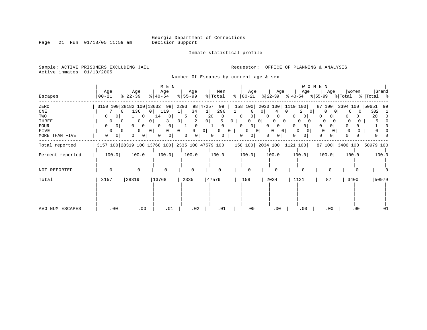Page 21 Run 01/18/05 11:59 am

Inmate statistical profile

Sample: ACTIVE PRISONERS EXCLUDING JAIL **Requestor:** OFFICE OF PLANNING & ANALYSIS Active inmates 01/18/2005

Number Of Escapes by current age & sex

|                  |                     |                                                                                         | M E N                      |                     |                            |                      |                     |                                  | WOMEN  |          |                                                                                                                                                                                                                                          |
|------------------|---------------------|-----------------------------------------------------------------------------------------|----------------------------|---------------------|----------------------------|----------------------|---------------------|----------------------------------|--------|----------|------------------------------------------------------------------------------------------------------------------------------------------------------------------------------------------------------------------------------------------|
| Escapes          | Age<br>$00 - 21$    | Age<br>$ 22-39 $                                                                        | Age<br>$ 40-54 $           | Age<br>$ 55-99 $    | Men<br>% Total             | Age<br>$8   00 - 21$ | Age<br>% 22−39      | Age<br>% 40-54                   | Age    | Women    | Grand<br>$ \$ 55-99 \$ \total \times \text{\bmat{\bmat{\bmat{\bmat{\bmat{\bmat{\bmat{\bmat{\bmat{\bmat{\bmat{\bmat{\bmat{\bmat{\bmat{\bmat{\bmat{\bmat{\bmat{\bmat{\bmat{\bmat{\bmat{\bmat{\bmat{\bmat{\bmat{\bmat{\bmat{\bmat{\bmat{\bm |
| ZERO             |                     | 3150 100 28182 100 13632 99                                                             |                            | 2293                | 98 47257<br>99             | 158 100              | 2030 100            | 1119 100                         | 87 100 | 3394 100 | 50651<br>99                                                                                                                                                                                                                              |
| ONE              | υı                  | 136<br>0 <sup>1</sup>                                                                   | 119                        | 34<br><b>1</b>      | 296<br>1                   | $\Omega$             | 4<br>0              | 0 I<br>0 <sup>1</sup>            |        | h        | 302                                                                                                                                                                                                                                      |
| TWO              | $\cup$              | 0 <sup>1</sup>                                                                          | 14<br>$\circ$              | 0 <sup>1</sup><br>5 | 20<br>0                    | $\mathbf{0}$<br>0    | 0<br>0 <sub>1</sub> | 0<br>0                           | 0      |          | 20                                                                                                                                                                                                                                       |
| THREE            | $\Omega$<br>$\cup$  | 0<br>0 <sup>1</sup>                                                                     |                            | 0 <sup>1</sup>      | 0 <sup>1</sup>             | 0<br>0               | 0 <sub>1</sub><br>0 | 0 <sup>1</sup><br>0 <sub>1</sub> |        |          |                                                                                                                                                                                                                                          |
| <b>FOUR</b>      | 0 <sup>1</sup><br>0 | 0 <sup>1</sup>                                                                          | 0 <sup>1</sup><br>$\Omega$ | 0 <sup>1</sup>      |                            | 0 I<br>0             | $\Omega$            | 0<br>0                           | 0      |          |                                                                                                                                                                                                                                          |
| FIVE             | $\Omega$<br>$\cup$  | $\Omega$<br>0 <sup>1</sup>                                                              | 0                          | 0 <sup>1</sup><br>0 | 0 <sup>1</sup><br>$\Omega$ | $\Omega$<br>$\Omega$ | 0 I                 | $\Omega$<br><sup>o</sup><br>01   |        |          |                                                                                                                                                                                                                                          |
| MORE THAN FIVE   | $\mathbf{0}$<br>0   | $\mathbf{0}$                                                                            |                            | 0<br>0              | 0<br>0                     |                      |                     | 0                                | 0      |          |                                                                                                                                                                                                                                          |
| Total reported   |                     | 3157 100   28319 100   13768 100   2335 100   47579 100   158 100   2034 100   1121 100 |                            |                     |                            |                      |                     |                                  |        |          | 87 100 3400 100 50979 100                                                                                                                                                                                                                |
| Percent reported | 100.0               | 100.0                                                                                   | 100.0                      | 100.0               | 100.0                      | 100.0                | 100.0               | 100.0                            | 100.0  | 100.0    | 100.0                                                                                                                                                                                                                                    |
|                  |                     |                                                                                         |                            |                     |                            |                      |                     |                                  |        |          |                                                                                                                                                                                                                                          |
| NOT REPORTED     | $\mathbf 0$         | $\mathbf 0$                                                                             |                            | $\Omega$            | $\Omega$                   | $\Omega$             | $\cap$              |                                  |        |          |                                                                                                                                                                                                                                          |
| Total            | 3157                | 28319                                                                                   | 13768                      | 2335                | 47579                      | 158                  | 2034                | 1121                             | 87     | 3400     | 50979                                                                                                                                                                                                                                    |
|                  |                     |                                                                                         |                            |                     |                            |                      |                     |                                  |        |          |                                                                                                                                                                                                                                          |
|                  |                     |                                                                                         |                            |                     |                            |                      |                     |                                  |        |          |                                                                                                                                                                                                                                          |
|                  |                     |                                                                                         |                            |                     |                            |                      |                     |                                  |        |          |                                                                                                                                                                                                                                          |
|                  |                     |                                                                                         |                            |                     |                            |                      |                     |                                  |        |          |                                                                                                                                                                                                                                          |
|                  |                     |                                                                                         |                            |                     |                            |                      |                     |                                  |        |          |                                                                                                                                                                                                                                          |
| AVG NUM ESCAPES  | .00                 | .00                                                                                     | .01                        | .02                 | .01                        | .00                  | .00                 | .00                              | .00    | .00      | .01                                                                                                                                                                                                                                      |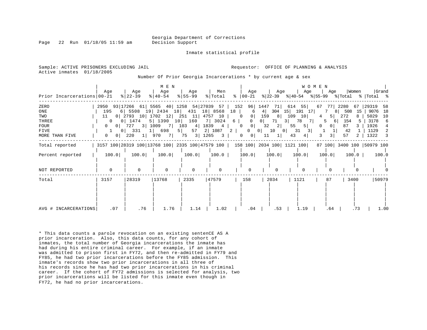Page 22 Run 01/18/05 11:59 am Decision Support

Inmate statistical profile

Sample: ACTIVE PRISONERS EXCLUDING JAIL **Analysis** Requestor: OFFICE OF PLANNING & ANALYSIS Active inmates 01/18/2005

Number Of Prior Georgia Incarcerations \* by current age & sex

|                            |                                  |                                           | M E N                 |                    |                         |                                |                                                     |                                                                             | <b>WOMEN</b>   |            |                                 |
|----------------------------|----------------------------------|-------------------------------------------|-----------------------|--------------------|-------------------------|--------------------------------|-----------------------------------------------------|-----------------------------------------------------------------------------|----------------|------------|---------------------------------|
| Prior Incarcerations 00-21 | Aqe                              | Age<br>$ 22-39 $                          | Age<br>$8   40 - 54$  | Age<br>$8 55 - 99$ | Men<br>% Total          | Age<br>$8   00 - 21$           | Age                                                 | Age<br>$ 22-39 $ $ 40-54 $ $ 55-99 $ $ Total$ $ Total$ $ 8 $                | Aqe            | Women      | Grand                           |
| ZERO                       |                                  | 2950 93 17266 61 5565 40 1258 54 27039 57 |                       |                    |                         | 152 96 1447                    |                                                     | 71 614 55                                                                   | 67<br>77 I     | 2280<br>67 | 29319<br>58                     |
| ONE                        | 195                              | 6 5508 19 2434 18 431 18 8568             |                       |                    |                         | 18<br>6                        | 4                                                   | 304 15 191 17                                                               | 81             | 508<br>15  | 9076<br>18                      |
| TWO                        | 11                               | $0 2793$ 10 1702 12 251 11                |                       |                    | 4757 10                 | 0<br>$\Omega$                  | 159                                                 | 8 109<br>10                                                                 | 5              | 272        | 5029<br>10                      |
| THREE                      | $\overline{0}$                   | 0 1474                                    | 5   1390              | 10 160             | 7 3024                  | 6  <br>$\Omega$                | $\begin{array}{c} \circ \\ \circ \end{array}$<br>71 | 78<br>3 <br>-7 I                                                            | 61<br>5        | 154<br>.5  | 3178<br>6                       |
| <b>FOUR</b>                | $0$                              | 727 3 1009 7 103                          |                       | 4                  | 1839 4                  | 0<br>$\Omega$                  | 2 <br>32                                            | 5 <br>55                                                                    | 0 <sup>1</sup> | 87         | 1926<br>4                       |
| FIVE                       |                                  | $0$   331                                 | 1   698               | 57<br>$5 \mid$     | 2 1087                  | $\overline{0}$<br>$2 \mid$     | 10<br>$\begin{array}{c c} 0 & \end{array}$          | 31<br>$\circ$<br>3                                                          |                | 42         | 1129<br>2                       |
| MORE THAN FIVE             | 0 <sup>1</sup><br>$\overline{0}$ | 220<br>1                                  | 970<br>7 <sup>1</sup> | 3 1265<br>75       | $\overline{\mathbf{3}}$ | 0 <sup>1</sup><br>$\mathbf{0}$ | 11                                                  | 4 <br>43                                                                    | $\overline{3}$ | 57         | 1322<br>$\overline{\mathbf{3}}$ |
| Total reported             |                                  |                                           |                       |                    |                         |                                |                                                     | 3157 100 28319 100 13768 100 2335 100 47579 100   158 100 2034 100 1121 100 |                |            | 87 100 3400 100 50979 100       |
| Percent reported           | 100.0                            | 100.0                                     | 100.0                 | 100.0              | 100.0                   | 100.0                          | 100.0                                               | 100.0                                                                       | 100.0          | $100.0$    | 100.0                           |
| NOT REPORTED               | $\mathbf 0$                      | $\Omega$                                  | $\mathbf 0$           |                    | $\Omega$                |                                | $\Omega$                                            |                                                                             |                |            |                                 |
| Total                      | 3157                             | 28319                                     | 13768                 | 2335               | 47579                   | 158                            | 2034                                                | 1121                                                                        | 87             | 3400       | 50979                           |
|                            |                                  |                                           |                       |                    |                         |                                |                                                     |                                                                             |                |            |                                 |
| AVG # INCARCERATIONS       | .07                              | .76                                       | 1.76                  | 1.14               | 1.02                    | .04                            | .53                                                 | 1.19                                                                        | .64            | .73        | 1.00                            |

\* This data counts a parole revocation on an existing sentenCE AS A prior incarceration. Also, this data counts, for any cohort of inmates, the total number of Georgia incarcerations the inmate has had during his entire criminal career. For example, if an inmate was admitted to prison first in FY72, and then re-admitted in FY79 and FY85, he had two prior incarcerations before the FY85 admission. This inmate's records show two prior incarcerations in all three of his records since he has had two prior incarcerations in his criminal career. If the cohort of FY72 admissions is selected for analysis, two prior incarcerations will be listed for this inmate even though in FY72, he had no prior incarcerations.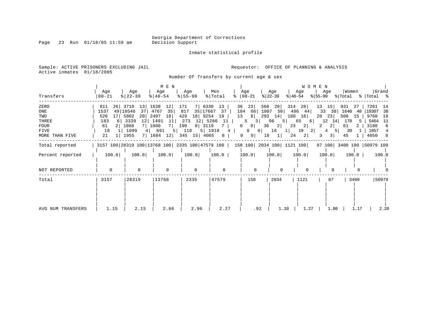Page 23 Run 01/18/05 11:59 am

Inmate statistical profile

Sample: ACTIVE PRISONERS EXCLUDING JAIL **Requestor:** OFFICE OF PLANNING & ANALYSIS Active inmates 01/18/2005

Number Of Transfers by current age & sex

| Transfers                                                     | Age<br>$ 00 - 21$                                                          | Age<br>$\frac{8}{22} - 39$                                                                                            | M E N<br>Age<br>$ 40-54 $                                             | Age<br>$\frac{8}{55}$ 55 - 99                                                                                    | Men<br>% Total<br>ႜ                                         | Age<br>$ 00-21 $                                                                                                                                                                 | Age<br>$ 22-39 $<br>୫∣40-54                                                             | W O M E N<br>Age<br>Age<br>% 55−99                                                                               | Women<br>% Total % Total %                                                                 | Grand                                                                                         |
|---------------------------------------------------------------|----------------------------------------------------------------------------|-----------------------------------------------------------------------------------------------------------------------|-----------------------------------------------------------------------|------------------------------------------------------------------------------------------------------------------|-------------------------------------------------------------|----------------------------------------------------------------------------------------------------------------------------------------------------------------------------------|-----------------------------------------------------------------------------------------|------------------------------------------------------------------------------------------------------------------|--------------------------------------------------------------------------------------------|-----------------------------------------------------------------------------------------------|
| ZERO<br>ONE<br>TWO<br>THREE<br>FOUR<br>FIVE<br>MORE THAN FIVE | 811<br>1537<br>49 10546<br>526<br>17<br>183<br>6<br>61<br>18<br>21<br>-1 I | 26 3710 13<br>37 <sup>1</sup><br>5802<br>20 <sub>1</sub><br>3339<br>12 <br>7 1000<br>2 1868<br>1099<br>1955<br>7 1684 | 1638<br>12 <br>35<br>4767<br>18<br>2497<br>1491<br>11<br>7 L<br>4 691 | 171<br>7 6330<br>817<br>35 17667<br>18 9254<br>429<br>12 5286<br>273<br>190<br>8 3119<br>5 110<br>12 345 15 4005 | 13<br>37<br>19<br>11<br>7<br>$5 \mid 1918 \mid 4 \mid$<br>8 | 36<br>23 <br>568<br>104<br>1007<br>66  <br>13<br>293<br>8 <br>3 <br>5<br>36<br> 0 <br>$\overline{0}$<br>$\overline{0}$<br>0 <sup>1</sup><br>18<br>$\mathbf{0}$<br>0 <sup>1</sup> | 314<br>28<br>50<br>14<br>180<br>96<br>5 <br>2 <br>23<br>16<br>$1 \mid$<br>24<br>$\perp$ | 28<br>13<br>15<br>496 44<br>$33 \quad 38$<br>16<br>20<br>23 <br>12<br>65<br>6  <br>2 <br>2<br>19<br>2 <br>4<br>2 | 931<br>27<br>1640 48<br>506<br>15<br>14<br>178<br>-5<br>2 <br>61<br>-39<br>5  <br>3 <br>45 | 7261<br>-14<br>19307<br>- 38<br>9760<br>19<br>5464<br>- 11<br>3180<br>-6<br>1957<br>8<br>4050 |
| Total reported                                                |                                                                            |                                                                                                                       |                                                                       |                                                                                                                  |                                                             | 3157 100 28319 100 13768 100 2335 100 47579 100   158 100 2034 100   1121 100                                                                                                    |                                                                                         |                                                                                                                  | 87 100 3400 100 50979 100                                                                  |                                                                                               |
| Percent reported                                              | 100.0                                                                      | 100.0                                                                                                                 | 100.0                                                                 | 100.0                                                                                                            | 100.0                                                       | 100.0                                                                                                                                                                            | 100.0                                                                                   | 100.0<br>100.0                                                                                                   | 100.0                                                                                      | 100.0                                                                                         |
| NOT REPORTED                                                  | $\mathbf 0$                                                                | $\mathbf 0$                                                                                                           | $\mathbf 0$                                                           | $\mathbf 0$                                                                                                      | $\mathbf 0$                                                 | $\Omega$                                                                                                                                                                         | $\Omega$                                                                                | $\Omega$                                                                                                         | $\Omega$<br>$\Omega$                                                                       |                                                                                               |
| Total                                                         | 3157                                                                       | 28319                                                                                                                 | 13768                                                                 | 2335                                                                                                             | 47579                                                       | 158                                                                                                                                                                              | 2034                                                                                    | 1121<br>87                                                                                                       | 3400                                                                                       | 50979                                                                                         |
| AVG NUM TRANSFERS                                             | 1.15                                                                       | 2.15                                                                                                                  | 2.66                                                                  | 2.96                                                                                                             | 2.27                                                        | .92                                                                                                                                                                              | 1.10                                                                                    | 1.27                                                                                                             | 1.80<br>1.17                                                                               | 2.20                                                                                          |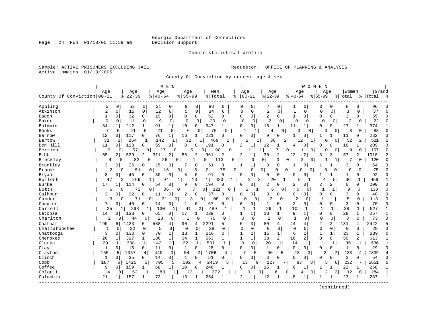Inmate statistical profile

Sample: ACTIVE PRISONERS EXCLUDING JAIL **Requestor:** OFFICE OF PLANNING & ANALYSIS Active inmates 01/18/2005

County Of Conviction by current age & sex

|                            |              |                |                       |                |               | M E N        |                     |                |                       |                    |          |                |                |                |              |                | W O M               | E N          |                |                |                |           |              |
|----------------------------|--------------|----------------|-----------------------|----------------|---------------|--------------|---------------------|----------------|-----------------------|--------------------|----------|----------------|----------------|----------------|--------------|----------------|---------------------|--------------|----------------|----------------|----------------|-----------|--------------|
|                            | Age          |                | Age                   |                | Age           |              | Age                 |                | Men                   |                    |          | Age            |                | Age            |              |                | Age                 |              | Age            | Women          |                | Grand     |              |
| County Of Conviction 00-21 |              |                | $8   22 - 39$         |                | $8   40 - 54$ |              | $8155 - 99$         |                | %   Total             |                    | ႜ        | $00 - 21$      |                | $ 22-39$       |              | $ 40-54$       |                     | $8155 - 99$  |                | % Total        |                | %   Total | း            |
|                            |              |                |                       |                |               |              |                     |                |                       |                    |          |                |                |                |              |                |                     |              |                |                |                |           |              |
| Appling                    | .5           | $\Omega$       | 53                    | 0              | 21            | 0            | 9                   | 0              | 88                    | 0                  |          | 0              | 0              |                | 0            | 1              | 0                   | 0            | 0              | 8              | 0              | 96        |              |
| Atkinson                   | 2            | $\Omega$       | 15                    | $\mathbf 0$    | 12            | $\mathbf 0$  | 5                   | $\mathbf 0$    | 34                    | $\Omega$           |          | O              | $\mathbf 0$    | $\overline{c}$ | $\mathbf 0$  | $\mathbf{1}$   | $\Omega$            | $\Omega$     | $\Omega$       | 3              | $\Omega$       | 37        | $\cap$       |
| Bacon                      |              | 0              | 32                    | 0              | 19            | 0            | $\Omega$            | $\mathbf 0$    | 52                    | 0                  |          | $\Omega$       | 0              | 2              | 0            | 1              | 0                   | $\Omega$     | 0              | 3              | 0              | 55        | $\Omega$     |
| Baker                      | $\Omega$     | $\Omega$       | 11                    | 0              | 9             | $\Omega$     | $\mathbf 0$         | 0              | 20                    | $\Omega$           |          | $\Omega$       | $\Omega$       | $\mathfrak{D}$ | $\mathbf 0$  | $\Omega$       | $\Omega$            | $\Omega$     | 0              | $\overline{2}$ | 0              | 22        | $\Omega$     |
| Baldwin                    | 34           |                | 212                   |                | 91            | $\mathbf{1}$ | 10                  | 0              | 347                   | 1                  |          | $\Omega$       | 0              | 16             | 1            | 11             | 1                   | $\Omega$     | 0              | 27             |                | 374       |              |
| Banks                      | 7            | $\Omega$       | 41                    | $\Omega$       | 21            | $\mathbf{0}$ | 6                   | $\Omega$       | 75                    | 0                  |          | $\mathbf{1}$   | $\mathbf{1}$   | 4              | $\Omega$     | 3              | $\Omega$            |              | $\Omega$<br>0  | 8              | 0              | 83        |              |
| Barrow                     | 12           | 0              | 117                   | 0              | 76            | 1            | 16                  | 1              | 221                   | 0                  |          | $\Omega$       | $\mathbf 0$    | 9              | 0            |                | $\Omega$            | 1            | $\mathbf{1}$   | 11             | 0              | 232       | <sup>0</sup> |
| Bartow                     | 31           | 1              | 264                   | 1              | 142           | 1            | 32                  | 1.             | 469                   |                    |          | 2              |                | 38             |              | 2              | 12<br>1             |              | 0<br>0         | 52             | 2              | 521       | $\mathbf{1}$ |
| Ben Hill                   | 11           | $\Omega$       | 113                   | $\Omega$       | 59            | 0            | 8                   | $\Omega$       | 191                   | O                  |          | $\overline{c}$ | 1              | 12             | $\mathbf{1}$ | 4              | 0                   | O            | 0              | 18             | 1              | 209       | $\Omega$     |
| Berrien                    | 9            | O              | 57                    | 0              | 27            | $\Omega$     | 5                   |                | 0                     | 98<br><sup>0</sup> |          |                | 1              |                |              | 0              | $\overline{0}$      |              | 0              | 9              | 0              | 107       | $\Omega$     |
| <b>Bibb</b>                | 55           | 2              | 539                   | $\overline{2}$ | 311           | 2            | 56                  | 2              | 961                   | 2                  |          | $\overline{2}$ |                | 30             | 2            | 22             | 2                   | 3            | 3              | 57             | 2              | 1018      | 2            |
| Bleckley                   | 4            | 0              | 82                    | $\Omega$       |               | 26           | 0                   | 1              | 0                     | 113                | 0        |                | $\Omega$       | 0 <sup>1</sup> | 3            | 0              | $\overline{0}$<br>3 |              |                | 7              | 0              | 120       | $\cap$       |
| Brantley                   | 3            | 0              | 26                    | 0              | 15            | 0            |                     | 0              | 51                    | 0                  |          |                | 1              | $\Omega$       | $\mathbf 0$  | 1              | 0                   | 1            | $\mathbf{1}$   | 3              | 0              | 54        |              |
| <b>Brooks</b>              | 2            |                | 51<br>0               |                | 0             | 16           | 0                   | 6              | $\overline{0}$        | 75                 | $\Omega$ |                | 0              | $\mathbf{0}$   | 0            | 0              | 0<br>0              |              | $\Omega$<br>0  | $\Omega$       | 0              | 75        |              |
| Bryan                      | 8            | $\mathbf 0$    | 45                    | $\Omega$       | 30            | 0            | 8                   | $\mathbf 0$    | 91                    | $\Omega$           |          | $\Omega$       | $\mathbf 0$    | $\Omega$       | 0            | $\Omega$       | $\Omega$            | 1            | 1              | 1              | 0              | 92        | $\Omega$     |
| Bulloch                    | 47           |                | 269<br>$\overline{2}$ |                | 1             | 94           | 1                   | 13             | $1\vert$              | 423<br>1           |          | 3              | 2              | 20             |              |                | 9                   |              | 5              | 36             | 1              | 459       |              |
| Burke                      | 17           | 1 <sup>1</sup> | 114                   | $\Omega$       | 54            | 0            | 9                   | $\mathbf 0$    | 194                   | C                  |          | $\Omega$       | 0              | $\overline{2}$ | 0            | 2              | $\Omega$            | 2            | $\overline{2}$ | 6              | 0              | 200       | $\Omega$     |
| <b>Butts</b>               | 6            |                | 72<br>0               |                | 0             | 36           | 0                   | 7              | 121<br>$\overline{0}$ | $\Omega$           |          | 2              | 1              | 6              | 0            | $\Omega$       | 0                   | $\mathbf{1}$ | 1              | 9              | 0              | 130       | $\cap$       |
| Calhoun                    | 2            | 0              | 22                    | 0              | 11            | 0            | 2                   | 0              | 37                    | 0                  |          | 0              | 0              | 3              | 0            | 0              | $\overline{0}$      | $\Omega$     | 0              | 3              | 0              | 40        | $\Omega$     |
| Camden                     | 3            |                | 71<br>$\Omega$        | $\Omega$       | 31            |              | 3<br>$\overline{0}$ | 0              | 108                   | 0                  |          | $\Omega$       | 0              | $\overline{2}$ | 0            | $\overline{2}$ | 0                   | 1            | 1              | 5              | 0              | 113       | $\Omega$     |
| Candler                    | 7            | 0              | 45                    | 0              | 14            | 0            | -1                  | 0              | 67                    | 0                  |          | 0              | 0              | 1              | 0            | 2              | 0                   | 0            | 0              | 3              | 0              | 70        | $\Omega$     |
| Carroll                    | 25           |                | 293<br>1              |                | 130           |              | 41                  | 2              | 489                   |                    |          | $\mathbf{1}$   | 1              | 26             | 1            | 10             | 1                   | $\mathbf{1}$ | 1              | 38             | 1              | 527       |              |
| Catoosa                    | 14           | 0              | 133                   | 0              | 65            | 0            | 17                  | $1\vert$       | 229                   | O                  |          | 1              | 1              | 18             | $\mathbf{1}$ | 9              | 1                   | 0            | 0              | 28             | 1              | 257       | 1            |
| Charlton                   | 2            | 0              | 44                    | 0              | 23            | 0            | 1                   | 0              | 70                    | $\Omega$           |          | 0              | 0              | $\overline{2}$ | $\mathbf 0$  | $\mathbf{1}$   | 0                   | 0            | 0              | 3              | 0              | 73        | $\Omega$     |
| Chatham                    | 190          | 6              | 1423                  | 5              | 588           | 4            | 90                  | $\overline{4}$ | 2291                  | 5                  |          | 5              | 3              | 80             | 4            | 44             | 4                   | 2            | $\overline{a}$ | 131            | 4              | 2422      |              |
| Chattahoochee              | 1            | 0              | 22                    | $\mathbf 0$    | 5             | $\mathbf 0$  | $\mathbf 0$         | $\Omega$       | 28                    | $\Omega$           |          | $\Omega$       | $\mathbf 0$    | $\Omega$       | $\Omega$     | $\Omega$       | $\Omega$            | $\Omega$     | $\Omega$       | $\mathbf 0$    | $\Omega$       | 28        | $\Omega$     |
| Chattooga                  | 3            | $\Omega$       | 130                   | $\mathbf 0$    | 70            | $\mathbf 1$  | 13                  | 1              | 216                   | $\Omega$           |          | $\mathbf{1}$   | 1              | 15             | $\mathbf 1$  | 6              | 1                   | $\mathbf{1}$ | $\mathbf{1}$   | 23             | 1              | 239       | $\Omega$     |
| Cherokee                   | 26           | 1              | 317                   | 1              | 186           | $\mathbf{1}$ | 34                  | 1              | 563                   | 1                  |          | $\mathbf{1}$   | $\mathbf 1$    | 33             | 2            | 16             | 2 <sub>1</sub>      | 0            | $\Omega$       | 50             | $\overline{a}$ | 613       |              |
| Clarke                     | 29           |                | 308                   | 1              | 142           | 1            | 22                  | 1              | 501                   | $\mathbf{1}$       |          | $\Omega$       | $\Omega$       | 20             | 1            | 14             | 1                   | $\mathbf{1}$ | 1              | 35             | $\mathbf{1}$   | 536       | -1           |
| Clay                       | 1            | $\Omega$       | 15                    | $\mathbf{0}$   | 11            | 0            | 1                   | $\Omega$       | 28                    | 0                  |          | $\Omega$       | $\mathbf{0}$   | $\mathbf{1}$   | $\Omega$     | $\Omega$       | $\overline{0}$      | $\Omega$     | 0              | $\mathbf{1}$   | 0              | 29        | $\Omega$     |
| Clayton                    | 155          | 5              | 1057                  | 4              | 440           | 3            | 54                  | 2 <sup>1</sup> | 1706                  | 4                  |          |                | 5              | 96             | 5            | 28             | 3                   |              | 2<br>2         | 133            | 4              | 1839      |              |
| Clinch                     | $\mathbf{1}$ | $\Omega$       | 35                    | $\overline{0}$ | 14            | $\mathbf{0}$ | $\mathbf{1}$        | 0              | 51                    | O                  |          | $\Omega$       | $\mathbf{0}$   | 3              | 0            | $\Omega$       | 0                   | O            | $\Omega$       | 3              | 0              | 54        | $\Omega$     |
| Cobb                       | 187          | 6              | 1425                  | 5              | 705           | 5            | 102                 | 4              | 2419                  | 5                  |          | 13             | 9 <sup>1</sup> | 127            |              | 87             | 8                   |              | 5<br>6         | 232            | 7              | 2651      | 5            |
| Coffee                     | 9            | 0              | 159                   | $\mathbf{1}$   | 68            | $\mathbf{1}$ | 10                  | $\Omega$       | 246                   |                    |          | $\Omega$       | $\mathbf 0$    | 15             | $\mathbf{1}$ | 6              | 1                   | 1            | $\mathbf{1}$   | 22             | $\mathbf{1}$   | 268       | 1            |
| Colquit                    | 14           | 0              | 152                   | 1              | 83            | 1            | 23                  |                | 272                   |                    |          | O              | 0              |                | 6            | 0              | 0<br>4              |              | $\overline{a}$ | 12             | 0              | 284       | $\mathbf{1}$ |
| Columbia                   | 21           | 1              | 157                   |                | 73            | 1            | 13                  | -1             | 264                   |                    |          | 2              | 1              | 12             | 1            | 8              | 1                   |              | 1              | 23             |                | 287       | $\mathbf{1}$ |
|                            |              |                |                       |                |               |              |                     |                |                       |                    |          |                |                |                |              |                |                     |              |                |                |                |           |              |

(continued)

Page 24 Run 01/18/05 11:59 am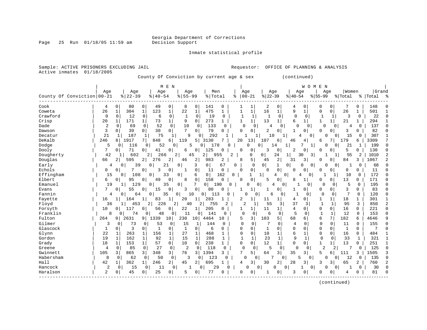Page 25 Run 01/18/05 11:59 am Decision Support

Inmate statistical profile

Sample: ACTIVE PRISONERS EXCLUDING JAIL **Analysis** Requestor: OFFICE OF PLANNING & ANALYSIS Active inmates 01/18/2005 County Of Conviction by current age & sex (continued) | M E N | W O M E N | | Age | Age | Age | Age | Men | Age | Age | Age | Age |Women |Grand County Of Conviction|00-21 %|22-39 %|40-54 %|55-99 %|Total % |00-21 %|22-39 %|40-54 %|55-99 %|Total % |Total % ------------------------------------------------------------------------------------------------------------------------------------ Cook | 4 0| 80 0| 49 0| 8 0| 141 0 | 1 1| 2 0| 4 0| 0 0| 7 0 | 148 0 Coweta | 26 1| 304 1| 123 1| 22 1| 475 1 | 1 1| 16 1| 9 1| 0 0| 26 1 | 501 1 Crawford | 0 0| 12 0| 6 0| 1 0| 19 0 | 1 1| 1 0| 0 0| 1 1| 3 0 | 22 0 Crisp | 20 1| 171 1| 73 1| 9 0| 273 1 | 1 1| 13 1| 6 1| 1 1| 21 1 | 294 1 Dade | 2 0| 69 0| 52 0| 10 0| 133 0 | 0 0| 4 0| 0 0| 0 0| 4 0 | 137 0 Dawson | 3 0| 39 0| 30 0| 7 0| 79 0 | 0 0| 2 0| 1 0| 0 0| 3 0 | 82 0 Decatur | 21 1| 187 1| 75 1| 9 0| 292 1 | 1 1| 10 1| 4 0| 0 0| 15 0 | 307 1 DeKalb | 246 8| 1917 7| 848 6| 119 5| 3130 7 | 20 13| 107 6| 46 4| 6 7| 179 6 | 3309 7 Dodge | 5 0| 116 0| 52 0| 5 0| 178 0 | 0 0| 14 1| 7 1| 0 0| 21 1 | 199 0 Dooly | 7 0| 71 0| 41 0| 6 0| 125 0 | 0 0| 3 0| 2 0| 0 0| 5 0 | 130 0 Dougherty | 42 1| 602 2| 266 2| 45 2| 955 2 | 0 0| 24 1| 30 3| 1 1| 55 2 | 1010 2 Douglas | 66 2| 595 2| 276 2| 46 2| 983 2 | 8 5| 45 2| 31 3| 0 0| 84 3 | 1067 2 Early | 4 0| 39 0| 21 0| 3 0| 67 0 | 0 0| 1 0| 0 0| 0 0| 1 0 | 68 0 Echols | 0 0| 7 0| 3 0| 1 0| 11 0 | 0 0| 0 0| 0 0| 0 0| 0 0 | 11 0 Effingham | 15 0| 108 0| 33 0| 6 0| 162 0 | 1 1| 4 0| 4 0| 1 1| 10 0 | 172 0 Elbert | 6 0| 95 0| 49 0| 8 0| 158 0 | 0 0| 5 0| 8 1| 0 0| 13 0 | 171 0 Emanuel | 19 1| 129 0| 35 0| 7 0| 190 0 | 0 0| 4 0| 1 0| 0 0| 5 0 | 195 0 Evans | 7 0| 55 0| 15 0| 3 0| 80 0 | 1 1| 1 0| 1 0| 0 0| 3 0 | 83 0 Fannin | 4 0| 64 0| 35 0| 10 0| 113 0 | 0 0| 6 0| 1 0| 0 0| 7 0 | 120 0 Fayette | 16 1| 164 1| 83 1| 20 1| 283 1 | 2 1| 11 1| 4 0| 1 1| 18 1 | 301 1 Floyd | 36 1| 453 2| 226 2| 40 2| 755 2 | 2 1| 55 3| 37 3| 1 1| 95 3 | 850 2 Forsyth | 10 0| 117 0| 56 0| 22 1| 205 0 | 1 1| 11 1| 4 0| 0 0| 16 0 | 221 0 Franklin | 8 0| 74 0| 48 0| 11 0| 141 0 | 0 0| 6 0| 5 0| 1 1| 12 0 | 153 0 Fulton | 264 9| 2631 9| 1339 10| 230 10| 4464 10 | 5 3| 103 5| 68 6| 6 7| 182 6 | 4646 9 Gilmer | 3 0| 73 0| 53 0| 15 1| 144 0 | 0 0| 7 0| 4 0| 0 0| 11 0 | 155 0 Glascock | 1 0| 3 0| 1 0| 1 0| 6 0 | 0 0| 1 0| 0 0| 0 0| 1 0 | 7 0 Glynn | 22 1| 263 1| 156 1| 27 1| 468 1 | 0 0| 10 1| 6 1| 0 0| 16 0 | 484 1 Gordon | 19 1| 162 1| 92 1| 15 1| 288 1 | 1 1| 23 1| 9 1| 0 0| 33 1 | 321 1 Grady | 18 1| 153 1| 57 0| 10 0| 238 1 | 0 0| 12 1| 0 0| 1 1| 13 0 | 251 1 Greene | 4 0| 85 0| 27 0| 2 0| 118 0 | 0 0| 5 0| 0 0| 2 2| 7 0 | 125 0 Gwinnett | 105 3| 865 3| 348 3| 76 3| 1394 3 | 7 5| 64 3| 35 3| 5 6| 111 3 | 1505 3 Habersham | 8 0| 62 0| 50 0| 3 0| 123 0 | 0 0| 7 0| 5 0| 0 0| 12 0 | 135 0 Hall | 42 1| 362 1| 246 2| 45 2| 695 1 | 4 3| 30 2| 28 3| 3 3| 65 2 | 760 2 Hancock | 2 0| 15 0| 11 0| 1 0| 29 0 | 0 0| 0 0| 1 0| 0 0| 1 0 | 30 0 Haralson | 2 0| 45 0| 25 0| 5 0| 77 0 | 0 0| 1 0| 3 0| 0 0| 4 0 | 81 0

------------------------------------------------------------------------------------------------------------------------------------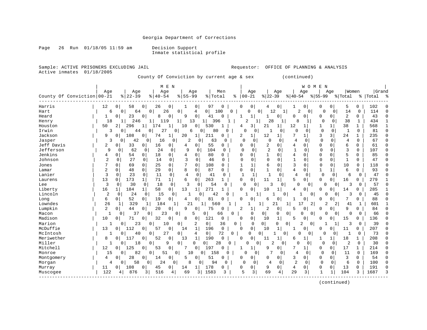Page 26 Run 01/18/05 11:59 am Decision Support

Inmate statistical profile

Active inmates 01/18/2005

Sample: ACTIVE PRISONERS EXCLUDING JAIL **Requestor:** OFFICE OF PLANNING & ANALYSIS

County Of Conviction by current age & sex (continued)

|                            |                |                   | M E N                                  |                     |                                  |                 |          |                        |                     |                            |                            | W O M E<br>N  |                         |                |              |       |  |
|----------------------------|----------------|-------------------|----------------------------------------|---------------------|----------------------------------|-----------------|----------|------------------------|---------------------|----------------------------|----------------------------|---------------|-------------------------|----------------|--------------|-------|--|
|                            | Age            | Age               | Age                                    |                     | Age                              | Men             |          | Age                    | Age                 |                            | Age                        |               | Age                     | Women          |              | Grand |  |
| County Of Conviction 00-21 |                | $ 22-39$          | $8   40 - 54$                          | $55 - 99$<br>ႜ      |                                  | % Total         | ႜ        | $00 - 21$              | $ 22-39$            | $ 40-54$                   |                            | $8155 - 99$   |                         | % Total        | ႜ            | Total |  |
| Harris                     | 12             | 58<br>0           | 26<br>0<br>0                           |                     | 97<br>0                          | $\Omega$        |          | 0<br>0                 | 0                   |                            | 0                          | 0             | 0                       | 5              | 0            | 102   |  |
| Hart                       | 6              | 64<br>0           | $\Omega$<br>26                         | 0                   | $\Omega$<br>4                    | 100             | $\Omega$ | ሰ                      | $\Omega$<br>12      |                            | $\mathfrak{D}$<br>$\Omega$ | $\Omega$      | $\Omega$                | 14             | $\Omega$     | 114   |  |
| Heard                      | 1              | 23<br>0           | $\Omega$<br>0<br>8                     | 9                   | $\Omega$<br>41                   | $\Omega$        |          | 1                      | $\Omega$            | 0                          | 0                          | $\Omega$      | 0                       | 2              | 0            | 43    |  |
| Henry                      | 18             | 246               | 9                                      | 13                  |                                  | 396             |          | 2                      | 28                  | $\mathbf{1}$               | 8                          | $\Omega$      | $\Omega$                | 38             | 1            | 434   |  |
| Houston                    | 50             | 2<br>296          | 1                                      | 10                  | 530<br>0                         |                 |          | 3<br>4                 | 21                  | 12                         | $\mathbf{1}$               | 1             | 1                       | 38             | $\mathbf{1}$ | 568   |  |
| Irwin                      | 3              | 44<br>0           | U                                      | 6<br>0              | 0                                | 80              |          | $\Omega$<br>0          |                     | $\Omega$<br>0              | $\Omega$                   | $\mathbf 0$   | $\mathbf 0$             | $\mathbf{1}$   | $\mathbf{0}$ | 81    |  |
| Jackson                    | 9              | 108<br>0          | 0<br>74<br>1                           | 20                  | 211<br>1                         | O               |          | 2<br>1                 | 12<br>1             | 7                          | $\mathbf{1}$               | 3             | $\overline{\mathbf{3}}$ | 24             | $\mathbf{1}$ | 235   |  |
| Jasper                     | 3              | 42<br>0           | 16<br>$\Omega$                         | $\overline{c}$<br>0 | <sup>0</sup>                     | 63<br>$\Omega$  |          | $\Omega$<br>$\Omega$   | $\cap$              | $\Omega$<br>4              | $\Omega$                   | $\Omega$      | 0                       | 4              | $\Omega$     | 67    |  |
| Jeff Davis                 | 2              | 33<br>0           | 16<br>0<br>0                           | 4                   | 0                                | 55<br>O         |          | $\Omega$<br>0          | 2<br>O              | 4                          | O                          | $\Omega$      | 0                       | 6              | $\Omega$     | 61    |  |
| Jefferson                  | 9              | 62<br>O           | 24<br><sup>0</sup>                     | 9<br>0              | $\Omega$                         | 104<br>$\Omega$ |          | $\Omega$<br>$\Omega$   | 2<br>U              | $\mathbf{1}$               | $\Omega$                   | $\Omega$      | $\Omega$                | 3              | $\Omega$     | 107   |  |
| Jenkins                    | 4              | 0<br>54           | 18<br>0<br>0                           | 4                   | 0                                | 80<br>0         |          | $\Omega$<br>U          | 1<br>0              | 4                          | O                          | $\Omega$      | $\Omega$                | 5              | 0            | 85    |  |
| Johnson                    | $\overline{2}$ | 27<br>0           | 14<br>$\mathbf{0}$<br>0                | 3                   | $\Omega$                         | 46<br>0         |          | 0                      | 0<br>$\Omega$       | $\mathbf{1}$               | $\Omega$                   | $\Omega$      | $\Omega$                |                | 0            | 47    |  |
| Jones                      |                | $\Omega$<br>69    | 25<br>$\mathbf 0$<br>0                 | 7                   | 108<br>$\Omega$                  | 0               |          | $\mathbf{1}$           | 6<br>$\Omega$       | 3                          | $\Omega$                   | 0             | 0                       | 10             | $\Omega$     | 118   |  |
| Lamar                      | 2              | 48<br>0           | $\mathbf{0}$<br>29<br>$\Omega$         | 8                   | 87<br>$\mathbf 0$                | 0               |          | 0<br><sup>0</sup>      | $\Omega$<br>1       | 4                          | 0                          | 1             | 1                       | 6              | 0            | 93    |  |
| Lanier                     | 3              | 23<br>$\mathbf 0$ | 11<br>0                                | 0<br>$\overline{4}$ | 0                                | 41<br>$\Omega$  |          | $\mathbf{1}$           | $\mathbf{1}$        | $\mathbf 0$<br>4           | 0                          | $\mathbf 0$   | 0                       | 6              | $\mathbf 0$  | 47    |  |
| Laurens                    | 13             | 173<br>0          | 71<br>$\mathbf{1}$<br>1                | 6                   | 263<br>$\mathbf 0$               | 1               |          | 0<br>በ                 | 11<br>1             | 5                          | 0                          | $\Omega$      | 0 <sup>1</sup>          | 16             | 0            | 279   |  |
| Lee                        | 3              | 30<br>0           | 18<br>0                                | $\mathbf 0$<br>3    | 0                                | 54<br>0         |          | $\Omega$<br>0          | 3                   | 0                          | $\Omega$<br>0              | 0             | 0                       | 3              | 0            | 57    |  |
| Liberty                    | 16             | 184               | 58<br>$\overline{0}$<br>1              | 13                  | 271<br>1                         |                 |          | 0                      | 10                  | 4                          | U                          | $\cap$        | 0                       | 14             | 0            | 285   |  |
| Lincoln                    | $\overline{2}$ | 24<br>0           | 15<br>0                                | 0                   | 0                                | 42              |          |                        |                     | 0                          |                            | 0<br>∩        | $\Omega$                | 3              | 0            | 45    |  |
| Long                       | 6              | 52<br>0           | 19<br>$\overline{0}$<br>$\overline{0}$ | 4                   | $\Omega$                         | 81              |          | U                      | O<br>6              |                            | 0                          | ∩             | 0                       | 7              | <sup>0</sup> | 88    |  |
| Lowndes                    | 26             | 329<br>1          | 184<br>-1                              | 21<br>1             | 1                                | 560             |          |                        | 21                  | 1                          | 17                         | 2<br>2        | 2                       | 41             |              | 601   |  |
| Lumpkin                    | 2              | 44<br>0           | 20<br>0 <sup>1</sup><br>0              | 9                   | 0                                | 75<br>$\Omega$  |          | 2<br>1                 | 2<br>0              | 5                          | 0                          | O             | 0                       | 9              | 0            | 84    |  |
| Macon                      | -1             | $\Omega$<br>37    | 23<br>0                                | 0                   | 0<br>5                           | 66              | 0        | $\mathbf 0$            | $\overline{0}$<br>0 | 0                          | 0                          | $\Omega$<br>0 | 0                       | 0              | $\Omega$     | 66    |  |
| Madison                    | 10             | 71                | 32<br>0<br>0                           | 8                   | 121<br>0                         | 0               |          | 0<br>$\Omega$          | 10<br>1             | 5                          | 0                          | O             | 0                       | 15             | 0            | 136   |  |
| Marion                     | $\mathbf{1}$   | 23<br>0           | 0<br>10                                | 0                   | $\overline{2}$<br>0 <sup>1</sup> | 36              | 0        | $\mathbf 0$            | 0 <sup>1</sup><br>0 | 0                          | $\overline{2}$<br>0        | -1            |                         | 3              | 0            | 39    |  |
| McDuffie                   | 13             | 112<br>0          | 57<br>0<br>O                           | 14                  | $\mathbf{1}$<br>196              | $\mathbf 0$     |          | $\mathsf{O}$<br>$\cap$ | 10<br>1             | 1                          | 0                          | ∩             | 0                       | 11             | 0            | 207   |  |
| McIntosh                   | 1              | 40<br>0           | 27<br>0                                | 0                   | 0 <sup>1</sup><br>4              | 72              | 0        | $\Omega$               | 0                   | 0                          | 0<br>0                     | $\Omega$      | 0                       | 1              | 0            | 73    |  |
| Meriwether                 | 8              | 117<br>0          | 52<br>0<br>0                           | 13                  | 190<br>1                         | 0               |          | 0<br>0                 | 11                  | 6                          | 1                          | 1             | 1                       | 18             | 1            | 208   |  |
| Miller                     | 1              | 18<br>0           | 0<br>9                                 | 0                   | 0 I<br>0                         | 28              |          | 0<br>$\Omega$          | $\overline{2}$      | $\Omega$                   | $\Omega$                   | 0             | $\Omega$                | $\overline{2}$ | $\Omega$     | 30    |  |
| Mitchell                   | 12             | 125<br>0          | $\Omega$<br>$\Omega$<br>53             | 7                   | 197<br>$\Omega$                  | $\Omega$        |          | 1                      | 9<br>$\Omega$       | 7                          |                            | $\Omega$      | $\overline{0}$          | 17             | $\mathbf{1}$ | 214   |  |
| Monroe                     | 15             | 82<br>0           | 0<br>51                                | 0<br>10             | 0 <sup>1</sup>                   | 158<br>N        |          | 0<br>ſ                 |                     | 4<br>0                     | $\Omega$                   | $\Omega$      | $\Omega$                | 11             | $\Omega$     | 169   |  |
| Montgomery                 | 4              | 28<br>0           | 0<br>0<br>14                           | 5                   | 0                                | 51<br>O         |          | $\overline{0}$         | 01                  | 3                          | 0                          | 0             | $\overline{0}$          | 3              | 0            | 54    |  |
| Morgan                     | 4              | 58<br>0           | 24<br>0                                | 8<br>0              | 0                                | 94<br>0         |          | O<br>0                 | 4                   | $\overline{2}$<br>$\Omega$ | $\Omega$                   | 0             | 0                       | 6              | $\Omega$     | 100   |  |
| Murray                     | 11             | 108<br>0          | 0<br>$\Omega$<br>45                    | 14                  | 178<br>$1\vert$                  | 0               |          | 0<br>U                 | 9<br>0              | 4                          | 0                          | 0             | $\overline{0}$          | 13             | $\Omega$     | 191   |  |
| Muscogee                   | 122            | 876<br>4          | 516<br>3                               | 69<br>4             | 1583<br>3                        | ς               |          | 5<br>3                 | 69                  | 29<br>4                    | 3                          | $\mathbf{1}$  | $\mathbf{1}$            | 104            | 3            | 1687  |  |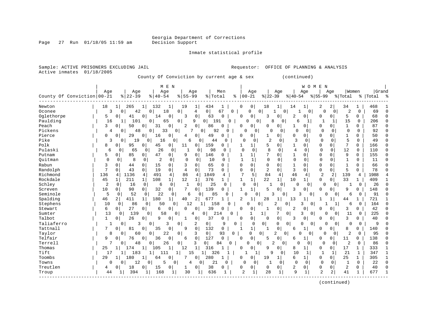Page 27 Run 01/18/05 11:59 am

Inmate statistical profile

| Active inmates               | 01/18/2005     |                       | County Of Conviction by current age & sex |                             |                      |                   |                              |                                  |                            | (continued)                   |                |                             |                         |           |              |
|------------------------------|----------------|-----------------------|-------------------------------------------|-----------------------------|----------------------|-------------------|------------------------------|----------------------------------|----------------------------|-------------------------------|----------------|-----------------------------|-------------------------|-----------|--------------|
|                              | Age            | Age                   |                                           | M E N<br>Age                | Age                  | Men               | Aqe                          |                                  | Aqe                        | W O M E<br>Aqe                | N<br>Aqe       |                             | Women                   | Grand     |              |
| County Of Conviction   00-21 |                | $8   22 - 39$         | $8   40 - 54$                             | ႜ                           | $55 - 99$            | % Total           | $ 00 - 21$<br>%              | $ 22-39$                         |                            | $ 40-54 $                     | $ 55-99$       | % Total                     |                         | %   Total |              |
| Newton                       | 18             | $\mathbf 1$<br>265    | $1\vert$<br>132                           | 19<br>1                     | 434<br>1             | 1                 | 0<br>0                       | 18                               | 14<br>1                    | $\mathbf{1}$                  | 2              | $\overline{a}$<br>34        | 1                       | 468       |              |
| Oconee                       | 3              | 0<br>42               | 0                                         | 18<br>0                     | 0<br>$\overline{4}$  | 67<br>$\mathbf 0$ | $\Omega$                     | $\mathbf 0$<br>1                 | 0                          | $\Omega$                      | 0              | 2<br>0                      | 0                       | 69        | $\Omega$     |
| Oglethorpe                   | 5              | 0<br>41               | 0<br>14                                   | 3<br>$\Omega$               | $\Omega$<br>63       | $\Omega$          | $\Omega$<br>$\Omega$         | 3                                | $\Omega$                   | $\overline{c}$<br>0           | $\Omega$       | 0<br>5                      | 0                       | 68        | n            |
| Paulding                     | 16             | 1<br>101              | 0                                         | 65<br>0                     | $\overline{0}$<br>9  | 191<br>$\Omega$   | 0                            | 8<br>$\mathbf{0}$                | 0                          | б<br>$\mathbf{1}$             | -1             | 15<br>1                     | 0                       | 206       | $\Omega$     |
| Peach                        | 3              | 50<br>0               | 0<br>31                                   | $\mathbf 0$<br>2            | $\mathbf 0$<br>86    | $\Omega$          | 0<br>U                       | $\Omega$                         | 0 <sup>1</sup>             | 1<br>0                        | $\Omega$       | $\mathbf{1}$<br>0           | $\Omega$                | 87        | C            |
| Pickens                      | 4              | 48<br>0               | 0                                         | 33<br>0                     | 7<br>0               | 92<br>O           | U                            | 0<br>$\Omega$                    | $\Omega$                   | $\cap$<br>0                   | $\Omega$       | 0<br>0                      | 0                       | 92        | $\cap$       |
| Pierce                       | $\Omega$       | 29<br>$\Omega$        | 0<br>16                                   | $\Omega$<br>4               | 49<br>$\Omega$       | $\Omega$          | 0<br>U                       | 1                                | $\Omega$                   | $\Omega$<br>0                 | $\Omega$       | $\mathbf{1}$<br>0           | $\Omega$                | 50        | $\Omega$     |
| Pike                         | 3              | 0<br>19               | 0<br>16                                   | 0                           | 0<br>6               | 0<br>44           | $\Omega$<br>0                | 2                                | $\Omega$                   | 3<br>$\Omega$                 | $\Omega$       | 5<br>0                      | $\Omega$                | 49        | $\cap$       |
| Polk                         | 8              | 0<br>95               | 45<br>0                                   | 0<br>11                     | 159<br>$\mathbf 0$   | 0                 | 1<br>1                       | 5                                | 0 <sup>1</sup>             | 1<br>0                        | $\mathbf 0$    | 7<br>0                      | 0                       | 166       | $\bigcap$    |
| Pulaski                      | 6              | 0<br>65               | 26<br>0                                   | $\circ$<br>$\mathbf{1}$     | 0                    | 98<br>0           | $\mathbf 0$<br>0             | 8                                | 0                          | 4<br>0                        | $\Omega$       | 12<br>0                     | $\mathbf 0$             | 110       | O            |
| Putnam                       | 5              | 85<br>$\Omega$        | 47<br>0                                   | 9<br>0                      | $\Omega$<br>146      | 0                 | 1<br>1                       | 7                                | $\Omega$                   | $\mathbf{1}$<br>0             | $\Omega$       | 9<br>0                      | 0                       | 155       | C            |
| Quitman                      | $\mathbf 0$    | $\circ$<br>8          | $\overline{c}$<br>0                       | $\mathbf 0$<br>$\mathbf 0$  | $\mathbf 0$          | 10<br>$\Omega$    | $\mathbf{1}$<br>$\mathbf{1}$ | $\mathbf{0}$                     | $\Omega$                   | $\mathbf 0$<br>0              | $\Omega$       | 0<br>$\mathbf{1}$           | $\Omega$                | 11        | $\Omega$     |
| Rabun                        | 3              | $\Omega$<br>44        | 15<br>0                                   | $\Omega$<br>3               | $\Omega$<br>65       | $\Omega$          | 0<br>O                       | $\Omega$                         | $\Omega$                   | $\mathbf{1}$<br>0             | $\mathbf 0$    | $\mathbf{1}$<br>0           | $\Omega$                | 66        | C            |
| Randolph                     | 7              | 43<br>$\Omega$        | $\mathbf 0$<br>19                         | $\mathbf 0$<br>4            | 73<br>$\Omega$       | $\Omega$          | 0<br>0                       | 2                                | $\mathbf 0$                | 3<br>$\Omega$                 | $\mathbf 0$    | $\mathbf 0$<br>5            | 0                       | 78        | $\Omega$     |
| Richmond                     | 136            | 1136<br>4             | 491<br>4                                  | 86<br>4                     | 1849<br>4            | 4                 | 7<br>5                       | 84                               | 4                          | 46<br>4                       | $\overline{2}$ | 2<br>139                    | 4                       | 1988      |              |
| Rockdale                     | 45             | 211<br>1              | $\mathbf{1}$<br>108                       | $\mathbf 1$<br>12           | $1\vert$<br>376      | 1                 | 1<br>1                       | 22                               | 10<br>$\mathbf{1}$         | $1\vert$                      | $\mathbf 0$    | 33<br>0                     | 1                       | 409       |              |
| Schley                       | $\overline{c}$ | $\mathbf 0$<br>16     | $\mathbf 0$<br>6                          | $\mathbf{1}$<br>$\mathbf 0$ | 0                    | 25<br>$\Omega$    | $\Omega$<br>$\mathbf{0}$     | $\mathbf{1}$                     | 0                          | $\mathbf 0$<br>$\Omega$       | 0              | 0                           | $\mathbf 0$<br>1        | 26        | $\Omega$     |
| Screven                      | 10             | $\Omega$<br>90        | $\overline{0}$<br>32                      | $\circ$<br>7                | 139<br>0             | $\Omega$          | $\mathbf{1}$<br>$\mathbf{1}$ | 5                                | 0                          | 3<br>$\Omega$                 | $\Omega$       | 0<br>9                      | $\Omega$                | 148       | C            |
| Seminole                     | 5              | 52<br>$\Omega$        | 22<br>0                                   | $\Omega$                    | 6<br>0               | 85<br>O           |                              | $\Omega$<br>3                    | $\Omega$                   | 3<br>$\Omega$                 | 0              | $\overline{0}$              | 6<br>$\Omega$           | 91        |              |
| Spalding                     | 46             | $\overline{2}$<br>411 | 1 <sup>1</sup><br>180                     | 40<br>1                     | 2<br>677             |                   | 2<br>1                       | 28                               | 13<br>1                    | 1                             | 1              | 1<br>44                     | 1                       | 721       |              |
| Stephens                     | 10             | 86<br>0               | 50<br>$\mathbf 0$                         | 0                           | 12<br>1 <sup>1</sup> | 158<br>$\Omega$   | U                            | 0                                | 2<br>0                     | 3<br>0                        | 1              | 1                           | 6<br>0                  | 164       | $\Omega$     |
| Stewart                      | 6              | 27<br>0               | $\overline{0}$<br>6                       | $\Omega$<br>0               | 39<br>0              | $\Omega$          | O<br>0                       |                                  | 0                          | $\overline{2}$<br>$\mathbf 0$ | O              | 0<br>3                      | 0                       | 42        | C            |
| Sumter                       | 13             | $\mathbf 0$<br>139    | 58<br>0                                   | 0                           | 4<br>$\Omega$        | 21<br>0<br>.4     | 1                            | $1\vert$                         | 7<br>$\overline{0}$        | 3<br>0                        | 0              | $\overline{0}$<br>11        | $\mathbf 0$             | 225       | U            |
| Talbot                       | $\mathbf{1}$   | 26<br>0               | 0<br>9                                    | 0<br>1                      | $\mathbf 0$<br>37    | $\Omega$          | 0<br>0                       | $\Omega$                         | 0 <sup>1</sup>             | 0<br>3                        | 0              | 3<br>0                      | 0                       | 40        | C            |
| Taliaferro                   | $\mathbf 1$    | 0                     | 3<br>0                                    | 3<br>0                      | 2<br>0               | 9                 | $\Omega$<br>$\mathbf 0$      | 0                                | $\Omega$<br>$\overline{0}$ | $\Omega$<br>$\Omega$          | $\Omega$       | $\overline{0}$              | $\mathbf 0$<br>$\Omega$ | 9         |              |
| Tattnall                     | 7              | $\Omega$<br>81        | 0<br>35                                   | $\mathbf 0$<br>9            | $\mathbf 0$<br>132   | 0                 | $\mathbf{1}$<br>1            |                                  | $\mathbf 0$                | 1<br>6                        | 0              | 8<br>0                      | 0                       | 140       | C            |
| Taylor                       | 8              | 0<br>60               | 0                                         | 22<br>0                     | 3<br>0               | 93<br>$\mathbf 0$ | 0                            | $\circ$                          | $\overline{2}$<br>0        | $\cap$<br>$\circ$             | $\Omega$       | $\overline{2}$<br>0         | 0                       | 95        |              |
| Telfair                      | 9              | 0<br>76               | 0<br>36                                   | 0<br>6                      | $\mathsf{O}$<br>127  | $\mathbf 0$       | 0<br>U                       | 5                                | 0 <sup>1</sup>             | 1<br>6                        | 0              | 0<br>11                     | 0                       | 138       |              |
| Terrell                      | 7              | 48<br>0               | 0                                         | 26<br>0                     | 3<br>$\overline{0}$  | 84<br>0           | $\Omega$                     | $\overline{0}$<br>$\overline{2}$ | 0                          | $\Omega$<br>0                 | $\Omega$       | $\overline{2}$<br>0         | $\Omega$                | 86        | O            |
| Thomas                       | 25             | 174<br>1              | 1<br>105                                  | 12<br>1                     | $\mathbf{1}$<br>316  |                   | $\Omega$<br>0                | 9                                | $\mathbf 0$                | 8<br>1                        | $\mathbf 0$    | 17<br>0                     | 1                       | 333       | -1           |
| Tift                         | 17             | 1<br>183              | 1                                         | $1\vert$<br>111             | 15<br>11             | 326<br>1          |                              | 9<br>1                           | $\Omega$                   | 10<br>1                       | 1              | 21<br>1                     | $\mathbf{1}$            | 347       | $\mathbf{1}$ |
| Toombs                       | 29             | 180<br>1              | 1<br>64                                   | $\mathbf 0$<br>7            | $\mathbf{0}$<br>280  |                   | 0<br>0                       | 19                               | $1\vert$                   | 6<br>$1\vert$                 | $\mathbf 0$    | $\overline{0}$<br>25        | $\mathbf{1}$            | 305       | $\mathbf{1}$ |
| Towns                        | 0              | 0<br>12               | $\overline{0}$                            | 5<br>0 <sup>1</sup>         | 4<br>0 <sup>1</sup>  | 21<br>0           | 0                            | $\mathbf{1}$<br>$\overline{0}$   | 0                          | $\mathbf 0$<br>$\mathbf 0$    | $\mathbf 0$    | $\mathbf 0$<br>$\mathbf{1}$ | $\mathbf 0$             | 22        | $\Omega$     |
| Treutlen                     | 4              | 0<br>18               | 0<br>15                                   | 0<br>1                      | 38<br>0              | 0                 | 0<br>0                       | 0                                | 0                          | $\overline{a}$<br>0           | $\mathbf 0$    | 2<br>0                      | 0                       | 40        | $\bigcap$    |
| Troup                        | 44             | 394<br>1              | 168                                       | 30<br>$\mathbf{1}$          |                      | 636<br>-1         | $\overline{c}$<br>1          | 28                               | $\mathbf{1}$               | 9<br>$\mathbf 1$              | $\overline{2}$ | $\overline{2}$<br>41        | $\mathbf{1}$            | 677       | $\mathbf{1}$ |
|                              |                |                       |                                           |                             |                      |                   |                              |                                  |                            |                               |                |                             |                         |           |              |

(continued)

Sample: ACTIVE PRISONERS EXCLUDING JAIL Requestor: OFFICE OF PLANNING & ANALYSIS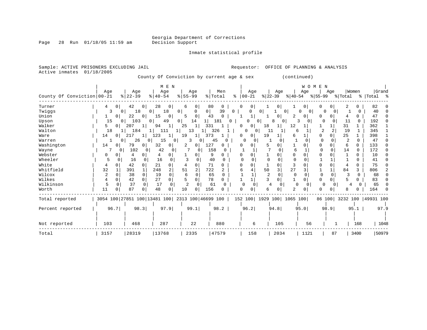Inmate statistical profile

| Sample: ACTIVE PRISONERS EXCLUDING JAIL |                                 |                                                                     |                                            |                                         |                                               | Requestor:                       | OFFICE OF PLANNING & ANALYSIS         |                                                                  |                                  |                         |                           |
|-----------------------------------------|---------------------------------|---------------------------------------------------------------------|--------------------------------------------|-----------------------------------------|-----------------------------------------------|----------------------------------|---------------------------------------|------------------------------------------------------------------|----------------------------------|-------------------------|---------------------------|
| Active inmates                          | 01/18/2005                      |                                                                     |                                            |                                         | County Of Conviction by current age & sex     |                                  |                                       | (continued)                                                      |                                  |                         |                           |
| County Of Conviction 00-21              | Aqe                             | Age<br>$ 22-39 $                                                    | M E N<br>Age<br>$8   40 - 54$              | Age<br>$8 55-99$                        | Men<br>% Total<br>៖                           | Aqe<br>$ 00-21 $                 | Aqe<br>$ 22 - 39 $<br>$ 40-54 $       | W O M E N<br>Aqe<br>୫∣55–99                                      | Aqe                              | Women<br>% Total        | Grand<br>%   Total %      |
| Turner<br>Twiggs<br>Union               | 0 <sup>1</sup><br>4<br>3<br>0 I | 42<br>0<br>18<br>$\Omega$<br>0 <sup>1</sup><br>22<br>$\overline{0}$ | 28<br>0<br>18<br>$\Omega$<br>15<br>0       | 6<br>0<br>0 <sup>1</sup><br>0<br>5<br>0 | 80<br>0<br>39<br>$\mathbf{0}$<br>43<br>$\cap$ | 0 <sup>1</sup><br>O<br>0         | 0<br>0 <sup>1</sup><br>0<br>2         | 0 <sup>1</sup><br>0<br>0<br>$\Omega$<br>$\Omega$<br><sup>0</sup> | 0<br>O<br>$\Omega$<br>0          | 0<br>$\Omega$<br>0      | 82<br>40<br>47            |
| Upson<br>Walker                         | 15<br>0                         | 103<br>0 <sup>1</sup><br>0  <br>207<br>$\mathbf{1}$                 | 49<br>0<br>94                              | 14<br>11<br>25<br>331                   | 181<br>0                                      | 0<br>18<br>0<br>0                | 8<br>$\Omega$<br>12<br>1              | 3<br>$\Omega$                                                    |                                  | 11<br>$\Omega$<br>31    | 192<br>362                |
| Walton<br>Ware                          | 18<br>14<br>0                   | 184<br>11<br>217<br>$1\vert$                                        | 111<br>1 <br>123<br>11                     | 13<br>19<br>373<br>11                   | 326                                           | 0<br>19<br>0<br>0                | 11<br>$\mathbf{1}$<br>6               | 6<br>0                                                           | 2<br>2<br>$\Omega$               | 19<br>1<br>25<br>1      | 345<br>398                |
| Warren<br>Washington                    | 14<br>0                         | 26<br>0 <sup>1</sup><br>$\overline{0}$<br>79<br>0 I                 | 15<br>0<br>32<br>0 <sup>1</sup>            | 3<br>0<br>127<br>2<br>0                 | 45<br>0<br>0                                  | <sup>0</sup><br>0<br>0<br>5<br>O | 0<br>0                                | 0<br>O<br>0                                                      | $\Omega$<br>$\Omega$             | 2<br>$\Omega$<br>6<br>0 | 47<br>133                 |
| Wayne<br>Webster                        | 0<br>0<br>0                     | 102<br>$\Omega$<br>4<br>0 <sup>1</sup>                              | 42<br>$\Omega$<br>$\Omega$                 | <sup>0</sup><br>0                       | 158<br><sup>0</sup><br>9                      | $\Omega$<br>0                    | 6<br>$\Omega$<br>$\Omega$<br>0        | $\Omega$<br>∩                                                    | $\Omega$                         | 14<br><sup>0</sup><br>U | 172<br>10                 |
| Wheeler<br>White                        | 5<br>U<br>$\Omega$<br>4         | 16<br>0<br>42<br>$\Omega$                                           | 16<br>$\Omega$<br>21<br>$\Omega$           | 0<br>4                                  | 40<br>$\Omega$<br>71<br><sup>n</sup>          | 0<br>$\Omega$<br>n<br>-1         | $\Omega$<br>$\Omega$<br>$\Omega$<br>0 | $\mathbf{1}$<br>O                                                | $\Omega$                         | $\Omega$<br>0           | 41<br>75                  |
| Whitfield<br>Wilcox                     | 32<br>2<br>0                    | 391<br>$1\vert$<br>38<br>$\overline{0}$                             | 248<br>$\overline{a}$<br>19<br>$\mathbf 0$ | 51<br>2<br>$\Omega$<br>6                | 722<br>2<br>65<br>$\Omega$                    | 50<br>6<br>4<br>1                | 3 <br>27<br>$\Omega$<br>2<br>0        | 3<br>O                                                           | $\Omega$<br>0                    | 84<br>3<br>$\Omega$     | 806<br>68                 |
| Wilkes<br>Wilkinson                     | $\Omega$<br>4<br>5              | 42<br>$\circ$<br>37<br>$\Omega$                                     | 27<br>$\Omega$<br>17<br>$\Omega$           | 0<br>5<br>$\mathcal{D}$                 | 78<br>61<br>$\Omega$                          | ζ<br>$\Omega$<br>O               | 0<br>$\Omega$                         | $\Omega$<br><sup>0</sup><br>$\Omega$<br><sup>0</sup>             | $\Omega$<br>$\Omega$<br>$\Omega$ | 5<br>0                  | 83<br>65                  |
| Worth                                   | 11<br>0                         | 87                                                                  | 48                                         | 156<br>10<br>0                          |                                               | $\Omega$<br>0<br>6               | 2<br>O                                | $\Omega$<br><sup>0</sup>                                         | $\Omega$                         |                         | 164                       |
| Total reported                          |                                 | 3054 100 27851 100 13481 100 2313 100 46699 100                     |                                            |                                         |                                               |                                  | 152 100   1929 100   1065 100         |                                                                  |                                  |                         | 86 100 3232 100 49931 100 |
| Percent reported                        | 96.7                            | 98.3                                                                | 97.9                                       | 99.1                                    | 98.2                                          | 96.2                             | 94.8                                  | 95.0                                                             | 98.9                             | 95.1                    | 97.9                      |
| Not reported                            | 103                             | 468                                                                 | 287                                        | 22                                      | 880                                           | 6                                | 105                                   | 56                                                               |                                  | 168                     | 1048                      |
| Total                                   | 3157                            | 28319                                                               | 13768                                      | 2335                                    | 47579                                         | 158                              | 2034                                  | 1121                                                             | 87                               | 3400                    | 50979                     |

Page 28 Run  $01/18/05$  11:59 am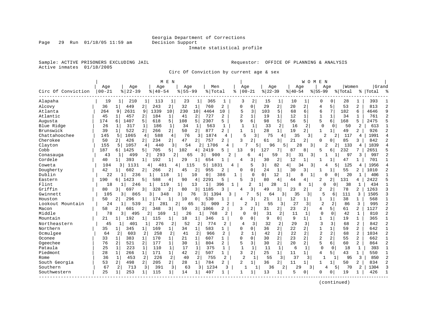Inmate statistical profile

Sample: ACTIVE PRISONERS EXCLUDING JAIL **Requestor:** OFFICE OF PLANNING & ANALYSIS Active inmates 01/18/2005

Circ Of Conviction by current age & sex

|                    |            |                       |                |                       | M E N          |           |                |             |                |              |                      |                |                |                | W O M E        | N              |                |         |                |           |  |
|--------------------|------------|-----------------------|----------------|-----------------------|----------------|-----------|----------------|-------------|----------------|--------------|----------------------|----------------|----------------|----------------|----------------|----------------|----------------|---------|----------------|-----------|--|
|                    | Age        |                       | Age            | Age                   |                | Age       |                | Men         |                |              | Age                  |                | Age            |                | Age            |                | Age            | Women   |                | Grand     |  |
| Circ Of Conviction | $ 00 - 21$ | $8   22 - 39$         |                | $\frac{1}{6}$   40-54 |                | $8 55-99$ |                | % Total     |                |              | $8   00 - 21$        | $ 22-39$       |                | $ 40-54$       |                | $8 55-99$      |                | % Total |                | %   Total |  |
| Alapaha            | 19         | 1                     | 210            | 113<br>1              | 1              | 23        | 1              | 365         | 1              | 3            | 2                    | 15             | 1              | 10             | 1              | <sup>0</sup>   | 0              | 28      | 1              | 393       |  |
| Alcovy             | 36         | 449<br>$1\vert$       | $\overline{2}$ | 243                   | $\overline{2}$ | 32        | $\mathbf{1}$   | 760         | 2              | 0            | 0                    | 29             | 2              | 20             | 2              | 4              | 5              | 53      | $\overline{a}$ | 813       |  |
| Atlanta            | 264        | 2631<br>9             | 9              | 1339                  | 10             | 230       | 10             | 4464        | 10             | 5            | 3                    | 103            | 5              | 68             | 6              | 6              | 7              | 182     | 6              | 4646      |  |
| Atlantic           | 45         | $\mathbf{1}$<br>457   | 2 <sup>1</sup> | 184                   | $\mathbf{1}$   | 41        | 2              | 727         | 2              |              | $\mathbf{1}$         | 19             | $\mathbf 1$    | 12             | 1              | $\mathbf 1$    | $\mathbf 1$    | 34      | $\mathbf{1}$   | 761       |  |
| Augusta            | 174        | 1407<br>6             | 5              | 618                   | 5              | 108       | 5              | 2307        | 5              | 9            | 6                    | 98             | 5              | 56             | 5 <sup>1</sup> | 5              | 6              | 168     | 5              | 2475      |  |
| Blue Ridge         | 26         | 317                   | 1              | 186                   | $\mathbf{1}$   | 34        | 1              | 563         |                | $\mathbf{1}$ |                      | 33             | 2              | 16             | 2              | $\Omega$       | 0              | 50      | 2              | 613       |  |
| Brunswick          | 39         | 522                   | 2 <sup>1</sup> | 266                   | 2 <sup>1</sup> | 50        | $\overline{2}$ | 877         | 2              | 1            | $\mathbf{1}$         | 28             | 1 <sup>1</sup> | 19             | 21             | $\mathbf{1}$   | $\mathbf{1}$   | 49      | 2              | 926       |  |
| Chattahoochee      | 145        | 5<br>1065             |                | 588<br>4              | 4              | 76        | 3              | 1874        | 4              |              | 5<br>3               | 75             | 4              | 35             | 3              | 2              | 2              | 117     | 4              | 1991      |  |
| Cherokee           | 50         | $\overline{2}$<br>426 | 2 <sup>1</sup> | 234                   | 2              | 47        | $\overline{2}$ | 757         | 2              | ς            | 2                    | 61             | 3 I            | 21             | $\overline{2}$ | $\Omega$       | $\overline{0}$ | 85      | 3              | 842       |  |
| Clayton            | 155        | 1057<br>5             |                | 440<br>4              | $\overline{3}$ | 54        | 2              | 1706        | 4              |              |                      | 96<br>51       |                | 5              | 28<br>3        |                | 2<br>2         | 133     | 4              | 1839      |  |
| Cobb               | 187        | 1425<br>б.            | 5              | 705                   | 51             | 102       | 4              | 2419        | 5              | 13           | 9                    | 127            | 7              | 87             | 8              | 5              | б.             | 232     | 7              | 2651      |  |
| Conasauga          | 43         |                       | 499            | 293                   | 2              | 65        |                | 3<br>900    |                |              | б                    | 4              | 59             | 3              | 31<br>3        |                |                | 97      | 3              | 997       |  |
| Cordele            | 40         | 393<br>1 <sup>1</sup> | 11             | 192                   | 1              | 29        | 1 <sup>1</sup> | 654         |                | 4            | 3                    | 30             | 2              | 12             | 1              |                |                | 47      | 1              | 701       |  |
| Coweta             | 104        | 3                     | 1131           | 481<br>4              |                | 4<br>115  |                | 5 I<br>1831 |                | 4            | 5                    | 3              | 82             | $\overline{4}$ | 34<br>3        |                | 5              | 125     | 4              | 1956      |  |
| Dougherty          | 42         | 602<br>$1\vert$       | 2 <sup>1</sup> | 266                   | 2              | 45        | 2              | 955         | 2              | 0            | 0                    | 24             | $\mathbf{1}$   | 30             | 3              |                |                | 55      | 2              | 1010      |  |
| Dublin             | 22         | 1                     | 236            | 1                     | 118            | 1         | 10             | 0           | 386            | 1            | 0                    | 0 <sup>1</sup> | 12             | $\mathbf{1}$   | 8<br>1         |                | $\cap$<br>0    | 20      | 1              | 406       |  |
| Eastern            | 190        | 1423<br>6             | 5 <sup>1</sup> | 588                   | 4              | 90        | 4              | 2291        | 5              | 5            | 3                    | 80             | 4              | 44             | 4              | 2              | 21             | 131     | 4              | 2422      |  |
| Flint              | 18         | 1                     | 246            | 1                     | 119            | 1         | 13             | 1           | 396            | 1            | 2                    | $1\vert$       | 28             | $\mathbf{1}$   | 8              | U              | $\Omega$       | 38      | 1              | 434       |  |
| Griffin            | 80         | 697<br>3              | 3 <sup>1</sup> | 328                   | 2              | 80        | 3              | 1185        | 3              | 4            | 3                    | 49             | 3              | 23             | $\overline{2}$ | 2              | 21             | 78      | 2              | 1263      |  |
| Gwinnett           | 105        | 3                     | 865            | 3                     | 348            | 3         | 76             | 3<br>1394   |                |              |                      | 5<br>64        | $\overline{3}$ | 35             | 3              | 5              | 6              | 111     | 3              | 1505      |  |
| Houston            | 50         | 296<br>2              | $\mathbf 1$    | 174                   | $\mathbf{1}$   | 10        | $\circ$        | 530         | $\mathbf{1}$   | 4            | 3                    | 21             | 1              | 12             | $1\vert$       | 1              | $\mathbf{1}$   | 38      | $\mathbf{1}$   | 568       |  |
| Lookout Mountain   | 24         | 1                     | 539            | 2<br>281              |                | 2         | 65             | 3<br>909    | 2              |              | $\overline{a}$       | 55             | 3              | 27             | 3              | 2              | 2              | 86      | 3              | 995       |  |
| Macon              | 58         | 2<br>601              | 21             | 348                   | 3              | 59        | 3 I            | 1066        | 2              | 3            | 2                    | 31             | 2              | 23             | $2\vert$       | 4              | 5              | 61      | 2              | 1127      |  |
| Middle             | 78         | 3                     | 495            | 2<br>169              | $\mathbf{1}$   | 26        | 1              | 768         | 2              |              | $\Omega$<br>$\Omega$ | 31             | 2              | 11             | 1              | 0              | $\Omega$       | 42      | 1              | 810       |  |
| Mountain           | 21         | 192                   |                | 115                   | 1              | 18        | 1              | 346         |                | 0            | 0                    | 9              | $\Omega$       | 9              | $\mathbf{1}$   | 1              | 1              | 19      | $\mathbf{1}$   | 365       |  |
| Northeastern       | 45         | 1                     | 401            | 276<br>1              | 2              | 52        | $\overline{2}$ | 774         | $\overline{2}$ | 4            | 3                    | 32             | 2              | 29             | 3              | 3              | 3              | 68      | $\overline{a}$ | 842       |  |
| Northern           | 35         | 345<br>$1\vert$       | 1 <sup>1</sup> | 169                   | 1              | 34        | $1\vert$       | 583         | 1              | $\Omega$     | $\Omega$             | 36             | 2 <sup>1</sup> | 22             | $\overline{2}$ | $\mathbf{1}$   | $\mathbf{1}$   | 59      | $\overline{a}$ | 642       |  |
| Ocmulgee           | 64         | 2                     | 603            | 258<br>2              | 2              | 41        | 2              | 966         | 2              | 2            | 1                    | 42             | 2              | 22             | 2              | 2              | 2              | 68      | $\overline{2}$ | 1034      |  |
| Oconee             | 33         | $\mathbf{1}$<br>383   | $\mathbf 1$    | 170                   | 1              | 21        | $\mathbf{1}$   | 607         | 1              | $\Omega$     | 0                    | 30             | 2              | 23             | 2              | $\overline{2}$ | $\overline{a}$ | 55      | 2              | 662       |  |
| Ogeechee           | 76         | $\overline{a}$<br>521 | 2              | 177                   | $\mathbf 1$    | 30        | $\mathbf{1}$   | 804         | 2              | 5            | 3                    | 30             | $\overline{2}$ | 20             | $\overline{2}$ | 5              | 6              | 60      | $\overline{2}$ | 864       |  |
| Pataula            | 25         | 223<br>1              | $\mathbf{1}$   | 110                   | $\mathbf 1$    | 17        | 1              | 375         | 1              | 1            | $\mathbf{1}$         | 11             | $\mathbf{1}$   | 6              | 1              | $\mathbf 0$    | $\mathbf 0$    | 18      | $\mathbf{1}$   | 393       |  |
| Piedmont           | 28         | $\mathbf{1}$<br>266   | $\mathbf{1}$   | 171                   | 1              | 42        | $\overline{2}$ | 507         | $\mathbf{1}$   | 3            | 2 <sup>1</sup>       | 25             | $1\vert$       | 11             | 1              | 4              | 5 <sup>1</sup> | 43      | 1              | 550       |  |
| Rome               | 36         | 1                     | 453            | 226<br>2              | $\overline{2}$ | 40        | 2              | 755         | 2              |              | $\overline{2}$<br>1  | 55             | 3              | 37             | 3 I            | 1              | 1              | 95      | 3              | 850       |  |
| South Georgia      | 53         | $\overline{2}$<br>498 | $\overline{2}$ | 205                   | 2              | 28        | 11             | 784         | 2              | 2            | $\mathbf{1}$         | 36             | 2 <sup>1</sup> | 11             | $\mathbf{1}$   |                |                | 50      | 2              | 834       |  |
| Southern           | 67         | 2                     | 713            | 391<br>3              | 3              | 63        | 3              | 1234        | 3              |              |                      | 36<br>1        | $\overline{2}$ | 29             | 3              |                | 5<br>4         | 70      | 2              | 1304      |  |
| Southwestern       | 25         | 253<br>$\mathbf{1}$   | 1              | 115                   | 1 <sup>1</sup> | 14        | 1 <sup>1</sup> | 407         |                | 1            | 1                    | 13             | 1              | 5              | 0              | <sup>0</sup>   | 0              | 19      |                | 426       |  |
|                    |            |                       |                |                       |                |           |                |             |                |              |                      |                |                |                |                |                |                |         |                |           |  |

(continued)

Page 29 Run 01/18/05 11:59 am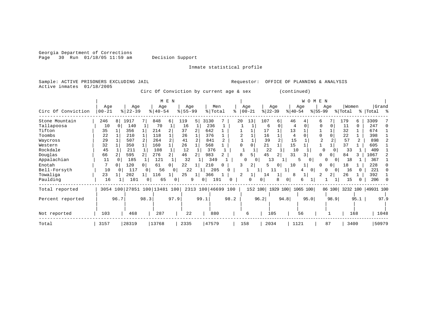Georgia Department of Corrections Page 30 Run 01/18/05 11:59 am Decision Support

#### Inmate statistical profile

Sample: ACTIVE PRISONERS EXCLUDING JAIL **Requestor:** OFFICE OF PLANNING & ANALYSIS Active inmates 01/18/2005

Circ Of Conviction by current age & sex (continued)

|                    |           |                        |                              | M E N          |           |                    |                |              |                   | W O M E N         |                |           |
|--------------------|-----------|------------------------|------------------------------|----------------|-----------|--------------------|----------------|--------------|-------------------|-------------------|----------------|-----------|
|                    | Age       | Age                    | Age                          |                | Age       | Men                | Age            | Age          | Age               | Age               | Women          | Grand     |
| Circ Of Conviction | $00 - 21$ | $ 22-39$               | $8   40 - 54$                |                | $8 55-99$ | % Total<br>°       | $00 - 21$      | $ 22-39 $    | $ 40-54 $         | $ 55-99 $         | % Total        | %   Total |
| Stone Mountain     | 246       | 1917<br>8 <sup>1</sup> | 848                          | 119<br>б.      | 5         | 3130               | 13<br>20       | 107<br>6     | 46<br>4           | 7<br>6            | 179<br>6       | 3309      |
| Tallapoosa         | 10        | 140<br><sup>o</sup>    | 70                           |                | 16        | 236                |                | 6<br>O       | 4                 | $\Omega$          | 11<br>$\Omega$ | 247       |
| Tifton             | 35        | 356                    | 214                          | 37             | 2         | 642                |                | 17           | 13                |                   | 32             | 674       |
| Toombs             | 22        | 210                    | 118                          |                | 26        | 376                | $\overline{a}$ | 16           | 4                 | 0                 | 22             | 398       |
| Waycross           | 29        | 507                    | 264                          |                | 41        | 841                |                | 39           | 15                |                   | 57             | 898<br>2  |
| Western            | 32        | 350                    | 160                          | 26             |           | 568                | $\cap$<br>0    | 21           | 15                |                   | 37             | 605       |
| Rockdale           | 45        | 211                    | 108                          |                | 12        | 376                |                | 22           | 10                | O                 | 33             | 409       |
| Douglas            | 66        | 595                    | $\overline{2}$<br>276        | 46             | 2         | 983                | 8              | 45           | 31<br>3           | $\Omega$          | 84             | 1067      |
| Appalachian        | 11        | 185                    | 121                          |                | 32        | 349                | 0              | 13           | 0                 | O<br>$\Omega$     | 18             | 367       |
| Enotah             |           | 120<br>0               | 61<br>$\Omega$               |                | 22        | 210<br>0           | 2              |              | 10<br>T           | 0<br><sup>0</sup> | 18             | 228       |
| Bell-Forsyth       | 10        | 117<br>n               | 56<br>$\Omega$               | $\overline{0}$ | 22        | 205                |                | 11           | $\overline{0}$    | 0<br>0            | 16             | 221       |
| Towaliga           | 23        | 202                    | 116                          | 25             | 1         | 366                |                | 14           | 8                 | 2                 | 26             | 392       |
| Paulding           | 16        | 101                    | 65<br>$\Omega$               | 0              | 9<br>0    | 191                |                | 0            |                   |                   | 15             | 206       |
| Total reported     |           |                        | 3054 100 27851 100 13481 100 |                |           | 2313 100 46699 100 | 152 100        |              | 1929 100 1065 100 | 86 100            | 3232 100       | 49931 100 |
| Percent reported   |           | 96.7                   | 98.3                         | 97.9           | 99.1      | 98.2               |                | 96.2<br>94.8 | 95.0              | 98.9              | 95.1           | 97.9      |
|                    |           |                        |                              |                |           |                    |                |              |                   |                   |                |           |
| Not reported       | 103       | 468                    | 287                          |                | 22        | 880                | 6              | 105          | 56                |                   | 168            | 1048      |
| Total              | 3157      | 28319                  | 13768                        |                | 2335      | 47579              | 158            | 2034         | 1121              | 87                | 3400           | 50979     |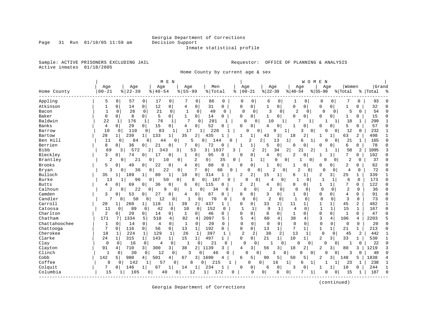Inmate statistical profile

Sample: ACTIVE PRISONERS EXCLUDING JAIL **Requestor:** OFFICE OF PLANNING & ANALYSIS Active inmates 01/18/2005

Home County by current age & sex

|               |                |                      | M E N                           |                          |                        |              |                      |                      |                      | WOMEN                      |                       |              |           |
|---------------|----------------|----------------------|---------------------------------|--------------------------|------------------------|--------------|----------------------|----------------------|----------------------|----------------------------|-----------------------|--------------|-----------|
|               | Age            | Age                  | Age                             | Age                      | Men                    |              | Age                  | Age                  | Age                  | Age                        | Women                 |              | Grand     |
| Home County   | $00 - 21$      | $8   22 - 39$        | $8   40 - 54$                   | $8 55-99$                | %   Total              | ႜ            | $00 - 21$            | $ 22-39$             | $8 40-54$            | $8 55-99$                  | % Total               |              | %   Total |
| Appling       | 5              | 0<br>57              | 0<br>17<br>0                    | 7<br>0                   | 86<br>0                |              | 0<br><sup>0</sup>    | 0<br>6               | 1                    | 0<br>0                     | 7<br>0                | $\Omega$     | 93        |
| Atkinson      |                | 0<br>14              | 12<br>0<br>0                    | 4<br>0 <sup>1</sup>      | 31<br>0                |              | 0<br>0               | 1<br>0               | 0<br>0 <sup>1</sup>  | 0                          | 0<br>1                | 0            | 32        |
| Bacon         | 1              | 26<br>0              | 21<br>$\mathbf 0$<br>0          | 1<br>0                   | 49<br>$\Omega$         |              | 0<br>0               | 3                    | 0<br>2               | 0<br>0                     | $\Omega$<br>5         | 0            | 54        |
| Baker         | 0              | 0<br>8               | 0<br>5<br>0                     | 1<br>0 <sup>1</sup>      | 14<br>0                | 0            | 0                    | $\overline{0}$       | 0<br>0               | 0                          | 0 <sup>1</sup><br>1   | 0            | 15        |
| Baldwin       | 22             | 176<br>1             | 76<br>1<br>1                    | 7<br>$\Omega$            | 281                    | $\mathbf{1}$ | $\cap$<br>0          | 10                   | 7<br>1               |                            | 18                    | -1           | 299       |
| Banks         | 4              | 29<br>0              | 15<br>0<br>0                    | 4<br>0                   | 52<br>$\Omega$         | Ω            | 0                    | 4<br>0               |                      | $\Omega$                   | 5<br>0                | 0            | 57        |
| Barrow        | 10             | $\Omega$<br>110      | 83<br>0                         | 17                       | 220<br>1 <sup>1</sup>  |              | $\cap$<br>$\Omega$   | q                    | 3                    | $\Omega$<br>$\cap$         | 12<br>$\Omega$        | 0            | 232       |
| Bartow        | 28             | 239<br>$1\vert$      | 133<br>1                        | 35<br>2                  | 435                    |              | 1                    | 3<br>43              | 2<br>18              |                            | 63<br>1               | 2            | 498       |
| Ben Hill      | 11             | 84<br>0              | 0<br>44                         | 5<br>$\mathbf{0}$        | $\Omega$<br>144        | U            | $\overline{2}$       | 2 <sub>1</sub><br>13 | 6<br>1               | $\mathbf{1}$<br>$\Omega$   | 21<br>0 <sup>1</sup>  | 1            | 165       |
| Berrien       | 8              | 36<br>$\Omega$       | 21<br>0<br>0                    | 7<br>0                   | 72<br>0                | -1           | 1                    | $\mathbf 0$          | $\Omega$<br>0        | ∩                          | 6<br>0                | 0            | 78        |
| <b>Bibb</b>   | 69             | 572<br>3             | $\overline{2}$<br>343           | 53<br>3                  | 3 <sup>1</sup><br>1037 | 3            | 2                    | $\overline{2}$<br>34 | 21<br>2              | 2                          | 58<br>1               | 2            | 1095      |
| Bleckley      | 3              | 74<br>0              | 17<br>0<br>0                    | 0<br>1                   | 95<br>0                | Ω            | 0                    | $\Omega$<br>4        | 2<br>0               | -1                         | 7                     | 0            | 102       |
| Brantley      | $\overline{2}$ | 21<br>$\overline{0}$ | 10<br>0                         | 2<br>0                   | 0<br>35                | 0            | $\mathbf{1}$         | 1<br>0               | 0                    | 0<br>$\cap$                | 2<br>0                | 0            | 37        |
| <b>Brooks</b> | 5              | 49<br>$\Omega$       | $\Omega$<br>22<br>0             | $\mathbf 0$<br>4         | 80<br>0                | U            | 0                    | $\mathbf 0$          | 0<br>1               | $\Omega$                   | $\overline{0}$<br>2   | 0            | 82        |
| Bryan         | 3              | 36<br>0              | 22<br>$\mathbf 0$               | 7<br>$\mathbf 0$         | $\overline{0}$<br>68   | $\Omega$     | $\Omega$             | 2<br>0               | $\overline{2}$<br>0  | $\Omega$<br>0 <sub>1</sub> | 0<br>4                | $\mathbf 0$  | 72        |
| Bulloch       | 35             | 189<br>$1\vert$      | 80<br>1                         | $\overline{0}$<br>10     | 314<br>-1              |              | 2<br>2               | 15<br>1              | 6<br>$\mathbf{1}$    | $\overline{2}$             | 25<br>31              | 1            | 339       |
| Burke         | 13             | 96                   | 50<br>0                         | 8<br>0                   | 0 <sup>1</sup><br>167  | $\Omega$     | በ<br>0               |                      | 0                    | 0                          | 6                     | 0            | 173       |
| <b>Butts</b>  | 4              | 69<br>$\Omega$       | 36<br>0<br>$\Omega$             | $\Omega$<br>6            | 115<br>0               | 2            | 2                    | $\Omega$<br>4        | 0<br>0               | 1                          | 7<br>1                | 0            | 122       |
| Calhoun       | 2              | 22<br>0              | 9<br>$\overline{0}$             | 0<br>1                   | 34<br>0                | $\cap$       | $\Omega$<br>$\Omega$ | 2                    | $\Omega$<br>$\Omega$ | 0<br>0                     | 2<br>$\Omega$         | $\Omega$     | 36        |
| Camden        | 3              | 53<br>0              | 27<br>0<br>0                    | 0<br>4                   | 87<br>0                | 0            | 0                    | 3<br>0               | 1<br>0               | 0                          | 0<br>4                | 0            | 91        |
| Candler       | 7              | 50<br>0              | 12<br>0                         | 1<br>0<br>0              | 70                     |              | $\Omega$<br>0        | $\overline{2}$       | $\mathbf{1}$<br>0    | $\Omega$<br>$\Omega$       | 3<br>0                | $\Omega$     | 73        |
| Carroll       | 20             | 260<br>$1\vert$      | 118<br>$\mathbf{1}$<br>1        | 2 <br>39                 | 437<br>1               | 0            | 0                    | 33<br>2              | 11<br>1              | $\mathbf{1}$               | 45<br>1               | 2            | 482       |
| Catoosa       | 11             | 89<br>$\Omega$       | 42<br>0<br>0                    | 10<br>0                  | 152<br>$\Omega$        |              | $\mathbf{1}$<br>1    | 9<br>1               | $\overline{4}$<br>0  | $\overline{1}$             | $\mathbf{1}$<br>15    | 1            | 167       |
| Charlton      | 2              | 29<br>0              | 14<br>0<br>0                    | 1<br>$\Omega$            | 46<br>0                | 0            | 0                    | $\Omega$<br>$\Omega$ | 1<br>$\Omega$        | $\Omega$                   | 0<br>$\mathbf{1}$     | $\Omega$     | 47        |
| Chatham       | 171            | 1334                 | 5<br>510<br>$\overline{4}$      | 82<br>4                  | 2097<br>5              | 5            | $\overline{4}$       | 60<br>4              | 38<br>4              | 3                          | $\overline{4}$<br>106 | 4            | 2203      |
| Chattahoochee | $\mathbf{1}$   | $\Omega$<br>14       | 0<br>0<br>4                     | $\Omega$<br>1            | 20<br>0                | $\Omega$     | $\mathbf 0$          | $\Omega$<br>0        | $\Omega$<br>$\Omega$ | $\Omega$                   | 0<br>$\mathbf 0$      | $\Omega$     | 20        |
| Chattooga     | 7              | $\Omega$<br>116      | 56<br>0<br>$\Omega$             | 13<br>$\mathbf{1}$       | 192<br>0               | 0            | 0                    | 13<br>$\mathbf 1$    | 7<br>$\mathbf{1}$    | $\mathbf{1}$               | $\mathbf{1}$<br>21    | $\mathbf{1}$ | 213       |
| Cherokee      | 18             | 224                  | 129<br>$\mathbf{1}$<br>1        | 26<br>1                  | 397<br>1               |              | $\overline{2}$<br>2  | 30                   | 13<br>2              | $\mathbf 0$<br>1           | 45<br>0               | 2            | 442       |
| Clarke        | 24             | 315<br>$\mathbf{1}$  | 143<br>$1\vert$<br>$\mathbf{1}$ | 15<br>$1\vert$           | 497<br>$\mathbf{1}$    | 0            | 0                    | 21<br>1              | 10<br>1              | 2                          | 3<br>33               | 1            | 530       |
| Clay          | $\mathbf 0$    | 0<br>16              | $\mathbf 0$<br>$\mathbf 0$<br>4 | $\mathbf{1}$<br>$\Omega$ | 21                     | $\Omega$     | O<br>$\Omega$        |                      | 0<br>U               | $\Omega$<br>$\Omega$       | 0 <sup>1</sup><br>1   | $\Omega$     | 22        |
| Clayton       | 91             | 710<br>4             | 3<br>3<br>300                   | 38<br>$\overline{2}$     | 1139<br>3              | 4            | 3                    | 56<br>3              | 18<br>2              | 2                          | $\overline{3}$<br>80  | 3            | 1219      |
| Clinch        | 1              | 30<br>0              | 12<br>0                         | 3<br>0<br>0              | 46                     | U            | 0                    | 3                    | 0<br>U               | 0<br>$\cap$                | 3<br>0                | $\Omega$     | 49        |
| Cobb          | 142            | 980<br>5             | 501<br>4<br>4                   | 3 l<br>67                | 1690<br>4              | 6            | 5                    | 90<br>5              | 50<br>5              | 2                          | 3<br>148              | 5            | 1838      |
| Coffee        | 8              | 142<br>0             | 57                              | 8<br>0                   | 0<br>215               |              | U                    | 0<br>16              | 1<br>6               | 1                          | 23                    |              | 238       |
| Colquit       | 7              | 146<br>0             | 67<br>1                         | 14<br>$\mathbf 1$        | 234                    | 0            | 0                    | 0<br>6               | 3<br><sup>0</sup>    |                            | 10                    | 0            | 244       |
| Columbia      | 15             | 105<br>1             | 0<br>40                         | 0<br>12                  | 172<br>$1\vert$        | 0            | $\Omega$             | 8<br>0 <sup>1</sup>  | 0                    | 1                          | 15<br>0               |              | 187       |
|               |                |                      |                                 |                          |                        |              |                      |                      |                      |                            |                       |              |           |

(continued)

Georgia Department of Corrections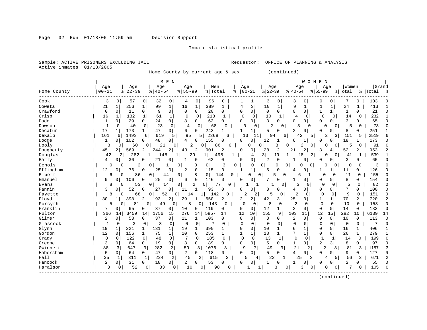#### Inmate statistical profile

Sample: ACTIVE PRISONERS EXCLUDING JAIL **Requestor:** OFFICE OF PLANNING & ANALYSIS Active inmates 01/18/2005

Home County by current age & sex (continued)

|             |              |             |                |                |               | M E N          |                |                |              |          |          |             |                     |                |                |                |                     | WOMEN          |                      |                |                |           |           |
|-------------|--------------|-------------|----------------|----------------|---------------|----------------|----------------|----------------|--------------|----------|----------|-------------|---------------------|----------------|----------------|----------------|---------------------|----------------|----------------------|----------------|----------------|-----------|-----------|
|             | Age          |             | Age            |                | Age           |                | Age            |                | Men          |          |          | Age         |                     | Age            |                |                | Age                 |                | Age                  | Women          |                | Grand     |           |
| Home County | $00 - 21$    |             | $ 22-39$       |                | $8   40 - 54$ |                | $8 55-99$      |                | % Total      |          | ိ        | $00 - 21$   |                     | $ 22-39$       |                | $8 40-54$      |                     | $8 55-99$      |                      | % Total        |                | %   Total |           |
| Cook        | 3            | 0           | 57             | 0              | 32            | $\mathbf 0$    | 4              | 0              | 96           | 0        |          | 1           | 1                   | 3              | 0              | 3              | 0                   | 0              | 0                    |                | 0              | 103       |           |
| Coweta      | 21           |             | 253            | 1              | 99            | $\mathbf{1}$   | 16             | 1              | 389          | 1        |          | 4           | 3                   | 10             | 1              | 9              | 1                   | 1              | $\mathbf{1}$         | 24             | 1              | 413       |           |
| Crawford    | $\mathbf 0$  | 0           | 11             | 0              | 9             | $\mathbf 0$    | $\mathbf 0$    | 0              | 20           | 0        |          | 0           | 0                   | $\mathbf 0$    | $\Omega$       | $\Omega$       | $\Omega$            | $\mathbf{1}$   | $\mathbf{1}$         | $\mathbf{1}$   | 0              | 21        |           |
| Crisp       | 16           | 1           | 132            | 1              | 61            | $\mathbf 1$    | 9              | $\mathbf 0$    | 218          | 1        |          | $\mathbf 0$ | $\mathbf 0$         | 10             | 1              | 4              | $\Omega$            | $\mathbf 0$    | 0                    | 14             | $\mathbf 0$    | 232       |           |
| Dade        | 1            | 0           | 29             | 0              | 24            | $\overline{0}$ | 8              | $\Omega$       | 62           | $\Omega$ |          | U           | 0                   | 3              | 0 <sup>1</sup> | $\Omega$       | $\Omega$            | $\mathbf 0$    | 0                    | 3              | 0              | 65        |           |
| Dawson      | $\mathbf{1}$ | $\Omega$    | 40             | $\Omega$       | 23            | $\Omega$       | 4              | $\Omega$       | 68           | $\Omega$ |          | $\Omega$    | $\Omega$            | $\overline{2}$ | $\Omega$       | 3              | $\Omega$            |                | $\Omega$<br>0        | 5              | $\Omega$       | 73        |           |
| Decatur     | 17           | 1           | 173            | $\mathbf{1}$   | 47            | 0              | 6              | $\overline{0}$ | 243          | 1        |          | 1           | $\mathbf{1}$        | 5              | 0              | $\overline{2}$ | 0                   | $\Omega$       | 0                    | 8              | 0              | 251       |           |
| DeKalb      | 161          | 6           | 1493           | 6              | 619           | 5              | 95             |                | 2368<br>5 I  | 6        |          | 13          | 11                  | 94             | 6              |                | 42                  | 5              | $\overline{a}$<br>3  | 151            | 5              | 2519      |           |
| Dodge       | 1            | 0           | 102            | 0              | 48            | 0              | 4              | $\Omega$       | 155          | $\Omega$ |          | U           | 0                   | 12             |                | 6              | $\mathbf{1}$        | $\Omega$       | 0                    | 18             | $\mathbf{1}$   | 173       |           |
| Dooly       | 3            | $\Omega$    | 60             | $\Omega$       | 21            | $\Omega$       |                | 2              | 0            | 86       | $\Omega$ |             | <sup>0</sup>        | $\Omega$       | 3              | $\overline{0}$ | 2                   | $\Omega$       | $\Omega$<br>$\Omega$ | 5              | $\Omega$       | 91        |           |
| Dougherty   | 45           | 21          | 569            | $\overline{2}$ | 244           | 2              | 43             | 2              | 901          | 2        |          | 0           | 0                   | 28             | 2              | 21             | 2                   | 3              | 4                    | 52             | 2              | 953       |           |
| Douglas     | 42           | 2           | 282            | 1              | 145           |                | 1              | 29             | $\mathbf{1}$ | 498      |          |             | 4                   | 3              | 19             | $\mathbf{1}$   | 18                  | 2              | 0<br>0               | 41             | 1              | 539       |           |
| Early       | 4            | $\Omega$    | 36             | 0              | 21            | 0              | 1              | 0              | 62           | $\Omega$ |          | $\Omega$    | 0                   | 2              | 0              | 1              | 0                   | $\Omega$       | 0                    | 3              | 0              | 65        |           |
| Echols      | $\mathbf 0$  | 0           | $\overline{2}$ | 0              |               | 1              | 0              | $\Omega$       | 0            | 3        | 0        |             | 0                   | $\Omega$       | $\Omega$       | 0              | $\Omega$<br>0       |                | 0<br>$\Omega$        | 0              | $\Omega$       | 3         |           |
| Effingham   | 12           | 0           | 76             | 0              | 25            | $\Omega$       | $\overline{2}$ | $\mathbf 0$    | 115          | 0        |          | 1           | $\mathbf{1}$        | 5              | $\mathbf 0$    | 4              | 0                   | -1             | 1                    | 11             | 0              | 126       |           |
| Elbert      | 6            | 0           | 86             | 0              |               | 44             | 0              | 8              | $\Omega$     | 144      | $\Omega$ |             | $\Omega$<br>$\circ$ |                | 0<br>5         |                | 6<br>1 <sup>1</sup> | 0              | 0                    | 11             | $\Omega$       | 155       |           |
| Emanuel     | 9            | 0           | 106            | 0              | 25            | 0              | 6              | $\mathbf 0$    | 146          | $\Omega$ |          | O           | 0                   | 7              | $\mathbf 0$    | 1              | 0                   | $\Omega$       | 0                    | 8              | 0              | 154       |           |
| Evans       | 8            | $\Omega$    | 53             | 0              |               | 14             | 0              | 2              | $\Omega$     | 0        |          |             | 1 <sup>1</sup>      | 1              | $\Omega$       | २              | 0                   | $\Omega$       | 0                    | $\overline{2}$ | $\Omega$       | 82        |           |
| Fannin      | 3            | 0           | 52             | 0              | 27            | $\mathbf 0$    | 11             | $\mathbf{1}$   | 93           | $\Omega$ |          | U           | 0                   | 3              | $\overline{0}$ | 4              | 0                   | $\mathbf 0$    | 0                    | 7              | 0              | 100       |           |
| Fayette     | 8            | 0           | 68             | 0              | 52            |                | 0<br>14        |                | 142          | U        |          | 2           | 2                   | 5              | 0              | $\overline{c}$ | $\Omega$            | 0              | $\Omega$             | 9              | $\Omega$       | 151       |           |
| Floyd       | 30           | 1           | 398            | 2              | 193           | 2              | 29             | $\mathbf{1}$   | 650          | 2        |          | 2           | 2                   | 42             | 3              | 25             | $\overline{3}$      | 1              | 1                    | 70             | $\overline{a}$ | 720       |           |
| Forsyth     | 5            | 0           | 81             | 0              | 49            | 0              | 8              | 0              | 143          | 0        |          | $\Omega$    | $\mathbf 0$         | 8              | 0              | $\overline{2}$ | $\Omega$            | $\mathbf 0$    | $\mathbf 0$          | 10             | $\Omega$       | 153       | O         |
| Franklin    | 7            | 0           | 65             | 0              | 37            | 0              | 10             | 0              | 119          | 0        |          | 0           | 0                   | 12             | $\mathbf{1}$   | $\overline{2}$ | 0                   | 0              | 0                    | 14             | $\Omega$       | 133       | $\bigcap$ |
| Fulton      | 366          | 14          | 3459           | 14             | 1756          | 15             | 276            | 14             | 5857         | 14       |          | 12          | 10                  | 155            | 9              | 103            | 11                  | 12             | 15                   | 282            | 10             | 6139      | 14        |
| Gilmer      | 2            | 0           | 53             | 0              | 37            | $\mathbf 0$    | 11             | 1              | 103          | 0        |          | 0           | 0                   | 8              | $\Omega$       | $\overline{2}$ | $\Omega$            | $\mathbf 0$    | 0                    | 10             | $\Omega$       | 113       | C         |
| Glascock    | $\mathbf{1}$ | $\Omega$    | 3              | $\Omega$       | κ             | 0              | $\Omega$       | $\Omega$       | 7            | 0        |          | $\Omega$    | $\Omega$            | $\Omega$       | O              | $\Omega$       | $\Omega$            | $\Omega$       | $\Omega$             | $\Omega$       | $\Omega$       | 7         |           |
| Glynn       | 19           | 1           | 221            | 1              | 131           | $\mathbf{1}$   | 19             | 1              | 390          |          |          | 0           | 0                   | 10             | $\mathbf{1}$   | 6              | $\mathbf{1}$        | $\mathbf 0$    | 0                    | 16             | $\mathbf{1}$   | 406       |           |
| Gordon      | 12           | $\Omega$    | 156            | $\mathbf 1$    | 75            | $\mathbf{1}$   | 10             | $\mathbf 0$    | 253          | 1        |          | 1           | 1                   | 18             | $\mathbf{1}$   | 7              | $\mathbf{1}$        | $\mathbf 0$    | 0                    | 26             | $\mathbf 1$    | 279       |           |
| Grady       | 8            | 0           | 122            | $\mathbf 0$    | 48            | 0              | 7              | 0              | 185          | $\Omega$ |          | $\Omega$    | $\mathbf 0$         | 13             | 1              | $\mathbf 0$    | 0                   | $\mathbf{1}$   | 1                    | 14             | 0              | 199       |           |
| Greene      | 3            | $\Omega$    | 64             | $\Omega$       | 19            | $\mathbf{0}$   | 3              | $\Omega$       | 89           | $\Omega$ |          | O           | $\Omega$            | 5              | $\Omega$       | $\mathbf{1}$   | 0                   | $\overline{a}$ | 3                    | 8              | $\Omega$       | 97        |           |
| Gwinnett    | 88           | 3           | 647            | 3              | 282           | 2              | 59             | 3              | 1076         | 3        |          | 9           | 7                   | 49             | 3              | 21             | 2 <sup>1</sup>      | $\overline{2}$ | 3                    | 81             | 3              | 1157      |           |
| Habersham   | 5            | $\Omega$    | 64             | 0              | 47            | 0              | 2              | $\Omega$       | 118          | $\Omega$ |          | $\Omega$    | 0                   | 5              | 0              | 4              | O                   | $\Omega$       | 0                    | 9              | 0              | 127       |           |
| Hall        | 35           | 1           | 311            | 1              | 224           | 2              | 45             | 2              | 615          | 2        |          |             | 4                   | 22             | $\mathbf{1}$   | 25             | 3                   |                | 5<br>4               | 56             | 2              | 671       |           |
| Hancock     | 2            | 0           | 31             | 0              | 18            | 0              | 2              | $\Omega$       | 53           | $\Omega$ |          | 0           | 0                   | 1              | $\Omega$       | 1              | 0                   | $\Omega$       | $\Omega$             | 2              | 0              | 55        |           |
| Haralson    | 3            | $\mathbf 0$ | 52             | 0              | 33            | 0              | 10             |                | 0<br>98      | U        |          |             | 1                   |                | २              | 0              | 3                   | 0              | 0<br>U               | 7              | $\Omega$       | 105       |           |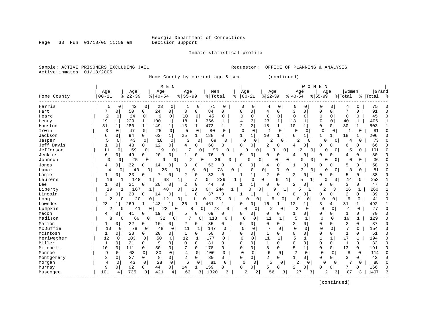Page 33 Run 01/18/05 11:59 am

#### Inmate statistical profile

Sample: ACTIVE PRISONERS EXCLUDING JAIL **Requestor:** OFFICE OF PLANNING & ANALYSIS Active inmates 01/18/2005

Home County by current age & sex (continued)

| Age<br>Age<br>Age<br>Men<br>Age<br>Age<br>Women<br>Age<br>Age<br>Age<br>$00 - 21$<br>$ 22-39$<br>$8155 - 99$<br>$00 - 21$<br>$ 22-39$<br>$8   40 - 54$<br>% Total<br>$8140 - 54$<br>$8155 - 99$<br>Home County<br>ిక<br>% Total<br>ႜ<br>Harris<br>42<br>5<br>$\Omega$<br>0<br>23<br>0<br>0<br>71<br>$\Omega$<br>$\Omega$<br>0<br>0<br>0<br>0<br>0<br>0<br>0<br>4<br>4 | Grand<br> Total<br>ႜ<br>75<br>91<br>45<br>406<br>503 |
|-----------------------------------------------------------------------------------------------------------------------------------------------------------------------------------------------------------------------------------------------------------------------------------------------------------------------------------------------------------------------|------------------------------------------------------|
|                                                                                                                                                                                                                                                                                                                                                                       |                                                      |
|                                                                                                                                                                                                                                                                                                                                                                       |                                                      |
|                                                                                                                                                                                                                                                                                                                                                                       |                                                      |
| 0<br>50<br>$\mathbf 0$<br>24<br>0<br>3<br>$\mathbf{0}$<br>84<br>0<br>4<br>$\mathbf 0$<br>3<br>7<br>0<br>Hart<br>7<br>O<br>0<br>0<br>$\Omega$<br>$\Omega$                                                                                                                                                                                                              |                                                      |
| $\mathbf 0$<br>$\overline{2}$<br>9<br>$\mathsf{O}$<br>10<br>$\mathbf 0$<br>$\mathbf 0$<br>$\mathbf 0$<br>24<br>0<br>$\mathbf 0$<br>45<br>$\Omega$<br>$\mathbf 0$<br>0<br>$\Omega$<br>Heard<br>0<br>$\Omega$<br>$\Omega$<br>0                                                                                                                                          |                                                      |
| $\mathbf{1}$<br>$\mathbf 1$<br>3<br>$\mathbf{1}$<br>13<br>19<br>$\mathbf{1}$<br>229<br>100<br>18<br>$\mathbf{1}$<br>366<br>23<br>$\mathbf{1}$<br>$\Omega$<br>0<br>40<br>$\mathbf{1}$<br>Henry<br>4                                                                                                                                                                    |                                                      |
| 2<br>31<br>280<br>$\mathbf{1}$<br>149<br>$\mathbf{1}$<br>$\mathbf{1}$<br>473<br>2<br>18<br>1<br>10<br>30<br>$\mathbf{1}$<br>1<br>13<br>$\Omega$<br>Houston<br>1<br>$\mathbf{1}$<br>$\Omega$                                                                                                                                                                           |                                                      |
| Irwin<br>3<br>25<br>$\mathbf 0$<br>5<br>$\Omega$<br>0<br>47<br>0<br>80<br>0<br>0<br>0<br>$\Omega$<br>0<br>0<br>$\Omega$<br>$\Omega$<br>$\Omega$<br>1<br>-1                                                                                                                                                                                                            | 81<br>O                                              |
| 1 <br>Jackson<br>6<br>0<br>25<br>188<br>6<br>94<br>63<br>$\mathbf{1}$<br>1<br>10<br>18<br>0<br>1<br>0<br>1<br>1<br>1                                                                                                                                                                                                                                                  | 206<br>C                                             |
| 5<br>Jasper<br>18<br>$\mathbf 0$<br>3<br>$\overline{2}$<br>0<br>43<br>$\Omega$<br>69<br>$\Omega$<br>O<br>0<br>2<br>$\Omega$<br>0<br>0<br>∩<br>0<br>O<br>4                                                                                                                                                                                                             | 73                                                   |
| Jeff Davis<br>12<br>43<br>$\overline{0}$<br>60<br>0<br>$\overline{2}$<br>$\Omega$<br>1<br>0<br>0<br>0 <sup>1</sup><br>O<br>O<br>0<br>4<br>$\Omega$<br>6<br>0<br>4<br><sup>0</sup>                                                                                                                                                                                     | 66                                                   |
| Jefferson<br>11<br>$\mathbf 0$<br>59<br>19<br>7<br>$\mathbf 0$<br>96<br>0<br>2<br>0<br>0<br>$\Omega$<br>U<br>$\mathbf{0}$<br>3<br>0<br>0<br>5<br>0<br><sup>0</sup>                                                                                                                                                                                                    | 101                                                  |
| Jenkins<br>6<br>49<br>20<br>76<br>$\overline{0}$<br>0<br>0<br>0<br>$\mathbf 0$<br>0<br>0<br>0<br>0<br>O<br><sup>0</sup><br>4<br>$\Omega$<br>4                                                                                                                                                                                                                         | 80                                                   |
| 25<br>Johnson<br>$\Omega$<br>9<br>2<br>0<br>36<br>$\Omega$<br>0<br>$\Omega$<br>0<br>0<br>$\Omega$<br>O<br>U<br>0<br>0<br>0<br>0<br>$\Omega$<br>$\Omega$                                                                                                                                                                                                               | 36                                                   |
| 53<br>32<br>0<br>3<br>0<br>0<br>0<br>0<br>14<br>0<br>0<br>$\Omega$<br>0<br>$\Omega$<br>0<br>5<br>0<br>Jones<br>4<br>4                                                                                                                                                                                                                                                 | 58                                                   |
| 25<br>78<br>43<br>0<br>$\Omega$<br>$\mathbf 0$<br>$\Omega$<br>3<br>3<br>Lamar<br>4<br>0<br>0<br>$\Omega$<br>0<br>$\Omega$<br>$\Omega$<br>0<br>0<br>6<br>O                                                                                                                                                                                                             | 81                                                   |
| Lanier<br>1<br>$\mathbf 0$<br>23<br>0<br>2<br>0<br>33<br>2<br>5<br>0<br>0<br>0<br>2<br>0<br>$\Omega$<br><sup>0</sup><br>0                                                                                                                                                                                                                                             | 38<br>$\Omega$                                       |
| 7<br>16<br>148<br>$\mathbf{1}$<br>68<br>1<br>0<br>239<br>$\Omega$<br>$\Omega$<br>9<br>1<br>14<br>0<br>Laurens<br>1<br>1<br>5<br>0<br>1                                                                                                                                                                                                                                | 253                                                  |
| $\mathbf{1}$<br>$\Omega$<br>$\Omega$<br>3<br>21<br>20<br>0<br>2<br>44<br>$\Omega$<br>2<br>$\Omega$<br>Lee<br>1<br>0<br><sup>0</sup><br>U<br><sup>0</sup><br>0<br>O                                                                                                                                                                                                    | 47<br>C                                              |
| Liberty<br>10<br>0<br>244<br>$\overline{2}$<br>16<br>19<br>167<br>48<br>0<br>0<br>0 <sup>1</sup><br>3<br>1<br>9<br>5<br>1<br>1<br>ı                                                                                                                                                                                                                                   | 260                                                  |
| Lincoln<br>37<br>2<br>2<br>0<br>$\mathbf 0$<br>0<br>20<br>14<br>0<br>1<br>0<br>0<br>O<br>0<br>0<br><sup>0</sup><br>0                                                                                                                                                                                                                                                  | 39<br>C                                              |
| 6<br>2<br>20<br>12<br>$\Omega$<br>$\mathbf 0$<br>0<br>Long<br>0<br>0<br>0<br>$\mathbf{1}$<br>35<br>$\mathbf 0$<br>6<br>0<br>$\cap$<br>$\Omega$<br>$\mathbf 0$<br>U<br>0                                                                                                                                                                                               | 41                                                   |
| Lowndes<br>23<br>269<br>143<br>1<br>0<br>12<br>3<br>4<br>31<br>1<br>26<br>$\mathbf{1}$<br>461<br>16<br>1<br>Ω                                                                                                                                                                                                                                                         | 492                                                  |
| Lumpkin<br>2<br>0<br>22<br>$\overline{0}$<br>8<br>73<br>$\Omega$<br>2<br>2<br>0<br>$\Omega$<br>41<br>$\Omega$<br>$\Omega$<br>$\Omega$<br>$\Omega$<br>0<br>4<br>0                                                                                                                                                                                                      | 77<br>$\Omega$                                       |
| $\mathbf{0}$<br>Macon<br>19<br>0<br>5<br>0<br>69<br>0<br>0<br>$\Omega$<br>0<br>4<br>0<br>41<br>0<br>0<br>0<br>0<br>1<br>0<br>1                                                                                                                                                                                                                                        | 70<br>∩                                              |
| Madison<br>32<br>7<br>113<br>$\mathbf 0$<br>16<br>8<br>66<br>0<br>0<br>0<br>$\Omega$<br>0<br>11<br>0<br>1<br>0<br>0<br>1<br>5<br>1                                                                                                                                                                                                                                    | 129<br>C                                             |
| Marion<br>2<br>22<br>10<br>0<br>2<br>0 <sup>1</sup><br>35<br>0<br>$\Omega$<br>2<br>0<br>$\Omega$<br>0<br>0<br>O<br>0<br>$\Omega$<br>$\Omega$<br>1<br>0                                                                                                                                                                                                                | 37<br>C                                              |
| McDuffie<br>78<br>7<br>$\Omega$<br>$\mathcal{L}$<br>10<br>48<br>$\Omega$<br>$\Omega$<br>0<br>$\Omega$<br>0<br>11<br>147<br>$\Omega$<br>$\Omega$<br>$\Omega$<br>$\Omega$<br>1<br>$\Omega$<br>$\Omega$                                                                                                                                                                  | 154                                                  |
| McIntosh<br>28<br>50<br>0<br>0<br>1<br>0<br>0<br>20<br>$\circ$<br>1<br>$\mathbf{0}$<br>0<br>$\Omega$<br>0<br>1<br>0<br>0<br>0<br>1<br>0                                                                                                                                                                                                                               | 51                                                   |
| 12<br>177<br>5<br>17<br>Meriwether<br>103<br>50<br>0<br>12<br>$\mathbf 0$<br>11<br>$\mathbf{1}$<br>$\mathbf{1}$<br>$\mathbf{1}$<br>0<br>0<br>1<br>0<br>$\mathbf{1}$<br>0                                                                                                                                                                                              | 194<br>C                                             |
| Miller<br>9<br>$\Omega$<br>$\Omega$<br>31<br>$\Omega$<br>$\mathbf{1}$<br>$\mathbf{1}$<br>21<br>$\Omega$<br>0<br>0<br>$\mathbf 1$<br>$\Omega$<br>0<br>$\mathbf 0$<br>$\Omega$<br>$\Omega$<br>0<br>U<br>Ω                                                                                                                                                               | 32<br>$\cap$                                         |
| 5<br>Mitchell<br>10<br>111<br>50<br>0<br>7<br>178<br>0<br>8<br>$\mathbf 0$<br>$\Omega$<br>13<br>$\mathbf{0}$<br>$\Omega$<br>$\mathbf 0$<br>$\Omega$<br>0<br>0<br>0<br>$\mathbf{1}$                                                                                                                                                                                    | 191<br>$\cap$                                        |
| $\overline{2}$<br>9<br>Monroe<br>63<br>30<br>0<br>4<br>106<br>0<br>6<br>0<br>$\mathbf 0$<br>0<br>8<br>0<br>0<br>0<br>$\Omega$<br>0<br>0<br>0                                                                                                                                                                                                                          | 114<br>O                                             |
| 0<br>2<br>27<br>8<br>2<br>39<br>0<br>$\overline{2}$<br>$\Omega$<br>3<br>0<br>0<br>0<br>0<br>$\Omega$<br>$\Omega$<br>$\Omega$<br>0<br>Montgomery<br>0<br>$\mathbf{1}$                                                                                                                                                                                                  | 42                                                   |
| 28<br>$\mathbf 0$<br>5<br>2<br>7<br>$\overline{4}$<br>$\Omega$<br>$\Omega$<br>6<br>$\Omega$<br>81<br>$\Omega$<br>$\Omega$<br>$\Omega$<br>0<br>O<br>$\Omega$<br>Morgan<br>43<br>$\Omega$<br>$\Omega$                                                                                                                                                                   | 88                                                   |
| 159<br>9<br>92<br>$\mathbf 0$<br>0<br>2<br>0<br>44<br>0<br>14<br>1<br>0<br>5<br>0<br>0<br>$\Omega$<br>0<br>Murray<br>Ω<br>0                                                                                                                                                                                                                                           | 166                                                  |
| 101<br>735<br>421<br>1320<br>27<br>87<br>63<br>3<br>3<br>2<br>2<br>56<br>3<br>3<br>3<br>4<br>3<br>4<br>3<br>2<br>Muscogee                                                                                                                                                                                                                                             | 1407                                                 |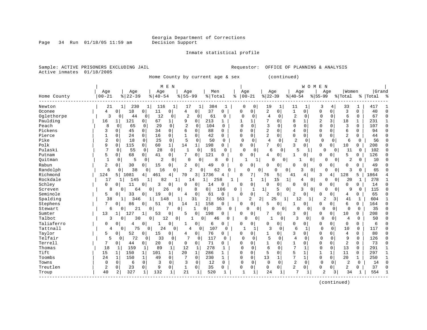Page 34 Run 01/18/05 11:59 am

#### Inmate statistical profile

Sample: ACTIVE PRISONERS EXCLUDING JAIL **Requestor:** OFFICE OF PLANNING & ANALYSIS Active inmates 01/18/2005

Home County by current age & sex (continued)

|             |                  |                     |                      | M E N                |                          |                |              |                |                 |                     | W O M                         | E<br>N           |              |                  |              |                    |
|-------------|------------------|---------------------|----------------------|----------------------|--------------------------|----------------|--------------|----------------|-----------------|---------------------|-------------------------------|------------------|--------------|------------------|--------------|--------------------|
| Home County | Age<br>$00 - 21$ | Age<br>$ 22-39$     | Age<br>$8   40 - 54$ | Age<br>$8 55-99$     | Men<br>%   Total         |                | Age<br>ႜ     | $ 00 - 21$     | Age<br>$ 22-39$ |                     | Age<br>$ 40-54$               | Aqe<br>$8 55-99$ |              | Women<br>% Total |              | Grand<br>%   Total |
|             |                  |                     |                      |                      |                          |                |              |                |                 |                     |                               |                  |              |                  |              |                    |
| Newton      | 21               | 230<br>1            | 116<br>1             | 17<br>1              | 384<br>1                 |                | 0            | 0              | 19              |                     | 11                            | 3                | 4            | 33               | 1            | 417                |
| Oconee      | 4                | 0<br>18             | $\mathbf 0$<br>11    | $\mathbf 0$<br>4     | 37<br>0                  | 0              | 0            | $\mathbf 0$    | 2               | $\mathbf 0$         | $\mathbf{1}$<br>$\mathbf 0$   | 0                | 0            | 3                | $\mathbf 0$  | 40                 |
| Oglethorpe  | 3                | 44<br>0             | 12<br>0              | $\overline{2}$<br>0  | 61<br>0                  | 0              | $\mathbf 0$  | 0              | $\overline{4}$  | $\mathbf 0$         | $\overline{c}$<br>0           | $\Omega$         | $\mathbf 0$  | 6                | $\Omega$     | 67<br>$\sqrt{ }$   |
| Paulding    | 16               | 121<br>$\mathbf{1}$ | 67<br>0              | 9<br>1               | 0<br>213                 | 1              |              | 1              | 7               | $\Omega$            | 8<br>1                        | $\overline{2}$   | 3            | 18               | $\mathbf{1}$ | 231                |
| Peach       | $\mathsf{R}$     | 65<br>$\Omega$      | 29<br>$\Omega$       | $\overline{2}$<br>0  | 0<br>104                 | $\Omega$       | $\Omega$     | $\Omega$       | $\mathcal{R}$   | $\Omega$            | $\mathbf 0$<br>$\Omega$       | $\Omega$         | 0            | 3                | $\Omega$     | 107<br>$\Omega$    |
| Pickens     | ζ                | $\Omega$<br>45      | 34<br>$\Omega$       | 6<br>0               | $\Omega$<br>88           | 0              | $\Omega$     | $\Omega$       | 2               | $\Omega$            | $\overline{4}$<br>$\Omega$    | $\Omega$         | 0            | 6                | $\Omega$     | 94                 |
| Pierce      | $\mathbf{1}$     | $\mathsf{O}$<br>24  | $\mathbf 0$<br>16    | $\mathbf 0$<br>1     | 0<br>42                  | 0              | $\Omega$     | $\mathbf 0$    | 2               | $\Omega$            | $\mathbf 0$<br>0              | $\mathbf 0$      | $\mathbf 0$  | $\overline{2}$   | 0            | 44                 |
| Pike        | 2                | $\mathbf 0$<br>18   | 25<br>$\Omega$       | 5<br>$\mathbf 0$     | $\mathbf 0$<br>50        | $\Omega$       | $\mathbf 0$  | $\mathbf 0$    | $\overline{4}$  | $\Omega$            | 2<br>$\Omega$                 | $\mathbf 0$      | $\Omega$     | 6                | 0            | 56                 |
| Polk        | 9                | 0<br>115            | 60<br>$\mathbf 0$    | $1\vert$<br>14       | 198<br>$\mathbf{1}$      | 0              | 0            | 0 <sup>1</sup> | 7               | 0                   | 3<br>$\Omega$                 | 0                | 0            | 10               | 0            | 208                |
| Pulaski     | 7                | 55<br>$\Omega$      | 28<br>$\mathbf 0$    | $\mathbf{1}$<br>0    | 91<br>$\Omega$           | $\Omega$       | $\Omega$     | $\Omega$       | 6               | 0                   | 5<br>1                        | $\Omega$         | $\Omega$     | 11               | $\Omega$     | 102                |
| Putnam      | 5                | 68<br>0             | 41<br>0              | 7<br>0               | 121<br>0                 | 0              | $\Omega$     | $\mathbf 0$    | 4               | $\mathbf 0$         | 0                             | $\Omega$         | 0            | 5                | 0            | 126                |
| Ouitman     |                  | 5<br>0              | $\overline{2}$<br>0  | $\Omega$<br>0        | 0<br>8                   | O              |              |                | 0               | 0                   | 0                             | O                | 0            | $\overline{2}$   | $\mathbf 0$  | 10                 |
| Rabun       | 2                | 0<br>30             | 15<br>0              | $\overline{2}$<br>0  | $\Omega$<br>49           | 0              | 0            | 0              | 0               | 0                   | $\Omega$<br><sup>0</sup>      | 0                | 0            | 0                | 0            | 49                 |
| Randolph    | 6                | 38<br>0             | 16<br>0              | $\overline{2}$<br>0  | $\mathbf 0$              | 62             |              | O<br>0         | 0               | $\mathbf 0$         | 3                             | $\Omega$<br>0    | 0            | 3                | $\mathbf 0$  | 65                 |
| Richmond    | 124              | 1081<br>5 I         | 461<br>4             | 70<br>4              | 3<br>1736                | 4              | 8            | 7              | 76              | 5                   | 4<br>41                       | ζ                | 4            | 128              | 5            | 1864               |
| Rockdale    | 17               | 145                 | 82                   | 14<br>1              | 1                        | 25<br>8        |              | 1              | 1<br>15         | $1\vert$            | 4                             | 0<br>$\Omega$    | 0            | 20               | $\mathbf{1}$ | 278                |
| Schley      | $\Omega$         | 11<br>0             | 3<br>0               | 0<br>$\Omega$        | 0<br>14                  | 0              |              | 0              | 0               | $\mathbf 0$         | 0<br>0                        | 0                | 0            | 0                | 0            | 14<br>C            |
| Screven     | 8                | 0<br>64             | $\mathbf 0$          | 26<br>0              | 8<br>$\mathbf 0$         | 106            | 0            | 1              | 1               | 5<br>$\overline{0}$ | 3                             | 0<br>0           | 0            | 9                | $\mathbf 0$  | 115                |
| Seminole    | 5                | $\circ$<br>33       | 19<br>0              | 0<br>4               | $\mathbf 0$<br>61        | 0              | $\cap$       | $\overline{0}$ | 2               | $\mathbf 0$         | $\overline{2}$<br>$\mathbf 0$ | O                | 0            | 4                | $\mathbf 0$  | 65                 |
| Spalding    | 38               | 346<br>1            | 148<br>1             | 1                    | 2 <br>31                 | 563<br>1       |              | 2              | 2 <br>25        | $1\vert$            | 12<br>1                       | $\overline{2}$   | 3            | 41               | 1            | 604                |
| Stephens    | 7                | 86<br>0             | 51<br>0              | 0<br>14              | 158<br>1                 | 0              | $\Omega$     | $\mathbf 0$    | 5               | $\Omega$            | $\Omega$<br>1                 | 0                | 0            | 6                | 0            | 164                |
| Stewart     | 6                | 21<br>$\Omega$      | 0                    | 7<br>0               | $\Omega$<br>$\mathbf{1}$ | 35<br>$\Omega$ |              | $\Omega$<br>U  | $\Omega$        | $\Omega$            | 0<br>$\Omega$                 | $\Omega$         | 0            | $\Omega$         | $\Omega$     | 35                 |
| Sumter      | 13               | 127<br>$\mathbf{1}$ | 53                   | $\Omega$<br>5        | 0<br>198                 | 0              | O            | $\mathbf 0$    | 7               | 0                   | 3<br>$\overline{0}$           | 0                | 0            | 10               | 0            | 208                |
| Talbot      | 3                | 0<br>30             | 0<br>12              | 0                    | 0<br>46                  | 0              |              | 0<br>0         |                 | 0                   | 3<br>$\circ$                  | $\mathbf 0$      | $\mathbf 0$  | $\overline{4}$   | $\mathbf 0$  | 50                 |
| Taliaferro  | 0                | 0<br>4              | $\overline{0}$       | 0                    | 0<br>6                   | 0              | 0            | $\overline{0}$ | 0               | 0                   | 0<br>0                        | 0                | 0            | 0                | 0            | 6                  |
| Tattnall    | 4                | 75<br>0             | 24<br>0              | $\overline{0}$<br>4  | 107<br>0                 | 0              | $\mathbf{1}$ | $\mathbf{1}$   | 3               | $\mathbf 0$         | 6<br>$\mathbf{1}$             | $\mathbf 0$      | $\mathbf 0$  | 10               | $\mathbf 0$  | 117                |
| Taylor      | 5                | 0<br>52             | 15<br>0              | 0<br>4               | 76<br>$\overline{0}$     | 0              | <sup>0</sup> | 0 <sup>1</sup> | 1               | $\Omega$            | 3<br>$\Omega$                 | $\Omega$         | 0            | 4                | $\Omega$     | 80                 |
| Telfair     | 5                | 72<br>0             | 33<br>0              | 7<br>$\Omega$        | 117<br>$\mathbf 0$       | 0              | $\Omega$     | 0              |                 | $\Omega$            | 4<br>$\Omega$                 | $\mathbf 0$      | 0            | 9                | $\Omega$     | 126<br>C           |
| Terrell     | 7                | 0<br>44             | 20<br>0              | 0<br>0               | 71<br>0                  | 0              | $\Omega$     | $\Omega$       | 1               | $\Omega$            | $\Omega$<br>1                 | $\Omega$         | 0            | 2                | $\Omega$     | 73<br>C            |
| Thomas      | 18               | 159<br>1            | 89<br>1              | 12<br>1              | $\mathbf{1}$<br>278      | 1              | $\Omega$     | $\Omega$       | 6               | $\Omega$            | $7\phantom{.0}$               | $\mathbf 0$      | $\mathbf 0$  | 13               | $\Omega$     | 291                |
| Tift        | 15               | $\mathbf 1$<br>150  | 101<br>1             | 20<br>1 <sup>1</sup> | 286<br>$\mathbf{1}$      | 1              | $\Omega$     | $\Omega$       | 5               | $\Omega$            | 5<br>1                        | $\mathbf{1}$     | $\mathbf{1}$ | 11               | $\Omega$     | 297<br>-1          |
| Toombs      | 24               | $\mathbf 1$<br>150  | $\mathbf{1}$<br>49   | 7<br>$\Omega$        | $\Omega$<br>230          | 1              | $\Omega$     | 0              | 13              | 1                   | 7                             | 0                | 0            | 20               | $\mathbf 1$  | 250                |
| Towns       | $\Omega$         | $\mathbf 0$<br>6    | $\mathbf 0$<br>3     | $\Omega$<br>3        | 12<br>0                  | $\mathbf 0$    | $\Omega$     | $\mathbf 0$    | $\Omega$        | $\Omega$            | $\overline{2}$<br>$\Omega$    | $\mathbf 0$      | $\Omega$     | 2                | $\mathbf 0$  | 14<br>U            |
| Treutlen    | $\overline{2}$   | 0<br>23             | 9<br>0               | $\mathbf{1}$<br>0    | 0<br>35                  | 0              | $\Omega$     | $\mathbf 0$    | 0               | 0                   | $\overline{2}$<br>0           | $\Omega$         | 0            | 2                | $\mathbf 0$  | 37                 |
| Troup       | 40               | 327<br>2            | 132<br>1             | 21<br>1              | 520<br>1                 | 1              | $\mathbf{1}$ | 1              | 24              |                     | 7<br>1                        | 2                | 3            | 34               |              | 554                |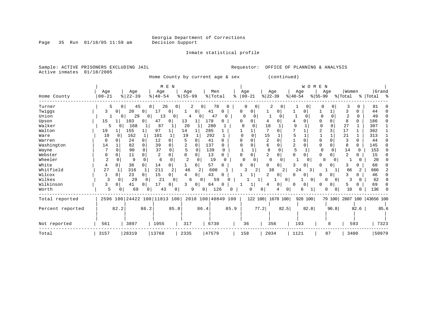Page 35 Run 01/18/05 11:59 am

#### Inmate statistical profile

Sample: ACTIVE PRISONERS EXCLUDING JAIL **Requestor:** OFFICE OF PLANNING & ANALYSIS Active inmates 01/18/2005

Home County by current age & sex (continued)

|                  |            |              |          |                | M E N               |                |                |          |         |                    |            |          |                |          |           | WOMEN          |           |          |                |          |                      |      |
|------------------|------------|--------------|----------|----------------|---------------------|----------------|----------------|----------|---------|--------------------|------------|----------|----------------|----------|-----------|----------------|-----------|----------|----------------|----------|----------------------|------|
|                  | Age        |              | Age      |                | Age                 |                | Age            |          | Men     |                    | Age        |          | Age            |          | Age       |                | Age       |          | Women          |          | Grand                |      |
| Home County      | $ 00 - 21$ |              | $ 22-39$ |                | $8   40 - 54$       |                | $8 55-99$      |          | % Total | ႜ                  | $ 00 - 21$ |          | $ 22-39$       |          | $8 40-54$ |                | $ 55-99 $ |          | % Total        |          | % Total %            |      |
| Turner           | 5          | $\Omega$     | 45       | 0 <sup>1</sup> | 26                  | 0 <sup>1</sup> | 2              | 0        | 78      | 0                  | $\Omega$   | $\Omega$ | 2              | 0        |           | 0              | 0         | $\Omega$ | 3              | 0        | 81                   |      |
| Twiggs           | 3          | $\mathbf{0}$ | 20       | $\Omega$       |                     | 0              |                | 0        | 41      | 0                  | 0          | 0        |                | 0        |           | 0              |           |          | 3              | n        | 44                   |      |
| Union            |            | 0            | 29       | 0 <sup>1</sup> | 13                  | 0              | 4              |          | 47      | U                  | $\Omega$   | 0        |                | 0        |           | $\Omega$       |           | $\Omega$ | $\overline{2}$ | $\Omega$ | 49                   |      |
| Upson            | 15         |              | 103      | 0              | 47                  | 0              | 13             |          | 178     | 0                  | $\Omega$   | 0        |                | 0        |           |                |           | 0        | 8              | 0        | 186                  |      |
| Walker           | 5          |              | 168      |                | 87                  | 1              | 20             |          | 280     |                    | ∩          |          | 18             |          | q         |                |           | O        | 27             |          | 307                  |      |
| Walton           | 19         |              | 155      |                | 97                  |                | 14             |          | 285     |                    |            |          |                | O        |           |                |           |          | 17             |          | 302                  |      |
| Ware             | 10         | <sup>0</sup> | 162      | 1              | 101                 |                | 19             |          | 292     |                    |            |          | 15             |          |           |                |           |          | 21             |          | 313                  |      |
| Warren           | $\Omega$   |              | 24       | 0              | 12                  | 0              |                | $\Omega$ | 41      | O                  |            |          | $\overline{2}$ | 0        |           |                | O         |          | 3              | 0        | 44                   |      |
| Washington       | 14         |              | 82       | 0              | 39                  | 0              | 2              | $\Omega$ | 137     | 0                  |            |          | 6              | 0        | 2         | 0              | 0         | 0        | 8              | 0        | 145                  |      |
| Wayne            |            | $\cap$       | 90       | $\Omega$       | 37                  | $\Omega$       | 5              | $\Omega$ | 139     | 0                  |            |          | 8              | $\cap$   | 5         |                | $\cap$    |          | 14             | $\Omega$ | 153                  |      |
| Webster          |            |              | 11       |                |                     | 0              | <sup>0</sup>   |          | 13      | 0                  |            |          | 2              | 0        |           |                | O         | O        | 2              | 0        | 15                   |      |
| Wheeler          | 2          | O            | 9        |                | 6                   | <sup>0</sup>   | $\overline{c}$ | 0        | 19      |                    | $\Omega$   | $\Omega$ | 0              | $\Omega$ |           | O              | $\Omega$  |          |                |          | 20                   |      |
| White            | 4          | 0            | 38       |                | 14                  | 0              |                | 0        | 57      | 0                  |            | 0        | 0              | 0        | ζ         |                | U         |          | 3              |          | 60                   |      |
| Whitfield        | 27         |              | 316      |                | 211                 | 2              | 46             |          | 600     |                    | 3          | 2        | 38             | 2        | 24        | 3              |           |          | 66             | 2        | 666                  |      |
| Wilcox           |            | 0            | 23       |                | 15                  | $\Omega$       | 4              | 0        | 43      | C                  |            |          | 2              | 0        | O.        | 0              | O         | 0        | ς              | 0        | 46                   |      |
| Wilkes           |            | $\Omega$     | 29       | 0              | 21                  | $\mathbf{0}$   | б              | 0        | 59      |                    |            |          |                | 0        |           | $\overline{0}$ | O         |          |                |          | 62                   |      |
| Wilkinson        | 3          | 0            | 41       | 0              | 17                  | 0              | 3              | 0        | 64      | O                  |            |          | 4              | 0        | 0         | 0              | O         | 0        | 5              | 0        | 69                   |      |
| Worth            | 5          | 0            | 69       |                | 43                  | 0              | 9              | 0        | 126     |                    |            | O        | 0              | 0        |           | 6              |           |          | 10             |          | 136                  |      |
| Total reported   | 2596 100   |              |          |                | 24422 100 11813 100 |                |                |          |         | 2018 100 40849 100 |            | 122 100  |                | 1678 100 |           | 928 100        |           | 79 100   |                |          | 2807 100   43656 100 |      |
| Percent reported |            | 82.2         |          | 86.2           |                     | 85.8           |                | 86.4     |         | 85.9               |            | 77.2     |                | 82.5     |           | 82.8           |           | 90.8     |                | 82.6     |                      | 85.6 |
| Not reported     | 561        |              | 3897     |                | 1955                |                | 317            |          | 6730    |                    | 36         |          | 356            |          | 193       |                |           | 8        |                | 593      | 7323                 |      |
| Total            | 3157       |              | 28319    |                | 13768               |                | 2335           |          | 47579   |                    | 158        |          | 2034           |          | 1121      |                |           | 87       | 3400           |          | 50979                |      |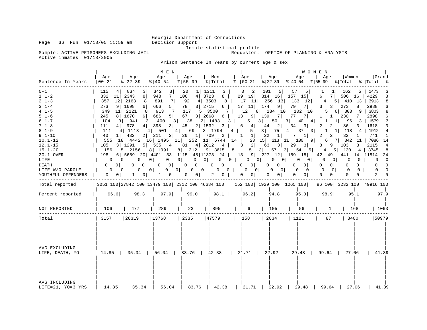Inmate statistical profile<br>Requestor: OFFICE OF PLANNING & ANALYSIS

Sample: ACTIVE PRISONERS EXCLUDING JAIL Active inmates 01/18/2005

Prison Sentence In Years by current age & sex

|                                                                                                                                                                                                                                                              |                                                                                                                                                                                                                         |                                                                                                                                                                                                                                                                                                                           | M E N                                                                                                                                                                                                                                                                                                                                     |                                                                                                                                                                                                                                                                           |                                                                                                                                                                                                                                       |                                                                                                                                                                                                                                                                                                              |                                                                                                                                                                                                                                                            |                                                                                                                                                                                                                                                                                                                                                                                                                              | WOMEN                                                                                                                                                                                                                                                                                      |                                                                                                                                                                                                                                                                  |                                                                                                                                                                                                                                                                                                                 |
|--------------------------------------------------------------------------------------------------------------------------------------------------------------------------------------------------------------------------------------------------------------|-------------------------------------------------------------------------------------------------------------------------------------------------------------------------------------------------------------------------|---------------------------------------------------------------------------------------------------------------------------------------------------------------------------------------------------------------------------------------------------------------------------------------------------------------------------|-------------------------------------------------------------------------------------------------------------------------------------------------------------------------------------------------------------------------------------------------------------------------------------------------------------------------------------------|---------------------------------------------------------------------------------------------------------------------------------------------------------------------------------------------------------------------------------------------------------------------------|---------------------------------------------------------------------------------------------------------------------------------------------------------------------------------------------------------------------------------------|--------------------------------------------------------------------------------------------------------------------------------------------------------------------------------------------------------------------------------------------------------------------------------------------------------------|------------------------------------------------------------------------------------------------------------------------------------------------------------------------------------------------------------------------------------------------------------|------------------------------------------------------------------------------------------------------------------------------------------------------------------------------------------------------------------------------------------------------------------------------------------------------------------------------------------------------------------------------------------------------------------------------|--------------------------------------------------------------------------------------------------------------------------------------------------------------------------------------------------------------------------------------------------------------------------------------------|------------------------------------------------------------------------------------------------------------------------------------------------------------------------------------------------------------------------------------------------------------------|-----------------------------------------------------------------------------------------------------------------------------------------------------------------------------------------------------------------------------------------------------------------------------------------------------------------|
| Sentence In Years                                                                                                                                                                                                                                            | Age<br>  00-21                                                                                                                                                                                                          | Age<br>$8$   22-39                                                                                                                                                                                                                                                                                                        | Age<br>$8   40 - 54$                                                                                                                                                                                                                                                                                                                      | Age<br>$\frac{1}{6}$   55-99                                                                                                                                                                                                                                              | Men<br>% Total                                                                                                                                                                                                                        | Age<br>%   00−21                                                                                                                                                                                                                                                                                             | Age<br>$ 22-39 $                                                                                                                                                                                                                                           | Aqe<br>% 40-54 % 55-99 % Total % Total %                                                                                                                                                                                                                                                                                                                                                                                     | Age                                                                                                                                                                                                                                                                                        | Women                                                                                                                                                                                                                                                            | Grand                                                                                                                                                                                                                                                                                                           |
| $0 - 1$<br>$1.1 - 2$<br>$2.1 - 3$<br>$3.1 - 4$<br>$4.1 - 5$<br>$5.1 - 6$<br>$6.1 - 7$<br>$7.1 - 8$<br>$8.1 - 9$<br>$9.1 - 10$<br>$10.1 - 12$<br>$12.1 - 15$<br>$15.1 - 20$<br>$20.1 - OVER$<br>LIFE<br><b>DEATH</b><br>LIFE W/O PAROLE<br>YOUTHFUL OFFENDERS | 115<br>4<br>332<br>11<br>357<br>273<br>9 <br>349<br>11<br>245<br>104<br>3 I<br>111<br>$4 \mid$<br>111<br>40<br>11<br>555<br>105<br>156<br>198<br>0<br>0<br>0 <sup>1</sup><br>$\mathbf{0}$<br>0 <sup>1</sup><br>$\sigma$ | 834<br>3<br>2343<br>8 <sup>1</sup><br>12 2163<br>8 <br>1698<br>6<br>2121<br>8<br>$6 \mid$<br>8 1670<br>941<br>3 I<br>978<br>4 1113<br>2 211<br>432<br>18 4442<br>3 1291<br>$5$ 535<br>5   2156<br>0 <sup>1</sup><br>$\mathbf{0}$<br>$\Omega$<br>0 <sup>1</sup><br>0 <sup>1</sup><br>$\overline{0}$<br>1<br>0 <sup>1</sup> | $\overline{3}$<br>342<br>7 <br>948<br>891<br>7<br>5 <br>666<br>913<br>- 7 I<br>686<br>$5 \mid$<br>$3 \mid$<br>400<br>4 398<br>$3 \mid$<br>4  501<br>$2 \mid$<br>16   1495   11   252   11   6744   14  <br>$4 \mid$<br>8 1091<br>$0 \mid$<br>$\overline{0}$<br>$\mathbf{0}$<br>$\circ$<br>$0 \mid$<br>0<br>0 <sup>1</sup><br>$\mathbf{1}$ | 20<br>4   3723<br>100<br>92<br>3   2715<br>78<br>117<br>67<br>3   2668<br>38<br>45 2 1532<br>69<br>$4 \mid$<br>26<br>$\vert$ 1<br>81 4 2012 4<br>8 212<br>0<br>$\overline{0}$<br>0 <sup>1</sup><br>0<br>$\overline{0}$<br>$0 \quad 0$<br>$\overline{0}$<br>0 <sup>1</sup> | 1 1311<br>3<br>8  <br>4 3503<br>8<br>6<br>5   3500<br>$6 \mid$<br>2 1483<br>$\overline{\phantom{a}3}$<br>3   1794<br>709<br>2<br>9   3615 8  <br>$0$  <br>$\overline{0}$<br>$\Omega$<br>$\Omega$<br>$0 \qquad 0 \qquad$<br>2<br>$0-1$ | $3 \quad 2$<br>29 19<br>$\begin{vmatrix} 1 & 17 & 11 \\ 256 & 13 \end{vmatrix}$<br>$17$ $11$ $174$<br>7  <br>12<br>13<br>$3 \mid$<br>5<br>$4 \mid$<br>6<br>5<br>$4 \mid$<br>1<br>$1\vert$<br>$3 \quad 2$<br>$0 \mid$<br>$\overline{0}$<br>$\mathbf{0}$<br>0 <sup>1</sup><br>$0 \quad 0$<br>0<br>$\mathbf{0}$ | 101<br>5 <sup>1</sup><br>314 16<br>9 <sup>1</sup><br>9 139<br>7 <br>$3 \mid$<br>50<br> 2 <br>44<br>$3 \mid$<br>75<br>22<br> 1 <br>63 3<br>$5 \quad 3$  <br>67<br>$0$  <br>$\mathbf{0}$<br>$\Omega$<br>0<br>$\overline{\phantom{0}}$<br>0<br>0 <sup>1</sup> | 57<br>5 <br>$157$ 15<br>133<br>12<br>79<br>7<br>8   184   10   102   10<br>77<br>7<br>$3 \mid$<br>40<br>$\left  \right $<br>34<br>$3 \mid$<br>37<br>3 <br>4<br>1 <br>7<br>23 15 213 11 100 9<br>29<br>$3 \mid$<br>$54$ $5$<br>3 <br>6   5659 20   4401 33   1115 48   11373 24   13 9   227 12   159 15  <br>$0 \quad 0$<br>0<br>0<br>0 <sup>1</sup><br>0<br>$\overline{\phantom{0}}$<br>0<br>0 <sup>1</sup><br>$\mathbf{0}$ | $1 \mid$<br>1<br>6<br>$7 \mid$<br>$3 \mid$<br>3<br>$1\vert$<br>$\mathbf{1}$<br>1<br> 1 <br>$2 \mid$<br>2<br>1<br>$\overline{2}$<br>2 <sup>1</sup><br>9 <sup>1</sup><br>8<br>$4 \quad 5$<br>42 49<br>0<br> 0 <br>$\Omega$<br>0 <sup>1</sup><br>$\Omega$<br>0 <sup>1</sup><br>$\Omega$<br>01 | 162<br>506 16<br>$4 \quad 5 \mid 410$<br>273<br>8<br>5 6 303<br>230<br>7 I<br>- 96<br>86<br>3 <sup>1</sup><br>1 118<br>32<br>$\mathbf{1}$<br>$6 \quad 7 \mid 342$<br>103<br>3<br>130<br>4<br>441<br>0<br>0<br>0<br>$\Omega$<br>$\mathbf 0$<br>$\Omega$<br>0<br>0 | 5   1473<br>3<br>4229<br>8<br>8<br>13   3913<br>2988<br>8<br>9 3803<br>6<br>2898<br>$\overline{3}$<br>3   1579<br>3<br>1618<br>4   1912<br>$\overline{4}$<br>741<br>1<br>11   7086 14<br>2115<br>4<br>3745<br>8<br>14   11814<br>24<br>$\Omega$<br>$\overline{0}$<br>$\Omega$<br>$\Omega$<br>$\Omega$<br>0<br>2 |
| Total reported                                                                                                                                                                                                                                               |                                                                                                                                                                                                                         |                                                                                                                                                                                                                                                                                                                           |                                                                                                                                                                                                                                                                                                                                           |                                                                                                                                                                                                                                                                           |                                                                                                                                                                                                                                       |                                                                                                                                                                                                                                                                                                              |                                                                                                                                                                                                                                                            | 3051 100 27842 100 13479 100 2312 100 46684 100   152 100   1929 100   1065 100                                                                                                                                                                                                                                                                                                                                              |                                                                                                                                                                                                                                                                                            |                                                                                                                                                                                                                                                                  | 86 100 3232 100 49916 100                                                                                                                                                                                                                                                                                       |
| Percent reported                                                                                                                                                                                                                                             | 96.6                                                                                                                                                                                                                    | 98.3                                                                                                                                                                                                                                                                                                                      | 97.9                                                                                                                                                                                                                                                                                                                                      | 99.0                                                                                                                                                                                                                                                                      | $98.1$                                                                                                                                                                                                                                | 96.2                                                                                                                                                                                                                                                                                                         | 94.8                                                                                                                                                                                                                                                       | 95.0                                                                                                                                                                                                                                                                                                                                                                                                                         | 98.9                                                                                                                                                                                                                                                                                       | 95.1                                                                                                                                                                                                                                                             | 97.9                                                                                                                                                                                                                                                                                                            |
| NOT REPORTED                                                                                                                                                                                                                                                 | 106                                                                                                                                                                                                                     | 477                                                                                                                                                                                                                                                                                                                       | 289                                                                                                                                                                                                                                                                                                                                       | 23                                                                                                                                                                                                                                                                        | 895                                                                                                                                                                                                                                   | 6                                                                                                                                                                                                                                                                                                            | 105                                                                                                                                                                                                                                                        | 56                                                                                                                                                                                                                                                                                                                                                                                                                           | 1                                                                                                                                                                                                                                                                                          | 168                                                                                                                                                                                                                                                              | 1063                                                                                                                                                                                                                                                                                                            |
| Total                                                                                                                                                                                                                                                        | 3157                                                                                                                                                                                                                    | 28319                                                                                                                                                                                                                                                                                                                     | 13768                                                                                                                                                                                                                                                                                                                                     | 2335                                                                                                                                                                                                                                                                      | 47579                                                                                                                                                                                                                                 | 158                                                                                                                                                                                                                                                                                                          | 2034                                                                                                                                                                                                                                                       | 1121                                                                                                                                                                                                                                                                                                                                                                                                                         | 87                                                                                                                                                                                                                                                                                         | 3400                                                                                                                                                                                                                                                             | 50979                                                                                                                                                                                                                                                                                                           |
| AVG EXCLUDING<br>LIFE, DEATH, YO                                                                                                                                                                                                                             |                                                                                                                                                                                                                         |                                                                                                                                                                                                                                                                                                                           |                                                                                                                                                                                                                                                                                                                                           |                                                                                                                                                                                                                                                                           |                                                                                                                                                                                                                                       |                                                                                                                                                                                                                                                                                                              |                                                                                                                                                                                                                                                            |                                                                                                                                                                                                                                                                                                                                                                                                                              |                                                                                                                                                                                                                                                                                            | $27.06$                                                                                                                                                                                                                                                          | 41.39                                                                                                                                                                                                                                                                                                           |
| AVG INCLUDING<br>LIFE=21, YO=3 YRS                                                                                                                                                                                                                           | 14.85                                                                                                                                                                                                                   | 35.34                                                                                                                                                                                                                                                                                                                     | 56.04                                                                                                                                                                                                                                                                                                                                     | 83.76                                                                                                                                                                                                                                                                     | 42.38                                                                                                                                                                                                                                 |                                                                                                                                                                                                                                                                                                              |                                                                                                                                                                                                                                                            | 21.71   22.92   29.48   99.64                                                                                                                                                                                                                                                                                                                                                                                                |                                                                                                                                                                                                                                                                                            | 27.06                                                                                                                                                                                                                                                            | 41.39                                                                                                                                                                                                                                                                                                           |

Page 36 Run 01/18/05 11:59 am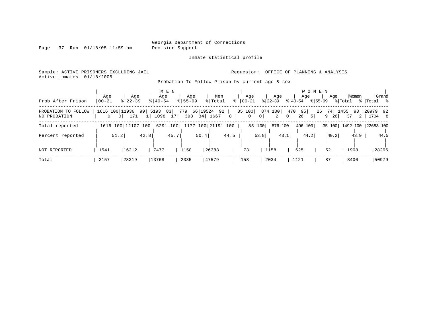Page 37 Run 01/18/05 11:59 am

Inmate statistical profile

Sample: ACTIVE PRISONERS EXCLUDING JAIL Requestor: OFFICE OF PLANNING & ANALYSIS Active inmates 01/18/2005

Probation To Follow Prison by current age & sex

| Prob After Prison                   | Age<br>  00-21 | Aqe<br>$8$   22-39                              | M E N<br>Age<br>$8140 - 54$ | Aqe<br>$8155 - 99$ | Men<br>% Total                 | Aqe<br>$8   00 - 21$ | Aqe<br>$ 22-39 $                      | Aqe<br>$ 40-54 $             | W O M E N<br>Aqe<br>% 55-99 | Women<br>Grand<br>% Total<br>%   Total %      |
|-------------------------------------|----------------|-------------------------------------------------|-----------------------------|--------------------|--------------------------------|----------------------|---------------------------------------|------------------------------|-----------------------------|-----------------------------------------------|
| PROBATION TO FOLLOW<br>NO PROBATION | $\Omega$       | 1616 100 11936 99 5193<br>171<br>0 <sup>1</sup> | 83<br>1098<br>17            |                    | 779 66 19524 92<br>398 34 1667 | 8<br>$\mathbf{0}$    | 85 100 874 100<br>2<br>0 <sup>1</sup> | 470<br>95<br> 0 <br>26<br>51 | 9<br>26                     | 26 74 1455 98 20979 92<br>  1704 8<br>37<br>2 |
| Total reported                      |                | 1616 100 12107 100                              |                             |                    | 6291 100 1177 100 21191 100    |                      | 85 100                                | 876 100<br>496 100           |                             | 35 100   1492 100   22683 100                 |
| Percent reported                    | 51.2           | 42.8                                            | 45.7                        |                    | 50.4                           | 44.5                 | 53.8                                  | 44.2<br>43.1                 | 40.2                        | 43.9<br>44.5                                  |
| NOT REPORTED                        | 1541           | 16212                                           | 7477                        | 1158               | 26388                          | 73                   | 1158                                  | 625                          | 52                          | 28296<br>1908                                 |
| Total                               | 3157           | 28319                                           | 13768                       | 2335               | 47579                          | 158                  | 2034                                  | 1121                         | 87                          | 50979<br>3400                                 |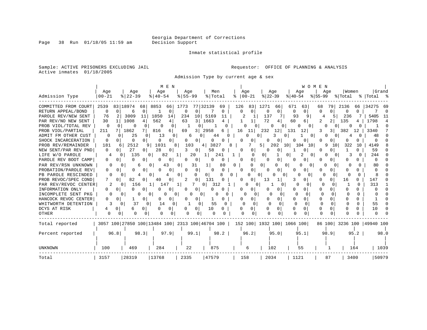Page 38 Run 01/18/05 11:59 am

#### Inmate statistical profile

Sample: ACTIVE PRISONERS EXCLUDING JAIL **Requestor:** OFFICE OF PLANNING & ANALYSIS Active inmates 01/18/2005

Admission Type by current age & sex

|                      |              |                                                 | M E N               |               |                |                        |                               |                              | WOMEN            |                           |              |
|----------------------|--------------|-------------------------------------------------|---------------------|---------------|----------------|------------------------|-------------------------------|------------------------------|------------------|---------------------------|--------------|
|                      | Age          | Age                                             | Age                 | Aqe           | Men            | Age                    | Age                           | Aqe                          | Aqe              | Women                     | Grand        |
| Admission Type       | $00 - 21$    | $8$   22-39                                     | $8140 - 54$         | $8155 - 99$   | % Total        | $ 00-21$<br>ి          | $ 22-39$                      | $ 40-54$                     | $ 55-99$         | % Total                   | % Total %    |
| COMMITTED FROM COURT | 2539         | 83 18974<br>68                                  | 8853<br>66          | 1773          | 77 32139<br>69 | 126<br>83              | 1271<br>66                    | 671<br>63                    | 79<br>68         | 2136<br>66                | 34275<br>-69 |
| RETURN APPEAL/BOND   | 0            | 0<br>$\Omega$<br>6                              | 0                   | 0<br>0        | 0              | $\Omega$<br>$\Omega$   | 0<br>0                        | 0<br>0                       | $\Omega$         | $\Omega$<br><sup>n</sup>  | $\Omega$     |
| PAROLE REV/NEW SENT  | 76           | 3009<br>11                                      | 1850<br>14          | 234           | 10 5169<br>11  |                        | 137                           | 93<br>9                      | 5.               | 236                       | 5405<br>-11  |
| PAR REV/NO NEW SENT  | 30           | 1008<br>4                                       | 562<br>4            | 63<br>31      | 1663           |                        | 72<br>4                       | 60<br>6                      | 2                | 135                       | 1798<br>4    |
| PROB VIOL/TOTAL REV  | 0            | $\Omega$                                        | 0                   |               |                |                        | 0                             | 0                            |                  |                           | <sup>0</sup> |
| PROB VIOL/PARTIAL    | 211          | 1862                                            | 816<br>6            | 3  <br>69     | 2958<br>6      | 16                     | 232<br>12                     | 131<br>12                    | 3                | 382<br>12                 | 3340         |
| ADMIT FM OTHER CUST  | $\Omega$     | 25<br>0                                         | 13<br>0             | 6             | 44             |                        | O                             | 0.<br>0                      | $\left( \right)$ | O                         | 48           |
| SHOCK INCARCERATION  | 0            | 0<br>O<br>O                                     | O<br>0              | 0<br>0        | 0<br>0         | O<br>0                 | 0                             | 0<br>n                       |                  | O                         |              |
| PROB REV/REMAINDER   | 181          | 2512                                            | 1031<br>9           | 103<br>8      | 3827<br>4      |                        | 51<br>202                     | 10 <sub>l</sub><br>104<br>10 | 9<br>10          | 322<br>10                 | 4149         |
| NEW SENT/PAR REV PND | 0            | 27<br>$\Omega$<br>$\circ$                       | 28<br>0             | 3<br>0        | 58             | $\Omega$<br>0          | 0<br>0                        | 0                            |                  |                           | 59           |
| LIFE W/O PAROLE      | 4            | 135<br>0                                        | 82<br>0             | 20            | 1  <br>241     | $\Omega$               | 0                             | 0<br>0                       | 0                |                           | 244          |
| PAROLE REV BOOT CAMP | 0            | O<br>0                                          | $\Omega$<br>0       | 0<br>O        | U<br>0         | $\overline{0}$<br>O    | 0<br>0                        | U<br>0                       |                  |                           |              |
| PAR REV/RSN UNKNOWN  |              | 6                                               | 43<br>01            | 31            | 80             | $\Omega$               | 0 <sup>1</sup><br>O           | 0                            | O<br>n           |                           | 80           |
| PROBATION/PAROLE REV | 0            | 0                                               | 0<br>O              | $\Omega$      | O<br>U         | $\Omega$<br>0          | 0<br><sup>o</sup>             | 0                            |                  | <sup>0</sup>              |              |
| PB PAROLE RESCINDED  |              |                                                 | 0 1                 | 0<br>U        | 01             | 0.                     | O                             | 0                            | n                | ∩                         |              |
| PROB REVOC/SPEC COND |              | 82<br>0<br>0                                    | 40                  | 2<br>0        | 131            | O                      | 13                            |                              |                  | 16<br>0                   | 147          |
| PAR REV/REVOC CENTER | 2            | 156<br>O                                        | 147                 | 1             | 312<br>0       |                        | O                             |                              | $\Omega$         |                           | 313          |
| INFORMATION ONLY     | 0            |                                                 | 0                   | 0<br>0        |                |                        | 0                             |                              | O.               |                           |              |
| INCOMPLETE SENT PKG  | O            | 0                                               | $\sigma$            | 0             | 0<br>O         | O<br>n                 |                               | <sup>0</sup>                 | 0                | 0                         |              |
| HANCOCK REVOC CENTER | U            | O<br>0                                          | 0<br>O              | 0             | 0              | U<br>0                 | 0                             | 0<br>0                       | O<br>O.          | $\Omega$                  |              |
| WHITWORTH DETENTION  |              | 37<br>0                                         | 14<br>0<br>$\Omega$ | C             | 55             | $\cap$<br><sup>0</sup> | 0<br>n                        | $\Omega$<br>$\Omega$         | $\Omega$<br>∩    | <sup>0</sup><br>O         | 55           |
| DCYS AT RISK         |              | 0<br>0                                          | O<br>$\Omega$       | 0             | 10<br>O        | 0<br>O                 | 0<br>Ω                        | $\Omega$                     | U<br>0           |                           | 10<br>$\cap$ |
| OTHER                | <sup>0</sup> | 0<br>0<br>0                                     | <sup>0</sup><br>0   | $\Omega$<br>0 | 0              | ∩                      | 0                             | <sup>0</sup>                 | $\cap$<br>0      |                           |              |
| Total reported       |              | 3057 100 27850 100 13484 100 2313 100 46704 100 |                     |               |                |                        | 152 100   1932 100   1066 100 |                              |                  | 86 100 3236 100 49940 100 |              |
|                      |              |                                                 |                     |               |                |                        |                               |                              |                  |                           |              |
| Percent reported     | 96.8         | 98.3                                            | 97.9                | 99.1          | 98.2           | 96.2                   | 95.0                          | 95.1                         | 98.9             | 95.2                      | 98.0         |
|                      |              |                                                 |                     |               |                |                        |                               |                              |                  |                           |              |
| <b>UNKNOWN</b>       | 100          | 469                                             | 284                 | 22            | 875            | 6                      | 102                           | 55                           |                  | 164                       | 1039         |
|                      |              |                                                 |                     |               |                |                        |                               |                              |                  |                           |              |
| Total                | 3157         | 28319                                           | 13768               | 2335          | 47579          | 158                    | 2034                          | 1121                         | 87               | 3400                      | 50979        |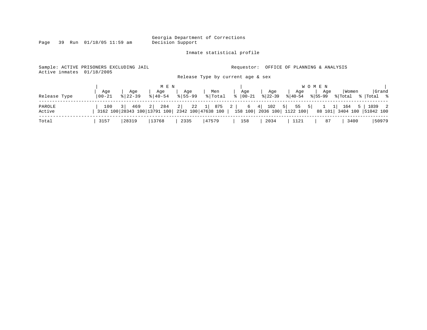Inmate statistical profile

Page 39 Run 01/18/05 11:59 am

Sample: ACTIVE PRISONERS EXCLUDING JAIL **Requestor:** OFFICE OF PLANNING & ANALYSIS

Active inmates 01/18/2005

Release Type by current age & sex

|              |           |             | M E N                   |             |                                                                                                                 |                       |             |                     | W O M E N |         |             |
|--------------|-----------|-------------|-------------------------|-------------|-----------------------------------------------------------------------------------------------------------------|-----------------------|-------------|---------------------|-----------|---------|-------------|
|              | Age       | Age         | Age                     | Age         | Men                                                                                                             | Age                   | Age         | Age                 | Aqe       | Women   | Grand       |
| Release Type | $00 - 21$ | $8122 - 39$ | $\frac{8}{6}$   40 – 54 | $8155 - 99$ | %   Total                                                                                                       | $\frac{1}{6}$   00-21 | $8122 - 39$ | 8 40 - 54 8 55 - 99 |           | % Total | %   Total % |
| PAROLE       | 100       |             |                         |             | 3   469 2   284 2   22 1   875 2   6 4   102 5   55 5   1 1   164 5                                             |                       |             |                     |           |         | 1039 2      |
| Active       |           |             |                         |             | 3162 100 28343 100 13791 100 2342 100 47638 100   158 100   2036 100   1122 100   88 101   3404 100   51042 100 |                       |             |                     |           |         |             |
| Total        | 3157      | 28319       | 13768                   | 2335        | 47579                                                                                                           | 158                   | 2034        | 1121                | 87        | 3400    | 50979       |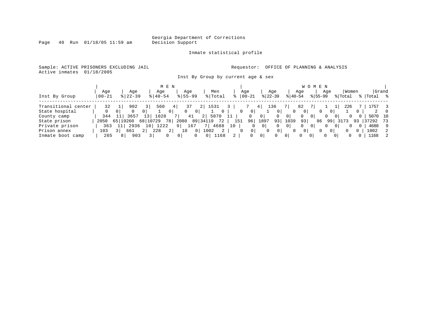Page 40 Run 01/18/05 11:59 am

#### Inmate statistical profile

Sample: ACTIVE PRISONERS EXCLUDING JAIL **Requestor:** OFFICE OF PLANNING & ANALYSIS Active inmates 01/18/2005

Inst By Group by current age & sex

|                     |           |              |             |               | M E N          |             |                |                |              |    |               |                |                |                |                | W O          | M E N       |                |                |       |    |           |                  |
|---------------------|-----------|--------------|-------------|---------------|----------------|-------------|----------------|----------------|--------------|----|---------------|----------------|----------------|----------------|----------------|--------------|-------------|----------------|----------------|-------|----|-----------|------------------|
|                     | Aqe       |              | Aqe         |               | Age            | Age         |                |                | Men          |    | Age           |                |                | Age            |                | Age          |             | Age            |                | Women |    | Grand     |                  |
| Inst By Group       | $00 - 21$ |              | $8$   22-39 |               | $8140 - 54$    | $8155 - 99$ |                |                | % Total      |    | $8   00 - 21$ |                | $ 22-39 $      |                | $ 40-54 $      |              | $8155 - 99$ |                | % Total        |       |    | %   Total | °≈               |
| Transitional center | 32        |              | 902         |               | 560            | 37          |                |                | 1531         |    |               |                | 136            |                |                | 82           |             |                |                | 226   |    | ⊥757      |                  |
|                     |           |              |             |               |                |             |                |                |              |    |               |                |                |                |                |              |             |                |                |       |    |           |                  |
| State hospital      |           |              |             | 01            |                |             |                |                | $\mathbf{0}$ |    | 0             | 0 <sup>1</sup> |                |                |                | 01           |             | 0              |                |       |    |           | $\left( \right)$ |
| County camp         | 344       |              | 3657        | $\mathcal{E}$ | 1028           |             | 41             | 21             | 5070         |    |               | 0              | 0 <sup>1</sup> |                | 0              | 0            | $\Omega$    | $\Omega$       | 0 <sup>1</sup> |       |    | 5070 10   |                  |
| State prison        | 2050      | 651<br>19260 |             | 68   10729    | 78             | 2080        |                | 89 34119       | 72           |    | 151           | 96             | 1897           | 93             | 1039           | 93           | 86          | 99             | 3173           |       | 93 | 37292     | 73               |
| Private prison      | 363       |              | 2936        | 10            | 1222           |             | 167            |                | 4688         | 10 |               |                | 01             |                | $\overline{0}$ | $\mathbf{0}$ |             | $\Omega$       | 01             |       |    | 4688      | 9                |
| Prison annex        | 103       |              | 661         | 228<br>2 I    | $\overline{2}$ | 10          | 0 <sup>1</sup> | 1002           |              |    |               | 0 <sup>1</sup> |                | 0 <sup>1</sup> |                | 0            | 0           | 0 <sup>1</sup> |                |       | 0. | 1002      | 2                |
| Inmate boot camp    | 265       | 81           | 903         |               |                |             |                | $\overline{0}$ | 1168         |    |               |                | $\mathbf 0$    |                | $\Omega$       |              | 0           | $\Omega$       | 0              |       |    | 1168      | 2                |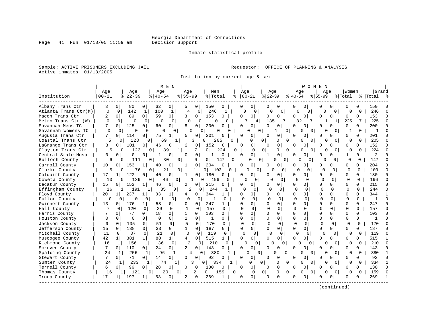Inmate statistical profile

Sample: ACTIVE PRISONERS EXCLUDING JAIL **Requestor:** OFFICE OF PLANNING & ANALYSIS Active inmates 01/18/2005

Institution by current age & sex

|                      |              |                       |                      | M E N                |              |                |                       |              |              |                     |                |                     |              | WOMEN          |           |                |              |              |           |              |
|----------------------|--------------|-----------------------|----------------------|----------------------|--------------|----------------|-----------------------|--------------|--------------|---------------------|----------------|---------------------|--------------|----------------|-----------|----------------|--------------|--------------|-----------|--------------|
|                      | Age          | Age                   |                      | Age                  | Aqe          |                | Men                   |              | Age          |                     | Age            |                     | Age          |                | Aqe       |                | Women        |              | Grand     |              |
| Institution          | $00 - 21$    | $ 22-39$              |                      | $ 40-54$             | $8155 - 99$  |                | % Total               | ిక           | $ 00-21$     |                     | $ 22-39$       |                     | $ 40-54$     |                | $8 55-99$ |                | % Total      |              | %   Total |              |
| Albany Trans Ctr     | 3            | 80<br>0               | 0                    | 62<br>$\overline{0}$ | 5            | 0              | 150                   | 0            | 0            | 0 <sup>1</sup>      | 0              | 0                   | 0            | 0              | 0         | 0              |              |              | 150       |              |
| Atlanta Trans Ctr(M) | $\mathbf 0$  | 0<br>142              | 1                    | 100<br>$\mathbf{1}$  | 4            | 0              | 246                   |              | <sup>0</sup> | $\Omega$            | O              | $\Omega$            | $\Omega$     | 0              | $\Omega$  | 0              | O            | 0            | 246       |              |
| Macon Trans Ctr      | 2            | 89<br>0               | $\Omega$             | 59<br>0 <sup>1</sup> | ζ            | 0              | 153                   | $\Omega$     | <sup>0</sup> | $\Omega$            | 0              | 0                   | $\Omega$     | $\Omega$       | U         | 0 <sup>1</sup> | $\Omega$     | 0            | 153       | $\Omega$     |
| Metro Trans Ctr (W)  | $\Omega$     | 0<br>∩                | $\circ$              | 0<br>n               | $\Omega$     | $\Omega$       | $\Omega$              | O            | 7            | 4                   | 135            |                     | 82           | 7 I            | -1        | $\mathbf{1}$   | 225          | 7            | 225       | $\Omega$     |
| Savannah Mens TC     | 7            | 125<br>$\Omega$       | 0 I                  | 60<br>0              | 8            | 0              | 200                   | U            | $\Omega$     | $\Omega$            | 0              | 0                   | $\cap$       | $\Omega$       | U         |                | $\cap$       |              | 200       |              |
| Savannah Womens TC   | ∩            | $\Omega$<br>$\Omega$  | 0                    | $\Omega$<br>$\Omega$ | U            | n              | O                     | O            |              | $\Omega$<br>0       |                | 1<br>$\Omega$       | O            | $\Omega$       | O         | $\Omega$       |              | $\Omega$     | -1        |              |
| Augusta Trans Ctr    | 7            | 114<br>$\Omega$       | 0                    | 75<br>1              | 5            | 0              | 201                   | 0            | O            | 0                   | U              | 0                   | ∩            | $\Omega$       | U         | 0              | <sup>0</sup> | 0            | 201       |              |
| Coastal Trans Ctr    | 5            | 128<br>$\Omega$       | $\Omega$             | 69                   | $\mathbf{1}$ | κ              | 205<br>0              | $\Omega$     |              | U                   | 0 <sup>1</sup> | $\Omega$<br>0       | $\Omega$     | $\Omega$       | $\Omega$  | $\Omega$       | $\Omega$     | $\Omega$     | 205       |              |
| LaGrange Trans Ctr   | 3            | 101<br>$\Omega$       | 0 <sup>1</sup>       | 46<br>0              | 2            | 0              | 152                   | 0            | $\Omega$     | 0                   | 0              | 0                   | ∩            | 0 <sup>1</sup> | U         | $\Omega$       | ∩            | $\Omega$     | 152       | n            |
| Clayton Trans Ctr    | 5            | 123<br>$\Omega$       | 0 <sup>1</sup>       | 89                   | $\mathbf{1}$ | 7              | $\overline{0}$        | 224<br>0     |              | $\Omega$            | $\Omega$       | $\overline{0}$      | $\Omega$     | $\overline{0}$ | U         | $\Omega$       |              | $\Omega$     | 224       |              |
| Central State Hosp   | $\Omega$     | O<br>$\Omega$         | 0                    | O<br>1               | 0            | 0              | 1                     | 0            | ∩            | 0 <sup>1</sup>      | -1             | 0                   | <sup>n</sup> | $\Omega$       | U         | O.             | 1            | $\Omega$     | 2         |              |
| Bulloch County       | 6            | 111<br>$\Omega$       | 0 <sup>1</sup>       | 30                   | $\Omega$     | 0              | 0 <sup>1</sup>        | 147<br>0     |              | 0<br>0 <sup>1</sup> |                | $\overline{0}$<br>0 | 0            | $\Omega$       | ∩         | $\Omega$       | $\Omega$     | $\Omega$     | 147       |              |
| Carroll County       | 10           | 153<br>$\Omega$       | 1                    | 40<br>0              | -1           | 0              | 204                   | 0            | $\Omega$     | $\Omega$            | 0              | $\Omega$            | O            | $\Omega$       | U         | 0 l            | $\Omega$     | $\Omega$     | 204       |              |
| Clarke County        | 5            | $\Omega$              | 76<br>$\overline{0}$ | 21                   | 0            | 1              | 0 <sup>1</sup><br>103 | 0            |              | 0<br>$\Omega$       | <sup>0</sup>   | 0                   | U            | 0              | $\Omega$  | $\Omega$       | $\mathbf 0$  | $\Omega$     | 103       |              |
| Colquitt County      | 17           | 122<br>1 <sup>1</sup> | 0                    | 40<br>0              | 1            | 0              | 180                   | 0            | ∩            | $\Omega$            | U              | $\Omega$            | $\Omega$     | $\Omega$       | U         | 0              | $\Omega$     | $\Omega$     | 180       | $\Omega$     |
| Coweta County        | 10           | 139<br>0 I            | 0                    | 46                   | $\Omega$     |                | $\Omega$<br>196       | 0            |              | 0                   | $\Omega$       | <sup>0</sup>        | U            | $\Omega$       | O         | $\Omega$       | $\Omega$     | $\Omega$     | 196       | $\Omega$     |
| Decatur County       | 15           | 152<br>0 <sup>1</sup> | $\mathbf{1}$         | 46<br>0              | 2            | 0              | 215                   | $\Omega$     | O            | ΩI                  | U              | $\Omega$            | $\Omega$     | $\Omega$       | U         | 0 l            | $\Omega$     | $\Omega$     | 215       | $\Omega$     |
| Effingham County     | 16           | 191<br>1              | 1                    | 35<br>$\Omega$       | 2            | 0 I            | 244                   |              | O            | $\Omega$            | $\Omega$       | $\Omega$            | $\Omega$     | $\Omega$       | $\Omega$  | $\Omega$       | $\Omega$     | $\Omega$     | 244       | $\cap$       |
| Floyd County         | 20           | 237<br>11             | $\mathbf{1}$         | 83<br>1              | 4            | 0              | 344                   | 1            | U            | $\Omega$            | O              | 0                   | $\Omega$     | $\Omega$       | O         | n I            | $\Omega$     | $\Omega$     | 344       |              |
| Fulton County        | $\Omega$     | 0<br>$\Omega$         | 0                    | $\overline{1}$<br>0  | $\Omega$     | $\Omega$       | $\mathbf{1}$          | $\Omega$     | $\Omega$     | <sup>0</sup>        | $\cap$         | $\Omega$            | $\Omega$     | <sup>0</sup>   | $\Omega$  | $\Omega$       | $\Omega$     | $\Omega$     | -1        | $\Omega$     |
| Gwinnett County      | 13           | 176<br>$\Omega$       | 1                    | 58<br>$\mathbf{0}$   | <sup>0</sup> | 0              | 247                   | 1            | ∩            | $\Omega$            | U              | 0                   | $\Omega$     | $\Omega$       | U         | 0              | $\cap$       | $\Omega$     | 247       | $\Omega$     |
| Hall County          |              | 120<br>O              | 0                    | 29<br>$\Omega$       | -1           | 0              | 157                   | O            | U            | $\Omega$            |                | $\Omega$            | $\Omega$     | $\Omega$       | $\Omega$  | $\Omega$       | $\Omega$     | $\Omega$     | 157       | $\Omega$     |
| Harris County        |              | 77<br>0               | 0                    | 18<br>$\Omega$       | 1            | 0              | 103                   | $\Omega$     | $\cap$       | $\Omega$            | $\Omega$       | $\Omega$            | $\Omega$     | $\Omega$       | O         | $\cap$         | $\Omega$     | $\Omega$     | 103       |              |
| Houston County       | <sup>0</sup> | $\Omega$<br>$\Omega$  | 0                    | $\Omega$<br>0        | 1            | 0              | 1                     | 0            | $\Omega$     | $\Omega$            | $\Omega$       | $\Omega$            | $\Omega$     | $\Omega$       | O         | $\Omega$       | $\mathbf 0$  | $\Omega$     |           | $\Omega$     |
| Jackson County       | 9            | 0<br>105              | 0                    | 0<br>51              | 5            | $\mathbf 0$    | 170                   | $\Omega$     |              | 0                   | O              | $\Omega$            | 0            | 0              | O         | $\Omega$       | $\Omega$     | $\Omega$     | 170       |              |
| Jefferson County     | 15           | 0<br>138              | 0                    | 33<br>0              | 1            | $\mathbf 0$    | 187                   | 0            | $\Omega$     | $\overline{0}$      | 0              | $\Omega$            | $\Omega$     | $\overline{0}$ | $\Omega$  | 0              | $\Omega$     | $\Omega$     | 187       |              |
| Mitchell County      | 11           | 87<br>0               | $\mathbf 0$          | 21<br>$\Omega$       | $\mathbf 0$  | 0              | 119                   | $\mathbf{0}$ | $\Omega$     | $\mathbf 0$         |                | $\Omega$            | $\Omega$     | <sup>0</sup>   | $\Omega$  | 0              | $\Omega$     | 0            | 119       | $\cap$       |
| Muscogee County      | 42           | 381<br>1              | 1 <sup>1</sup>       | 88<br>$\mathbf{1}$   | 4            | $\Omega$       | 515                   | 1            | $\Omega$     | $\Omega$            | 0              | 0                   | $\Omega$     | $\Omega$       | O         | 0              | $\Omega$     | 0            | 515       |              |
| Richmond County      | 16           | 1<br>156              | 1                    | 36<br>$\Omega$       | $\mathbf{2}$ | $\Omega$       | 210                   | $\Omega$     | O            | $\Omega$            | U              | $\Omega$            | O            | 0              | U         | $\Omega$       | U            | $\Omega$     | 210       | $\cap$       |
| Screven County       | 7            | 110<br>$\Omega$       | 0 I                  | 24<br>$\overline{0}$ | 2            | 0              | 143                   | 0            | $\Omega$     | $\Omega$            | O              | 0                   | $\Omega$     | 0              | 0         | 0              | $\Omega$     | 0            | 143       | $\Omega$     |
| Spalding County      | 24           | 256<br>$\mathbf{1}$   | $1\vert$             | 96<br>$\mathbf{1}$   | 4            | 0 <sup>1</sup> | 380                   |              |              | O<br>0              | O              | $\Omega$            | $\Omega$     | $\Omega$       | $\Omega$  | $\Omega$       | $\Omega$     | 0            | 380       | -1           |
| Stewart County       | 7            | 71<br>$\Omega$        | 0 <sup>1</sup>       | 14<br>$\overline{0}$ | O            | 0              | 92                    | 0            | $\Omega$     | $\mathbf 0$         | $\Omega$       | 0                   | $\Omega$     | $\Omega$       | U         | $\Omega$       | $\Omega$     | 0            | 92        | $\Omega$     |
| Sumter County        | 24           | 233                   | 1                    | 74                   | 1            | ς              | 0<br>334              |              |              | 0                   | $\Omega$       | $\Omega$<br>U       | $\Omega$     | $\Omega$       | O         | $\Omega$       | U            | $\Omega$     | 334       | $\mathbf{1}$ |
| Terrell County       | 6            | 96<br>0               | 0                    | 28<br>$\Omega$       | 0            | 0              | 130                   | 0            | $\Omega$     | 0                   | $\Omega$       | 0                   | $\Omega$     | $\Omega$       | U         | 0              | $\Omega$     | <sup>o</sup> | 130       | $\Omega$     |
| Thomas County        | 16           | 121<br>1 <sup>1</sup> | $\Omega$             | 20                   | $\mathbf{0}$ | 2              | 0 <sup>1</sup><br>159 | 0            |              | $\Omega$            | $\overline{0}$ | 0<br>0              | 0            | $\Omega$       | O         | 0 <sup>1</sup> | <sup>0</sup> | $\Omega$     | 159       | $\Omega$     |
| Troup County         | 17           | 197<br>1              | 1                    | 53<br>0 <sup>1</sup> | 2            | 0              | 269                   |              | O            | $\mathbf 0$         | $\Omega$       | 0                   |              | $\Omega$       |           | 0              | $\Omega$     |              | 269       | $\mathbf{1}$ |
|                      |              |                       |                      |                      |              |                |                       |              |              |                     |                |                     |              |                |           |                |              |              |           |              |

(continued)

Page 41 Run 01/18/05 11:59 am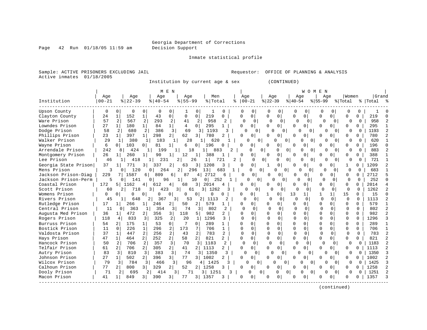Page 42 Run 01/18/05 11:59 am

Inmate statistical profile

Sample: ACTIVE PRISONERS EXCLUDING JAIL Requestor: OFFICE OF PLANNING & ANALYSIS Active inmates 01/18/2005

Institution by current age & sex (CONTINUED)

| Grand<br>Age<br>Age<br>Men<br>Aqe<br>Women<br>Age<br>Aqe<br>Aqe<br>Aqe<br>Aqe<br>$8   22 - 39$<br>$8155 - 99$<br>% Total<br>$ 22-39$<br>$\frac{1}{6}$ 55-99<br>Institution<br>  00-21<br>$8   40 - 54$<br>$ 00-21 $<br>% Total<br>% Total %<br>⊱<br>$ 40-54 $<br><b>Upson County</b><br>0<br>$\Omega$<br>$\Omega$<br><sup>0</sup><br>$\Omega$<br>0<br>0<br>$\Omega$<br>$\Omega$<br>O<br>0<br>$\Omega$<br>0<br>O<br>$\Omega$<br>0<br>$\Omega$<br>Clayton County<br>152<br>43<br>0<br>219<br>0<br>$\Omega$<br>$\Omega$<br>219<br>1<br>1<br>$\Omega$<br>0<br>$\Omega$<br>0<br>0<br>U<br>U<br>U<br>24<br>0<br>0<br>Ware Prison<br>57<br>567<br>2<br>293<br>2<br>2<br>958<br>958<br>41<br>2<br>$\Omega$<br>$\Omega$<br>U<br>$\Omega$<br>$\cap$<br>∩<br>$\Omega$<br>$\Omega$<br>U<br><sup>0</sup><br>Lowndes Prison<br>27<br>180<br>84<br>4<br>$\Omega$<br>295<br>295<br>$1\vert$<br>1 <br>$\Omega$<br>0<br>0<br>$\Omega$<br>$\Omega$<br>$\Omega$<br>$\Omega$<br>U<br>$\Omega$<br>0<br>1<br>1<br>Dodge Prison<br>2<br>680<br>2<br>386<br>3 <br>69<br>1193<br>58<br>1193<br>3<br>3<br>$\Omega$<br>$\Omega$<br>$\Omega$<br>0<br>0<br>0<br>Phillips Prison<br>23<br>397<br>298<br>62<br>$1\vert$<br>1 <sup>1</sup><br>$\overline{2}$<br>$\overline{3}$<br>780<br>$\overline{a}$<br>$\Omega$<br>780<br>$\Omega$<br>U<br>$\cap$<br>$\Omega$<br>O<br>O<br>0<br>Walker Prison<br>29<br>183<br>28<br>620<br>380<br>620<br>$\mathbf{1}$<br>1<br><sup>n</sup><br>U<br><sup>n</sup><br>U<br>0<br>0<br>1 <sup>1</sup><br>$\Omega$<br>$\Omega$<br>Wayne Prison<br>6<br>103<br>196<br>196<br>81<br>6<br>0<br>0<br>0<br>0 <sup>1</sup><br>01<br>1<br>0<br>O<br>U<br>$\Omega$<br>0<br>Arrendale Prison<br>883<br>242<br>18<br>0<br>8<br>424<br>199<br>883<br>$\mathfrak{D}$<br>$\Omega$<br>$\Omega$<br>0<br>$\Omega$<br><sup>0</sup><br>$\Omega$<br>U<br>26<br>388<br>Montgomery Prison<br>260<br>90<br>12<br>388<br>$\Omega$<br>$\Omega$<br>1 <sup>1</sup><br>$\mathbf{1}$<br>1 <sup>1</sup><br>0<br>n<br>U<br>O<br>U<br>U<br>721<br>Lee Prison<br>46<br>418<br>26<br>$\Omega$<br>$\Omega$<br>0<br>0<br>231<br>2<br>1 <sup>1</sup><br>721<br>2<br>0<br>$\Omega$<br>U<br>$\Omega$<br>0<br>0<br>Georgia State Prison<br>37<br>$\overline{3}$<br>1208<br>0<br>1209<br>771<br>337<br>2<br>63<br>0<br>0<br>3<br>3<br>0<br>$\Omega$<br>O<br>0<br>Mens Prison<br>120<br>683<br>264<br>296<br>13 <sup>1</sup><br>0 l<br>O<br>$\Omega$<br>U<br>$\Omega$<br>0<br>∩<br>0 I<br>2<br>683<br>O<br>O<br>$\Omega$<br>Jackson Prison-Diag<br>1587<br>2712<br>2712<br>229<br>809<br>87<br>0<br>$\overline{0}$<br>6 <sup>1</sup><br>б.<br>4<br>6<br>U<br>U<br>O<br>0<br>0<br>01<br>$\Omega$<br>252<br>Jackson Prison-Perm<br>141<br>252<br>96<br>∩<br>0<br>$\cap$<br>0<br>10<br>0  <br>∩<br>ΩI<br>U<br>$\Omega$<br>n<br>$\Omega$<br>$\Omega$<br>$\cap$<br>0<br>$\mathbf{1}$<br>172<br>2014<br>Coastal Prison<br>1162<br>2014<br>$\Omega$<br>51<br>612<br>4<br>68<br>3<br>0<br>$\Omega$<br>U<br>0<br>U<br>0<br>4<br>1262<br>Scott Prison<br>60<br>718<br>3 I<br>31<br>3 1262<br>$\Omega$<br>$\Omega$<br>423<br>61<br>0<br>$\Omega$<br>$\Omega$<br>$\cap$<br>$\Omega$<br>$\Omega$<br>$\cap$<br>15<br>Womens Prison<br>15<br>U<br>$\Omega$<br>O<br>13<br>1<br>1 <sup>1</sup><br><sup>n</sup><br><sup>0</sup><br>O<br>0<br>0<br>$\Omega$<br>0 I<br>11<br>n<br>O<br>Rivers Prison<br>1113<br>45<br>1113<br>$\Omega$<br>$\Omega$<br>$\Omega$<br>$\Omega$<br>$\Omega$<br>$\Omega$<br>648<br>2<br>3<br>53<br>2<br>2<br>$\Omega$<br>$\Omega$<br>$\cap$<br>367<br>O<br>17<br>$\Omega$<br>$\Omega$<br>579<br>Rutledge Prison<br>266<br>246<br>2<br>2 <sub>1</sub><br>579<br>0<br>$\Omega$<br>0<br>0<br>$\Omega$<br>0<br>50<br>$\Omega$<br>1<br>1<br>0<br>802<br>Central Prison<br>11<br>363<br>354<br>74<br>802<br>$\Omega$<br>$\cap$<br>$\Omega$<br>3 <br>3 <br>$\cap$<br>$\sqrt{ }$<br>0<br><sup>0</sup><br>$\Omega$<br>$\cap$<br>0<br>$1\vert$<br>$\Omega$<br>118<br>982<br>982<br>$\mathcal{L}$<br>Augusta Med Prison<br>36<br>472<br>356<br>$\overline{3}$<br>5<br>$\Omega$<br>$\Omega$<br>2 <sub>1</sub><br>$\overline{2}$<br>0<br>$\Omega$<br>O<br>$\Omega$<br>1 <sup>1</sup><br>O<br>$\Omega$<br>325<br>$\overline{2}$<br>1296<br>$\Omega$<br>1296<br>Rogers Prison<br>118<br>833<br>20<br>$\cap$<br>$\Omega$<br>$\cap$<br>$\Omega$<br>O<br>4<br>3<br>3<br>$\Omega$<br>$\Omega$<br>O<br>Burruss Prison<br>54<br>175<br>289<br>$\Omega$<br>289<br>53<br>0<br>7<br>0<br><sup>0</sup><br>O<br><sup>0</sup><br>$\Omega$<br>2<br>$\Omega$<br>$\Omega$<br>$\Omega$<br>226<br>Bostick Prison<br>11<br>296<br>2<br>706<br>$\cap$<br>$\Omega$<br>$\cap$<br>$\Omega$<br>$\cap$<br>0<br>706<br>$\cap$<br>$\mathbf{1}$<br>173<br>1<br>U<br>$\Omega$<br>$\cap$<br>$\cap$<br>$\mathbf{1}$<br>37<br>$\overline{2}$<br>256<br>$\overline{2}$<br>783<br>$\Omega$<br>783<br>Valdosta Prison<br>447<br>2<br>$\overline{a}$<br>$\Omega$<br>$\Omega$<br>$\Omega$<br>$\cap$<br>$\cap$<br>$\Omega$<br>$\Omega$<br>$\cap$<br>2<br>43<br>$\cap$<br>$\mathbf{1}$<br>$\overline{2}$<br>$\overline{a}$<br>464<br>252<br>58<br>821<br>0<br>$\Omega$<br>821<br>Hays Prison<br>47<br>1<br>$\Omega$<br>O<br>0<br>0<br>0<br>$\Omega$<br>$\Omega$<br>0<br>$\overline{a}$<br>Hancock Prison<br>50<br>2<br>706<br>357<br>$\overline{3}$<br>70<br>3<br>1183<br>2<br>$\mathbf 0$<br>$\mathbf 0$<br>1183<br>$\Omega$<br>0<br>$\Omega$<br>0<br>$\Omega$<br>0<br>U<br>2 <br>305<br>2  <br>Telfair Prison<br>61<br>2 <br>706<br>41<br>$\overline{2}$<br>1113<br>2<br>1113<br>U<br>$\Omega$<br>$\cap$<br>$\Omega$<br>0<br>$\Omega$<br>U<br>0<br>$\Omega$<br>$\Omega$<br>83<br>3<br>810<br>383<br>3<br>74<br>1350<br>Autry Prison<br>3<br>3<br>1350<br>U<br>$\Omega$<br>U<br>$\Omega$<br>0<br>$\Omega$<br>$\Omega$<br>$\Omega$<br>3 I<br>$\Omega$<br>$\Omega$<br>77<br>Johnson Prison<br>27<br>502<br>396<br>31<br>1002<br>1002<br>3 <sup>1</sup><br>0<br>$\Omega$<br>1 <sup>1</sup><br>2<br>0<br>∩<br>U<br>0<br>$\Omega$<br>Wilcox Prison<br>79<br>3<br>784<br>96<br>4   1425<br>1425<br>3<br>466<br>U<br>0<br><sup>n</sup><br>∩<br>U<br>$\Omega$<br>$\cap$<br>U<br>77<br>800<br>329<br>52<br>1258<br>Calhoun Prison<br>2 <sub>1</sub><br>2<br>2 <sup>1</sup><br>1258<br>0<br>$\Omega$<br>3 I<br>$\cap$<br>0<br>$\Omega$<br>0<br>$\Omega$<br>U<br>Dooly Prison<br>71<br>3   1251<br>695<br>71<br>0<br>1251<br>2<br>414<br>3<br>0<br>$\Omega$<br>$\Omega$<br>$\Omega$<br>$\Omega$<br>O<br>$\Omega$<br>0<br>0<br>Macon Prison<br>849<br>1357<br>1357<br>41<br>31<br>390<br>3<br>3 <br>0<br>0<br>77<br>3<br>O<br>0<br>$\Omega$<br>O |  |  | M E N |  |  |  |  | WOMEN |  |  |  |
|--------------------------------------------------------------------------------------------------------------------------------------------------------------------------------------------------------------------------------------------------------------------------------------------------------------------------------------------------------------------------------------------------------------------------------------------------------------------------------------------------------------------------------------------------------------------------------------------------------------------------------------------------------------------------------------------------------------------------------------------------------------------------------------------------------------------------------------------------------------------------------------------------------------------------------------------------------------------------------------------------------------------------------------------------------------------------------------------------------------------------------------------------------------------------------------------------------------------------------------------------------------------------------------------------------------------------------------------------------------------------------------------------------------------------------------------------------------------------------------------------------------------------------------------------------------------------------------------------------------------------------------------------------------------------------------------------------------------------------------------------------------------------------------------------------------------------------------------------------------------------------------------------------------------------------------------------------------------------------------------------------------------------------------------------------------------------------------------------------------------------------------------------------------------------------------------------------------------------------------------------------------------------------------------------------------------------------------------------------------------------------------------------------------------------------------------------------------------------------------------------------------------------------------------------------------------------------------------------------------------------------------------------------------------------------------------------------------------------------------------------------------------------------------------------------------------------------------------------------------------------------------------------------------------------------------------------------------------------------------------------------------------------------------------------------------------------------------------------------------------------------------------------------------------------------------------------------------------------------------------------------------------------------------------------------------------------------------------------------------------------------------------------------------------------------------------------------------------------------------------------------------------------------------------------------------------------------------------------------------------------------------------------------------------------------------------------------------------------------------------------------------------------------------------------------------------------------------------------------------------------------------------------------------------------------------------------------------------------------------------------------------------------------------------------------------------------------------------------------------------------------------------------------------------------------------------------------------------------------------------------------------------------------------------------------------------------------------------------------------------------------------------------------------------------------------------------------------------------------------------------------------------------------------------------------------------------------------------------------------------------------------------------------------------------------------------------------------------------------------------------------------------------------------------------------------------------------------------------------------------------------------------------------------------------------------------------------------------------------------------------------------------------------------------------------------------------------------------------------------------------------------------------------------------------------------------------------------------------------------------------------------------------------------------------------------------------------------------------------------------------------------------------------------------------------------------------------------------------------------------------------------------------------------------------------------------------------------------------------------------------------------------------------------------------------------------------------------------------------------------------------------------------------------------------------------------------------------------------------------------------------------------------------------------------------------------------------------------------------------------------------------------------------------------------------------------------------------------------------------------------------------------------------------------------------------------------------------------------------------------------------------------------------------------------------------------------------------------------------------------------------------------------------------------------------------------------------------------------------------------------------------------------------------------|--|--|-------|--|--|--|--|-------|--|--|--|
|                                                                                                                                                                                                                                                                                                                                                                                                                                                                                                                                                                                                                                                                                                                                                                                                                                                                                                                                                                                                                                                                                                                                                                                                                                                                                                                                                                                                                                                                                                                                                                                                                                                                                                                                                                                                                                                                                                                                                                                                                                                                                                                                                                                                                                                                                                                                                                                                                                                                                                                                                                                                                                                                                                                                                                                                                                                                                                                                                                                                                                                                                                                                                                                                                                                                                                                                                                                                                                                                                                                                                                                                                                                                                                                                                                                                                                                                                                                                                                                                                                                                                                                                                                                                                                                                                                                                                                                                                                                                                                                                                                                                                                                                                                                                                                                                                                                                                                                                                                                                                                                                                                                                                                                                                                                                                                                                                                                                                                                                                                                                                                                                                                                                                                                                                                                                                                                                                                                                                                                                                                                                                                                                                                                                                                                                                                                                                                                                                                                                                                                                            |  |  |       |  |  |  |  |       |  |  |  |
|                                                                                                                                                                                                                                                                                                                                                                                                                                                                                                                                                                                                                                                                                                                                                                                                                                                                                                                                                                                                                                                                                                                                                                                                                                                                                                                                                                                                                                                                                                                                                                                                                                                                                                                                                                                                                                                                                                                                                                                                                                                                                                                                                                                                                                                                                                                                                                                                                                                                                                                                                                                                                                                                                                                                                                                                                                                                                                                                                                                                                                                                                                                                                                                                                                                                                                                                                                                                                                                                                                                                                                                                                                                                                                                                                                                                                                                                                                                                                                                                                                                                                                                                                                                                                                                                                                                                                                                                                                                                                                                                                                                                                                                                                                                                                                                                                                                                                                                                                                                                                                                                                                                                                                                                                                                                                                                                                                                                                                                                                                                                                                                                                                                                                                                                                                                                                                                                                                                                                                                                                                                                                                                                                                                                                                                                                                                                                                                                                                                                                                                                            |  |  |       |  |  |  |  |       |  |  |  |
|                                                                                                                                                                                                                                                                                                                                                                                                                                                                                                                                                                                                                                                                                                                                                                                                                                                                                                                                                                                                                                                                                                                                                                                                                                                                                                                                                                                                                                                                                                                                                                                                                                                                                                                                                                                                                                                                                                                                                                                                                                                                                                                                                                                                                                                                                                                                                                                                                                                                                                                                                                                                                                                                                                                                                                                                                                                                                                                                                                                                                                                                                                                                                                                                                                                                                                                                                                                                                                                                                                                                                                                                                                                                                                                                                                                                                                                                                                                                                                                                                                                                                                                                                                                                                                                                                                                                                                                                                                                                                                                                                                                                                                                                                                                                                                                                                                                                                                                                                                                                                                                                                                                                                                                                                                                                                                                                                                                                                                                                                                                                                                                                                                                                                                                                                                                                                                                                                                                                                                                                                                                                                                                                                                                                                                                                                                                                                                                                                                                                                                                                            |  |  |       |  |  |  |  |       |  |  |  |
|                                                                                                                                                                                                                                                                                                                                                                                                                                                                                                                                                                                                                                                                                                                                                                                                                                                                                                                                                                                                                                                                                                                                                                                                                                                                                                                                                                                                                                                                                                                                                                                                                                                                                                                                                                                                                                                                                                                                                                                                                                                                                                                                                                                                                                                                                                                                                                                                                                                                                                                                                                                                                                                                                                                                                                                                                                                                                                                                                                                                                                                                                                                                                                                                                                                                                                                                                                                                                                                                                                                                                                                                                                                                                                                                                                                                                                                                                                                                                                                                                                                                                                                                                                                                                                                                                                                                                                                                                                                                                                                                                                                                                                                                                                                                                                                                                                                                                                                                                                                                                                                                                                                                                                                                                                                                                                                                                                                                                                                                                                                                                                                                                                                                                                                                                                                                                                                                                                                                                                                                                                                                                                                                                                                                                                                                                                                                                                                                                                                                                                                                            |  |  |       |  |  |  |  |       |  |  |  |
|                                                                                                                                                                                                                                                                                                                                                                                                                                                                                                                                                                                                                                                                                                                                                                                                                                                                                                                                                                                                                                                                                                                                                                                                                                                                                                                                                                                                                                                                                                                                                                                                                                                                                                                                                                                                                                                                                                                                                                                                                                                                                                                                                                                                                                                                                                                                                                                                                                                                                                                                                                                                                                                                                                                                                                                                                                                                                                                                                                                                                                                                                                                                                                                                                                                                                                                                                                                                                                                                                                                                                                                                                                                                                                                                                                                                                                                                                                                                                                                                                                                                                                                                                                                                                                                                                                                                                                                                                                                                                                                                                                                                                                                                                                                                                                                                                                                                                                                                                                                                                                                                                                                                                                                                                                                                                                                                                                                                                                                                                                                                                                                                                                                                                                                                                                                                                                                                                                                                                                                                                                                                                                                                                                                                                                                                                                                                                                                                                                                                                                                                            |  |  |       |  |  |  |  |       |  |  |  |
|                                                                                                                                                                                                                                                                                                                                                                                                                                                                                                                                                                                                                                                                                                                                                                                                                                                                                                                                                                                                                                                                                                                                                                                                                                                                                                                                                                                                                                                                                                                                                                                                                                                                                                                                                                                                                                                                                                                                                                                                                                                                                                                                                                                                                                                                                                                                                                                                                                                                                                                                                                                                                                                                                                                                                                                                                                                                                                                                                                                                                                                                                                                                                                                                                                                                                                                                                                                                                                                                                                                                                                                                                                                                                                                                                                                                                                                                                                                                                                                                                                                                                                                                                                                                                                                                                                                                                                                                                                                                                                                                                                                                                                                                                                                                                                                                                                                                                                                                                                                                                                                                                                                                                                                                                                                                                                                                                                                                                                                                                                                                                                                                                                                                                                                                                                                                                                                                                                                                                                                                                                                                                                                                                                                                                                                                                                                                                                                                                                                                                                                                            |  |  |       |  |  |  |  |       |  |  |  |
|                                                                                                                                                                                                                                                                                                                                                                                                                                                                                                                                                                                                                                                                                                                                                                                                                                                                                                                                                                                                                                                                                                                                                                                                                                                                                                                                                                                                                                                                                                                                                                                                                                                                                                                                                                                                                                                                                                                                                                                                                                                                                                                                                                                                                                                                                                                                                                                                                                                                                                                                                                                                                                                                                                                                                                                                                                                                                                                                                                                                                                                                                                                                                                                                                                                                                                                                                                                                                                                                                                                                                                                                                                                                                                                                                                                                                                                                                                                                                                                                                                                                                                                                                                                                                                                                                                                                                                                                                                                                                                                                                                                                                                                                                                                                                                                                                                                                                                                                                                                                                                                                                                                                                                                                                                                                                                                                                                                                                                                                                                                                                                                                                                                                                                                                                                                                                                                                                                                                                                                                                                                                                                                                                                                                                                                                                                                                                                                                                                                                                                                                            |  |  |       |  |  |  |  |       |  |  |  |
|                                                                                                                                                                                                                                                                                                                                                                                                                                                                                                                                                                                                                                                                                                                                                                                                                                                                                                                                                                                                                                                                                                                                                                                                                                                                                                                                                                                                                                                                                                                                                                                                                                                                                                                                                                                                                                                                                                                                                                                                                                                                                                                                                                                                                                                                                                                                                                                                                                                                                                                                                                                                                                                                                                                                                                                                                                                                                                                                                                                                                                                                                                                                                                                                                                                                                                                                                                                                                                                                                                                                                                                                                                                                                                                                                                                                                                                                                                                                                                                                                                                                                                                                                                                                                                                                                                                                                                                                                                                                                                                                                                                                                                                                                                                                                                                                                                                                                                                                                                                                                                                                                                                                                                                                                                                                                                                                                                                                                                                                                                                                                                                                                                                                                                                                                                                                                                                                                                                                                                                                                                                                                                                                                                                                                                                                                                                                                                                                                                                                                                                                            |  |  |       |  |  |  |  |       |  |  |  |
|                                                                                                                                                                                                                                                                                                                                                                                                                                                                                                                                                                                                                                                                                                                                                                                                                                                                                                                                                                                                                                                                                                                                                                                                                                                                                                                                                                                                                                                                                                                                                                                                                                                                                                                                                                                                                                                                                                                                                                                                                                                                                                                                                                                                                                                                                                                                                                                                                                                                                                                                                                                                                                                                                                                                                                                                                                                                                                                                                                                                                                                                                                                                                                                                                                                                                                                                                                                                                                                                                                                                                                                                                                                                                                                                                                                                                                                                                                                                                                                                                                                                                                                                                                                                                                                                                                                                                                                                                                                                                                                                                                                                                                                                                                                                                                                                                                                                                                                                                                                                                                                                                                                                                                                                                                                                                                                                                                                                                                                                                                                                                                                                                                                                                                                                                                                                                                                                                                                                                                                                                                                                                                                                                                                                                                                                                                                                                                                                                                                                                                                                            |  |  |       |  |  |  |  |       |  |  |  |
|                                                                                                                                                                                                                                                                                                                                                                                                                                                                                                                                                                                                                                                                                                                                                                                                                                                                                                                                                                                                                                                                                                                                                                                                                                                                                                                                                                                                                                                                                                                                                                                                                                                                                                                                                                                                                                                                                                                                                                                                                                                                                                                                                                                                                                                                                                                                                                                                                                                                                                                                                                                                                                                                                                                                                                                                                                                                                                                                                                                                                                                                                                                                                                                                                                                                                                                                                                                                                                                                                                                                                                                                                                                                                                                                                                                                                                                                                                                                                                                                                                                                                                                                                                                                                                                                                                                                                                                                                                                                                                                                                                                                                                                                                                                                                                                                                                                                                                                                                                                                                                                                                                                                                                                                                                                                                                                                                                                                                                                                                                                                                                                                                                                                                                                                                                                                                                                                                                                                                                                                                                                                                                                                                                                                                                                                                                                                                                                                                                                                                                                                            |  |  |       |  |  |  |  |       |  |  |  |
|                                                                                                                                                                                                                                                                                                                                                                                                                                                                                                                                                                                                                                                                                                                                                                                                                                                                                                                                                                                                                                                                                                                                                                                                                                                                                                                                                                                                                                                                                                                                                                                                                                                                                                                                                                                                                                                                                                                                                                                                                                                                                                                                                                                                                                                                                                                                                                                                                                                                                                                                                                                                                                                                                                                                                                                                                                                                                                                                                                                                                                                                                                                                                                                                                                                                                                                                                                                                                                                                                                                                                                                                                                                                                                                                                                                                                                                                                                                                                                                                                                                                                                                                                                                                                                                                                                                                                                                                                                                                                                                                                                                                                                                                                                                                                                                                                                                                                                                                                                                                                                                                                                                                                                                                                                                                                                                                                                                                                                                                                                                                                                                                                                                                                                                                                                                                                                                                                                                                                                                                                                                                                                                                                                                                                                                                                                                                                                                                                                                                                                                                            |  |  |       |  |  |  |  |       |  |  |  |
|                                                                                                                                                                                                                                                                                                                                                                                                                                                                                                                                                                                                                                                                                                                                                                                                                                                                                                                                                                                                                                                                                                                                                                                                                                                                                                                                                                                                                                                                                                                                                                                                                                                                                                                                                                                                                                                                                                                                                                                                                                                                                                                                                                                                                                                                                                                                                                                                                                                                                                                                                                                                                                                                                                                                                                                                                                                                                                                                                                                                                                                                                                                                                                                                                                                                                                                                                                                                                                                                                                                                                                                                                                                                                                                                                                                                                                                                                                                                                                                                                                                                                                                                                                                                                                                                                                                                                                                                                                                                                                                                                                                                                                                                                                                                                                                                                                                                                                                                                                                                                                                                                                                                                                                                                                                                                                                                                                                                                                                                                                                                                                                                                                                                                                                                                                                                                                                                                                                                                                                                                                                                                                                                                                                                                                                                                                                                                                                                                                                                                                                                            |  |  |       |  |  |  |  |       |  |  |  |
|                                                                                                                                                                                                                                                                                                                                                                                                                                                                                                                                                                                                                                                                                                                                                                                                                                                                                                                                                                                                                                                                                                                                                                                                                                                                                                                                                                                                                                                                                                                                                                                                                                                                                                                                                                                                                                                                                                                                                                                                                                                                                                                                                                                                                                                                                                                                                                                                                                                                                                                                                                                                                                                                                                                                                                                                                                                                                                                                                                                                                                                                                                                                                                                                                                                                                                                                                                                                                                                                                                                                                                                                                                                                                                                                                                                                                                                                                                                                                                                                                                                                                                                                                                                                                                                                                                                                                                                                                                                                                                                                                                                                                                                                                                                                                                                                                                                                                                                                                                                                                                                                                                                                                                                                                                                                                                                                                                                                                                                                                                                                                                                                                                                                                                                                                                                                                                                                                                                                                                                                                                                                                                                                                                                                                                                                                                                                                                                                                                                                                                                                            |  |  |       |  |  |  |  |       |  |  |  |
|                                                                                                                                                                                                                                                                                                                                                                                                                                                                                                                                                                                                                                                                                                                                                                                                                                                                                                                                                                                                                                                                                                                                                                                                                                                                                                                                                                                                                                                                                                                                                                                                                                                                                                                                                                                                                                                                                                                                                                                                                                                                                                                                                                                                                                                                                                                                                                                                                                                                                                                                                                                                                                                                                                                                                                                                                                                                                                                                                                                                                                                                                                                                                                                                                                                                                                                                                                                                                                                                                                                                                                                                                                                                                                                                                                                                                                                                                                                                                                                                                                                                                                                                                                                                                                                                                                                                                                                                                                                                                                                                                                                                                                                                                                                                                                                                                                                                                                                                                                                                                                                                                                                                                                                                                                                                                                                                                                                                                                                                                                                                                                                                                                                                                                                                                                                                                                                                                                                                                                                                                                                                                                                                                                                                                                                                                                                                                                                                                                                                                                                                            |  |  |       |  |  |  |  |       |  |  |  |
|                                                                                                                                                                                                                                                                                                                                                                                                                                                                                                                                                                                                                                                                                                                                                                                                                                                                                                                                                                                                                                                                                                                                                                                                                                                                                                                                                                                                                                                                                                                                                                                                                                                                                                                                                                                                                                                                                                                                                                                                                                                                                                                                                                                                                                                                                                                                                                                                                                                                                                                                                                                                                                                                                                                                                                                                                                                                                                                                                                                                                                                                                                                                                                                                                                                                                                                                                                                                                                                                                                                                                                                                                                                                                                                                                                                                                                                                                                                                                                                                                                                                                                                                                                                                                                                                                                                                                                                                                                                                                                                                                                                                                                                                                                                                                                                                                                                                                                                                                                                                                                                                                                                                                                                                                                                                                                                                                                                                                                                                                                                                                                                                                                                                                                                                                                                                                                                                                                                                                                                                                                                                                                                                                                                                                                                                                                                                                                                                                                                                                                                                            |  |  |       |  |  |  |  |       |  |  |  |
|                                                                                                                                                                                                                                                                                                                                                                                                                                                                                                                                                                                                                                                                                                                                                                                                                                                                                                                                                                                                                                                                                                                                                                                                                                                                                                                                                                                                                                                                                                                                                                                                                                                                                                                                                                                                                                                                                                                                                                                                                                                                                                                                                                                                                                                                                                                                                                                                                                                                                                                                                                                                                                                                                                                                                                                                                                                                                                                                                                                                                                                                                                                                                                                                                                                                                                                                                                                                                                                                                                                                                                                                                                                                                                                                                                                                                                                                                                                                                                                                                                                                                                                                                                                                                                                                                                                                                                                                                                                                                                                                                                                                                                                                                                                                                                                                                                                                                                                                                                                                                                                                                                                                                                                                                                                                                                                                                                                                                                                                                                                                                                                                                                                                                                                                                                                                                                                                                                                                                                                                                                                                                                                                                                                                                                                                                                                                                                                                                                                                                                                                            |  |  |       |  |  |  |  |       |  |  |  |
|                                                                                                                                                                                                                                                                                                                                                                                                                                                                                                                                                                                                                                                                                                                                                                                                                                                                                                                                                                                                                                                                                                                                                                                                                                                                                                                                                                                                                                                                                                                                                                                                                                                                                                                                                                                                                                                                                                                                                                                                                                                                                                                                                                                                                                                                                                                                                                                                                                                                                                                                                                                                                                                                                                                                                                                                                                                                                                                                                                                                                                                                                                                                                                                                                                                                                                                                                                                                                                                                                                                                                                                                                                                                                                                                                                                                                                                                                                                                                                                                                                                                                                                                                                                                                                                                                                                                                                                                                                                                                                                                                                                                                                                                                                                                                                                                                                                                                                                                                                                                                                                                                                                                                                                                                                                                                                                                                                                                                                                                                                                                                                                                                                                                                                                                                                                                                                                                                                                                                                                                                                                                                                                                                                                                                                                                                                                                                                                                                                                                                                                                            |  |  |       |  |  |  |  |       |  |  |  |
|                                                                                                                                                                                                                                                                                                                                                                                                                                                                                                                                                                                                                                                                                                                                                                                                                                                                                                                                                                                                                                                                                                                                                                                                                                                                                                                                                                                                                                                                                                                                                                                                                                                                                                                                                                                                                                                                                                                                                                                                                                                                                                                                                                                                                                                                                                                                                                                                                                                                                                                                                                                                                                                                                                                                                                                                                                                                                                                                                                                                                                                                                                                                                                                                                                                                                                                                                                                                                                                                                                                                                                                                                                                                                                                                                                                                                                                                                                                                                                                                                                                                                                                                                                                                                                                                                                                                                                                                                                                                                                                                                                                                                                                                                                                                                                                                                                                                                                                                                                                                                                                                                                                                                                                                                                                                                                                                                                                                                                                                                                                                                                                                                                                                                                                                                                                                                                                                                                                                                                                                                                                                                                                                                                                                                                                                                                                                                                                                                                                                                                                                            |  |  |       |  |  |  |  |       |  |  |  |
|                                                                                                                                                                                                                                                                                                                                                                                                                                                                                                                                                                                                                                                                                                                                                                                                                                                                                                                                                                                                                                                                                                                                                                                                                                                                                                                                                                                                                                                                                                                                                                                                                                                                                                                                                                                                                                                                                                                                                                                                                                                                                                                                                                                                                                                                                                                                                                                                                                                                                                                                                                                                                                                                                                                                                                                                                                                                                                                                                                                                                                                                                                                                                                                                                                                                                                                                                                                                                                                                                                                                                                                                                                                                                                                                                                                                                                                                                                                                                                                                                                                                                                                                                                                                                                                                                                                                                                                                                                                                                                                                                                                                                                                                                                                                                                                                                                                                                                                                                                                                                                                                                                                                                                                                                                                                                                                                                                                                                                                                                                                                                                                                                                                                                                                                                                                                                                                                                                                                                                                                                                                                                                                                                                                                                                                                                                                                                                                                                                                                                                                                            |  |  |       |  |  |  |  |       |  |  |  |
|                                                                                                                                                                                                                                                                                                                                                                                                                                                                                                                                                                                                                                                                                                                                                                                                                                                                                                                                                                                                                                                                                                                                                                                                                                                                                                                                                                                                                                                                                                                                                                                                                                                                                                                                                                                                                                                                                                                                                                                                                                                                                                                                                                                                                                                                                                                                                                                                                                                                                                                                                                                                                                                                                                                                                                                                                                                                                                                                                                                                                                                                                                                                                                                                                                                                                                                                                                                                                                                                                                                                                                                                                                                                                                                                                                                                                                                                                                                                                                                                                                                                                                                                                                                                                                                                                                                                                                                                                                                                                                                                                                                                                                                                                                                                                                                                                                                                                                                                                                                                                                                                                                                                                                                                                                                                                                                                                                                                                                                                                                                                                                                                                                                                                                                                                                                                                                                                                                                                                                                                                                                                                                                                                                                                                                                                                                                                                                                                                                                                                                                                            |  |  |       |  |  |  |  |       |  |  |  |
|                                                                                                                                                                                                                                                                                                                                                                                                                                                                                                                                                                                                                                                                                                                                                                                                                                                                                                                                                                                                                                                                                                                                                                                                                                                                                                                                                                                                                                                                                                                                                                                                                                                                                                                                                                                                                                                                                                                                                                                                                                                                                                                                                                                                                                                                                                                                                                                                                                                                                                                                                                                                                                                                                                                                                                                                                                                                                                                                                                                                                                                                                                                                                                                                                                                                                                                                                                                                                                                                                                                                                                                                                                                                                                                                                                                                                                                                                                                                                                                                                                                                                                                                                                                                                                                                                                                                                                                                                                                                                                                                                                                                                                                                                                                                                                                                                                                                                                                                                                                                                                                                                                                                                                                                                                                                                                                                                                                                                                                                                                                                                                                                                                                                                                                                                                                                                                                                                                                                                                                                                                                                                                                                                                                                                                                                                                                                                                                                                                                                                                                                            |  |  |       |  |  |  |  |       |  |  |  |
|                                                                                                                                                                                                                                                                                                                                                                                                                                                                                                                                                                                                                                                                                                                                                                                                                                                                                                                                                                                                                                                                                                                                                                                                                                                                                                                                                                                                                                                                                                                                                                                                                                                                                                                                                                                                                                                                                                                                                                                                                                                                                                                                                                                                                                                                                                                                                                                                                                                                                                                                                                                                                                                                                                                                                                                                                                                                                                                                                                                                                                                                                                                                                                                                                                                                                                                                                                                                                                                                                                                                                                                                                                                                                                                                                                                                                                                                                                                                                                                                                                                                                                                                                                                                                                                                                                                                                                                                                                                                                                                                                                                                                                                                                                                                                                                                                                                                                                                                                                                                                                                                                                                                                                                                                                                                                                                                                                                                                                                                                                                                                                                                                                                                                                                                                                                                                                                                                                                                                                                                                                                                                                                                                                                                                                                                                                                                                                                                                                                                                                                                            |  |  |       |  |  |  |  |       |  |  |  |
|                                                                                                                                                                                                                                                                                                                                                                                                                                                                                                                                                                                                                                                                                                                                                                                                                                                                                                                                                                                                                                                                                                                                                                                                                                                                                                                                                                                                                                                                                                                                                                                                                                                                                                                                                                                                                                                                                                                                                                                                                                                                                                                                                                                                                                                                                                                                                                                                                                                                                                                                                                                                                                                                                                                                                                                                                                                                                                                                                                                                                                                                                                                                                                                                                                                                                                                                                                                                                                                                                                                                                                                                                                                                                                                                                                                                                                                                                                                                                                                                                                                                                                                                                                                                                                                                                                                                                                                                                                                                                                                                                                                                                                                                                                                                                                                                                                                                                                                                                                                                                                                                                                                                                                                                                                                                                                                                                                                                                                                                                                                                                                                                                                                                                                                                                                                                                                                                                                                                                                                                                                                                                                                                                                                                                                                                                                                                                                                                                                                                                                                                            |  |  |       |  |  |  |  |       |  |  |  |
|                                                                                                                                                                                                                                                                                                                                                                                                                                                                                                                                                                                                                                                                                                                                                                                                                                                                                                                                                                                                                                                                                                                                                                                                                                                                                                                                                                                                                                                                                                                                                                                                                                                                                                                                                                                                                                                                                                                                                                                                                                                                                                                                                                                                                                                                                                                                                                                                                                                                                                                                                                                                                                                                                                                                                                                                                                                                                                                                                                                                                                                                                                                                                                                                                                                                                                                                                                                                                                                                                                                                                                                                                                                                                                                                                                                                                                                                                                                                                                                                                                                                                                                                                                                                                                                                                                                                                                                                                                                                                                                                                                                                                                                                                                                                                                                                                                                                                                                                                                                                                                                                                                                                                                                                                                                                                                                                                                                                                                                                                                                                                                                                                                                                                                                                                                                                                                                                                                                                                                                                                                                                                                                                                                                                                                                                                                                                                                                                                                                                                                                                            |  |  |       |  |  |  |  |       |  |  |  |
|                                                                                                                                                                                                                                                                                                                                                                                                                                                                                                                                                                                                                                                                                                                                                                                                                                                                                                                                                                                                                                                                                                                                                                                                                                                                                                                                                                                                                                                                                                                                                                                                                                                                                                                                                                                                                                                                                                                                                                                                                                                                                                                                                                                                                                                                                                                                                                                                                                                                                                                                                                                                                                                                                                                                                                                                                                                                                                                                                                                                                                                                                                                                                                                                                                                                                                                                                                                                                                                                                                                                                                                                                                                                                                                                                                                                                                                                                                                                                                                                                                                                                                                                                                                                                                                                                                                                                                                                                                                                                                                                                                                                                                                                                                                                                                                                                                                                                                                                                                                                                                                                                                                                                                                                                                                                                                                                                                                                                                                                                                                                                                                                                                                                                                                                                                                                                                                                                                                                                                                                                                                                                                                                                                                                                                                                                                                                                                                                                                                                                                                                            |  |  |       |  |  |  |  |       |  |  |  |
|                                                                                                                                                                                                                                                                                                                                                                                                                                                                                                                                                                                                                                                                                                                                                                                                                                                                                                                                                                                                                                                                                                                                                                                                                                                                                                                                                                                                                                                                                                                                                                                                                                                                                                                                                                                                                                                                                                                                                                                                                                                                                                                                                                                                                                                                                                                                                                                                                                                                                                                                                                                                                                                                                                                                                                                                                                                                                                                                                                                                                                                                                                                                                                                                                                                                                                                                                                                                                                                                                                                                                                                                                                                                                                                                                                                                                                                                                                                                                                                                                                                                                                                                                                                                                                                                                                                                                                                                                                                                                                                                                                                                                                                                                                                                                                                                                                                                                                                                                                                                                                                                                                                                                                                                                                                                                                                                                                                                                                                                                                                                                                                                                                                                                                                                                                                                                                                                                                                                                                                                                                                                                                                                                                                                                                                                                                                                                                                                                                                                                                                                            |  |  |       |  |  |  |  |       |  |  |  |
|                                                                                                                                                                                                                                                                                                                                                                                                                                                                                                                                                                                                                                                                                                                                                                                                                                                                                                                                                                                                                                                                                                                                                                                                                                                                                                                                                                                                                                                                                                                                                                                                                                                                                                                                                                                                                                                                                                                                                                                                                                                                                                                                                                                                                                                                                                                                                                                                                                                                                                                                                                                                                                                                                                                                                                                                                                                                                                                                                                                                                                                                                                                                                                                                                                                                                                                                                                                                                                                                                                                                                                                                                                                                                                                                                                                                                                                                                                                                                                                                                                                                                                                                                                                                                                                                                                                                                                                                                                                                                                                                                                                                                                                                                                                                                                                                                                                                                                                                                                                                                                                                                                                                                                                                                                                                                                                                                                                                                                                                                                                                                                                                                                                                                                                                                                                                                                                                                                                                                                                                                                                                                                                                                                                                                                                                                                                                                                                                                                                                                                                                            |  |  |       |  |  |  |  |       |  |  |  |
|                                                                                                                                                                                                                                                                                                                                                                                                                                                                                                                                                                                                                                                                                                                                                                                                                                                                                                                                                                                                                                                                                                                                                                                                                                                                                                                                                                                                                                                                                                                                                                                                                                                                                                                                                                                                                                                                                                                                                                                                                                                                                                                                                                                                                                                                                                                                                                                                                                                                                                                                                                                                                                                                                                                                                                                                                                                                                                                                                                                                                                                                                                                                                                                                                                                                                                                                                                                                                                                                                                                                                                                                                                                                                                                                                                                                                                                                                                                                                                                                                                                                                                                                                                                                                                                                                                                                                                                                                                                                                                                                                                                                                                                                                                                                                                                                                                                                                                                                                                                                                                                                                                                                                                                                                                                                                                                                                                                                                                                                                                                                                                                                                                                                                                                                                                                                                                                                                                                                                                                                                                                                                                                                                                                                                                                                                                                                                                                                                                                                                                                                            |  |  |       |  |  |  |  |       |  |  |  |
|                                                                                                                                                                                                                                                                                                                                                                                                                                                                                                                                                                                                                                                                                                                                                                                                                                                                                                                                                                                                                                                                                                                                                                                                                                                                                                                                                                                                                                                                                                                                                                                                                                                                                                                                                                                                                                                                                                                                                                                                                                                                                                                                                                                                                                                                                                                                                                                                                                                                                                                                                                                                                                                                                                                                                                                                                                                                                                                                                                                                                                                                                                                                                                                                                                                                                                                                                                                                                                                                                                                                                                                                                                                                                                                                                                                                                                                                                                                                                                                                                                                                                                                                                                                                                                                                                                                                                                                                                                                                                                                                                                                                                                                                                                                                                                                                                                                                                                                                                                                                                                                                                                                                                                                                                                                                                                                                                                                                                                                                                                                                                                                                                                                                                                                                                                                                                                                                                                                                                                                                                                                                                                                                                                                                                                                                                                                                                                                                                                                                                                                                            |  |  |       |  |  |  |  |       |  |  |  |
|                                                                                                                                                                                                                                                                                                                                                                                                                                                                                                                                                                                                                                                                                                                                                                                                                                                                                                                                                                                                                                                                                                                                                                                                                                                                                                                                                                                                                                                                                                                                                                                                                                                                                                                                                                                                                                                                                                                                                                                                                                                                                                                                                                                                                                                                                                                                                                                                                                                                                                                                                                                                                                                                                                                                                                                                                                                                                                                                                                                                                                                                                                                                                                                                                                                                                                                                                                                                                                                                                                                                                                                                                                                                                                                                                                                                                                                                                                                                                                                                                                                                                                                                                                                                                                                                                                                                                                                                                                                                                                                                                                                                                                                                                                                                                                                                                                                                                                                                                                                                                                                                                                                                                                                                                                                                                                                                                                                                                                                                                                                                                                                                                                                                                                                                                                                                                                                                                                                                                                                                                                                                                                                                                                                                                                                                                                                                                                                                                                                                                                                                            |  |  |       |  |  |  |  |       |  |  |  |
|                                                                                                                                                                                                                                                                                                                                                                                                                                                                                                                                                                                                                                                                                                                                                                                                                                                                                                                                                                                                                                                                                                                                                                                                                                                                                                                                                                                                                                                                                                                                                                                                                                                                                                                                                                                                                                                                                                                                                                                                                                                                                                                                                                                                                                                                                                                                                                                                                                                                                                                                                                                                                                                                                                                                                                                                                                                                                                                                                                                                                                                                                                                                                                                                                                                                                                                                                                                                                                                                                                                                                                                                                                                                                                                                                                                                                                                                                                                                                                                                                                                                                                                                                                                                                                                                                                                                                                                                                                                                                                                                                                                                                                                                                                                                                                                                                                                                                                                                                                                                                                                                                                                                                                                                                                                                                                                                                                                                                                                                                                                                                                                                                                                                                                                                                                                                                                                                                                                                                                                                                                                                                                                                                                                                                                                                                                                                                                                                                                                                                                                                            |  |  |       |  |  |  |  |       |  |  |  |
|                                                                                                                                                                                                                                                                                                                                                                                                                                                                                                                                                                                                                                                                                                                                                                                                                                                                                                                                                                                                                                                                                                                                                                                                                                                                                                                                                                                                                                                                                                                                                                                                                                                                                                                                                                                                                                                                                                                                                                                                                                                                                                                                                                                                                                                                                                                                                                                                                                                                                                                                                                                                                                                                                                                                                                                                                                                                                                                                                                                                                                                                                                                                                                                                                                                                                                                                                                                                                                                                                                                                                                                                                                                                                                                                                                                                                                                                                                                                                                                                                                                                                                                                                                                                                                                                                                                                                                                                                                                                                                                                                                                                                                                                                                                                                                                                                                                                                                                                                                                                                                                                                                                                                                                                                                                                                                                                                                                                                                                                                                                                                                                                                                                                                                                                                                                                                                                                                                                                                                                                                                                                                                                                                                                                                                                                                                                                                                                                                                                                                                                                            |  |  |       |  |  |  |  |       |  |  |  |
|                                                                                                                                                                                                                                                                                                                                                                                                                                                                                                                                                                                                                                                                                                                                                                                                                                                                                                                                                                                                                                                                                                                                                                                                                                                                                                                                                                                                                                                                                                                                                                                                                                                                                                                                                                                                                                                                                                                                                                                                                                                                                                                                                                                                                                                                                                                                                                                                                                                                                                                                                                                                                                                                                                                                                                                                                                                                                                                                                                                                                                                                                                                                                                                                                                                                                                                                                                                                                                                                                                                                                                                                                                                                                                                                                                                                                                                                                                                                                                                                                                                                                                                                                                                                                                                                                                                                                                                                                                                                                                                                                                                                                                                                                                                                                                                                                                                                                                                                                                                                                                                                                                                                                                                                                                                                                                                                                                                                                                                                                                                                                                                                                                                                                                                                                                                                                                                                                                                                                                                                                                                                                                                                                                                                                                                                                                                                                                                                                                                                                                                                            |  |  |       |  |  |  |  |       |  |  |  |
|                                                                                                                                                                                                                                                                                                                                                                                                                                                                                                                                                                                                                                                                                                                                                                                                                                                                                                                                                                                                                                                                                                                                                                                                                                                                                                                                                                                                                                                                                                                                                                                                                                                                                                                                                                                                                                                                                                                                                                                                                                                                                                                                                                                                                                                                                                                                                                                                                                                                                                                                                                                                                                                                                                                                                                                                                                                                                                                                                                                                                                                                                                                                                                                                                                                                                                                                                                                                                                                                                                                                                                                                                                                                                                                                                                                                                                                                                                                                                                                                                                                                                                                                                                                                                                                                                                                                                                                                                                                                                                                                                                                                                                                                                                                                                                                                                                                                                                                                                                                                                                                                                                                                                                                                                                                                                                                                                                                                                                                                                                                                                                                                                                                                                                                                                                                                                                                                                                                                                                                                                                                                                                                                                                                                                                                                                                                                                                                                                                                                                                                                            |  |  |       |  |  |  |  |       |  |  |  |
|                                                                                                                                                                                                                                                                                                                                                                                                                                                                                                                                                                                                                                                                                                                                                                                                                                                                                                                                                                                                                                                                                                                                                                                                                                                                                                                                                                                                                                                                                                                                                                                                                                                                                                                                                                                                                                                                                                                                                                                                                                                                                                                                                                                                                                                                                                                                                                                                                                                                                                                                                                                                                                                                                                                                                                                                                                                                                                                                                                                                                                                                                                                                                                                                                                                                                                                                                                                                                                                                                                                                                                                                                                                                                                                                                                                                                                                                                                                                                                                                                                                                                                                                                                                                                                                                                                                                                                                                                                                                                                                                                                                                                                                                                                                                                                                                                                                                                                                                                                                                                                                                                                                                                                                                                                                                                                                                                                                                                                                                                                                                                                                                                                                                                                                                                                                                                                                                                                                                                                                                                                                                                                                                                                                                                                                                                                                                                                                                                                                                                                                                            |  |  |       |  |  |  |  |       |  |  |  |
|                                                                                                                                                                                                                                                                                                                                                                                                                                                                                                                                                                                                                                                                                                                                                                                                                                                                                                                                                                                                                                                                                                                                                                                                                                                                                                                                                                                                                                                                                                                                                                                                                                                                                                                                                                                                                                                                                                                                                                                                                                                                                                                                                                                                                                                                                                                                                                                                                                                                                                                                                                                                                                                                                                                                                                                                                                                                                                                                                                                                                                                                                                                                                                                                                                                                                                                                                                                                                                                                                                                                                                                                                                                                                                                                                                                                                                                                                                                                                                                                                                                                                                                                                                                                                                                                                                                                                                                                                                                                                                                                                                                                                                                                                                                                                                                                                                                                                                                                                                                                                                                                                                                                                                                                                                                                                                                                                                                                                                                                                                                                                                                                                                                                                                                                                                                                                                                                                                                                                                                                                                                                                                                                                                                                                                                                                                                                                                                                                                                                                                                                            |  |  |       |  |  |  |  |       |  |  |  |
|                                                                                                                                                                                                                                                                                                                                                                                                                                                                                                                                                                                                                                                                                                                                                                                                                                                                                                                                                                                                                                                                                                                                                                                                                                                                                                                                                                                                                                                                                                                                                                                                                                                                                                                                                                                                                                                                                                                                                                                                                                                                                                                                                                                                                                                                                                                                                                                                                                                                                                                                                                                                                                                                                                                                                                                                                                                                                                                                                                                                                                                                                                                                                                                                                                                                                                                                                                                                                                                                                                                                                                                                                                                                                                                                                                                                                                                                                                                                                                                                                                                                                                                                                                                                                                                                                                                                                                                                                                                                                                                                                                                                                                                                                                                                                                                                                                                                                                                                                                                                                                                                                                                                                                                                                                                                                                                                                                                                                                                                                                                                                                                                                                                                                                                                                                                                                                                                                                                                                                                                                                                                                                                                                                                                                                                                                                                                                                                                                                                                                                                                            |  |  |       |  |  |  |  |       |  |  |  |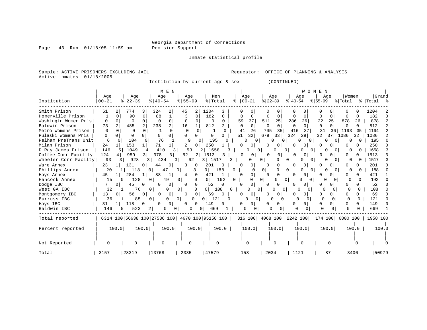Page 43 Run 01/18/05 11:59 am

Inmate statistical profile

Sample: ACTIVE PRISONERS EXCLUDING JAIL Requestor: OFFICE OF PLANNING & ANALYSIS Active inmates 01/18/2005

Institution by current age & sex (CONTINUED)

|                      |               |                                  | M E N                           |                                                 |                       |                          |                                 |                              | WOMEN            |                          |             |
|----------------------|---------------|----------------------------------|---------------------------------|-------------------------------------------------|-----------------------|--------------------------|---------------------------------|------------------------------|------------------|--------------------------|-------------|
|                      | Age           | Age                              | Age                             | Age                                             | Men                   | Age                      | Age                             | Age                          | Age              | Women                    | Grand       |
| Institution          | $00 - 21$     | $ 22-39$                         | $ 40-54$                        | $8 55-99$                                       | % Total               | $ 00 - 21$               | $ 22-39 $                       | $ 40-54 $                    | $ 55-99 $        | % Total                  | %   Total % |
| Smith Prison         | 61            | 774<br>2                         | 324<br>2                        | 45<br>2                                         | 1204<br>3             |                          |                                 |                              |                  |                          | 1204        |
| Homerville Prison    |               | $\Omega$<br>90                   | 88<br>$\mathbf{1}$<br>$\Omega$  | $\Omega$                                        | 182<br>$\Omega$       | $\Omega$<br>O            | $\Omega$<br>$\Omega$            | 0<br>$\Omega$                | O<br>$\Omega$    | $\Omega$<br><sup>n</sup> | 182         |
| Washingtn Women Pris | 0             | $\Omega$<br>$\Omega$<br>$\Omega$ | $\Omega$<br>$\Omega$            | $\Omega$                                        | $\Omega$<br>$\Omega$  | 37<br>59                 | 25<br>511                       | 286<br>26                    | 22<br>25         | 878<br>26                | 878         |
| Baldwin Prison       | 73            | 485                              | 238<br>2                        | 16                                              | 812                   | 0<br>$\Omega$            | $\Omega$<br>$\Omega$            | $\Omega$<br>$\Omega$         | O<br>$\Omega$    | $\Omega$                 | 812         |
| Metro Womens Prison  | 0             | $\Omega$<br>∩                    | 0                               | $\Omega$<br>$\Omega$<br>$\Omega$                | <sup>o</sup>          | 41<br>26                 | 35<br>705                       | 37<br>416                    | 31<br>36         | 1193<br>-35              | 1194        |
| Pulaski Womens Pris  | $\Omega$<br>0 | O                                | $\Omega$<br>0 l                 | 0<br>O                                          | 0<br>0                | 51<br>32                 | 679<br>33                       | 324<br>29                    | 32<br>37         | 1086<br>32               | 1086        |
| Pelham PreTrans Unit | 6             | 104<br><sup>0</sup>              | 76                              | 9                                               | 195                   | ∩<br>n                   | 0                               | O<br>$\Omega$                |                  |                          | 195         |
| Milan Prison         | 24            | 153                              | 71                              | 2<br>$\Omega$                                   | 250                   | $\Omega$<br><sup>0</sup> | $\Omega$<br>0                   | 0<br>01                      | U                | $\Omega$                 | 250         |
| D Ray James Prison   | 146           | 1049                             | 410                             | 53                                              | 1658                  | U                        | $\Omega$                        | $\Omega$<br>$\Omega$<br>n    |                  |                          | 1658        |
| Coffee Corr Facility | 124           | 959                              | 3<br>378<br>3                   | 52<br>2                                         | 1513<br>3             | 0<br>0                   | 0<br>$\Omega$                   | 0<br>0                       | O                | 0                        | 1513        |
| Wheeler Corr Facilty | 93            | 928<br>3.                        | 434<br>3                        | 62<br>3                                         | 1517<br>3 I           | O                        | 0<br>0                          | 0<br>n<br>$\Omega$           | O                | $\Omega$                 | 1517        |
| Ware Annex           | 23            | 131                              | 44<br>$\circ$<br>0              | 3<br>0                                          | 201<br>$\Omega$       | 0<br>n                   | 0                               | 0 <sup>1</sup><br>U          | 0                | 0                        | 201         |
| Phillips Annex       | 20            | 118                              | 47<br>$\Omega$                  | $\Omega$<br>3                                   | 188<br>0 <sup>1</sup> | O.                       | 0 <sup>1</sup>                  | 0<br>$\Omega$<br>0           | $\Omega$         | U                        | 188         |
| Hays Annex           | 45            | 284                              | 88                              | 0<br>4                                          | 421                   | $\overline{0}$<br>∩      | 0<br>$\Omega$                   | U<br>$\Omega$                |                  | U                        | 421         |
| Hancock Annex        | 15            | 128<br>0                         | 49<br>0 <sup>1</sup>            | $\mathbf{0}$<br>$\Omega$                        | 192<br>0 <sup>1</sup> | 0<br>0                   | $\overline{0}$<br>0             | $\circ$<br>O<br>$\mathbf{0}$ | O<br>$\Omega$    | O                        | 192         |
| Dodge IBC            |               | 45<br>$\Omega$                   | 0 <sup>1</sup><br>$\Omega$<br>0 | 0<br>$\Omega$                                   | 52<br>0               | 0<br>∩                   | 0 <sup>1</sup>                  | 0<br>01                      | 0                |                          | 52          |
| West GA IBC          | 32            | 76                               | 0 <sup>1</sup><br>$\Omega$      | 0<br>$\Omega$                                   | 0 <sup>1</sup><br>108 | $\Omega$<br>0            | $\Omega$<br>0 <sup>1</sup><br>0 | $\Omega$<br>$\Omega$         | O<br>$\Omega$    | U                        | 108         |
| Montgomery IBC       | 13            | 56<br>0<br>0 <sup>1</sup>        | 0<br>$\Omega$                   | 0 <sup>1</sup><br>$\Omega$                      | 69<br>$\Omega$        | $\mathbf{0}$<br>0        | 0<br>0                          | 0<br>0                       | 0<br>0           | O                        | 69          |
| Burruss IBC          | 36            | 85                               | $\Omega$<br>0 <sup>1</sup>      | 0 <sup>1</sup><br>$\Omega$                      | $\Omega$<br>121       | <sup>n</sup>             | $\Omega$<br>$\Omega$            | ∩                            | <sup>0</sup>     | <sup>0</sup><br>$\cap$   | 121         |
| Hays IBC             | 31            | 118                              | 0<br>$\Omega$                   | $\Omega$<br>$\overline{0}$                      | 149<br>$\Omega$       | O                        | 0<br>$\Omega$                   | 0<br>$\Omega$                | 0<br>0           | $\Omega$                 | 149         |
| Baldwin IBC          | 146           | 523<br>51                        | 2                               | 0<br>0                                          | 669                   | 0                        | 0                               |                              |                  |                          | 669         |
| Total reported       |               |                                  |                                 | 6314 100 56638 100 27536 100 4670 100 95158 100 |                       |                          | 316 100 4068 100 2242 100       |                              | 174 100 6800 100 |                          | 1958 100    |
| Percent reported     | 100.0         | 100.0                            | 100.0                           | 100.0                                           | 100.0                 | 100.0                    | 100.0                           | 100.0                        | 100.0            | 100.0                    | 100.0       |
|                      |               |                                  |                                 |                                                 |                       |                          |                                 |                              |                  |                          |             |
| Not Reported         |               |                                  | U                               | 0                                               |                       | O                        | 0                               |                              |                  |                          |             |
| Total                | 3157          | 28319                            | 13768                           | 2335                                            | 47579                 | 158                      | 2034                            | 1121                         | 87               | 3400                     | 50979       |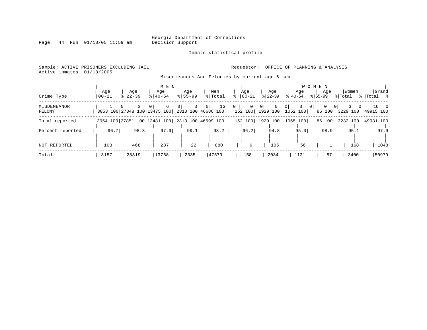Inmate statistical profile

Page 44 Run 01/18/05 11:59 am

# Active inmates 01/18/2005

#### Sample: ACTIVE PRISONERS EXCLUDING JAIL **Requestor:** OFFICE OF PLANNING & ANALYSIS

Misdemeanors And Felonies by current age & sex

| Crime Type            | Aqe<br>$00 - 21$ | Age<br>$8 22-39$             | M E N<br>Age<br>$8140 - 54$ | Age<br>$8155 - 99$                                                | Men<br>% Total | Age<br>$ 00 - 21$              | Age<br>$ 22-39 $                   | Age<br>$ 40-54 $    | W O M E N<br>Age<br>$8155 - 99$ | Women<br>% Total | Grand<br>%   Total %   |
|-----------------------|------------------|------------------------------|-----------------------------|-------------------------------------------------------------------|----------------|--------------------------------|------------------------------------|---------------------|---------------------------------|------------------|------------------------|
| MISDEMEANOR<br>FELONY |                  |                              | 6<br>$\Omega$               | 0 <sup>1</sup><br>3053 100 27848 100 13475 100 2310 100 46686 100 | 13<br>0        | 0<br>$\overline{0}$<br>152 100 | 0<br>$\Omega$<br>1929 100 1062 100 | 0 <sup>1</sup><br>0 | 86 100                          | 3229 100         | $16 \t 0$<br>49915 100 |
| Total reported        |                  | 3054 100 27851 100 13481 100 |                             | 2313 100 46699 100                                                |                | 152 100                        | 1929 100 1065 100                  |                     | 86 100                          |                  | 3232 100   49931 100   |
| Percent reported      | 96.7             | 98.3                         | 97.9                        | 99.1                                                              | 98.2           | 96.2                           | 94.8                               | 95.0                | 98.9                            | 95.1             | 97.9                   |
| NOT REPORTED          | 103              | 468                          | 287                         | 22                                                                | 880            | 6                              | 105                                | 56                  |                                 | 168              | 1048                   |
| Total                 | 3157             | 28319                        | 13768                       | 2335                                                              | 47579          | 158                            | 2034                               | 1121                | 87                              | 3400             | 50979                  |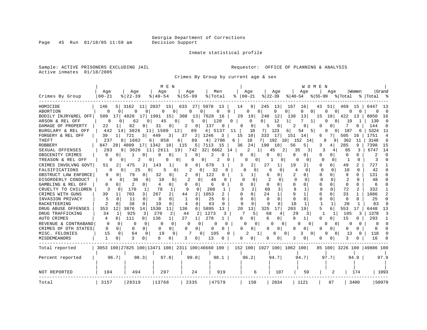Inmate statistical profile

Sample: ACTIVE PRISONERS EXCLUDING JAIL **Requestor:** OFFICE OF PLANNING & ANALYSIS Active inmates 01/18/2005

Crimes By Group by current age & sex

|                                          |                     |                                                 | M E N                         |                          |                     |                                         |                        | W O M E N           |                            |                           |                   |               |
|------------------------------------------|---------------------|-------------------------------------------------|-------------------------------|--------------------------|---------------------|-----------------------------------------|------------------------|---------------------|----------------------------|---------------------------|-------------------|---------------|
| Crimes By Group                          | Age<br>$00 - 21$    | Age<br>$8$   22-39                              | Age<br>$8140 - 54$            | Age<br>$8155 - 99$       | Men<br>% Total<br>ႜ | Age<br>  00-21                          | Age<br>$ 22-39 $       | Age<br>$ 40-54 $    | Aqe<br>$8155 - 99$         | Women<br>% Total          | Grand<br>%  Total | ႜ             |
|                                          |                     |                                                 |                               |                          |                     |                                         |                        |                     |                            |                           |                   |               |
| HOMICIDE                                 | 146                 | $5$   3162 11  2037 15                          |                               | 633 27 5978 13           | 14                  | 9 <br>245                               | 13<br>167              | 16                  | 43<br>51                   | 469 15                    | 6447              | - 13          |
| ABORTION                                 | 0 <sup>1</sup><br>0 | $\Omega$<br>$\Omega$                            | 0<br>$\Omega$                 | 0<br>$\overline{0}$      | 0<br>0              | 0<br>$\Omega$<br>29                     | 0<br>01                | 0<br>$\overline{0}$ | $\Omega$<br>0 <sup>1</sup> | 0<br>0                    |                   | $\Omega$      |
| BODILY INJRY&REL OFF                     | 509<br>171<br>8     | 4820<br>171<br>62                               | 1991<br>15                    | 308<br>13 7628<br>5.     | 16<br>120           | 19<br>240<br>0 <sup>1</sup><br>$\Omega$ | 12<br>138              | 13<br>7             | 15<br>18<br>n              | 422<br>13                 | 8050<br>139       | 16            |
| ARSON & REL OFF                          | 11                  | 0<br>0<br>82<br>0                               | 45<br>$\mathbf{0}$<br>31<br>O | 0<br>2<br>0 <sup>1</sup> | 0.<br>137           | $\Omega$<br>0                           | 12<br>5<br>$\mathbf 0$ | 1<br>2<br>$\Omega$  | 0 I<br>U<br>$\Omega$       | 19<br>1<br>7<br>0         | 144               | 0<br>$\Omega$ |
| DAMAGE OF PROPERTY<br>BURGLARY & REL OFF | 22<br>442           | 3026<br>14                                      | 11 1580<br>12                 | 89<br>4                  | 0<br>5137<br>11     | 10<br>7                                 | 123<br>6               | 54<br>5             | 0 <sup>1</sup>             | 187<br>6                  | 5324              | -11           |
| FORGERY & REL OFF                        | 39<br>11            | 721<br>3                                        | 449<br>3                      | 37<br>1246<br>2          | 3<br>15             | 10<br>333                               | 17<br>151              | 14                  | 6                          | 505<br>16                 | 1751              | 4             |
| THEFT                                    | 237                 | 8 1602<br>61                                    | 858<br>6.                     | 89<br>4                  | 2786<br>6           | 10<br>7                                 | 192<br>10              | 152<br>14           | 8<br>9                     | 362<br>-11                | 3148              | 6             |
| <b>ROBBERY</b>                           | 847<br>28           | 4809<br>17 <sup>1</sup>                         | 1342<br>10                    | 5<br>115<br>7113         | 15                  | 36<br>24<br>190                         | 10<br>56               | 5                   | 3<br>4                     | 285<br>9                  | 7398              | 15            |
| SEXUAL OFFENSES                          | 283                 | 9 3026<br>11                                    | 19<br>2611                    | 32 <br>742               | 6662<br>14          | 2                                       | 45<br>2                | 35<br>3 I           | 3                          | 85                        | 6747              | 14            |
| OBSCENITY CRIMES                         | 0<br>$\Omega$       | 1<br>0                                          | 0<br>0                        | 0<br>1                   | 2<br>∩              | 0<br>0                                  | 0<br>0                 | 0<br>0              | 0<br>$\Omega$              | $\Omega$<br>0             | $\mathfrak{D}$    | $\Omega$      |
| TREASON & REL OFF                        | O                   | 2<br>0<br>0                                     | 0<br>0                        | 01<br>0                  | 2<br>U              | 0<br>0                                  | 0                      | 0<br>0              | 0<br>$\Omega$              | O                         | 3                 | U             |
| CRIMES INVOLVNG GOVT                     | 51<br>2             | 475<br>2                                        | 143<br>1                      | 9<br>0                   | 678                 | 2<br>27<br>3                            | 1<br>19                | 2                   | 0<br>$\Omega$              | 49                        | 727               |               |
| FALSIFICATIONS                           | $\Omega$            | 25<br>0<br>0                                    | 5<br>0                        | 2<br>0                   | 32<br>U             | U<br>$\Omega$                           | б<br>0                 | $\Omega$<br>4       | $\Omega$<br>$\Omega$       | 10<br><sup>n</sup>        | 42                | U             |
| OBSTRUCT LAW ENFORCE                     | 9<br>0              | 79<br>0                                         | 32<br>0                       | 2<br>0                   | 122<br>U            | 1<br>1                                  | 6<br>0                 | 2<br>0              | O<br>$\Omega$              | 9<br>U                    | 131               | <sup>0</sup>  |
| DISORDERLY CONDUCT                       |                     | 30<br>0<br>0                                    | 10<br>0                       | 2<br>$\Omega$            | 46                  | ∩                                       | 0                      | $\Omega$<br>O       | $\Omega$                   | 2                         | 48                | U             |
| GAMBLING & REL OFF                       | 0<br>∩              | 2                                               | 4<br>0                        | 0<br>O                   | 6                   | U<br>0                                  | U<br>$\Omega$          | O<br>O              | n<br><sup>0</sup>          | $\Omega$<br>U             | 6                 |               |
| CRUELTY TO CHILDREN                      | 3<br>$\Omega$       | 170<br>1                                        | 78<br>1                       | 9<br>$\Omega$            | 260                 | 2                                       | 3<br>60                | 9<br>1              | 0<br>U                     | 72<br>2                   | 332               |               |
| CRIMES WITH GUNS                         | 39<br>1             | 703<br>3                                        | 267<br>$\overline{2}$         | 2<br>1053<br>44          |                     | $\Omega$<br>24                          | 1                      | 1<br>9              | 0                          | 33<br>$\mathbf{1}$        | 1086              | 2             |
| INVASION PRIVACY                         | 5<br>0              | 11<br>$\Omega$                                  | 8<br>0                        | $\Omega$                 | 25<br>$\Omega$      | $\Omega$                                | $\Omega$<br>$\Omega$   | $\cap$<br>$\Omega$  | $\Omega$<br>O              | $\Omega$<br>$\Omega$      | 25                | $\Omega$      |
| <b>RACKETEERING</b>                      | 2<br>$\Omega$       | 38<br>$\Omega$                                  | 19<br>0                       | 4<br>0                   | 63<br>0             | 0<br>$\Omega$                           | 9<br>$\Omega$          | 10                  |                            | 20                        | 83                | $\Omega$      |
| DRUG ABUSE OFFENSES                      | 12<br>353           | 3876<br>14                                      | 1530<br>11                    | 136<br>6<br>5895         | 13                  | 13<br>20<br>325                         | 17<br>203              | 19                  | 5<br>6                     | 553<br>17                 | 6448              | 13            |
| DRUG TRAFFICKING                         | 34<br>1             | 925<br>3                                        | 270<br>2                      | 2<br>44                  | 1273<br>3           | 5                                       | 68<br>4                | 29<br>3             | $\mathbf{1}$<br>1          | 105<br>3                  | 1378              | 3             |
| <b>AUTO CRIMES</b>                       | $\Omega$<br>4       | 111<br>$\Omega$                                 | 136<br>1                      | 27<br>$\mathbf{1}$       | 278                 | 0<br>$\Omega$                           | 6<br>0                 | 9<br>$\mathbf{1}$   | 0<br>0 <sup>1</sup>        | 15<br>0                   | 293               | 1             |
| REVENUE & CONTRABAND                     | 0<br>0              | 0<br>Ω                                          | C<br>0                        | $\Omega$<br>∩            |                     | U<br>$\Omega$                           | $\Omega$<br>0          | $\Omega$            | 0<br>$\Omega$              | <sup>0</sup><br>$\Omega$  | O                 | <sup>0</sup>  |
| CRIMES OF OTH STATES                     | 0<br>0              | $\Omega$<br>$\Omega$                            | 0<br>0                        | 0<br>0                   | 0<br>$\Omega$       | $\Omega$<br>O                           | 0<br>$\Omega$          | 0<br>$\Omega$       | U<br>0 <sup>1</sup>        | 0<br>$\Omega$             | $\Omega$          | <sup>0</sup>  |
| MISC. FELONIES                           | 15<br>$\Omega$      | 64<br>0                                         | 19<br>0                       | 0 <sup>1</sup>           | 105                 | 2<br>1                                  | 8<br>0                 | 3<br>0              | U<br>$\Omega$              | 13<br><sup>0</sup>        | 118               | <sup>0</sup>  |
| MISDEMEANORS                             | 1<br>0              | 3<br>0                                          | 6                             | 3<br>0                   | 13                  | 0<br>0                                  | 0<br>0                 | 3<br>0              | 0                          | 3                         | 16                |               |
| Total reported                           |                     | 3053 100 27825 100 13471 100 2311 100 46660 100 |                               |                          |                     | 152 100 1927 100 1062 100               |                        |                     |                            | 85 100 3226 100 49886 100 |                   |               |
| Percent reported                         | 96.7                | 98.3                                            | 97.8                          | 99.0                     | 98.1                | 96.2                                    | 94.7                   | 94.7                | 97.7                       | 94.9                      |                   | 97.9          |
|                                          |                     |                                                 |                               |                          |                     |                                         |                        |                     |                            |                           |                   |               |
| NOT REPORTED                             | 104                 | 494                                             | 297                           | 24                       | 919                 | 6                                       | 107                    | 59                  | 2                          | 174                       |                   | 1093          |
| Total                                    | 3157                | 28319                                           | 13768                         | 2335                     | 47579               | 158                                     | 2034                   | 1121                | 87                         | 3400                      | 50979             |               |

Page 45 Run 01/18/05 11:59 am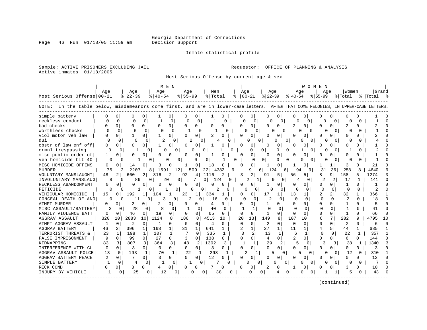Page 46 Run 01/18/05 11:59 am

#### Inmate statistical profile

Sample: ACTIVE PRISONERS EXCLUDING JAIL **Requestor:** OFFICE OF PLANNING & ANALYSIS Active inmates 01/18/2005

Most Serious Offense by current age & sex

|                                                                                                                                   |          |                      |                      | M E N                |                            |              |                   |                            |                          | <b>WOMEN</b>         |                    |            |
|-----------------------------------------------------------------------------------------------------------------------------------|----------|----------------------|----------------------|----------------------|----------------------------|--------------|-------------------|----------------------------|--------------------------|----------------------|--------------------|------------|
|                                                                                                                                   | Age      | Age                  | Age                  | Age                  | Men                        |              | Age               | Age                        | Aqe                      | Age                  | Women              | Grand      |
| Most Serious Offense 00-21                                                                                                        |          | $ 22-39 $            | $8   40 - 54$        | $8155 - 99$          | % Total                    |              | $8   00 - 21$     | $ 22-39 $                  | $8 40-54$                | $8155 - 99$          | % Total            | % Total %  |
| NOTE: In the table below, misdemeanors come first, and are in lower-case letters. AFTER THAT COME FELONIES, IN UPPER-CASE LETTERS |          |                      |                      |                      |                            |              |                   |                            |                          |                      |                    |            |
| simple battery                                                                                                                    | U        | U                    | 0                    | 0                    | 0                          | U            | O<br>0            | 0                          | O<br>O                   | O<br>O               |                    |            |
| reckless conduct                                                                                                                  | C        | $\Omega$             | $\Omega$             | 0                    | n                          | ∩            | ∩                 | <sup>n</sup>               | 0                        |                      |                    |            |
| bad checks                                                                                                                        |          | $\Omega$<br>U        | 0<br>$\Omega$        | $\Omega$<br>O        | $\Omega$<br>O              | U            | 0<br>$\Omega$     | 0<br>O                     | 2<br>$\Omega$            | U                    | U                  |            |
| worthless checks                                                                                                                  |          | $\Omega$<br>$\Omega$ | $\Omega$             | 0                    | 0                          | <sup>0</sup> | 0<br>O            | U<br>Ω                     | 0                        |                      | U                  | U          |
| viol motor yeh law                                                                                                                |          | 0<br>1               | 0 <sup>1</sup>       | 0                    | $\Omega$                   |              | U<br>0            | 0                          | O<br>Ω                   | 0<br>O               | Ω<br>O             |            |
| dui                                                                                                                               | ∩        | 0<br>O               | <sup>0</sup>         | 2<br>0               |                            |              | O<br>O            | O                          |                          | O<br><sup>0</sup>    | ∩                  |            |
| obstr of law enf off                                                                                                              | U        | $\cap$<br>0          | 0                    | $\Omega$<br>0        | 0                          |              | U<br>0            | O                          | O<br>n                   | 0                    | U                  |            |
| crmnl trespassing                                                                                                                 | $\Omega$ | U                    | U                    | U                    |                            | $\Omega$     | $\Omega$          | 0<br>U                     | $\overline{0}$           |                      |                    |            |
| misc public order of                                                                                                              | 1        | U<br>$\Omega$        | 0<br>U               | O<br>$\Omega$        | 1<br>0                     |              | $\cap$<br>0       | $\cap$<br>n                | n<br>n                   | U                    | U                  |            |
| veh homicide tit 40                                                                                                               |          |                      | 0                    | $\Omega$<br>O        | 0<br>O                     | O            | $\Omega$          | $\Omega$<br>O<br>0         | <sup>0</sup>             | <sup>0</sup>         | U                  |            |
| MISC HOMICIDE OFFENS                                                                                                              | 0        | 14                   | 0                    | O                    | $\Omega$<br>18             | O            | $\Omega$          | O                          | O                        |                      | 3                  | 21         |
| MURDER                                                                                                                            | 75       | 2207                 | 8<br>1591            | 12                   | 509<br>22<br>43            | 9<br>82      | 9<br>6            | 124<br>6                   | 94                       | 31<br>36             | 258                | 4640       |
| VOLUNTARY MANSLAUGHT                                                                                                              | 48       | 660                  | 2<br>316             | 2<br>92              | 1116<br>4                  |              | 2                 | 5<br>91                    | 56<br>5                  | 8<br>9               | 158<br>5           | 1274       |
| INVOLUNTARY MANSLAUG                                                                                                              | 8        | 89                   | 0                    | 20<br>$\Omega$       | $\overline{0}$<br>124      |              |                   | 9<br><sup>0</sup>          | 0                        | 2<br>2               | 17<br>1            | 141        |
| RECKLESS ABANDONMENT                                                                                                              | O        | <sup>0</sup>         | 0                    | 0<br>O               | $\Omega$<br>n              |              | 0                 | 0                          | O<br>O                   | 0<br>n               | 0                  |            |
| FETICIDE                                                                                                                          | U        |                      | 0                    | 0                    | O<br>O                     |              |                   |                            | U<br>N                   | O<br>$\Omega$        | O                  |            |
| VEHICULAR HOMICIDE                                                                                                                | 15       | 192                  | 104                  | 1<br>23              | 334                        |              | O.                | 17                         | 13                       |                      | 32                 | 366        |
| CONCEAL DEATH OF ANO                                                                                                              | U        | 11                   | 0                    | 0                    | 0<br>16                    | O            | $\Omega$          | $\mathfrak{D}$<br>$\Omega$ | $\Omega$<br>∩            | $\Omega$<br>$\Omega$ | <sup>0</sup>       | 18         |
| ATMPT MURDER                                                                                                                      | 0        | $\Omega$<br>2        | 0<br>2               | 0<br>0               | 4<br>0                     | O            | 0<br>0            | 0                          | $\Omega$<br>$\Omega$     | 0<br>$\Omega$        | $\mathbf{1}$<br>U  |            |
| MISC ASSAULT/BATTERY                                                                                                              | 3        | 28<br>O              | $\Omega$             | 0                    | 40<br>$\Omega$             | ∩            | $\mathbf{1}$      | $\cap$                     | $\Omega$<br><sup>0</sup> | O<br>$\Omega$        | U                  | 41         |
| FAMILY VIOLENCE BATT                                                                                                              | 0        | 46<br>0              | 19<br>0              | $\Omega$<br>$\Omega$ | 65<br>$\Omega$             | 0            | $\Omega$<br>U     | $\Omega$<br>1              | <sup>0</sup><br>$\Omega$ | $\Omega$<br>O        | -1<br>0            | 66<br>∩    |
| <b>AGGRAV ASSAULT</b>                                                                                                             | 320      | 2883<br>10           | 1124<br>10           | 8<br>186             | 4513<br>8                  | 10           | 13<br>20          | 149<br>8                   | 107<br>10                | 7<br>6               | 282<br>9           | 4795<br>10 |
| ATMPT AGGRAV ASSAULT                                                                                                              | 1        | $\Omega$<br>2        | $\Omega$<br>-1       | $\Omega$<br>$\Omega$ | $\overline{4}$<br>$\Omega$ | 0            | $\Omega$<br>0     | 2<br>$\Omega$              | $\Omega$<br>$\Omega$     | $\Omega$<br>O        | 2<br>O             | ∩<br>6     |
| AGGRAV BATTERY                                                                                                                    | 46       | 396                  | 168<br>1             | $\mathbf{1}$<br>31   | $\mathbf{1}$<br>641        | $\mathbf{1}$ | $\overline{2}$    | 27<br>1                    | 11                       | 4                    | 44                 | 685        |
| TERRORIST THREATS &                                                                                                               | 23       | 198<br>1             | 107<br>1             | 1<br>7               | 335<br>n                   | $\mathbf{1}$ | 3<br>2            | 13<br>$\mathbf{1}$         | 6                        | $\Omega$             | 22<br>$\mathbf{1}$ | 357        |
| FALSE IMPRISONMENT                                                                                                                | 9        | $\Omega$<br>99       | $\mathbf 0$<br>27    | 0<br>3               | 138<br>$\Omega$            | 0            | 0<br>0            | $\Omega$<br>4              | 2<br>U                   | $\Omega$<br>U        | 6<br>0             | 144        |
| KIDNAPPING                                                                                                                        | 83       | 807<br>3             | 3<br>364             | $\overline{3}$<br>48 | 1302<br>2                  | 3            | 1                 | 29<br>2                    | 5<br>0                   | 3                    | 38                 | 1340<br>-1 |
| INTERFERENCE WITH CU                                                                                                              | $\Omega$ | 3<br>$\Omega$        | $\Omega$<br>$\Omega$ | $\Omega$<br>0        | 3<br>$\Omega$              | 0            | 0                 | 0                          | <sup>0</sup><br>O        | $\Omega$             | O<br>0             | 3          |
| AGGRAV ASSAULT POLCE                                                                                                              | 13       | 193<br>0             | 70<br>1              | 22<br>1              | 298                        |              | 2                 | 0                          | 5<br>0                   | O<br>0               | 12                 | 310<br>0   |
| AGGRAV BATTERY PEACE                                                                                                              | 2        | 0                    | κ<br>$\Omega$        | 0<br>$\Omega$        | 12<br>$\Omega$             |              | 0                 | 0                          | U<br>Ω                   | U                    | U<br>U             | 12         |
| SIMPLE BATTERY                                                                                                                    |          | $\Omega$<br>4        | $\Omega$             | 0                    | $\Omega$                   |              | U<br><sup>o</sup> | ∩                          | $\Omega$                 |                      | ∩                  | $\Omega$   |
| RECK COND                                                                                                                         | 0        | 3                    | O                    | O                    | 0                          |              | O                 | O                          | O                        | O                    | U                  | 10         |
| INJURY BY VEHICLE                                                                                                                 |          | 25<br>0              | 12<br>$\Omega$       | 0                    |                            | 38           | 0                 | 0                          |                          |                      | 5                  | 43         |
|                                                                                                                                   |          |                      |                      |                      |                            |              |                   |                            |                          |                      |                    |            |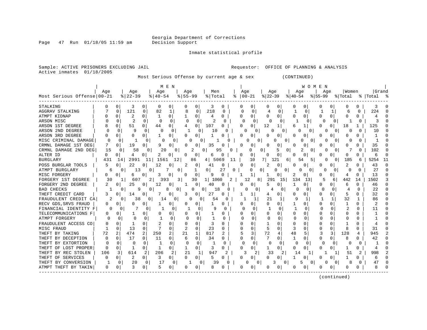Page 47 Run 01/18/05 11:59 am Decision Support

Inmate statistical profile

Active inmates 01/18/2005

Sample: ACTIVE PRISONERS EXCLUDING JAIL **Requestor:** OFFICE OF PLANNING & ANALYSIS

Most Serious Offense by current age & sex (CONTINUED)

| M E N | W O M E N |

| Most Serious Offense 00-21             | Age |               | Age<br>$8$   22 – 39 |                | Age<br>$8   40 - 54$ |               | Age<br>$8 55-99$ |              | Men<br>% Total   |              | °≈ | Age<br>$ 00-21 $ |     | Age<br>$ 22-39$ |           | Age<br>$ 40-54 $ |          | Age<br>$ 55-99$ |               | Women<br>% Total |        | Grand<br>% Total % |    |
|----------------------------------------|-----|---------------|----------------------|----------------|----------------------|---------------|------------------|--------------|------------------|--------------|----|------------------|-----|-----------------|-----------|------------------|----------|-----------------|---------------|------------------|--------|--------------------|----|
|                                        |     |               |                      |                |                      |               |                  |              |                  |              |    |                  |     |                 |           |                  |          |                 |               |                  |        |                    |    |
| STALKING                               |     | $\Omega$      | 3                    | 0              | 0                    | 0             | O                | 0            | 3                | 0            | n  | 0                | O   | 0               |           | $\Omega$         | $\Omega$ | O               | 0             | O                | 0      | 3                  |    |
| <b>AGGRAV STALKING</b><br>ATMPT KIDNAP |     | O             | 121                  | 0<br>U         | 82                   | 1             | 8                | 0            | 218              | 0            |    | 0                | 4   | 0               |           | U                | 0        | U               | 1             | 6                | 0      | 224                |    |
| ARSON MISC                             |     | 0<br>$\Omega$ | 2                    | 0              | $\Omega$             | 0<br>$\Omega$ | $\Omega$         | 0<br>0       | 4                | 0            |    | 0<br>$\Omega$    |     | 0               |           |                  | 0        | 0               | 0<br>$\Omega$ |                  | 0<br>O |                    |    |
| ARSON 1ST DEGREE                       |     | O             | 51                   |                | 44                   | 0             |                  | 0            | 107              | 0            |    | 0                | 12  | 1               |           |                  |          |                 | 0             | 18               |        | 125                |    |
| ARSON 2ND DEGREE                       |     | O             | 9                    |                |                      | 0             |                  |              | 10               | U            |    | O                |     |                 | $\Omega$  | U                | $\Omega$ |                 |               | O                | O      | 10                 |    |
| ARSON 3RD DEGREE                       |     |               | O                    |                |                      | U             |                  | O            |                  |              |    |                  |     | 0               |           |                  |          |                 |               |                  |        |                    |    |
| MISC CRIMINAL DAMAGE                   |     |               |                      |                | O                    |               |                  |              |                  |              |    | <sup>0</sup>     |     |                 | O         |                  | 0        |                 |               |                  |        |                    |    |
| CRMNL DAMAGE 1ST DEG                   |     | Ω             | 19                   |                | q                    | 0             |                  |              | 35               |              |    | Ω                |     | 0               |           |                  |          |                 |               |                  |        | 35                 |    |
| CRMNL DAMAGE 2ND DEG                   | 15  | O             | 58                   |                | 20                   | O             |                  | <sup>0</sup> | 95               |              |    |                  | 0   |                 | 0         |                  | 0        |                 |               |                  |        | 102                |    |
| ALTER ID                               | 0   |               | 4                    |                |                      |               | O                | 0            | 6                | O            | n  |                  |     | 0               |           |                  |          | O               |               | n                | n      |                    |    |
| <b>BURGLARY</b>                        | 431 | 14            | 2991                 | 11             | 1561                 | 12            |                  | 86           | 5069<br>4        | 11           |    | 10               | 7 I | 121             | 6         | 54               | 5        |                 |               | 185              | 6      | 5254               | 11 |
| POSS BURGLAR TOOLS                     | 5   | O             | 22                   | 0              | 12                   | 0             | 2                | $\Omega$     | 41               | N            |    | 0                |     | 0               |           |                  | 0        | U               | O             | $\overline{2}$   |        | 43                 |    |
| ATMPT BURGLARY                         |     | 0             | 13                   |                |                      | 0             |                  |              |                  | 27<br>0      |    | Ω                |     | 0               | $\Omega$  |                  | 0        | U               |               |                  |        | 27                 |    |
| MISC FORGERY                           |     |               | 6                    | 0              | 3                    |               |                  | 0            | q                |              |    |                  |     | 0               |           |                  | 0        | O               |               | 4                |        | 13                 |    |
| FORGERY 1ST DEGREE                     | 30  |               | 607                  | $\overline{2}$ | 393                  | 3             |                  | 30           | 1060<br>$1\vert$ | 2            |    | 12               | 8   | 291             | <b>15</b> | 134              | 13       | 5               | 6             | 442              | 14     | 1502               |    |
| FORGERY 2ND DEGREE                     |     | O             | 25                   | 0              | 12                   | 0             |                  | $\Omega$     | 40               |              |    | U                |     | 0               |           |                  |          | O               |               | 6                | U      | 46                 |    |
| <b>BAD CHECKS</b>                      |     | U             |                      |                |                      | 0             |                  | 0            | 18               |              |    |                  | 0   |                 |           |                  |          | U               |               | 4                |        | 22                 |    |
| THEFT CREDIT CARD                      |     | O             | 14                   | <sup>0</sup>   |                      | 0             | 3                | 0            | 27               | O            |    |                  | 4   | O               |           | O                |          | O               |               | 5                |        | 32                 |    |
| FRAUDULENT CREDIT CA                   |     | 0             | 38                   | 0              | 14                   | 0             |                  | 0            | 54               |              |    | -1               | 21  |                 |           | q                |          |                 |               | 32               |        | 86                 |    |
| RECV GDS, SRVS FRAUD                   | 0   | O             |                      |                |                      | 0             |                  | O            |                  | O            |    |                  |     | O               |           |                  | O        | O               |               |                  | O      |                    |    |
| FINANCIAL IDENTITY F                   |     | 0             |                      | O              |                      | O             |                  | C            |                  |              |    | ∩                |     | U               |           |                  | U        |                 |               |                  | U      | 11                 |    |
| TELECOMMUNICATIONS F                   |     |               |                      |                |                      | 0             |                  |              |                  |              |    | U                |     | <sup>0</sup>    |           | 0                | U        |                 |               | O                | O      |                    |    |
| ATMPT FORGERY                          |     | <sup>0</sup>  |                      |                |                      | <sup>n</sup>  |                  |              |                  |              |    |                  | O   | U               |           | <sup>0</sup>     |          |                 |               |                  |        |                    |    |
| FRAUDULENT ACCESS CO                   |     |               |                      |                |                      |               |                  |              | 3                |              |    |                  |     |                 |           | Ω                |          |                 |               |                  | በ      |                    |    |
| MISC FRAUD                             |     | U             | 13                   | $\Omega$       |                      | 0             | 2                | $\Omega$     | 23               | O.           |    | 0                |     | $\Omega$        |           |                  |          |                 | <sup>0</sup>  |                  | O      | 31                 |    |
| THEFT BY TAKING                        | 72  | 2             | 474                  | 2              | 250                  | 2             | 21               |              | 817              |              |    | 3                | 72  |                 |           | 48               |          |                 | 3             | 128              | 4      | 945                |    |
| THEFT BY DECEPTION                     |     | $\cap$        | 17                   | $\Omega$       | 11                   | 0             | 6                | $\Omega$     | 34               | U            |    | U                |     | $\Omega$        |           |                  | U        | U               | $\cap$        | 8                | U      | 42                 |    |
| THEFT BY EXTORTION                     |     |               |                      |                |                      | C             |                  | O            |                  | <sup>0</sup> |    | $\Omega$<br>O    |     | O               |           | O                | O        |                 | O             |                  | O      |                    |    |
| THEFT OF LOST PROPER                   | 0   | 0             |                      | $\Omega$       |                      | 0             |                  | $\Omega$     | 3                | U            | Ω  | 0                |     | 0               |           | 0                | 0        | U               | 0             |                  | N      |                    |    |
| THEFT BY REC STOLEN                    | 106 | 3             | 614                  |                | 206                  | 2             | 21               | -1           | 947              | 2            |    | 3<br>2           |     | 33              | 2         | 14               |          |                 |               | 51               | 2      | 998                |    |
| THEFT OF SERVICES                      |     | $\Omega$      | 2                    | 0              | 3                    | 0             | O                | 0            | 5                | C            |    | 0                | O   | 0               |           |                  | $\Omega$ | 0               | 0             |                  | 0      | 6                  |    |
| THEFT BY CONVERSION                    |     | 0             | 20                   | 0              | 17                   | 0             |                  | 0            | 39               |              |    |                  | 0   | 3               | 0.        | 5                | 0        |                 |               | 8                |        | 47                 |    |
| ATMPT THEFT BY TAKIN                   | 0   | O             | κ                    |                |                      | 0             |                  |              |                  |              |    | 0                |     | 0               |           |                  |          |                 |               |                  | N      |                    |    |
|                                        |     |               |                      |                |                      |               |                  |              |                  |              |    |                  |     |                 |           |                  |          |                 |               |                  |        |                    |    |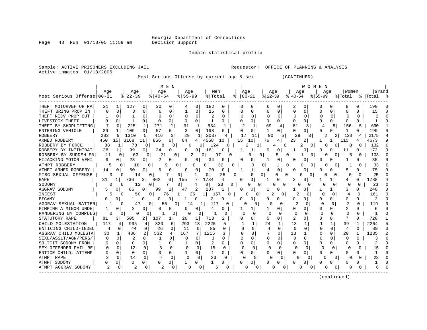Page 48 Run 01/18/05 11:59 am Decision Support

Inmate statistical profile

Sample: ACTIVE PRISONERS EXCLUDING JAIL Results of the sequestor: OFFICE OF PLANNING & ANALYSIS Active inmates 01/18/2005 Most Serious Offense by current age & sex (CONTINUED) | M E N | W O M E N | | Age | Age | Age | Age | Men | Age | Age | Age | Age |Women |Grand Most Serious Offense|00-21 %|22-39 %|40-54 %|55-99 %|Total % |00-21 %|22-39 %|40-54 %|55-99 %|Total % |Total % ------------------------------------------------------------------------------------------------------------------------------------ THEFT MOTORVEH OR PA| 21 1| 127 0| 30 0| 4 0| 182 0 | 0 0| 6 0| 2 0| 0 0| 8 0 | 190 0 THEFT BRING PROP IN | 0 0| 8 0| 6 0| 1 0| 15 0 | 0 0| 0 0| 0 0| 0 0| 0 0 | 15 0 THEFT RECV PROP OUT | 1 0| 1 0| 0 0| 0 0| 2 0 | 0 0| 0 0| 0 0| 0 0| 0 0 | 2 0 LIVESTOCK THEFT | 0 0| 1 0| 0 0| 0 0| 1 0 | 0 0| 0 0| 0 0| 0 0| 0 0 | 1 0 THEFT BY SHOPLIFTING| 7 0| 225 1| 271 2| 31 1| 534 1 | 2 1| 69 4| 81 8| 4 5| 156 5 | 690 1 ENTERING VEHICLE | 29 1| 109 0| 57 0| 3 0| 198 0 | 0 0| 1 0| 0 0| 0 0| 1 0 | 199 0 ROBBERY | 282 9| 1310 5| 416 3| 29 1| 2037 4 | 17 11| 90 5| 29 3| 2 2| 138 4 | 2175 4<br>ARMED ROBBERY | 450 15| 3168 ARMED ROBBERY | 450 15| 3168 11| 856 6| 84 4| 4558 10 | 15 10| 76 4| 23 2| 1 1| 115 4 | 4673 9 ROBBERY BY FORCE | 38 1| 78 0| 8 0| 0 0| 124 0 | 2 1| 4 0| 2 0| 0 0| 8 0 | 132 0 ROBBERY BY INTIMIDAT| 38 1| 99 0| 24 0| 0 0| 161 0 | 1 1| 9 0| 1 0| 0 0| 11 0 | 172 0 ROBBERY BY SUDDEN SN| 11 0| 63 0| 21 0| 2 0| 97 0 | 0 0| 5 0| 1 0| 0 0| 6 0 | 103 0 HIJACKING MOTOR VEHI| 9 0| 23 0| 2 0| 0 0| 34 0 | 0 0| 1 0| 0 0| 0 0| 1 0 | 35 0 ATMPT ROBBERY | 5 0| 18 0| 9 0| 0 0| 32 0 | 0 0| 1 0| 0 0| 0 0| 1 0 | 33 0 ATMPT ARMED ROBBERY | 14 0| 50 0| 6 0| 0 0| 70 0 | 1 1| 4 0| 0 0| 0 0| 5 0 | 75 0 MISC SEXUAL OFFENSE | 3 0| 14 0| 7 0| 1 0| 25 0 | 0 0| 0 0| 0 0| 0 0| 0 0 | 25 0 RAPE | 31 1| 736 3| 862 6| 155 7| 1784 4| 0 0| 1 0| 2 0| 1 1| 4 0| 1788 4<br>| 0 0| 12 0| 7 0| 4 0| 23 0| 0 0| 0 0| 0 0| 0 0| 0 0| 23 0 SODOMY | 0 0| 12 0| 7 0| 4 0| 23 0 | 0 0| 0 0| 0 0| 0 0| 0 0 | 23 0 AGGRAV SODOMY | 5 0| 86 0| 99 1| 47 2| 237 1 | 0 0| 1 0| 1 0| 1 1| 3 0 | 240 0 INCEST | 5 0| 50 0| 76 1| 26 1| 157 0 | 0 0| 2 0| 2 0| 0 0| 4 0 | 161 0 BIGAMY | 0 0| 1 0| 0 0| 1 0| 2 0 | 0 0| 0 0| 0 0| 0 0| 0 0 | 2 0 AGGRAV SEXUAL BATTER| 1 0| 47 0| 55 0| 14 1| 117 0 | 0 0| 0 0| 2 0| 0 0| 2 0 | 119 0 PIMPING A MINOR UNDE| 1 0| 3 0| 0 0| 0 0| 4 0 | 1 1| 1 0| 0 0| 0 0| 2 0 | 6 0 PANDERING BY COMPULS | 0 0 | 0 0 | 1 0 | 0 0 | 1 0 | 0 0 | 0 0 | 0 0 | 0 0 | 0 0 | 1 0<br>STATUTORY RAPE | 81 3 | 505 2 | 107 1 | 20 1 | 713 2 | 0 0 | 5 0 | 2 0 | 0 0 | 7 0 | 720 1 STATUTORY RAPE | 81 3| 505 2| 107 1| 20 1| 713 2 | 0 0| 5 0| 2 0| 0 0| 7 0 | 720 1 CHILD MOLESTATION | 117 4| 995 4| 820 6| 293 13| 2225 5 | 1 1| 24 1| 13 1| 1 1| 39 1 | 2264 5 ENTICING CHILD-INDEC| 4 0| 44 0| 26 0| 11 0| 85 0 | 0 0| 4 0| 0 0| 0 0| 4 0 | 89 0 AGGRAV CHILD MOLESTA| 30 1| 486 2| 532 4| 167 7| 1215 3 | 0 0| 7 0| 13 1| 0 0| 20 1 | 1235 2 SEXL/ASSLT/AGN/PERS/| 0 0| 2 0| 1 0| 0 0| 3 0 | 0 0| 0 0| 0 0| 0 0| 0 0 | 3 0 SOLICIT SODOMY FROM | 0 0| 0 0| 1 0| 1 0| 2 0 | 0 0| 0 0| 0 0| 0 0| 0 0 | 2 0 SEX OFFENDER FAIL RE| 0 0| 12 0| 3 0| 0 0| 15 0 | 0 0| 0 0| 0 0| 0 0| 0 0 | 15 0 ENTICE CHILD, ATTEMP| 0 0| 0 0| 0 0| 1 0| 1 0 | 0 0| 0 0| 0 0| 0 0| 0 0 | 1 0 ATMPT RAPE | 2 0| 14 0| 7 0| 0 0| 23 0 | 0 0| 0 0| 0 0| 0 0| 0 0 | 23 0 ATMPT SODOMY | 0 0| 0 0| 0 0| 1 0| 1 0 | 0 0| 0 0| 0 0| 0 0| 0 0 | 1 0 ATMPT AGGRAV SODOMY | 2 0| 2 0| 2 0| 0 0| 6 0 | 0 0| 0 0| 0 0| 0 0| 0 0 | 6 0

------------------------------------------------------------------------------------------------------------------------------------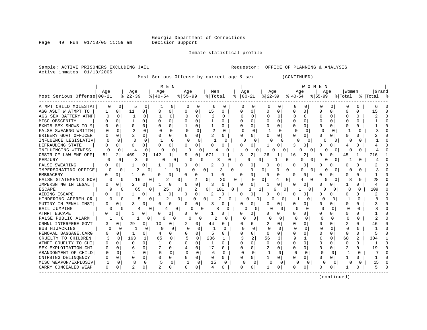Page 49 Run 01/18/05 11:59 am Decision Support

Active inmates 01/18/2005

Inmate statistical profile

 Most Serious Offense by current age & sex (CONTINUED) | M E N | W O M E N | | Age | Age | Age | Age | Men | Age | Age | Age | Age |Women |Grand Most Serious Offense|00-21 %|22-39 %|40-54 %|55-99 %|Total % |00-21 %|22-39 %|40-54 %|55-99 %|Total % |Total % ------------------------------------------------------------------------------------------------------------------------------------ ATMPT CHILD MOLESTAT| 0 0| 5 0| 1 0| 0 0| 6 0 | 0 0| 0 0| 0 0| 0 0| 0 0 | 6 0 AGG ASLT W ATMPT TO | 1 0| 11 0| 3 0| 0 0| 15 0 | 0 0| 0 0| 0 0| 0 0| 0 0 | 15 0 AGG SEX BATTERY ATMP| 0 0| 1 0| 1 0| 0 0| 2 0 | 0 0| 0 0| 0 0| 0 0| 0 0 | 2 0 MISC OBSCENITY | 0 0| 1 0| 0 0| 0 0| 1 0 | 0 0| 0 0| 0 0| 0 0| 0 0 | 1 0 EXHIB SEX SHOWS TO M | 0 0 | 0 0 | 0 0 | 1 0 | 1 0 | 0 0 | 0 0 | 0 0 | 0 0 | 0 0 | 1 0 FALSE SWEARNG WRITTN| 0 0| 2 0| 0 0| 0 0| 2 0 | 0 0| 1 0| 0 0| 0 0| 1 0 | 3 0 BRIBERY GOVT OFFICER| 0 0| 2 0| 0 0| 0 0| 2 0 | 0 0| 0 0| 0 0| 0 0| 0 0 | 2 0 INFLUENCE LEGISLATIV| 0 0| 0 0| 1 0| 0 0| 1 0 | 0 0| 0 0| 0 0| 0 0| 0 0 | 1 0 DEFRAUDING STATE | 0 0| 0 0| 0 0| 0 0| 0 0 | 0 0| 1 0| 3 0| 0 0| 4 0 | 4 0 INFLUENCING WITNESS | 0 0| 4 0| 0 0| 0 0| 4 0 | 0 0| 0 0| 0 0| 0 0| 0 0 | 4 0 OBSTR OF LAW ENF OFF| 51 2| 469 2| 142 1| 9 0| 671 1 | 3 2| 26 1| 16 2| 0 0| 45 1 | 716 1 PERJURY | 0 0| 3 0| 0 0| 0 0| 3 0 | 0 0| 1 0| 0 0| 0 0| 1 0 | 4 0 FALSE SWEARING | 0 0| 1 0| 1 0| 0 0| 2 0 | 0 0| 0 0| 0 0| 0 0| 0 0 | 2 0 IMPERSONATING OFFICE| 0 0| 2 0| 1 0| 0 0| 3 0 | 0 0| 0 0| 0 0| 0 0| 0 0 | 3 0 EMBRACERY | 0 0| 1 0| 0 0| 0 0| 1 0 | 0 0| 0 0| 0 0| 0 0| 0 0 | 1 0 FALSE STATEMENTS GOV| 0 0| 16 0| 2 0| 2 0| 20 0 | 0 0| 4 0| 4 0| 0 0| 8 0 | 28 0 IMPERSNTNG IN LEGAL | 0 0 | 2 0 | 1 0 | 0 0 | 3 0 | 0 0 | 1 0 | 0 0 | 0 0 | 1 0 | 4 0<br>ESCAPE | 9 0 | 65 0 | 25 0 | 2 0 | 101 0 | 1 1 | 6 0 | 1 0 | 0 0 | 8 0 | 109 0 ESCAPE | 9 0| 65 0| 25 0| 2 0| 101 0 | 1 1| 6 0| 1 0| 0 0| 8 0 | 109 0 AIDING ESCAPE | 0 0| 1 0| 1 0| 0 0| 2 0 | 0 0| 0 0| 0 0| 0 0| 0 0 | 2 0 HINDERING APPREH OR | 0 0| 5 0| 2 0| 0 0| 7 0 | 0 0| 0 0| 1 0| 0 0| 1 0 | 8 0 MUTINY IN PENAL INST| 0 0| 3 0| 0 0| 0 0| 3 0 | 0 0| 0 0| 0 0| 0 0| 0 0 | 3 0 BAIL JUMPING | 0 0| 4 0| 4 0| 0 0| 8 0 | 0 0| 0 0| 0 0| 0 0| 0 0 | 8 0 ATMPT ESCAPE | 0 0| 1 0| 0 0| 0 0| 1 0 | 0 0| 0 0| 0 0| 0 0| 0 0 | 1 0 FALSE PUBLIC ALARM | 1 0| 1 0| 0 0| 0 0| 2 0 | 0 0| 0 0| 0 0| 0 0| 0 0 | 2 0 CRMNL INTERFERE GOVT| 3 0| 29 0| 10 0| 2 0| 44 0 | 0 0| 2 0| 0 0| 0 0| 2 0 | 46 0 BUS HIJACKING | 0 0| 1 0| 0 0| 0 0| 1 0 | 0 0| 0 0| 0 0| 0 0| 0 0 | 1 0 REMOVAL BAGGAGE,CARG| 0 0| 1 0| 4 0| 0 0| 5 0 | 0 0| 0 0| 0 0| 0 0| 0 0 | 5 0 CRUELTY TO CHILDREN | 3 0| 163 1| 65 0| 5 0| 236 1 | 3 2| 56 3| 9 1| 0 0| 68 2 | 304 1 ATMPT CRUELTY TO CHI| 0 0| 0 0| 1 0| 0 0| 1 0 | 0 0| 0 0| 0 0| 0 0| 0 0 | 1 0 SEX EXPLOITATION CHI | 0 0 | 6 0 | 7 0 | 4 0 | 17 0 | 0 0 | 2 0 | 0 0 | 0 0 | 2 0 | 19 0 ABANDONMENT OF CHILD | 0 0 | 1 0 | 5 0 | 0 0 | 6 0 | 0 0 | 1 0 | 0 0 | 0 0 | 1 0 | 7 0<br>CNTRBTNG DELINQENCY | 0 0 | 0 0 | 0 0 | 0 0 | 0 0 | 0 0 | 0 0 | 1 0 | 0 0 | 0 0 | 1 0 | 1 0 CNTRBTNG DELINQENCY | 0 0| 0 0| 0 0| 0 0| 0 0 | 0 0| 1 0| 0 0| 0 0| 1 0 | 1 0 MISC WEAPON/EXPLOSIV| 1 0| 8 0| 5 0| 1 0| 15 0 | 0 0| 0 0| 0 0| 0 0| 0 0 | 15 0 CARRY CONCEALED WEAP| 0 0| 2 0| 2 0| 0 0| 4 0 | 0 0| 1 0| 0 0| 0 0| 1 0 | 5 0 ------------------------------------------------------------------------------------------------------------------------------------

(continued)

Sample: ACTIVE PRISONERS EXCLUDING JAIL THE SECOND Requestor: OFFICE OF PLANNING & ANALYSIS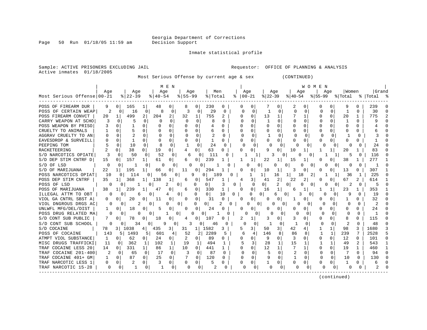Inmate statistical profile

Active inmates 01/18/2005

Sample: ACTIVE PRISONERS EXCLUDING JAIL **Requestor:** OFFICE OF PLANNING & ANALYSIS

Most Serious Offense by current age & sex (CONTINUED)

| POSS OF FIREARM DUR<br>9<br>$\Omega$<br>165<br>0<br>230<br>0<br>0<br>2<br>q<br>239<br>48<br>$\Omega$<br>O<br>O<br>POSS OF CERTAIN WEAP<br>2<br>$\mathbf 0$<br>8<br>0<br>3<br>$\Omega$<br>29<br>$\Omega$<br>$\Omega$<br>$\Omega$<br>$\Omega$<br>$\Omega$<br>1<br>30<br>$\cap$<br>$\Omega$<br>16<br>$\Omega$<br>0<br>0<br>0<br>$\overline{a}$<br>2<br>2<br>499<br>204<br>32<br>755<br>2<br>$\Omega$<br>13<br>1<br>0<br>$\Omega$<br>20<br>775<br>POSS FIREARM CONVCT<br>20<br>1<br>1<br>0<br>$\Omega$<br>$\Omega$<br>$\Omega$<br>$\Omega$<br>$\Omega$<br>0<br>1<br>$\Omega$<br>$\Omega$<br>$\Omega$<br>CARRY WEAPON AT SCHO<br>$\Omega$<br>$\Omega$<br><sup>0</sup><br>0<br>$\Omega$<br>U<br>U<br>q<br>$\Omega$<br>$\Omega$<br>POSS WEAPON BY PRISO<br>$\Omega$<br>$\Omega$<br>$\Omega$<br>0<br>$\Omega$<br>O<br>0<br>$\Omega$<br>$\cap$<br>O<br>0<br>$\Omega$<br>4<br>0<br>$\Omega$<br>CRUELTY TO ANIMALS<br>$\Omega$<br>$\Omega$<br>$\Omega$<br>$\Omega$<br>O<br>0<br>0<br>$\Omega$<br>6<br>$\Omega$<br>0<br>$\Omega$<br>O<br><sup>0</sup><br>n<br>0<br>$\Omega$<br>AGGRAV CRUELTY TO AN<br>$\Omega$<br>$\Omega$<br>O<br>$\Omega$<br>$\Omega$<br>$\Omega$<br>$\Omega$<br>$\Omega$<br>$\Omega$<br><sup>0</sup><br>0<br>$\Omega$<br>0<br>0<br>$\Omega$<br>0<br>0<br>0<br><sup>0</sup><br>$\Omega$<br>0<br><sup>0</sup><br>EAVESDROP & SURVEILL<br>0<br>O<br>$\Omega$<br>U<br>O<br>PEEPING TOM<br>10<br>$\Omega$<br>$\Omega$<br>$\Omega$<br>24<br>$\Omega$<br>0<br>$\sqrt{ }$<br>O<br>0<br>O<br>$\Omega$<br>24<br>n<br>O<br>2<br>38<br>19<br>$\Omega$<br>63<br>RACKETEERING<br>$\Omega$<br>$\Omega$<br>0<br>O<br>9<br>10<br>20<br>83<br>4<br>U<br>1<br>1<br>52<br>S/D NARCOTICS OPIATE<br>50<br>$\Omega$<br>111<br>116<br><sup>0</sup><br>$\Omega$<br><sup>n</sup><br>6<br><sup>0</sup><br>n<br>0<br>0<br>S/D DEP STIM CNTRF D<br>157<br>239<br>277<br>15<br>0<br>0<br>0<br>22<br>1<br>15<br>38<br>61<br>0<br>O<br>6<br>ı<br>S/D OF LSD<br>0<br>0<br>0<br>$\Omega$<br>N<br>O<br>0<br>U<br>U<br>$\Omega$<br>$\Omega$<br>$\Omega$<br>0<br>0<br>0<br>U<br>O<br>22<br>195<br>307<br>S/D OF MARIJUANA<br>0<br>0<br>294<br>0<br>10<br>1<br>0<br>13<br>1<br>66<br>11<br>3<br>0<br>0<br>POSS NARCOTICS OPIAT<br>10<br>114<br>9<br>1<br>16<br>18<br>225<br>0<br>189<br>O<br>36<br>0<br>0<br>56<br>0<br>2<br>POSS DEP STIM CNTRF<br>35<br>1 <sup>1</sup><br>368<br>138<br>1<br>547<br>3<br>41<br>2<br>67<br>2<br>614<br>0<br>$\overline{4}$<br>22<br>U<br>6<br>$\overline{2}$<br>POSS OF LSD<br>2<br>$\overline{0}$<br>2<br>5<br>O<br>-1<br>0<br>0<br>0<br>$\Omega$<br>0<br>O<br>$\cap$<br>$\Omega$<br>0<br>0<br>$\Omega$<br>O<br>0<br>0<br>239<br>330<br>0<br>1<br>POSS OF MARIJUANA<br>38<br>47<br>0<br>0<br>$\Omega$<br>16<br>1<br>23<br>353<br>1<br>6<br>6<br>ILLEGAL ATTM TO OBT<br>$\Omega$<br>0<br>0<br>19<br>$\Omega$<br>0<br>6<br>0<br>4<br>0<br>$\Omega$<br>10<br>0<br>0 I<br>3<br>Ω<br>O<br>9<br><sup>0</sup><br>6<br>31<br>VIOL GA CNTRL SBST A<br>20<br>11<br>0<br>$\Omega$<br>0<br>$\cap$<br>0<br>0<br>32<br>0<br>$\Omega$<br>$\Omega$<br><sup>0</sup><br>O<br>0<br>2<br>$\overline{2}$<br>VIOL DNGROUS DRGS AC<br>0<br>$\Omega$<br>0<br>$\Omega$<br>$\Omega$<br>0<br>2<br>0<br>U<br>$\Omega$<br>U<br>$\Omega$<br>0<br>∩<br>∩<br>U<br>0<br>UNLWFL MFG/DEL/DIST<br>$\Omega$<br>24<br>24<br>18<br>0<br>5<br>0<br>0<br>0<br>$\Omega$<br>0<br>0<br>$\Omega$<br>0<br>0<br>0<br>$\Omega$<br>0<br>1<br>0<br>POSS DRUG RELATED MA<br>0<br>0<br>$\Omega$<br>$\Omega$<br>$\Omega$<br>0<br>O<br>0<br>U<br>U<br>O<br>0<br>$\Omega$<br>$\Omega$<br>O<br>0<br>Ω<br>$\Omega$<br>-1<br>115<br>S/D CONT SUB PUBLIC<br>78<br>18<br>0<br>3<br>0<br>8<br>0<br>107<br>2<br>1<br>3<br>$\mathbf{0}$<br>0<br>0<br>0<br>0<br>0<br>2<br>48<br>S/D CONT SUB SCHOOL<br>0<br>0<br>3<br>0<br>0<br>$\Omega$<br>$\Omega$<br>0<br>34<br>9<br>0<br>46<br>O<br>1582<br>42<br>98<br>3<br>1680<br>3<br>S/D COCAINE<br>78<br>3 I<br>1038<br>435<br>3  <br>31<br>$1\vert$<br>3<br>3<br>50<br>31<br>1<br>$1\vert$<br>5<br>4<br>41<br>2289<br>239<br>7<br>5<br>143<br>52<br>2 <sup>1</sup><br>146<br>86<br>1<br>2528<br>POSS OF COCAINE<br>5.<br>1493<br>5<br>601<br>4<br>5<br>8<br>8<br>-1<br>4<br>62<br>2<br>89<br>9<br>12<br>101<br>ATMPT VIOL SUBSTANCE<br>0<br>$\overline{0}$<br>24<br>$\Omega$<br>3<br>U<br>$\Omega$<br>$\Omega$<br>1<br>0  <br>0<br>$\Omega$<br>0<br>0<br><sup>n</sup><br>0<br>3<br>MISC DRUGS TRAFFICKI<br>362<br>102<br>1<br>19<br>494<br>28<br>1<br>15<br>49<br>2<br>543<br>11<br>$\Omega$<br>1<br>1<br>1<br>12<br>TRAF COCAINE LESS 20<br>331<br>1  <br>10<br>0<br>$\mathbf{1}$<br>0<br>0<br>19<br>14<br>86<br>$\Omega$<br>441<br>U<br>1<br>460<br>0<br>1<br>TRAF COCAINE 201-400<br>2<br>17<br>$\Omega$<br>्र<br>87<br>5<br>$\Omega$<br>$\Omega$<br>7<br>94<br>65<br>$\Omega$<br><sup>0</sup><br><sup>0</sup><br>U<br>$\Omega$<br>∩<br>$\Omega$<br>0<br>n<br>$\cap$<br>25<br>87<br>7<br>120<br>9<br>1<br>$\Omega$<br>TRAF COCAINE 401+ GM<br>$\Omega$<br>$\Omega$<br>$\Omega$<br>$\cap$<br>10<br>$\Omega$<br>130<br>1<br>0<br>$\Omega$<br>0<br>U<br>∩<br>$\Omega$<br>3<br>TRAF NARCOTIC LESS 1<br>2<br>$\Omega$<br>0<br>$\Omega$<br>5<br>0<br>0<br>0<br>O<br>0<br>0<br>$\Omega$<br>0<br>$\Omega$<br>0<br>0<br>0<br>-1<br>6<br>TRAF NARCOTIC 15-28<br>0<br>$\Omega$<br>$\Omega$<br>∩<br>2<br>$\Omega$<br>$\Omega$<br>Ω<br>O<br>$\Omega$<br>O<br>0<br>0<br>$\Omega$<br>O | Most Serious Offense 00-21 | Aqe | $8$   22-39 | Age | M E N<br>Age<br>$ 40-54$ | Age<br>$8155 - 99$ | Men<br>% Total | Age<br>$ 00-21 $ | Age<br>$ 22-39$ | Aqe<br>$ 40-54 $ | мом н | N<br>$ 55-99$ | Age | Women<br>% Total | Grand<br>%   Total |  |
|-----------------------------------------------------------------------------------------------------------------------------------------------------------------------------------------------------------------------------------------------------------------------------------------------------------------------------------------------------------------------------------------------------------------------------------------------------------------------------------------------------------------------------------------------------------------------------------------------------------------------------------------------------------------------------------------------------------------------------------------------------------------------------------------------------------------------------------------------------------------------------------------------------------------------------------------------------------------------------------------------------------------------------------------------------------------------------------------------------------------------------------------------------------------------------------------------------------------------------------------------------------------------------------------------------------------------------------------------------------------------------------------------------------------------------------------------------------------------------------------------------------------------------------------------------------------------------------------------------------------------------------------------------------------------------------------------------------------------------------------------------------------------------------------------------------------------------------------------------------------------------------------------------------------------------------------------------------------------------------------------------------------------------------------------------------------------------------------------------------------------------------------------------------------------------------------------------------------------------------------------------------------------------------------------------------------------------------------------------------------------------------------------------------------------------------------------------------------------------------------------------------------------------------------------------------------------------------------------------------------------------------------------------------------------------------------------------------------------------------------------------------------------------------------------------------------------------------------------------------------------------------------------------------------------------------------------------------------------------------------------------------------------------------------------------------------------------------------------------------------------------------------------------------------------------------------------------------------------------------------------------------------------------------------------------------------------------------------------------------------------------------------------------------------------------------------------------------------------------------------------------------------------------------------------------------------------------------------------------------------------------------------------------------------------------------------------------------------------------------------------------------------------------------------------------------------------------------------------------------------------------------------------------------------------------------------------------------------------------------------------------------------------------------------------------------------------------------------------------------------------------------------------------------------------------------------------------------------------------------------------------------------------------------------------------------------------------------------------------------------------------------------------------------------------------------------------------------------------------------------------------------------------------------------------------------------------------------------------------------------------------------------------------------------------------------------------------------------------------------------------------------------------------------------------------------------------------------------------------------------------------------------------------------------------------------------------------------------------------------------------------------------------------------------------------------------------------------------------------------------------------------------------------------------------------------------------------------------------------------------------------------------------------------------------------------------------------------------------------------|----------------------------|-----|-------------|-----|--------------------------|--------------------|----------------|------------------|-----------------|------------------|-------|---------------|-----|------------------|--------------------|--|
|                                                                                                                                                                                                                                                                                                                                                                                                                                                                                                                                                                                                                                                                                                                                                                                                                                                                                                                                                                                                                                                                                                                                                                                                                                                                                                                                                                                                                                                                                                                                                                                                                                                                                                                                                                                                                                                                                                                                                                                                                                                                                                                                                                                                                                                                                                                                                                                                                                                                                                                                                                                                                                                                                                                                                                                                                                                                                                                                                                                                                                                                                                                                                                                                                                                                                                                                                                                                                                                                                                                                                                                                                                                                                                                                                                                                                                                                                                                                                                                                                                                                                                                                                                                                                                                                                                                                                                                                                                                                                                                                                                                                                                                                                                                                                                                                                                                                                                                                                                                                                                                                                                                                                                                                                                                                                                                                                           |                            |     |             |     |                          |                    |                |                  |                 |                  |       |               |     |                  |                    |  |
|                                                                                                                                                                                                                                                                                                                                                                                                                                                                                                                                                                                                                                                                                                                                                                                                                                                                                                                                                                                                                                                                                                                                                                                                                                                                                                                                                                                                                                                                                                                                                                                                                                                                                                                                                                                                                                                                                                                                                                                                                                                                                                                                                                                                                                                                                                                                                                                                                                                                                                                                                                                                                                                                                                                                                                                                                                                                                                                                                                                                                                                                                                                                                                                                                                                                                                                                                                                                                                                                                                                                                                                                                                                                                                                                                                                                                                                                                                                                                                                                                                                                                                                                                                                                                                                                                                                                                                                                                                                                                                                                                                                                                                                                                                                                                                                                                                                                                                                                                                                                                                                                                                                                                                                                                                                                                                                                                           |                            |     |             |     |                          |                    |                |                  |                 |                  |       |               |     |                  |                    |  |
|                                                                                                                                                                                                                                                                                                                                                                                                                                                                                                                                                                                                                                                                                                                                                                                                                                                                                                                                                                                                                                                                                                                                                                                                                                                                                                                                                                                                                                                                                                                                                                                                                                                                                                                                                                                                                                                                                                                                                                                                                                                                                                                                                                                                                                                                                                                                                                                                                                                                                                                                                                                                                                                                                                                                                                                                                                                                                                                                                                                                                                                                                                                                                                                                                                                                                                                                                                                                                                                                                                                                                                                                                                                                                                                                                                                                                                                                                                                                                                                                                                                                                                                                                                                                                                                                                                                                                                                                                                                                                                                                                                                                                                                                                                                                                                                                                                                                                                                                                                                                                                                                                                                                                                                                                                                                                                                                                           |                            |     |             |     |                          |                    |                |                  |                 |                  |       |               |     |                  |                    |  |
|                                                                                                                                                                                                                                                                                                                                                                                                                                                                                                                                                                                                                                                                                                                                                                                                                                                                                                                                                                                                                                                                                                                                                                                                                                                                                                                                                                                                                                                                                                                                                                                                                                                                                                                                                                                                                                                                                                                                                                                                                                                                                                                                                                                                                                                                                                                                                                                                                                                                                                                                                                                                                                                                                                                                                                                                                                                                                                                                                                                                                                                                                                                                                                                                                                                                                                                                                                                                                                                                                                                                                                                                                                                                                                                                                                                                                                                                                                                                                                                                                                                                                                                                                                                                                                                                                                                                                                                                                                                                                                                                                                                                                                                                                                                                                                                                                                                                                                                                                                                                                                                                                                                                                                                                                                                                                                                                                           |                            |     |             |     |                          |                    |                |                  |                 |                  |       |               |     |                  |                    |  |
|                                                                                                                                                                                                                                                                                                                                                                                                                                                                                                                                                                                                                                                                                                                                                                                                                                                                                                                                                                                                                                                                                                                                                                                                                                                                                                                                                                                                                                                                                                                                                                                                                                                                                                                                                                                                                                                                                                                                                                                                                                                                                                                                                                                                                                                                                                                                                                                                                                                                                                                                                                                                                                                                                                                                                                                                                                                                                                                                                                                                                                                                                                                                                                                                                                                                                                                                                                                                                                                                                                                                                                                                                                                                                                                                                                                                                                                                                                                                                                                                                                                                                                                                                                                                                                                                                                                                                                                                                                                                                                                                                                                                                                                                                                                                                                                                                                                                                                                                                                                                                                                                                                                                                                                                                                                                                                                                                           |                            |     |             |     |                          |                    |                |                  |                 |                  |       |               |     |                  |                    |  |
|                                                                                                                                                                                                                                                                                                                                                                                                                                                                                                                                                                                                                                                                                                                                                                                                                                                                                                                                                                                                                                                                                                                                                                                                                                                                                                                                                                                                                                                                                                                                                                                                                                                                                                                                                                                                                                                                                                                                                                                                                                                                                                                                                                                                                                                                                                                                                                                                                                                                                                                                                                                                                                                                                                                                                                                                                                                                                                                                                                                                                                                                                                                                                                                                                                                                                                                                                                                                                                                                                                                                                                                                                                                                                                                                                                                                                                                                                                                                                                                                                                                                                                                                                                                                                                                                                                                                                                                                                                                                                                                                                                                                                                                                                                                                                                                                                                                                                                                                                                                                                                                                                                                                                                                                                                                                                                                                                           |                            |     |             |     |                          |                    |                |                  |                 |                  |       |               |     |                  |                    |  |
|                                                                                                                                                                                                                                                                                                                                                                                                                                                                                                                                                                                                                                                                                                                                                                                                                                                                                                                                                                                                                                                                                                                                                                                                                                                                                                                                                                                                                                                                                                                                                                                                                                                                                                                                                                                                                                                                                                                                                                                                                                                                                                                                                                                                                                                                                                                                                                                                                                                                                                                                                                                                                                                                                                                                                                                                                                                                                                                                                                                                                                                                                                                                                                                                                                                                                                                                                                                                                                                                                                                                                                                                                                                                                                                                                                                                                                                                                                                                                                                                                                                                                                                                                                                                                                                                                                                                                                                                                                                                                                                                                                                                                                                                                                                                                                                                                                                                                                                                                                                                                                                                                                                                                                                                                                                                                                                                                           |                            |     |             |     |                          |                    |                |                  |                 |                  |       |               |     |                  |                    |  |
|                                                                                                                                                                                                                                                                                                                                                                                                                                                                                                                                                                                                                                                                                                                                                                                                                                                                                                                                                                                                                                                                                                                                                                                                                                                                                                                                                                                                                                                                                                                                                                                                                                                                                                                                                                                                                                                                                                                                                                                                                                                                                                                                                                                                                                                                                                                                                                                                                                                                                                                                                                                                                                                                                                                                                                                                                                                                                                                                                                                                                                                                                                                                                                                                                                                                                                                                                                                                                                                                                                                                                                                                                                                                                                                                                                                                                                                                                                                                                                                                                                                                                                                                                                                                                                                                                                                                                                                                                                                                                                                                                                                                                                                                                                                                                                                                                                                                                                                                                                                                                                                                                                                                                                                                                                                                                                                                                           |                            |     |             |     |                          |                    |                |                  |                 |                  |       |               |     |                  |                    |  |
|                                                                                                                                                                                                                                                                                                                                                                                                                                                                                                                                                                                                                                                                                                                                                                                                                                                                                                                                                                                                                                                                                                                                                                                                                                                                                                                                                                                                                                                                                                                                                                                                                                                                                                                                                                                                                                                                                                                                                                                                                                                                                                                                                                                                                                                                                                                                                                                                                                                                                                                                                                                                                                                                                                                                                                                                                                                                                                                                                                                                                                                                                                                                                                                                                                                                                                                                                                                                                                                                                                                                                                                                                                                                                                                                                                                                                                                                                                                                                                                                                                                                                                                                                                                                                                                                                                                                                                                                                                                                                                                                                                                                                                                                                                                                                                                                                                                                                                                                                                                                                                                                                                                                                                                                                                                                                                                                                           |                            |     |             |     |                          |                    |                |                  |                 |                  |       |               |     |                  |                    |  |
|                                                                                                                                                                                                                                                                                                                                                                                                                                                                                                                                                                                                                                                                                                                                                                                                                                                                                                                                                                                                                                                                                                                                                                                                                                                                                                                                                                                                                                                                                                                                                                                                                                                                                                                                                                                                                                                                                                                                                                                                                                                                                                                                                                                                                                                                                                                                                                                                                                                                                                                                                                                                                                                                                                                                                                                                                                                                                                                                                                                                                                                                                                                                                                                                                                                                                                                                                                                                                                                                                                                                                                                                                                                                                                                                                                                                                                                                                                                                                                                                                                                                                                                                                                                                                                                                                                                                                                                                                                                                                                                                                                                                                                                                                                                                                                                                                                                                                                                                                                                                                                                                                                                                                                                                                                                                                                                                                           |                            |     |             |     |                          |                    |                |                  |                 |                  |       |               |     |                  |                    |  |
|                                                                                                                                                                                                                                                                                                                                                                                                                                                                                                                                                                                                                                                                                                                                                                                                                                                                                                                                                                                                                                                                                                                                                                                                                                                                                                                                                                                                                                                                                                                                                                                                                                                                                                                                                                                                                                                                                                                                                                                                                                                                                                                                                                                                                                                                                                                                                                                                                                                                                                                                                                                                                                                                                                                                                                                                                                                                                                                                                                                                                                                                                                                                                                                                                                                                                                                                                                                                                                                                                                                                                                                                                                                                                                                                                                                                                                                                                                                                                                                                                                                                                                                                                                                                                                                                                                                                                                                                                                                                                                                                                                                                                                                                                                                                                                                                                                                                                                                                                                                                                                                                                                                                                                                                                                                                                                                                                           |                            |     |             |     |                          |                    |                |                  |                 |                  |       |               |     |                  |                    |  |
|                                                                                                                                                                                                                                                                                                                                                                                                                                                                                                                                                                                                                                                                                                                                                                                                                                                                                                                                                                                                                                                                                                                                                                                                                                                                                                                                                                                                                                                                                                                                                                                                                                                                                                                                                                                                                                                                                                                                                                                                                                                                                                                                                                                                                                                                                                                                                                                                                                                                                                                                                                                                                                                                                                                                                                                                                                                                                                                                                                                                                                                                                                                                                                                                                                                                                                                                                                                                                                                                                                                                                                                                                                                                                                                                                                                                                                                                                                                                                                                                                                                                                                                                                                                                                                                                                                                                                                                                                                                                                                                                                                                                                                                                                                                                                                                                                                                                                                                                                                                                                                                                                                                                                                                                                                                                                                                                                           |                            |     |             |     |                          |                    |                |                  |                 |                  |       |               |     |                  |                    |  |
|                                                                                                                                                                                                                                                                                                                                                                                                                                                                                                                                                                                                                                                                                                                                                                                                                                                                                                                                                                                                                                                                                                                                                                                                                                                                                                                                                                                                                                                                                                                                                                                                                                                                                                                                                                                                                                                                                                                                                                                                                                                                                                                                                                                                                                                                                                                                                                                                                                                                                                                                                                                                                                                                                                                                                                                                                                                                                                                                                                                                                                                                                                                                                                                                                                                                                                                                                                                                                                                                                                                                                                                                                                                                                                                                                                                                                                                                                                                                                                                                                                                                                                                                                                                                                                                                                                                                                                                                                                                                                                                                                                                                                                                                                                                                                                                                                                                                                                                                                                                                                                                                                                                                                                                                                                                                                                                                                           |                            |     |             |     |                          |                    |                |                  |                 |                  |       |               |     |                  |                    |  |
|                                                                                                                                                                                                                                                                                                                                                                                                                                                                                                                                                                                                                                                                                                                                                                                                                                                                                                                                                                                                                                                                                                                                                                                                                                                                                                                                                                                                                                                                                                                                                                                                                                                                                                                                                                                                                                                                                                                                                                                                                                                                                                                                                                                                                                                                                                                                                                                                                                                                                                                                                                                                                                                                                                                                                                                                                                                                                                                                                                                                                                                                                                                                                                                                                                                                                                                                                                                                                                                                                                                                                                                                                                                                                                                                                                                                                                                                                                                                                                                                                                                                                                                                                                                                                                                                                                                                                                                                                                                                                                                                                                                                                                                                                                                                                                                                                                                                                                                                                                                                                                                                                                                                                                                                                                                                                                                                                           |                            |     |             |     |                          |                    |                |                  |                 |                  |       |               |     |                  |                    |  |
|                                                                                                                                                                                                                                                                                                                                                                                                                                                                                                                                                                                                                                                                                                                                                                                                                                                                                                                                                                                                                                                                                                                                                                                                                                                                                                                                                                                                                                                                                                                                                                                                                                                                                                                                                                                                                                                                                                                                                                                                                                                                                                                                                                                                                                                                                                                                                                                                                                                                                                                                                                                                                                                                                                                                                                                                                                                                                                                                                                                                                                                                                                                                                                                                                                                                                                                                                                                                                                                                                                                                                                                                                                                                                                                                                                                                                                                                                                                                                                                                                                                                                                                                                                                                                                                                                                                                                                                                                                                                                                                                                                                                                                                                                                                                                                                                                                                                                                                                                                                                                                                                                                                                                                                                                                                                                                                                                           |                            |     |             |     |                          |                    |                |                  |                 |                  |       |               |     |                  |                    |  |
|                                                                                                                                                                                                                                                                                                                                                                                                                                                                                                                                                                                                                                                                                                                                                                                                                                                                                                                                                                                                                                                                                                                                                                                                                                                                                                                                                                                                                                                                                                                                                                                                                                                                                                                                                                                                                                                                                                                                                                                                                                                                                                                                                                                                                                                                                                                                                                                                                                                                                                                                                                                                                                                                                                                                                                                                                                                                                                                                                                                                                                                                                                                                                                                                                                                                                                                                                                                                                                                                                                                                                                                                                                                                                                                                                                                                                                                                                                                                                                                                                                                                                                                                                                                                                                                                                                                                                                                                                                                                                                                                                                                                                                                                                                                                                                                                                                                                                                                                                                                                                                                                                                                                                                                                                                                                                                                                                           |                            |     |             |     |                          |                    |                |                  |                 |                  |       |               |     |                  |                    |  |
|                                                                                                                                                                                                                                                                                                                                                                                                                                                                                                                                                                                                                                                                                                                                                                                                                                                                                                                                                                                                                                                                                                                                                                                                                                                                                                                                                                                                                                                                                                                                                                                                                                                                                                                                                                                                                                                                                                                                                                                                                                                                                                                                                                                                                                                                                                                                                                                                                                                                                                                                                                                                                                                                                                                                                                                                                                                                                                                                                                                                                                                                                                                                                                                                                                                                                                                                                                                                                                                                                                                                                                                                                                                                                                                                                                                                                                                                                                                                                                                                                                                                                                                                                                                                                                                                                                                                                                                                                                                                                                                                                                                                                                                                                                                                                                                                                                                                                                                                                                                                                                                                                                                                                                                                                                                                                                                                                           |                            |     |             |     |                          |                    |                |                  |                 |                  |       |               |     |                  |                    |  |
|                                                                                                                                                                                                                                                                                                                                                                                                                                                                                                                                                                                                                                                                                                                                                                                                                                                                                                                                                                                                                                                                                                                                                                                                                                                                                                                                                                                                                                                                                                                                                                                                                                                                                                                                                                                                                                                                                                                                                                                                                                                                                                                                                                                                                                                                                                                                                                                                                                                                                                                                                                                                                                                                                                                                                                                                                                                                                                                                                                                                                                                                                                                                                                                                                                                                                                                                                                                                                                                                                                                                                                                                                                                                                                                                                                                                                                                                                                                                                                                                                                                                                                                                                                                                                                                                                                                                                                                                                                                                                                                                                                                                                                                                                                                                                                                                                                                                                                                                                                                                                                                                                                                                                                                                                                                                                                                                                           |                            |     |             |     |                          |                    |                |                  |                 |                  |       |               |     |                  |                    |  |
|                                                                                                                                                                                                                                                                                                                                                                                                                                                                                                                                                                                                                                                                                                                                                                                                                                                                                                                                                                                                                                                                                                                                                                                                                                                                                                                                                                                                                                                                                                                                                                                                                                                                                                                                                                                                                                                                                                                                                                                                                                                                                                                                                                                                                                                                                                                                                                                                                                                                                                                                                                                                                                                                                                                                                                                                                                                                                                                                                                                                                                                                                                                                                                                                                                                                                                                                                                                                                                                                                                                                                                                                                                                                                                                                                                                                                                                                                                                                                                                                                                                                                                                                                                                                                                                                                                                                                                                                                                                                                                                                                                                                                                                                                                                                                                                                                                                                                                                                                                                                                                                                                                                                                                                                                                                                                                                                                           |                            |     |             |     |                          |                    |                |                  |                 |                  |       |               |     |                  |                    |  |
|                                                                                                                                                                                                                                                                                                                                                                                                                                                                                                                                                                                                                                                                                                                                                                                                                                                                                                                                                                                                                                                                                                                                                                                                                                                                                                                                                                                                                                                                                                                                                                                                                                                                                                                                                                                                                                                                                                                                                                                                                                                                                                                                                                                                                                                                                                                                                                                                                                                                                                                                                                                                                                                                                                                                                                                                                                                                                                                                                                                                                                                                                                                                                                                                                                                                                                                                                                                                                                                                                                                                                                                                                                                                                                                                                                                                                                                                                                                                                                                                                                                                                                                                                                                                                                                                                                                                                                                                                                                                                                                                                                                                                                                                                                                                                                                                                                                                                                                                                                                                                                                                                                                                                                                                                                                                                                                                                           |                            |     |             |     |                          |                    |                |                  |                 |                  |       |               |     |                  |                    |  |
|                                                                                                                                                                                                                                                                                                                                                                                                                                                                                                                                                                                                                                                                                                                                                                                                                                                                                                                                                                                                                                                                                                                                                                                                                                                                                                                                                                                                                                                                                                                                                                                                                                                                                                                                                                                                                                                                                                                                                                                                                                                                                                                                                                                                                                                                                                                                                                                                                                                                                                                                                                                                                                                                                                                                                                                                                                                                                                                                                                                                                                                                                                                                                                                                                                                                                                                                                                                                                                                                                                                                                                                                                                                                                                                                                                                                                                                                                                                                                                                                                                                                                                                                                                                                                                                                                                                                                                                                                                                                                                                                                                                                                                                                                                                                                                                                                                                                                                                                                                                                                                                                                                                                                                                                                                                                                                                                                           |                            |     |             |     |                          |                    |                |                  |                 |                  |       |               |     |                  |                    |  |
|                                                                                                                                                                                                                                                                                                                                                                                                                                                                                                                                                                                                                                                                                                                                                                                                                                                                                                                                                                                                                                                                                                                                                                                                                                                                                                                                                                                                                                                                                                                                                                                                                                                                                                                                                                                                                                                                                                                                                                                                                                                                                                                                                                                                                                                                                                                                                                                                                                                                                                                                                                                                                                                                                                                                                                                                                                                                                                                                                                                                                                                                                                                                                                                                                                                                                                                                                                                                                                                                                                                                                                                                                                                                                                                                                                                                                                                                                                                                                                                                                                                                                                                                                                                                                                                                                                                                                                                                                                                                                                                                                                                                                                                                                                                                                                                                                                                                                                                                                                                                                                                                                                                                                                                                                                                                                                                                                           |                            |     |             |     |                          |                    |                |                  |                 |                  |       |               |     |                  |                    |  |
|                                                                                                                                                                                                                                                                                                                                                                                                                                                                                                                                                                                                                                                                                                                                                                                                                                                                                                                                                                                                                                                                                                                                                                                                                                                                                                                                                                                                                                                                                                                                                                                                                                                                                                                                                                                                                                                                                                                                                                                                                                                                                                                                                                                                                                                                                                                                                                                                                                                                                                                                                                                                                                                                                                                                                                                                                                                                                                                                                                                                                                                                                                                                                                                                                                                                                                                                                                                                                                                                                                                                                                                                                                                                                                                                                                                                                                                                                                                                                                                                                                                                                                                                                                                                                                                                                                                                                                                                                                                                                                                                                                                                                                                                                                                                                                                                                                                                                                                                                                                                                                                                                                                                                                                                                                                                                                                                                           |                            |     |             |     |                          |                    |                |                  |                 |                  |       |               |     |                  |                    |  |
|                                                                                                                                                                                                                                                                                                                                                                                                                                                                                                                                                                                                                                                                                                                                                                                                                                                                                                                                                                                                                                                                                                                                                                                                                                                                                                                                                                                                                                                                                                                                                                                                                                                                                                                                                                                                                                                                                                                                                                                                                                                                                                                                                                                                                                                                                                                                                                                                                                                                                                                                                                                                                                                                                                                                                                                                                                                                                                                                                                                                                                                                                                                                                                                                                                                                                                                                                                                                                                                                                                                                                                                                                                                                                                                                                                                                                                                                                                                                                                                                                                                                                                                                                                                                                                                                                                                                                                                                                                                                                                                                                                                                                                                                                                                                                                                                                                                                                                                                                                                                                                                                                                                                                                                                                                                                                                                                                           |                            |     |             |     |                          |                    |                |                  |                 |                  |       |               |     |                  |                    |  |
|                                                                                                                                                                                                                                                                                                                                                                                                                                                                                                                                                                                                                                                                                                                                                                                                                                                                                                                                                                                                                                                                                                                                                                                                                                                                                                                                                                                                                                                                                                                                                                                                                                                                                                                                                                                                                                                                                                                                                                                                                                                                                                                                                                                                                                                                                                                                                                                                                                                                                                                                                                                                                                                                                                                                                                                                                                                                                                                                                                                                                                                                                                                                                                                                                                                                                                                                                                                                                                                                                                                                                                                                                                                                                                                                                                                                                                                                                                                                                                                                                                                                                                                                                                                                                                                                                                                                                                                                                                                                                                                                                                                                                                                                                                                                                                                                                                                                                                                                                                                                                                                                                                                                                                                                                                                                                                                                                           |                            |     |             |     |                          |                    |                |                  |                 |                  |       |               |     |                  |                    |  |
|                                                                                                                                                                                                                                                                                                                                                                                                                                                                                                                                                                                                                                                                                                                                                                                                                                                                                                                                                                                                                                                                                                                                                                                                                                                                                                                                                                                                                                                                                                                                                                                                                                                                                                                                                                                                                                                                                                                                                                                                                                                                                                                                                                                                                                                                                                                                                                                                                                                                                                                                                                                                                                                                                                                                                                                                                                                                                                                                                                                                                                                                                                                                                                                                                                                                                                                                                                                                                                                                                                                                                                                                                                                                                                                                                                                                                                                                                                                                                                                                                                                                                                                                                                                                                                                                                                                                                                                                                                                                                                                                                                                                                                                                                                                                                                                                                                                                                                                                                                                                                                                                                                                                                                                                                                                                                                                                                           |                            |     |             |     |                          |                    |                |                  |                 |                  |       |               |     |                  |                    |  |
|                                                                                                                                                                                                                                                                                                                                                                                                                                                                                                                                                                                                                                                                                                                                                                                                                                                                                                                                                                                                                                                                                                                                                                                                                                                                                                                                                                                                                                                                                                                                                                                                                                                                                                                                                                                                                                                                                                                                                                                                                                                                                                                                                                                                                                                                                                                                                                                                                                                                                                                                                                                                                                                                                                                                                                                                                                                                                                                                                                                                                                                                                                                                                                                                                                                                                                                                                                                                                                                                                                                                                                                                                                                                                                                                                                                                                                                                                                                                                                                                                                                                                                                                                                                                                                                                                                                                                                                                                                                                                                                                                                                                                                                                                                                                                                                                                                                                                                                                                                                                                                                                                                                                                                                                                                                                                                                                                           |                            |     |             |     |                          |                    |                |                  |                 |                  |       |               |     |                  |                    |  |
|                                                                                                                                                                                                                                                                                                                                                                                                                                                                                                                                                                                                                                                                                                                                                                                                                                                                                                                                                                                                                                                                                                                                                                                                                                                                                                                                                                                                                                                                                                                                                                                                                                                                                                                                                                                                                                                                                                                                                                                                                                                                                                                                                                                                                                                                                                                                                                                                                                                                                                                                                                                                                                                                                                                                                                                                                                                                                                                                                                                                                                                                                                                                                                                                                                                                                                                                                                                                                                                                                                                                                                                                                                                                                                                                                                                                                                                                                                                                                                                                                                                                                                                                                                                                                                                                                                                                                                                                                                                                                                                                                                                                                                                                                                                                                                                                                                                                                                                                                                                                                                                                                                                                                                                                                                                                                                                                                           |                            |     |             |     |                          |                    |                |                  |                 |                  |       |               |     |                  |                    |  |
|                                                                                                                                                                                                                                                                                                                                                                                                                                                                                                                                                                                                                                                                                                                                                                                                                                                                                                                                                                                                                                                                                                                                                                                                                                                                                                                                                                                                                                                                                                                                                                                                                                                                                                                                                                                                                                                                                                                                                                                                                                                                                                                                                                                                                                                                                                                                                                                                                                                                                                                                                                                                                                                                                                                                                                                                                                                                                                                                                                                                                                                                                                                                                                                                                                                                                                                                                                                                                                                                                                                                                                                                                                                                                                                                                                                                                                                                                                                                                                                                                                                                                                                                                                                                                                                                                                                                                                                                                                                                                                                                                                                                                                                                                                                                                                                                                                                                                                                                                                                                                                                                                                                                                                                                                                                                                                                                                           |                            |     |             |     |                          |                    |                |                  |                 |                  |       |               |     |                  |                    |  |
|                                                                                                                                                                                                                                                                                                                                                                                                                                                                                                                                                                                                                                                                                                                                                                                                                                                                                                                                                                                                                                                                                                                                                                                                                                                                                                                                                                                                                                                                                                                                                                                                                                                                                                                                                                                                                                                                                                                                                                                                                                                                                                                                                                                                                                                                                                                                                                                                                                                                                                                                                                                                                                                                                                                                                                                                                                                                                                                                                                                                                                                                                                                                                                                                                                                                                                                                                                                                                                                                                                                                                                                                                                                                                                                                                                                                                                                                                                                                                                                                                                                                                                                                                                                                                                                                                                                                                                                                                                                                                                                                                                                                                                                                                                                                                                                                                                                                                                                                                                                                                                                                                                                                                                                                                                                                                                                                                           |                            |     |             |     |                          |                    |                |                  |                 |                  |       |               |     |                  |                    |  |
|                                                                                                                                                                                                                                                                                                                                                                                                                                                                                                                                                                                                                                                                                                                                                                                                                                                                                                                                                                                                                                                                                                                                                                                                                                                                                                                                                                                                                                                                                                                                                                                                                                                                                                                                                                                                                                                                                                                                                                                                                                                                                                                                                                                                                                                                                                                                                                                                                                                                                                                                                                                                                                                                                                                                                                                                                                                                                                                                                                                                                                                                                                                                                                                                                                                                                                                                                                                                                                                                                                                                                                                                                                                                                                                                                                                                                                                                                                                                                                                                                                                                                                                                                                                                                                                                                                                                                                                                                                                                                                                                                                                                                                                                                                                                                                                                                                                                                                                                                                                                                                                                                                                                                                                                                                                                                                                                                           |                            |     |             |     |                          |                    |                |                  |                 |                  |       |               |     |                  |                    |  |
|                                                                                                                                                                                                                                                                                                                                                                                                                                                                                                                                                                                                                                                                                                                                                                                                                                                                                                                                                                                                                                                                                                                                                                                                                                                                                                                                                                                                                                                                                                                                                                                                                                                                                                                                                                                                                                                                                                                                                                                                                                                                                                                                                                                                                                                                                                                                                                                                                                                                                                                                                                                                                                                                                                                                                                                                                                                                                                                                                                                                                                                                                                                                                                                                                                                                                                                                                                                                                                                                                                                                                                                                                                                                                                                                                                                                                                                                                                                                                                                                                                                                                                                                                                                                                                                                                                                                                                                                                                                                                                                                                                                                                                                                                                                                                                                                                                                                                                                                                                                                                                                                                                                                                                                                                                                                                                                                                           |                            |     |             |     |                          |                    |                |                  |                 |                  |       |               |     |                  |                    |  |
|                                                                                                                                                                                                                                                                                                                                                                                                                                                                                                                                                                                                                                                                                                                                                                                                                                                                                                                                                                                                                                                                                                                                                                                                                                                                                                                                                                                                                                                                                                                                                                                                                                                                                                                                                                                                                                                                                                                                                                                                                                                                                                                                                                                                                                                                                                                                                                                                                                                                                                                                                                                                                                                                                                                                                                                                                                                                                                                                                                                                                                                                                                                                                                                                                                                                                                                                                                                                                                                                                                                                                                                                                                                                                                                                                                                                                                                                                                                                                                                                                                                                                                                                                                                                                                                                                                                                                                                                                                                                                                                                                                                                                                                                                                                                                                                                                                                                                                                                                                                                                                                                                                                                                                                                                                                                                                                                                           |                            |     |             |     |                          |                    |                |                  |                 |                  |       |               |     |                  |                    |  |
|                                                                                                                                                                                                                                                                                                                                                                                                                                                                                                                                                                                                                                                                                                                                                                                                                                                                                                                                                                                                                                                                                                                                                                                                                                                                                                                                                                                                                                                                                                                                                                                                                                                                                                                                                                                                                                                                                                                                                                                                                                                                                                                                                                                                                                                                                                                                                                                                                                                                                                                                                                                                                                                                                                                                                                                                                                                                                                                                                                                                                                                                                                                                                                                                                                                                                                                                                                                                                                                                                                                                                                                                                                                                                                                                                                                                                                                                                                                                                                                                                                                                                                                                                                                                                                                                                                                                                                                                                                                                                                                                                                                                                                                                                                                                                                                                                                                                                                                                                                                                                                                                                                                                                                                                                                                                                                                                                           |                            |     |             |     |                          |                    |                |                  |                 |                  |       |               |     |                  |                    |  |
|                                                                                                                                                                                                                                                                                                                                                                                                                                                                                                                                                                                                                                                                                                                                                                                                                                                                                                                                                                                                                                                                                                                                                                                                                                                                                                                                                                                                                                                                                                                                                                                                                                                                                                                                                                                                                                                                                                                                                                                                                                                                                                                                                                                                                                                                                                                                                                                                                                                                                                                                                                                                                                                                                                                                                                                                                                                                                                                                                                                                                                                                                                                                                                                                                                                                                                                                                                                                                                                                                                                                                                                                                                                                                                                                                                                                                                                                                                                                                                                                                                                                                                                                                                                                                                                                                                                                                                                                                                                                                                                                                                                                                                                                                                                                                                                                                                                                                                                                                                                                                                                                                                                                                                                                                                                                                                                                                           |                            |     |             |     |                          |                    |                |                  |                 |                  |       |               |     |                  |                    |  |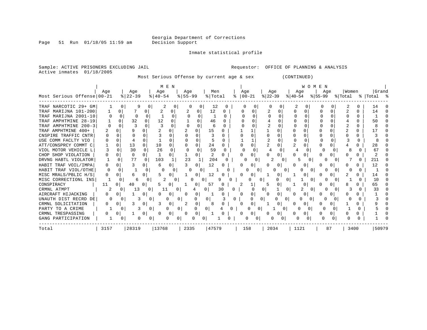Page 51 Run 01/18/05 11:59 am

#### Inmate statistical profile

Sample: ACTIVE PRISONERS EXCLUDING JAIL **Requestor:** OFFICE OF PLANNING & ANALYSIS Active inmates 01/18/2005

Most Serious Offense by current age & sex (CONTINUED)

| Most Serious Offense   00-21 | Age      |          | Age<br>$8   22 - 39$ |          | M E N<br>Age<br>$8   40 - 54$ |              | Age<br>$8 55-99$ |          | Men<br>% Total |          |   | Age | $ 00-21$ | $ 22-39 $ | Age          | $ 40-54 $    | W<br>Age | E.<br>O M<br>$8155 - 99$ | N<br>Age |              | Women<br>% Total |              | Grand<br>%   Total |  |
|------------------------------|----------|----------|----------------------|----------|-------------------------------|--------------|------------------|----------|----------------|----------|---|-----|----------|-----------|--------------|--------------|----------|--------------------------|----------|--------------|------------------|--------------|--------------------|--|
| TRAF NARCOTIC 29+ GM         |          |          |                      |          | $\overline{\phantom{a}}$      |              |                  | O        | 12             | $\Omega$ |   |     |          |           |              | ∠            |          |                          |          |              | 4                |              | 14                 |  |
| TRAF MARIJNA 101-200         |          |          |                      |          |                               |              |                  |          | 12             | O        |   |     |          |           |              |              |          |                          |          | N            |                  | O            | 14                 |  |
| TRAF MARIJNA 2001-10         |          | $\Omega$ | $\Omega$             | $\cap$   |                               | $\Omega$     |                  | $\Omega$ |                | n        |   |     |          |           |              |              | O        |                          |          |              |                  | 0            |                    |  |
| TRAF AMPHTMINE 28-19         |          |          | 32                   |          | 12                            | N            |                  |          | 46             |          |   |     |          |           |              |              |          |                          |          |              |                  | <sup>n</sup> | 50                 |  |
| TRAF AMPHTMINE 200-3         |          |          |                      |          |                               |              |                  | $\Omega$ | 6              |          |   |     |          |           |              |              |          |                          |          |              |                  | <sup>n</sup> |                    |  |
| TRAF AMPHTMINE 400+          |          |          | Q                    |          |                               |              |                  | $\Omega$ | 15             |          |   |     |          |           | $\cap$       |              |          |                          |          |              |                  |              |                    |  |
| CNSPIRE TRAFFIC CNTR         |          |          |                      |          |                               |              |                  |          |                |          |   |     |          |           |              |              |          |                          |          |              |                  |              |                    |  |
| USE COMM FACLTY VIO          |          |          |                      |          |                               |              |                  |          |                |          |   |     |          |           |              |              |          |                          |          |              |                  | U            |                    |  |
| ATT/CONSPRCY COMMT C         |          |          | 13                   | U        | 10                            | $\Omega$     |                  | O        | 24             | U        |   |     | O        |           |              | 2            |          |                          |          |              |                  |              | 28                 |  |
| VIOL MOTOR VEHICLE L         |          | U        | 30                   | $\Omega$ | 26                            | <sup>n</sup> | O                | 0        | 59             | $\Omega$ |   | C   | 0        |           | $\Omega$     |              |          |                          | $\Omega$ | 0            | 8                | 0            | 67                 |  |
| CHOP SHOP VIOLATION          |          |          | $\Omega$             | $\Omega$ |                               | <sup>0</sup> |                  | ∩        | 2              | $\Omega$ |   |     | 0        |           | <sup>0</sup> | U            |          |                          |          | <sup>0</sup> |                  |              |                    |  |
| DRVNG HABTL VIOLATOR         |          |          | 77                   |          | 103                           |              | 23               |          | 204            | O        |   |     |          |           | O            |              |          |                          |          |              |                  |              | 211                |  |
| HABIT TRAF VOIL/IMPA         | O        |          | ς                    | 0        | 6                             | <sup>0</sup> |                  | $\Omega$ | 12             |          |   |     | 0        |           | $\Omega$     | 0            | 0        |                          | n        | <sup>0</sup> |                  | 0            | 12                 |  |
| HABIT TRAF VIOL/OTHE         | $\Omega$ |          |                      | O        | U                             |              | ∩                |          |                |          |   |     | U        |           |              | <sup>o</sup> |          | O                        |          |              |                  |              |                    |  |
| MISC MRALS/PBLIC H/S         |          |          | h                    | 0        |                               | 0            |                  | $\Omega$ | 12             |          |   |     | 0        |           | $\Omega$     |              |          |                          |          |              |                  | 0            | 14                 |  |
| MISC CORRECTIONL INS         |          | 0        | 6                    |          |                               | 0            |                  | Ω        | 0              | 9        |   |     |          |           |              | 0            |          | O                        |          |              |                  | O            | 10                 |  |
| CONSPIRACY                   | 11       | 0        | 40                   | 0        | ৸                             | 0            |                  | 0        | 57             | 0        |   | 2   | Ŧ.       |           | 0            |              | 0        |                          |          | 0            | 8                |              | 65                 |  |
| CRMNL ATMPT                  |          |          | 13                   | 0        | 11                            | 0            |                  | 4        | 0              | 30       | 0 |     |          |           |              | 0            |          | <sup>0</sup>             |          |              |                  | O            | 33                 |  |
| AIRCRAFT HIJACKING           | O        |          |                      | 0        |                               | 0            | O                | 0        |                |          |   |     | 0        |           | $\Omega$     | 0            | 0        |                          |          |              |                  |              |                    |  |
| UNAUTH DIST RECRD DE         |          |          | 3                    |          | O                             | 0            |                  | 0        | $\Omega$       |          | O |     | n        | 0         | <sup>o</sup> |              |          | O                        | n        |              |                  |              |                    |  |
| CRMNL SOLICITATION           | O        |          |                      | 0        |                               | 0            |                  | 0        | 8              |          |   |     | 0        |           |              |              |          |                          |          |              |                  |              |                    |  |
| PARTY TO A CRIME             |          |          | 3                    | 0        | 0                             | 0            |                  | 0        | U              |          |   |     | 0        |           |              |              | O        |                          |          |              |                  |              |                    |  |
| CRMNL TRESPASSING            |          |          |                      | 0        |                               | 0            | U                | 0        |                |          |   |     | 0        |           |              |              |          |                          |          |              |                  |              |                    |  |
| GANG PARTICIPATION           |          |          |                      |          |                               |              |                  |          |                |          |   |     | 0        |           | 0            |              |          |                          | 0        |              | O                |              |                    |  |
| Total                        | 3157     |          | 28319                |          | 13768                         |              | 2335             |          | 47579          |          |   | 158 |          |           | 2034         |              | 1121     |                          | 87       |              | 3400             |              | 50979              |  |